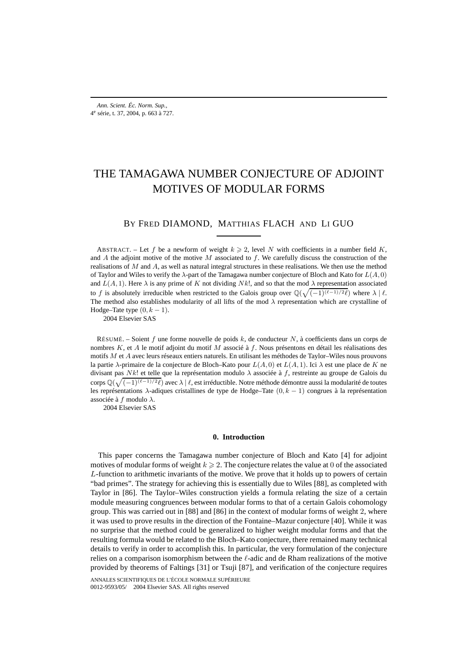# THE TAMAGAWA NUMBER CONJECTURE OF ADJOINT MOTIVES OF MODULAR FORMS

# BY FRED DIAMOND, MATTHIAS FLACH AND LI GUO

ABSTRACT. – Let f be a newform of weight  $k \ge 2$ , level N with coefficients in a number field K, and A the adjoint motive of the motive  $M$  associated to  $f$ . We carefully discuss the construction of the realisations of  $M$  and  $A$ , as well as natural integral structures in these realisations. We then use the method of Taylor and Wiles to verify the  $\lambda$ -part of the Tamagawa number conjecture of Bloch and Kato for  $L(A, 0)$ and  $L(A, 1)$ . Here  $\lambda$  is any prime of K not dividing Nk!, and so that the mod  $\lambda$  representation associated to f is absolutely irreducible when restricted to the Galois group over  $\mathbb{Q}(\sqrt{(-1)^{(\ell-1)/2}\ell})$  where  $\lambda \mid \ell$ . The method also establishes modularity of all lifts of the mod  $\lambda$  representation which are crystalline of Hodge–Tate type  $(0, k - 1)$ .

2004 Elsevier SAS

RÉSUMÉ. – Soient f une forme nouvelle de poids k, de conducteur N, à coefficients dans un corps de nombres  $K$ , et  $A$  le motif adjoint du motif  $M$  associé à  $f$ . Nous présentons en détail les réalisations des motifs M et A avec leurs réseaux entiers naturels. En utilisant les méthodes de Taylor–Wiles nous prouvons la partie  $\lambda$ -primaire de la conjecture de Bloch–Kato pour  $L(A, 0)$  et  $L(A, 1)$ . Ici  $\lambda$  est une place de K ne divisant pas Nk! et telle que la représentation modulo  $\lambda$  associée à f, restreinte au groupe de Galois du corps  $\mathbb{Q}(\sqrt{(-1)^{(\ell-1)/2}\ell})$  avec  $\lambda \mid \ell$ , est irréductible. Notre méthode démontre aussi la modularité de toutes les représentations  $λ$ -adiques cristallines de type de Hodge–Tate  $(0, k - 1)$  congrues à la représentation associée à f modulo  $\lambda$ .

2004 Elsevier SAS

## **0. Introduction**

This paper concerns the Tamagawa number conjecture of Bloch and Kato [4] for adjoint motives of modular forms of weight  $k \ge 2$ . The conjecture relates the value at 0 of the associated L-function to arithmetic invariants of the motive. We prove that it holds up to powers of certain "bad primes". The strategy for achieving this is essentially due to Wiles [88], as completed with Taylor in [86]. The Taylor–Wiles construction yields a formula relating the size of a certain module measuring congruences between modular forms to that of a certain Galois cohomology group. This was carried out in [88] and [86] in the context of modular forms of weight 2, where it was used to prove results in the direction of the Fontaine–Mazur conjecture [40]. While it was no surprise that the method could be generalized to higher weight modular forms and that the resulting formula would be related to the Bloch–Kato conjecture, there remained many technical details to verify in order to accomplish this. In particular, the very formulation of the conjecture relies on a comparison isomorphism between the  $\ell$ -adic and de Rham realizations of the motive provided by theorems of Faltings [31] or Tsuji [87], and verification of the conjecture requires

ANNALES SCIENTIFIQUES DE L'ÉCOLE NORMALE SUPÉRIEURE 0012-9593/05/© 2004 Elsevier SAS. All rights reserved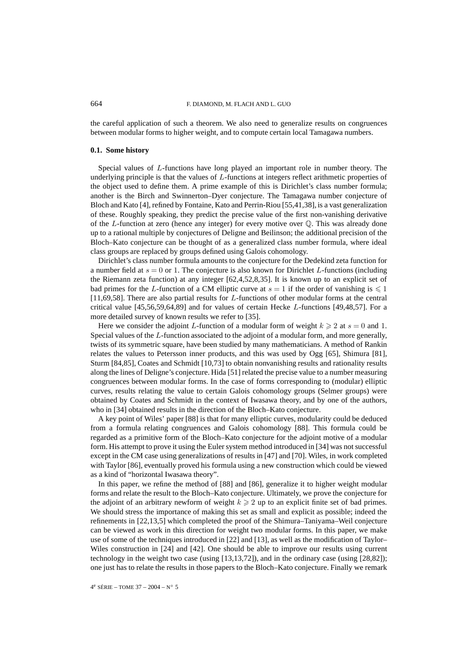the careful application of such a theorem. We also need to generalize results on congruences between modular forms to higher weight, and to compute certain local Tamagawa numbers.

## **0.1. Some history**

Special values of L-functions have long played an important role in number theory. The underlying principle is that the values of L-functions at integers reflect arithmetic properties of the object used to define them. A prime example of this is Dirichlet's class number formula; another is the Birch and Swinnerton–Dyer conjecture. The Tamagawa number conjecture of Bloch and Kato [4], refined by Fontaine, Kato and Perrin-Riou [55,41,38], is a vast generalization of these. Roughly speaking, they predict the precise value of the first non-vanishing derivative of the  $L$ -function at zero (hence any integer) for every motive over  $\mathbb Q$ . This was already done up to a rational multiple by conjectures of Deligne and Beilinson; the additional precision of the Bloch–Kato conjecture can be thought of as a generalized class number formula, where ideal class groups are replaced by groups defined using Galois cohomology.

Dirichlet's class number formula amounts to the conjecture for the Dedekind zeta function for a number field at  $s = 0$  or 1. The conjecture is also known for Dirichlet L-functions (including the Riemann zeta function) at any integer [62,4,52,8,35]. It is known up to an explicit set of bad primes for the L-function of a CM elliptic curve at  $s = 1$  if the order of vanishing is  $\leq 1$ [11,69,58]. There are also partial results for L-functions of other modular forms at the central critical value [45,56,59,64,89] and for values of certain Hecke L-functions [49,48,57]. For a more detailed survey of known results we refer to [35].

Here we consider the adjoint L-function of a modular form of weight  $k \ge 2$  at  $s = 0$  and 1. Special values of the L-function associated to the adjoint of a modular form, and more generally, twists of its symmetric square, have been studied by many mathematicians. A method of Rankin relates the values to Petersson inner products, and this was used by Ogg [65], Shimura [81], Sturm [84,85], Coates and Schmidt [10,73] to obtain nonvanishing results and rationality results along the lines of Deligne's conjecture. Hida [51] related the precise value to a number measuring congruences between modular forms. In the case of forms corresponding to (modular) elliptic curves, results relating the value to certain Galois cohomology groups (Selmer groups) were obtained by Coates and Schmidt in the context of Iwasawa theory, and by one of the authors, who in [34] obtained results in the direction of the Bloch–Kato conjecture.

A key point of Wiles' paper [88] is that for many elliptic curves, modularity could be deduced from a formula relating congruences and Galois cohomology [88]. This formula could be regarded as a primitive form of the Bloch–Kato conjecture for the adjoint motive of a modular form. His attempt to prove it using the Euler system method introduced in [34] was not successful except in the CM case using generalizations of results in [47] and [70]. Wiles, in work completed with Taylor [86], eventually proved his formula using a new construction which could be viewed as a kind of "horizontal Iwasawa theory".

In this paper, we refine the method of [88] and [86], generalize it to higher weight modular forms and relate the result to the Bloch–Kato conjecture. Ultimately, we prove the conjecture for the adjoint of an arbitrary newform of weight  $k \geq 2$  up to an explicit finite set of bad primes. We should stress the importance of making this set as small and explicit as possible; indeed the refinements in [22,13,5] which completed the proof of the Shimura–Taniyama–Weil conjecture can be viewed as work in this direction for weight two modular forms. In this paper, we make use of some of the techniques introduced in [22] and [13], as well as the modification of Taylor– Wiles construction in [24] and [42]. One should be able to improve our results using current technology in the weight two case (using [13,13,72]), and in the ordinary case (using [28,82]); one just has to relate the results in those papers to the Bloch–Kato conjecture. Finally we remark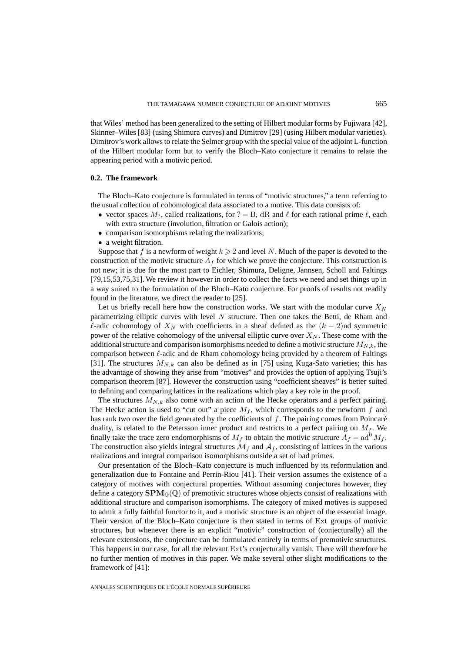that Wiles' method has been generalized to the setting of Hilbert modular forms by Fujiwara [42], Skinner–Wiles [83] (using Shimura curves) and Dimitrov [29] (using Hilbert modular varieties). Dimitrov's work allows to relate the Selmer group with the special value of the adjoint L-function of the Hilbert modular form but to verify the Bloch–Kato conjecture it remains to relate the appearing period with a motivic period.

## **0.2. The framework**

The Bloch–Kato conjecture is formulated in terms of "motivic structures," a term referring to the usual collection of cohomological data associated to a motive. This data consists of:

- vector spaces  $M_2$ , called realizations, for  $? = B$ , dR and  $\ell$  for each rational prime  $\ell$ , each with extra structure (involution, filtration or Galois action);
- comparison isomorphisms relating the realizations;
- a weight filtration.

Suppose that f is a newform of weight  $k \geq 2$  and level N. Much of the paper is devoted to the construction of the motivic structure  $A_f$  for which we prove the conjecture. This construction is not new; it is due for the most part to Eichler, Shimura, Deligne, Jannsen, Scholl and Faltings [79,15,53,75,31]. We review it however in order to collect the facts we need and set things up in a way suited to the formulation of the Bloch–Kato conjecture. For proofs of results not readily found in the literature, we direct the reader to [25].

Let us briefly recall here how the construction works. We start with the modular curve  $X_N$ parametrizing elliptic curves with level  $N$  structure. Then one takes the Betti, de Rham and  $\ell$ -adic cohomology of  $X_N$  with coefficients in a sheaf defined as the  $(k-2)$ nd symmetric power of the relative cohomology of the universal elliptic curve over  $X_N$ . These come with the additional structure and comparison isomorphisms needed to define a motivic structure  $M_{N,k}$ , the comparison between  $\ell$ -adic and de Rham cohomology being provided by a theorem of Faltings [31]. The structures  $M_{N,k}$  can also be defined as in [75] using Kuga-Sato varieties; this has the advantage of showing they arise from "motives" and provides the option of applying Tsuji's comparison theorem [87]. However the construction using "coefficient sheaves" is better suited to defining and comparing lattices in the realizations which play a key role in the proof.

The structures  $M_{N,k}$  also come with an action of the Hecke operators and a perfect pairing. The Hecke action is used to "cut out" a piece  $M_f$ , which corresponds to the newform f and has rank two over the field generated by the coefficients of  $f$ . The pairing comes from Poincaré duality, is related to the Petersson inner product and restricts to a perfect pairing on  $M_f$ . We finally take the trace zero endomorphisms of  $M_f$  to obtain the motivic structure  $A_f = ad^0 M_f$ . The construction also yields integral structures  $\mathcal{M}_f$  and  $\mathcal{A}_f$ , consisting of lattices in the various realizations and integral comparison isomorphisms outside a set of bad primes.

Our presentation of the Bloch–Kato conjecture is much influenced by its reformulation and generalization due to Fontaine and Perrin-Riou [41]. Their version assumes the existence of a category of motives with conjectural properties. Without assuming conjectures however, they define a category  $\text{SPM}_{\mathbb{O}}(\mathbb{Q})$  of premotivic structures whose objects consist of realizations with additional structure and comparison isomorphisms. The category of mixed motives is supposed to admit a fully faithful functor to it, and a motivic structure is an object of the essential image. Their version of the Bloch–Kato conjecture is then stated in terms of Ext groups of motivic structures, but whenever there is an explicit "motivic" construction of (conjecturally) all the relevant extensions, the conjecture can be formulated entirely in terms of premotivic structures. This happens in our case, for all the relevant Ext's conjecturally vanish. There will therefore be no further mention of motives in this paper. We make several other slight modifications to the framework of [41]: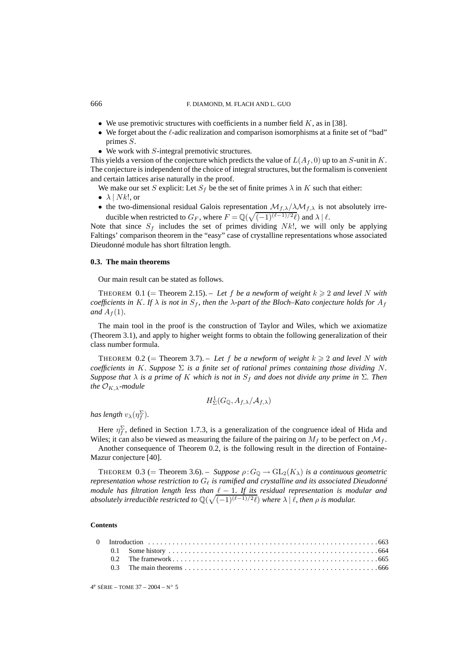- We use premotivic structures with coefficients in a number field  $K$ , as in [38].
- We forget about the  $\ell$ -adic realization and comparison isomorphisms at a finite set of "bad" primes S.
- We work with  $S$ -integral premotivic structures.

This yields a version of the conjecture which predicts the value of  $L(A_f, 0)$  up to an S-unit in K. The conjecture is independent of the choice of integral structures, but the formalism is convenient and certain lattices arise naturally in the proof.

We make our set S explicit: Let  $S_f$  be the set of finite primes  $\lambda$  in K such that either:

- $\lambda$  | *Nk*!, or
- the two-dimensional residual Galois representation  $\mathcal{M}_{f,\lambda}/\lambda\mathcal{M}_{f,\lambda}$  is not absolutely irreducible when restricted to  $G_F$ , where  $F = \mathbb{Q}(\sqrt{(-1)^{(\ell-1)/2}\ell})$  and  $\lambda \mid \ell$ .

Note that since  $S_f$  includes the set of primes dividing Nk!, we will only be applying Faltings' comparison theorem in the "easy" case of crystalline representations whose associated Dieudonné module has short filtration length.

## **0.3. The main theorems**

Our main result can be stated as follows.

THEOREM 0.1 (= Theorem 2.15). – Let f be a newform of weight  $k \geq 2$  and level N with *coefficients in* K*. If*  $\lambda$  *is not in*  $S_f$ *, then the*  $\lambda$ *-part of the Bloch–Kato conjecture holds for*  $A_f$ *and*  $A_f(1)$ *.* 

The main tool in the proof is the construction of Taylor and Wiles, which we axiomatize (Theorem 3.1), and apply to higher weight forms to obtain the following generalization of their class number formula.

THEOREM 0.2 (= Theorem 3.7). – Let f be a newform of weight  $k \geq 2$  and level N with *coefficients in* K. Suppose  $\Sigma$  *is a finite set of rational primes containing those dividing* N. *Suppose that*  $\lambda$  *is a prime of* K *which is not in*  $S_f$  *and does not divide any prime in*  $\Sigma$ *. Then the*  $\mathcal{O}_{K,\lambda}$ *-module* 

$$
H^1_\Sigma(G_\mathbb{Q},A_{f,\lambda}/\mathcal{A}_{f,\lambda})
$$

has length  $v_\lambda(\eta_f^\Sigma)$ .

Here  $\eta_f^{\Sigma}$ , defined in Section 1.7.3, is a generalization of the congruence ideal of Hida and Wiles; it can also be viewed as measuring the failure of the pairing on  $M_f$  to be perfect on  $\mathcal{M}_f$ .

Another consequence of Theorem 0.2, is the following result in the direction of Fontaine-Mazur conjecture [40].

THEOREM 0.3 (= Theorem 3.6). – *Suppose*  $\rho: G_{\mathbb{Q}} \to GL_2(K_{\lambda})$  *is a continuous geometric representation whose restriction to* G- *is ramified and crystalline and its associated Dieudonné module has filtration length less than*  $\ell - 1$ *. If its residual representation is modular and absolutely irreducible restricted to*  $\mathbb{Q}(\sqrt{(-1)^{(\ell-1)/2}\ell})$  *where*  $\lambda \mid \ell$ *, then*  $\rho$  *is modular.* 

#### **Contents**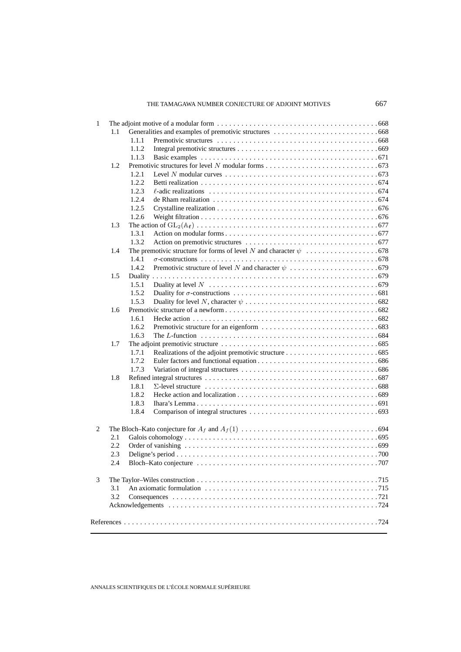# THE TAMAGAWA NUMBER CONJECTURE OF ADJOINT MOTIVES 667

| 1 |     |       |  |  |  |
|---|-----|-------|--|--|--|
|   | 1.1 |       |  |  |  |
|   |     | 1.1.1 |  |  |  |
|   |     | 1.1.2 |  |  |  |
|   |     | 1.1.3 |  |  |  |
|   | 1.2 |       |  |  |  |
|   |     | 1.2.1 |  |  |  |
|   |     | 1.2.2 |  |  |  |
|   |     | 1.2.3 |  |  |  |
|   |     | 1.2.4 |  |  |  |
|   |     | 1.2.5 |  |  |  |
|   |     | 1.2.6 |  |  |  |
|   | 1.3 |       |  |  |  |
|   |     | 1.3.1 |  |  |  |
|   |     | 1.3.2 |  |  |  |
|   | 1.4 |       |  |  |  |
|   |     | 1.4.1 |  |  |  |
|   |     | 1.4.2 |  |  |  |
|   | 1.5 |       |  |  |  |
|   |     | 1.5.1 |  |  |  |
|   |     | 1.5.2 |  |  |  |
|   |     | 1.5.3 |  |  |  |
|   | 1.6 |       |  |  |  |
|   |     | 1.6.1 |  |  |  |
|   |     | 1.6.2 |  |  |  |
|   |     | 1.6.3 |  |  |  |
|   | 1.7 |       |  |  |  |
|   |     | 1.7.1 |  |  |  |
|   |     | 1.7.2 |  |  |  |
|   |     | 1.7.3 |  |  |  |
|   | 1.8 |       |  |  |  |
|   |     | 1.8.1 |  |  |  |
|   |     | 1.8.2 |  |  |  |
|   |     | 1.8.3 |  |  |  |
|   |     | 1.8.4 |  |  |  |
|   |     |       |  |  |  |
| 2 |     |       |  |  |  |
|   | 2.1 |       |  |  |  |
|   | 2.2 |       |  |  |  |
|   | 2.3 |       |  |  |  |
|   | 2.4 |       |  |  |  |
| 3 |     |       |  |  |  |
|   | 3.1 |       |  |  |  |
|   | 3.2 |       |  |  |  |
|   |     |       |  |  |  |
|   |     |       |  |  |  |
|   |     |       |  |  |  |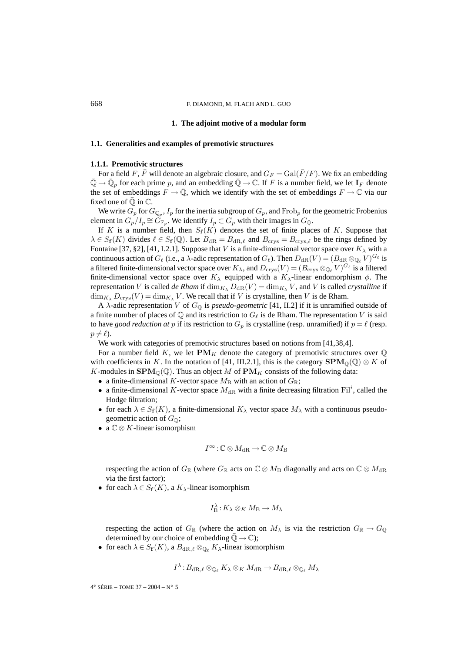#### **1. The adjoint motive of a modular form**

## **1.1. Generalities and examples of premotivic structures**

## **1.1.1. Premotivic structures**

For a field F,  $\bar{F}$  will denote an algebraic closure, and  $G_F = \text{Gal}(\bar{F}/F)$ . We fix an embedding  $\overline{\mathbb{Q}} \to \overline{\mathbb{Q}}_p$  for each prime p, and an embedding  $\overline{\mathbb{Q}} \to \mathbb{C}$ . If F is a number field, we let  $\mathbf{I}_F$  denote the set of embeddings  $F \to \mathbb{Q}$ , which we identify with the set of embeddings  $F \to \mathbb{C}$  via our fixed one of  $\overline{Q}$  in  $\mathbb{C}$ .

We write  $G_p$  for  $G_{\mathbb{Q}_p}$ ,  $I_p$  for the inertia subgroup of  $G_p$ , and Frob<sub>p</sub> for the geometric Frobenius element in  $G_p/I_p \cong G_{\mathbb{F}_p}$ . We identify  $I_p \subset G_p$  with their images in  $G_{\mathbb{Q}}$ .

If K is a number field, then  $S_f(K)$  denotes the set of finite places of K. Suppose that  $\lambda \in S_f(K)$  divides  $\ell \in S_f(\mathbb{Q})$ . Let  $B_{\text{dR}} = B_{\text{dR},\ell}$  and  $B_{\text{crys}} = B_{\text{crys},\ell}$  be the rings defined by Fontaine [37, §2], [41, I.2.1]. Suppose that V is a finite-dimensional vector space over  $K_{\lambda}$  with a continuous action of  $G_\ell$  (i.e., a  $\lambda$ -adic representation of  $G_\ell$ ). Then  $D_{\rm dR}(V) = (B_{\rm dR} \otimes_{\mathbb Q_\ell} V)^{G_\ell}$  is a filtered finite-dimensional vector space over  $K_{\lambda}$ , and  $D_{\text{crys}}(V) = (B_{\text{crys}} \otimes_{\mathbb{Q}_\ell} V)^{G_\ell}$  is a filtered finite-dimensional vector space over  $K_{\lambda}$  equipped with a  $K_{\lambda}$ -linear endomorphism  $\phi$ . The representation V is called *de Rham* if  $\dim_{K_\lambda} D_{\text{dR}}(V) = \dim_{K_\lambda} V$ , and V is called *crystalline* if  $\dim_{K_\lambda} D_{\text{crys}}(V) = \dim_{K_\lambda} V$ . We recall that if V is crystalline, then V is de Rham.

A  $\lambda$ -adic representation V of  $G_{\mathbb{Q}}$  is *pseudo-geometric* [41, II.2] if it is unramified outside of a finite number of places of Q and its restriction to  $G_{\ell}$  is de Rham. The representation V is said to have *good reduction at* p if its restriction to  $G_p$  is crystalline (resp. unramified) if  $p = \ell$  (resp.  $p \neq \ell$ ).

We work with categories of premotivic structures based on notions from [41,38,4].

For a number field K, we let  $\mathbf{PM}_K$  denote the category of premotivic structures over  $\mathbb Q$ with coefficients in K. In the notation of [41, III.2.1], this is the category  $\text{SPM}_{\mathbb{Q}}(\mathbb{Q}) \otimes K$  of K-modules in  $\text{SPM}_{\mathbb{Q}}(\mathbb{Q})$ . Thus an object M of  $\text{PM}_K$  consists of the following data:

- a finite-dimensional K-vector space  $M_{\rm B}$  with an action of  $G_{\mathbb{R}}$ ;
- a finite-dimensional K-vector space  $M_{\text{dR}}$  with a finite decreasing filtration Fil<sup>i</sup>, called the Hodge filtration;
- for each  $\lambda \in S_f(K)$ , a finite-dimensional  $K_\lambda$  vector space  $M_\lambda$  with a continuous pseudogeometric action of  $G_{\mathbb{Q}}$ ;
- a  $\mathbb{C} \otimes K$ -linear isomorphism

$$
I^{\infty} : \mathbb{C} \otimes M_{\mathrm{dR}} \to \mathbb{C} \otimes M_{\mathrm{B}}
$$

respecting the action of  $G_{\mathbb{R}}$  (where  $G_{\mathbb{R}}$  acts on  $\mathbb{C} \otimes M_{\mathbb{B}}$  diagonally and acts on  $\mathbb{C} \otimes M_{\mathbb{R}}$ via the first factor);

• for each  $\lambda \in S_f(K)$ , a  $K_\lambda$ -linear isomorphism

$$
I_{\mathcal{B}}^{\lambda}: K_{\lambda} \otimes_{K} M_{\mathcal{B}} \to M_{\lambda}
$$

respecting the action of  $G_{\mathbb{R}}$  (where the action on  $M_{\lambda}$  is via the restriction  $G_{\mathbb{R}} \to G_{\mathbb{Q}}$ determined by our choice of embedding  $\mathbb{Q} \to \mathbb{C}$ );

• for each  $\lambda \in S_f(K)$ , a  $B_{dR,\ell} \otimes_{\mathbb{Q}_{\ell}} K_{\lambda}$ -linear isomorphism

$$
I^\lambda\!:\!B_{\mathrm{dR},\ell}\otimes_{\mathbb{Q}_\ell}K_\lambda\otimes_K M_{\mathrm{dR}}\to B_{\mathrm{dR},\ell}\otimes_{\mathbb{Q}_\ell}M_\lambda
$$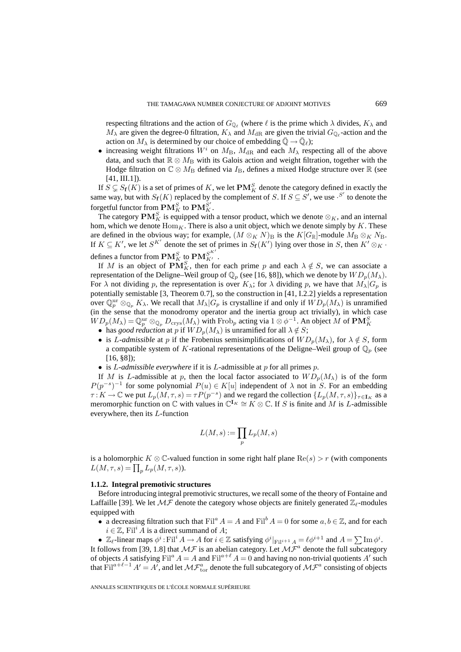respecting filtrations and the action of  $G_{\mathbb{Q}_\ell}$  (where  $\ell$  is the prime which  $\lambda$  divides,  $K_\lambda$  and  $M_{\lambda}$  are given the degree-0 filtration,  $K_{\lambda}$  and  $M_{\text{dR}}$  are given the trivial  $G_{\mathbb{Q}_{\ell}}$ -action and the action on  $M_{\lambda}$  is determined by our choice of embedding  $\bar{\mathbb{Q}} \to \bar{\mathbb{Q}}_{\ell}$ );

• increasing weight filtrations  $W^i$  on  $M_B$ ,  $M_{\rm dR}$  and each  $M_\lambda$  respecting all of the above data, and such that  $\mathbb{R} \otimes M_B$  with its Galois action and weight filtration, together with the Hodge filtration on  $\mathbb{C} \otimes M_\text{B}$  defined via  $I_\text{B}$ , defines a mixed Hodge structure over  $\mathbb{R}$  (see  $[41, III.1]$ ).

If  $S \subsetneq S_f(K)$  is a set of primes of K, we let  $\mathbf{PM}^S_K$  denote the category defined in exactly the same way, but with  $S_f(K)$  replaced by the complement of S. If  $S \subseteq S'$ , we use  $S'$  to denote the forgetful functor from  $\mathbf{PM}_{K}^{S}$  to  $\mathbf{PM}_{K}^{S'}$ .

The category  $\mathbf{PM}_{K}^{S}$  is equipped with a tensor product, which we denote  $\otimes_{K}$ , and an internal hom, which we denote  $\text{Hom}_K$ . There is also a unit object, which we denote simply by K. These are defined in the obvious way; for example,  $(M \otimes_K N)_B$  is the  $K[G_{\mathbb{R}}]$ -module  $M_B \otimes_K N_B$ . If  $K \subseteq K'$ , we let  $S^{K'}$  denote the set of primes in  $S_f(K')$  lying over those in S, then  $K' \otimes_K \cdot$ defines a functor from  $\mathbf{P}\mathbf{M}^S_K$  to  $\mathbf{P}\mathbf{M}^{S^{K'}}_{K'}$ .

If M is an object of  $PM_K^S$ , then for each prime p and each  $\lambda \notin S$ , we can associate a representation of the Deligne–Weil group of  $\mathbb{Q}_p$  (see [16, §8]), which we denote by  $WD_p(M_\lambda)$ . For  $\lambda$  not dividing p, the representation is over  $K_{\lambda}$ ; for  $\lambda$  dividing p, we have that  $M_{\lambda}|G_p$  is potentially semistable [3, Theorem 0.7], so the construction in [41, I.2.2] yields a representation over  $\mathbb{Q}_p^{\text{ur}} \otimes_{\mathbb{Q}_p} K_\lambda$ . We recall that  $M_\lambda | G_p$  is crystalline if and only if  $WD_p(M_\lambda)$  is unramified (in the sense that the monodromy operator and the inertia group act trivially), in which case  $WD_p(M_\lambda) = \mathbb{Q}_p^{\text{ur}} \otimes_{\mathbb{Q}_p} D_{\text{crys}}(M_\lambda)$  with Frob<sub>p</sub> acting via  $1 \otimes \phi^{-1}$ . An object M of  $\mathbf{PM}_K^S$ 

- has *good reduction* at p if  $WD_p(M_\lambda)$  is unramified for all  $\lambda \notin S$ ;
- is *L-admissible* at p if the Frobenius semisimplifications of  $WD_p(M_\lambda)$ , for  $\lambda \notin S$ , form a compatible system of K-rational representations of the Deligne–Weil group of  $\mathbb{Q}_p$  (see [16, §8]);
- is L*-admissible everywhere* if it is L-admissible at p for all primes p.

If M is L-admissible at p, then the local factor associated to  $WD_p(M_\lambda)$  is of the form  $P(p^{-s})^{-1}$  for some polynomial  $P(u) \in K[u]$  independent of  $\lambda$  not in S. For an embedding  $\tau: K \to \mathbb{C}$  we put  $L_p(M, \tau, s) = \tau P(p^{-s})$  and we regard the collection  $\{L_p(M, \tau, s)\}_{\tau \in I_K}$  as a meromorphic function on  $\mathbb C$  with values in  $\mathbb C^{I_K} \cong K \otimes \mathbb C$ . If S is finite and M is L-admissible everywhere, then its L-function

$$
L(M,s):=\prod_p L_p(M,s)
$$

is a holomorphic K ⊗  $\mathbb{C}$ -valued function in some right half plane Re(s) > r (with components  $L(M, \tau, s) = \prod_p L_p(M, \tau, s)$ .

#### **1.1.2. Integral premotivic structures**

Before introducing integral premotivic structures, we recall some of the theory of Fontaine and Laffaille [39]. We let  $\mathcal{MF}$  denote the category whose objects are finitely generated  $\mathbb{Z}_{\ell}$ -modules equipped with

- a decreasing filtration such that  $\text{Fil}^a A = A$  and  $\text{Fil}^b A = 0$  for some  $a, b \in \mathbb{Z}$ , and for each  $i \in \mathbb{Z}$ , Fil<sup>2</sup> A is a direct summand of A;
- $\mathbb{Z}_{\ell}$ -linear maps  $\phi^i$ : Fil<sup>i</sup>  $A \to A$  for  $i \in \mathbb{Z}$  satisfying  $\phi^i|_{\text{Fil}^{i+1} A} = \ell \phi^{i+1}$  and  $A = \sum \text{Im } \phi^i$ .

It follows from [39, 1.8] that  $M\mathcal{F}$  is an abelian category. Let  $M\mathcal{F}^a$  denote the full subcategory of objects A satisfying Fil<sup>a</sup>  $A = A$  and Fil<sup>a+l</sup>  $A = 0$  and having no non-trivial quotients A' such that  $\text{Fil}^{a+\ell-1}$   $A'=A'$ , and let  $\mathcal{MF}^a_{\text{tor}}$  denote the full subcategory of  $\mathcal{MF}^a$  consisting of objects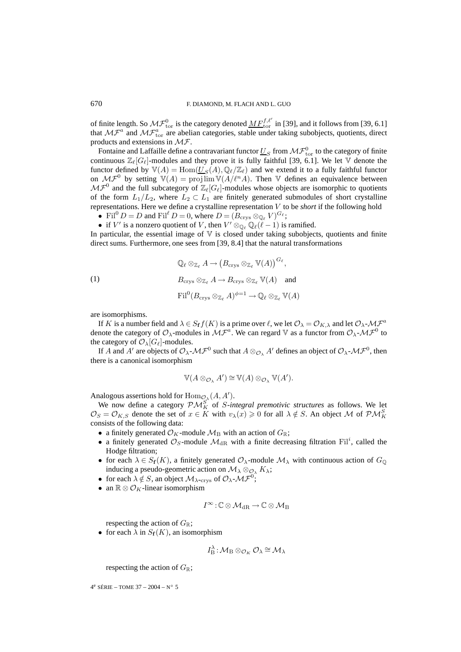of finite length. So  $\mathcal{MF}_{\text{tor}}^0$  is the category denoted  $\underline{MF}_{\text{tor}}^{f,\ell'}$  in [39], and it follows from [39, 6.1] that  $MF^a$  and  $MF^a_{\text{tor}}$  are abelian categories, stable under taking subobjects, quotients, direct products and extensions in MF.

Fontaine and Laffaille define a contravariant functor  $\underline{U}_S$  from  $\mathcal{MF}^0_{\rm tor}$  to the category of finite continuous  $\mathbb{Z}_\ell[G_\ell]$ -modules and they prove it is fully faithful [39, 6.1]. We let  $\mathbb {V}$  denote the functor defined by  $\mathbb{V}(A) = \text{Hom}(\underline{U}_S(A), \mathbb{Q}_{\ell}/\mathbb{Z}_{\ell})$  and we extend it to a fully faithful functor on  $\mathcal{MF}^0$  by setting  $\mathbb{V}(A) = \text{proj}\lim \mathbb{V}(A/\ell^n A)$ . Then V defines an equivalence between  $M\mathcal{F}^0$  and the full subcategory of  $\mathbb{Z}_{\ell}[G_{\ell}]$ -modules whose objects are isomorphic to quotients of the form  $L_1/L_2$ , where  $L_2 \subset L_1$  are finitely generated submodules of short crystalline representations. Here we define a crystalline representation V to be *short* if the following hold

- Fil<sup>0</sup>  $D = D$  and Fil<sup> $\ell$ </sup>  $D = 0$ , where  $D = (B_{\text{crys}} \otimes_{\mathbb{Q}_\ell} V)^{G_\ell}$ ;
- if V' is a nonzero quotient of V, then  $V' \otimes_{\mathbb{Q}_\ell} \mathbb{Q}_\ell(\ell-1)$  is ramified.

In particular, the essential image of  $\nabla$  is closed under taking subobjects, quotients and finite direct sums. Furthermore, one sees from [39, 8.4] that the natural transformations

(1)  
\n
$$
\mathbb{Q}_{\ell} \otimes_{\mathbb{Z}_{\ell}} A \to (B_{\text{crys}} \otimes_{\mathbb{Z}_{\ell}} V(A))^{G_{\ell}},
$$
\n
$$
B_{\text{crys}} \otimes_{\mathbb{Z}_{\ell}} A \to B_{\text{crys}} \otimes_{\mathbb{Z}_{\ell}} V(A) \text{ and }
$$
\n
$$
\text{Fil}^{0}(B_{\text{crys}} \otimes_{\mathbb{Z}_{\ell}} A)^{\phi=1} \to \mathbb{Q}_{\ell} \otimes_{\mathbb{Z}_{\ell}} V(A)
$$

are isomorphisms.

If K is a number field and  $\lambda \in S_f f(K)$  is a prime over  $\ell$ , we let  $\mathcal{O}_{\lambda} = \mathcal{O}_{K,\lambda}$  and let  $\mathcal{O}_{\lambda}$ - $\mathcal{MF}^a$ denote the category of  $\mathcal{O}_{\lambda}$ -modules in  $\mathcal{MF}^a$ . We can regard V as a functor from  $\mathcal{O}_{\lambda}$ - $\mathcal{MF}^0$  to the category of  $\mathcal{O}_{\lambda}[G_{\ell}]$ -modules.

If A and A' are objects of  $\mathcal{O}_\lambda$ - $\mathcal{MF}^0$  such that  $A\otimes_{\mathcal{O}_\lambda}A'$  defines an object of  $\mathcal{O}_\lambda$ - $\mathcal{MF}^0$ , then there is a canonical isomorphism

$$
\mathbb{V}(A\otimes_{\mathcal{O}_{\lambda}}A')\cong \mathbb{V}(A)\otimes_{\mathcal{O}_{\lambda}}\mathbb{V}(A').
$$

Analogous assertions hold for  $\text{Hom}_{\mathcal{O}_{\lambda}}(A, A').$ 

We now define a category  $\mathcal{PM}_{K}^{S}$  of *S*-integral premotivic structures as follows. We let  $\mathcal{O}_S = \mathcal{O}_{K,S}$  denote the set of  $x \in K$  with  $v_\lambda(x) \geq 0$  for all  $\lambda \notin S$ . An object M of  $\mathcal{PM}_K^S$ consists of the following data:

- a finitely generated  $\mathcal{O}_K$ -module  $\mathcal{M}_B$  with an action of  $G_\mathbb{R}$ ;
- a finitely generated  $\mathcal{O}_S$ -module  $\mathcal{M}_{dR}$  with a finite decreasing filtration Fil<sup>i</sup>, called the Hodge filtration;
- for each  $\lambda \in S_f(K)$ , a finitely generated  $\mathcal{O}_{\lambda}$ -module  $\mathcal{M}_{\lambda}$  with continuous action of  $G_{\mathbb{Q}}$ inducing a pseudo-geometric action on  $\mathcal{M}_{\lambda} \otimes_{\mathcal{O}_{\lambda}} K_{\lambda}$ ;
- for each  $\lambda \notin S$ , an object  $\mathcal{M}_{\lambda\text{-crys}}$  of  $\mathcal{O}_{\lambda\text{-}}\mathcal{MF}^0$ ;
- an  $\mathbb{R} \otimes \mathcal{O}_K$ -linear isomorphism

$$
I^\infty\!:\!\mathbb{C}\otimes\mathcal{M}_{\mathrm{dR}}\!\to\!\mathbb{C}\otimes\mathcal{M}_\mathrm{B}
$$

respecting the action of  $G_{\mathbb{R}}$ ;

• for each  $\lambda$  in  $S_f(K)$ , an isomorphism

$$
I_{\rm B}^{\lambda} : \mathcal{M}_{\rm B} \otimes_{\mathcal{O}_K} \mathcal{O}_{\lambda} \cong \mathcal{M}_{\lambda}
$$

respecting the action of  $G_{\mathbb{R}}$ ;

 $4^e$  SÉRIE – TOME 37 – 2004 – N° 5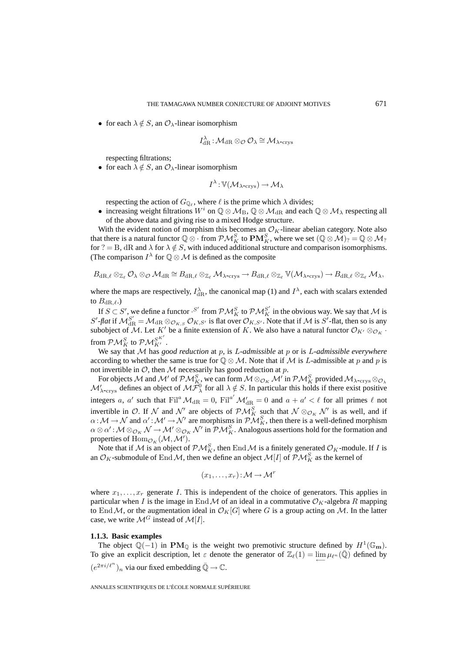• for each  $\lambda \notin S$ , an  $\mathcal{O}_{\lambda}$ -linear isomorphism

$$
I_{\mathrm{dR}}^{\lambda}:\mathcal{M}_{\mathrm{dR}}\otimes_{\mathcal{O}}\mathcal{O}_{\lambda}\cong\mathcal{M}_{\lambda\text{-crys}}
$$

respecting filtrations;

• for each  $\lambda \notin S$ , an  $\mathcal{O}_{\lambda}$ -linear isomorphism

$$
I^{\lambda}:\mathbb{V}(\mathcal{M}_{\lambda\text{-crys}})\to\mathcal{M}_{\lambda}
$$

respecting the action of  $G_{\mathbb{Q}_{\ell}}$ , where  $\ell$  is the prime which  $\lambda$  divides;

• increasing weight filtrations  $W^i$  on  $\mathbb{Q} \otimes \mathcal{M}_{\text{B}}$ ,  $\mathbb{Q} \otimes \mathcal{M}_{\text{dR}}$  and each  $\mathbb{Q} \otimes \mathcal{M}_{\lambda}$  respecting all of the above data and giving rise to a mixed Hodge structure.

With the evident notion of morphism this becomes an  $\mathcal{O}_K$ -linear abelian category. Note also that there is a natural functor  $\mathbb{Q}\otimes\cdot$  from  $\mathcal{PM}_K^S$  to  $\mathbf{PM}_K^S$ , where we set  $(\mathbb{Q}\otimes\mathcal{M})_?=\mathbb{Q}\otimes\mathcal{M}_?$ for ? = B, dR and  $\lambda$  for  $\lambda \notin S$ , with induced additional structure and comparison isomorphisms. (The comparison  $I^{\lambda}$  for  $\mathbb{Q} \otimes \mathcal{M}$  is defined as the composite

$$
B_{\mathrm{dR},\ell} \otimes_{\mathbb{Z}_\ell} \mathcal{O}_\lambda \otimes_{\mathcal{O}} \mathcal{M}_{\mathrm{dR}} \cong B_{\mathrm{dR},\ell} \otimes_{\mathbb{Z}_\ell} \mathcal{M}_{\lambda\text{-crys}} \to B_{\mathrm{dR},\ell} \otimes_{\mathbb{Z}_\ell} \mathbb{V}(\mathcal{M}_{\lambda\text{-crys}}) \to B_{\mathrm{dR},\ell} \otimes_{\mathbb{Z}_\ell} \mathcal{M}_\lambda,
$$

where the maps are respectively,  $I_{\text{dR}}^{\lambda}$ , the canonical map (1) and  $I^{\lambda}$ , each with scalars extended to  $B_{\mathrm{dR},\ell}$ .)

If  $S \subset S'$ , we define a functor  $\cdot S'$  from  $\mathcal{PM}_{K}^S$  to  $\mathcal{PM}_{K}^{S'}$  in the obvious way. We say that M is  $S'$ -flat if  $M_{\rm dR}^{S'} = M_{\rm dR} \otimes_{\mathcal{O}_{K,S}} \mathcal{O}_{K,S'}$  is flat over  $\mathcal{O}_{K,S'}$ . Note that if M is  $S'$ -flat, then so is any subobject of M. Let K' be a finite extension of K. We also have a natural functor  $\mathcal{O}_{K'} \otimes_{\mathcal{O}_K} \cdot$ from  $\mathcal{PM}_K^S$  to  $\mathcal{PM}_{K'}^{S^{K'}}$  .

We say that M has *good reduction* at p, is L-admissible at p or is L-admissible everywhere according to whether the same is true for  $\mathbb{Q} \otimes \mathcal{M}$ . Note that if M is L-admissible at p and p is not invertible in  $O$ , then  $M$  necessarily has good reduction at  $p$ .

For objects  $\cal M$  and  $\cal M'$  of  $\cal PM_{K2}^S$  we can form  $\cal M\otimes_{\cal O_K} \cal M'$  in  $\cal PM_K^S$  provided  $\cal M_{\lambda\text{-crys}}\otimes_{\cal O_{\lambda}}$  $M'_{\lambda\text{-crys}}$  defines an object of  $M\tilde{\mathcal{F}}_\lambda^0$  for all  $\lambda \notin S$ . In particular this holds if there exist positive integers a, a' such that  $\text{Fil}^a \mathcal{M}_{\text{dR}} = 0$ ,  $\text{Fil}^{a'} \mathcal{M}'_{\text{dR}} = 0$  and  $a + a' < \ell$  for all primes  $\ell$  not invertible in O. If N and N' are objects of  $\mathcal{PM}_{K}^S$  such that  $\mathcal{N} \otimes_{\mathcal{O}_{K}} \mathcal{N}'$  is as well, and if  $\alpha: \mathcal{M} \to \mathcal{N}$  and  $\alpha': \mathcal{M}' \to \mathcal{N}'$  are morphisms in  $\mathcal{PM}_K^S$ , then there is a well-defined morphism  $\alpha\otimes\alpha':\mathcal{M}\otimes_{\mathcal{O}_K}\mathcal{N}\to\mathcal{M}'\otimes_{\mathcal{O}_K}\mathcal{N}'$  in  $\mathcal{PM}_K^S$ . Analogous assertions hold for the formation and properties of  $\text{Hom}_{\mathcal{O}_K}(\mathcal{M}, \mathcal{M}').$ 

Note that if M is an object of  $\mathcal{PM}_K^S$ , then End M is a finitely generated  $\mathcal{O}_K$ -module. If I is an  $\mathcal{O}_K$ -submodule of End M, then we define an object  $\mathcal{M}[I]$  of  $\mathcal{PM}_K^S$  as the kernel of

$$
(x_1,\ldots,x_r):{\mathcal M}\to{\mathcal M}^r
$$

where  $x_1, \ldots, x_r$  generate I. This is independent of the choice of generators. This applies in particular when I is the image in End M of an ideal in a commutative  $\mathcal{O}_K$ -algebra R mapping to End M, or the augmentation ideal in  $\mathcal{O}_K[G]$  where G is a group acting on M. In the latter case, we write  $\mathcal{M}^G$  instead of  $\mathcal{M}[I]$ .

#### **1.1.3. Basic examples**

The object  $\mathbb{Q}(-1)$  in **PM**<sub>Q</sub> is the weight two premotivic structure defined by  $H^1(\mathbb{G}_{\mathbf{m}})$ . To give an explicit description, let  $\varepsilon$  denote the generator of  $\mathbb{Z}_{\ell}(1) = \lim_{\longleftarrow} \mu_{\ell^n}(\overline{\mathbb{Q}})$  defined by  $(e^{2\pi i/\ell^n})_n$  via our fixed embedding  $\bar{\mathbb{Q}} \to \mathbb{C}$ .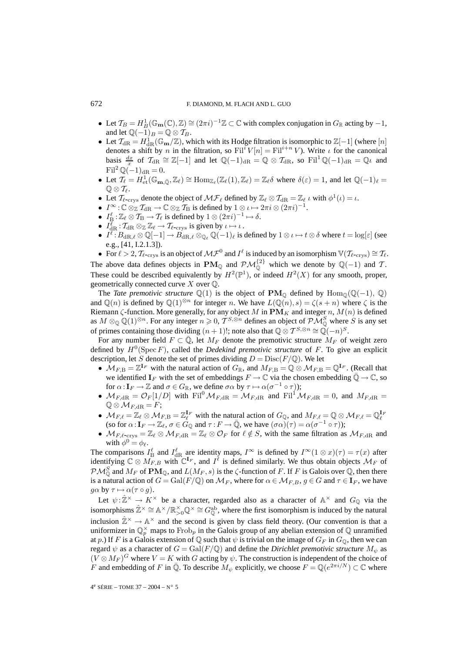- Let  $\mathcal{T}_B = H^1_B(\mathbb{G}_{\mathbf{m}}(\mathbb{C}), \mathbb{Z}) \cong (2\pi i)^{-1}\mathbb{Z} \subset \mathbb{C}$  with complex conjugation in  $G_{\mathbb{R}}$  acting by  $-1$ , and let  $\mathbb{Q}(-1)_B = \mathbb{Q} \otimes \mathcal{T}_B$ .
- Let  $T_{\text{dR}} = H_{\text{dR}}^1(\mathbb{G}_{\text{m}}/\mathbb{Z})$ , which with its Hodge filtration is isomorphic to  $\mathbb{Z}[-1]$  (where  $[n]$ denotes a shift by n in the filtration, so  $\text{Fil}^i V[n] = \text{Fil}^{i+n} V$ ). Write  $\iota$  for the canonical basis  $\frac{dx}{x}$  of  $\mathcal{T}_{\text{dR}} \cong \mathbb{Z}[-1]$  and let  $\mathbb{Q}(-1)_{\text{dR}} = \mathbb{Q} \otimes \mathcal{T}_{\text{dR}}$ , so  $\text{Fil}^1 \mathbb{Q}(-1)_{\text{dR}} = \mathbb{Q} \iota$  and  $\text{Fil}^2 \mathbb{Q}(-1)_{\text{dR}} = 0.$
- Let  $\mathcal{T}_{\ell} = H^1_{\text{et}}(\mathbb{G}_{\mathbf{m},\bar{\mathbb{Q}}}, \mathbb{Z}_{\ell}) \cong \text{Hom}_{\mathbb{Z}_{\ell}}(\mathbb{Z}_{\ell}(1), \mathbb{Z}_{\ell}) = \mathbb{Z}_{\ell} \delta$  where  $\delta(\varepsilon) = 1$ , and let  $\mathbb{Q}(-1)_{\ell} =$  $\mathbb{Q}\otimes \mathcal{T}_{\ell}.$
- Let  $\mathcal{T}_{\ell\text{-crys}}$  denote the object of  $\mathcal{MF}_{\ell}$  defined by  $\mathbb{Z}_{\ell} \otimes \mathcal{T}_{dR} = \mathbb{Z}_{\ell} \iota$  with  $\phi^1(\iota) = \iota$ .
- $I^{\infty}$ :  $\mathbb{C} \otimes_{\mathbb{Z}} \mathcal{T}_{dR} \to \mathbb{C} \otimes_{\mathbb{Z}} \mathcal{T}_{B}$  is defined by  $1 \otimes \iota \mapsto 2\pi i \otimes (2\pi i)^{-1}$ .
- $I_{\text{B}}^{\ell} : \mathbb{Z}_{\ell} \otimes \mathcal{T}_{\text{B}} \to \mathcal{T}_{\ell}$  is defined by  $1 \otimes (2\pi i)^{-1} \mapsto \delta$ .
- $I_{\text{dR}}^{\ell} : \mathcal{T}_{\text{dR}} \otimes_{\mathbb{Z}} \mathbb{Z}_{\ell} \to \mathcal{T}_{\ell\text{-crys}}$  is given by  $\iota \mapsto \iota$ .
- $I^{\ell}: B_{\mathrm{dR},\ell} \otimes \mathbb{Q}[-1] \to B_{\mathrm{dR},\ell} \otimes_{\mathbb{Q}_{\ell}} \mathbb{Q}(-1)_{\ell}$  is defined by  $1 \otimes \iota \mapsto t \otimes \delta$  where  $t = \log[\varepsilon]$  (see e.g., [41, I.2.1.3]).
- For  $\ell > 2$ ,  $\mathcal{T}_{\ell\text{-crys}}$  is an object of  $\mathcal{MF}^0$  and  $I^{\ell}$  is induced by an isomorphism  $\mathbb{V}(\mathcal{T}_{\ell\text{-crys}}) \cong \mathcal{T}_{\ell}$ .

The above data defines objects in **PM**<sub>Q</sub> and  $\mathcal{PM}_{\mathbb{Q}}^{\{2\}}$  which we denote by  $\mathbb{Q}(-1)$  and T. These could be described equivalently by  $H^2(\mathbb{P}^1)$ , or indeed  $H^2(X)$  for any smooth, proper, geometrically connected curve  $X$  over  $\mathbb{Q}$ .

The *Tate premotivic structure*  $\mathbb{Q}(1)$  is the object of **PM**<sub>Q</sub> defined by Hom<sub>Q</sub>( $\mathbb{Q}(-1)$ ,  $\mathbb{Q}$ ) and  $\mathbb{Q}(n)$  is defined by  $\mathbb{Q}(1)^{\otimes n}$  for integer n. We have  $L(\mathbb{Q}(n), s) = \zeta(s+n)$  where  $\zeta$  is the Riemann  $\zeta$ -function. More generally, for any object M in  $\mathbf{PM}_K$  and integer n,  $M(n)$  is defined as  $M\otimes_{\mathbb{Q}}\mathbb{Q}(1)^{\otimes n}$ . For any integer  $n\geqslant 0,$   $T^{S,\otimes n}$  defines an object of  $\mathcal{PM}_{\mathbb{Q}}^S$  where  $S$  is any set of primes containing those dividing  $(n + 1)!$ ; note also that  $\mathbb{Q} \otimes T^{S, \otimes n} \cong \mathbb{Q}(-n)^S$ .

For any number field  $F \subset \overline{\mathbb{Q}}$ , let  $M_F$  denote the premotivic structure  $M_F$  of weight zero defined by  $H^0(\text{Spec } F)$ , called the *Dedekind premotivic structure* of F. To give an explicit description, let S denote the set of primes dividing  $D = Disc(F/\mathbb{Q})$ . We let

- $M_{F,B} = \mathbb{Z}^{I_F}$  with the natural action of  $G_{\mathbb{R}}$ , and  $M_{F,B} = \mathbb{Q} \otimes M_{F,B} = \mathbb{Q}^{I_F}$ . (Recall that we identified  $\mathbf{I}_F$  with the set of embeddings  $F \to \mathbb{C}$  via the chosen embedding  $\mathbb{Q} \to \mathbb{C}$ , so for  $\alpha: I_F \to \mathbb{Z}$  and  $\sigma \in G_\mathbb{R}$ , we define  $\sigma \alpha$  by  $\tau \mapsto \alpha(\sigma^{-1} \circ \tau)$ );
- $M_{F,dR} = \mathcal{O}_F[1/D]$  with Fil<sup>0</sup>  $M_{F,dR} = M_{F,dR}$  and Fil<sup>1</sup>  $M_{F,dR} = 0$ , and  $M_{F,dR} =$  $\mathbb{Q} \otimes \mathcal{M}_{F, \mathrm{dR}} = F;$
- $M_{F,\ell} = \mathbb{Z}_{\ell} \otimes M_{F,B} = \mathbb{Z}_{\ell}^{\mathbf{I}_F}$  with the natural action of  $G_{\mathbb{Q}}$ , and  $M_{F,\ell} = \mathbb{Q} \otimes M_{F,\ell} = \mathbb{Q}_{\ell}^{\mathbf{I}_F}$ <br>(so for  $\alpha: \mathbf{I}_F \to \mathbb{Z}_{\ell}$ ,  $\sigma \in G_{\mathbb{Q}}$  and  $\tau: F \to \bar{\mathbb{Q}}$ , we have  $(\sigma \alpha)(\tau$
- $M_{F,\ell\text{-crys}} = \mathbb{Z}_\ell \otimes M_{F,\mathrm{dR}} = \mathbb{Z}_\ell \otimes \mathcal{O}_F$  for  $\ell \notin S$ , with the same filtration as  $M_{F,\mathrm{dR}}$  and with  $\phi^0 = \phi_\ell$ .

The comparisons  $I_{\text{B}}^{\ell}$  and  $I_{\text{dR}}^{\ell}$  are identity maps,  $I^{\infty}$  is defined by  $I^{\infty}(1 \otimes x)(\tau) = \tau(x)$  after identifying  $\mathbb{C} \otimes M_{F,B}$  with  $\mathbb{C}^{I_F}$ , and  $I^{\ell}$  is defined similarly. We thus obtain objects  $\mathcal{M}_F$  of  $\mathcal{PM}_{\mathbb{Q}}^S$  and  $M_F$  of  $\mathbf{PM}_{\mathbb{Q}}$ , and  $L(M_F, s)$  is the  $\zeta$ -function of F. If F is Galois over  $\mathbb{Q}$ , then there is a natural action of  $G = \text{Gal}(F/\mathbb{Q})$  on  $\mathcal{M}_F$ , where for  $\alpha \in \mathcal{M}_{F,B}$ ,  $g \in G$  and  $\tau \in \mathbf{I}_F$ , we have  $g\alpha$  by  $\tau \mapsto \alpha(\tau \circ g)$ .

Let  $\psi : \hat{\mathbb{Z}}^\times \to K^\times$  be a character, regarded also as a character of  $\mathbb{A}^\times$  and  $G_0$  via the isomorphisms  $\hat{\mathbb{Z}}^{\times} \cong \mathbb{A}^{\times}/\mathbb{R}_{>0}^{\times}\mathbb{Q}^{\times} \cong G_{\mathbb{Q}}^{ab}$ , where the first isomorphism is induced by the natural inclusion  $\hat{\mathbb{Z}}^{\times} \to \mathbb{A}^{\times}$  and the second is given by class field theory. (Our convention is that a uniformizer in  $\mathbb{Q}_p^{\times}$  maps to  $Frob_p$  in the Galois group of any abelian extension of  $\mathbb Q$  unramified at p.) If F is a Galois extension of Q such that  $\psi$  is trivial on the image of  $G_F$  in  $G_0$ , then we can regard  $\psi$  as a character of  $G = \text{Gal}(F/\mathbb{Q})$  and define the *Dirichlet premotivic structure*  $M_{\psi}$  as  $(V \otimes M_F)^G$  where  $V = K$  with G acting by  $\psi$ . The construction is independent of the choice of F and embedding of F in  $\overline{Q}$ . To describe  $M_{\psi}$  explicitly, we choose  $F = Q(e^{2\pi i/N}) \subset \mathbb{C}$  where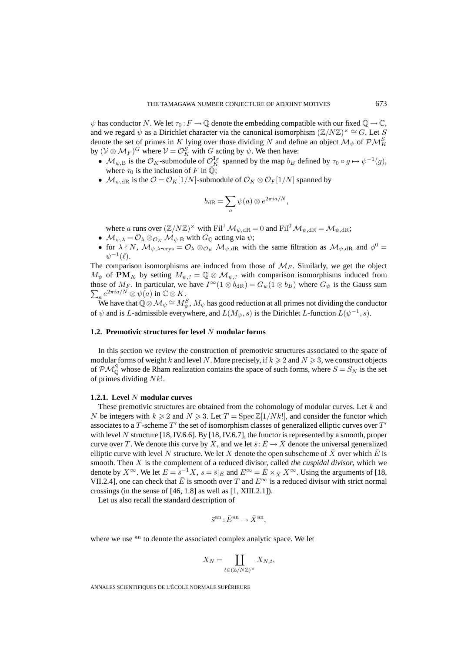$\psi$  has conductor N. We let  $\tau_0 : F \to \overline{\mathbb{Q}}$  denote the embedding compatible with our fixed  $\overline{\mathbb{Q}} \to \mathbb{C}$ , and we regard  $\psi$  as a Dirichlet character via the canonical isomorphism  $(\mathbb{Z}/N\mathbb{Z})^{\times} \cong G$ . Let S denote the set of primes in K lying over those dividing N and define an object  $\mathcal{M}_{\psi}$  of  $\mathcal{PM}_K^S$ by  $(\mathcal{V} \otimes \mathcal{M}_F)^G$  where  $\mathcal{V} = \mathcal{O}_K^S$  with  $G$  acting by  $\psi$ . We then have:

- $\mathcal{M}_{\psi,B}$  is the  $\mathcal{O}_K$ -submodule of  $\mathcal{O}_K^{\mathbf{I}_F}$  spanned by the map  $b_B$  defined by  $\tau_0 \circ g \mapsto \psi^{-1}(g)$ , where  $\tau_0$  is the inclusion of F in  $\overline{\mathbb{Q}}$ ;
- $\mathcal{M}_{\psi, \mathrm{dR}}$  is the  $\mathcal{O} = \mathcal{O}_K[1/N]$ -submodule of  $\mathcal{O}_K \otimes \mathcal{O}_F[1/N]$  spanned by

$$
b_{\rm dR} = \sum_a \psi(a) \otimes e^{2\pi i a/N},
$$

where a runs over  $(\mathbb{Z}/N\mathbb{Z})^{\times}$  with Fil<sup>1</sup>  $\mathcal{M}_{\psi, \mathrm{dR}} = 0$  and Fil<sup>0</sup>  $\mathcal{M}_{\psi, \mathrm{dR}} = \mathcal{M}_{\psi, \mathrm{dR}}$ ;

- $M_{\psi, \lambda} = \mathcal{O}_{\lambda} \otimes_{\mathcal{O}_K} \mathcal{M}_{\psi, \text{B}}$  with  $G_{\mathbb{Q}}$  acting via  $\psi$ ;
- for  $\lambda \nmid N$ ,  $\mathcal{M}_{\psi, \lambda\text{-crys}} = \mathcal{O}_{\lambda} \otimes_{\mathcal{O}_K} \mathcal{M}_{\psi, dR}$  with the same filtration as  $\mathcal{M}_{\psi, dR}$  and  $\phi^0 =$  $\psi^{-1}(\ell)$ .

The comparison isomorphisms are induced from those of  $M_F$ . Similarly, we get the object  $M_{\psi}$  of **PM**<sub>K</sub> by setting  $M_{\psi, ?} = \mathbb{Q} \otimes M_{\psi, ?}$  with comparison isomorphisms induced from those of  $M_F$ . In particular, we have  $I^{\infty}(1 \otimes b_{\text{dR}}) = G_{\psi}(1 \otimes b_B)$  where  $G_{\psi}$  is the Gauss sum  $\sum_a e^{2\pi i a/N} \otimes \psi(a)$  in  $\mathbb{C} \otimes K$ .

We have that  $\bar{\mathbb Q}\otimes\mathcal M_\psi\cong M_\psi^S,M_\psi$  has good reduction at all primes not dividing the conductor of  $\psi$  and is L-admissible everywhere, and  $L(M_{\psi}, s)$  is the Dirichlet L-function  $L(\psi^{-1}, s)$ .

## **1.2. Premotivic structures for level** N **modular forms**

In this section we review the construction of premotivic structures associated to the space of modular forms of weight k and level N. More precisely, if  $k \ge 2$  and  $N \ge 3$ , we construct objects of  $\mathcal{PM}_{\mathbb{Q}}^S$  whose de Rham realization contains the space of such forms, where  $S = S_N$  is the set of primes dividing  $N k!$ .

## **1.2.1. Level** N **modular curves**

These premotivic structures are obtained from the cohomology of modular curves. Let k and N be integers with  $k \geq 2$  and  $N \geq 3$ . Let  $T = \text{Spec } \mathbb{Z}[1/Nk!]$ , and consider the functor which associates to a T-scheme  $T'$  the set of isomorphism classes of generalized elliptic curves over  $T'$ with level N structure  $[18, IV.6.6]$ . By  $[18, IV.6.7]$ , the functor is represented by a smooth, proper curve over T. We denote this curve by  $\bar{X}$ , and we let  $\bar{s}: \bar{E} \to \bar{X}$  denote the universal generalized elliptic curve with level N structure. We let X denote the open subscheme of  $\bar{X}$  over which  $\bar{E}$  is smooth. Then X is the complement of a reduced divisor, called *the cuspidal divisor*, which we denote by  $X^{\infty}$ . We let  $E = \overline{s}^{-1}X$ ,  $s = \overline{s}|_E$  and  $E^{\infty} = \overline{E} \times_{\overline{X}} X^{\infty}$ . Using the arguments of [18, VII.2.4], one can check that  $\overline{E}$  is smooth over T and  $E^{\infty}$  is a reduced divisor with strict normal crossings (in the sense of [46, 1.8] as well as [1, XIII.2.1]).

Let us also recall the standard description of

$$
\bar s^{\mathrm{an}}: \bar E^{\mathrm{an}} \to \bar X^{\mathrm{an}},
$$

where we use <sup>an</sup> to denote the associated complex analytic space. We let

$$
X_N = \coprod_{t \in (\mathbb{Z}/N\mathbb{Z})^\times} X_{N,t},
$$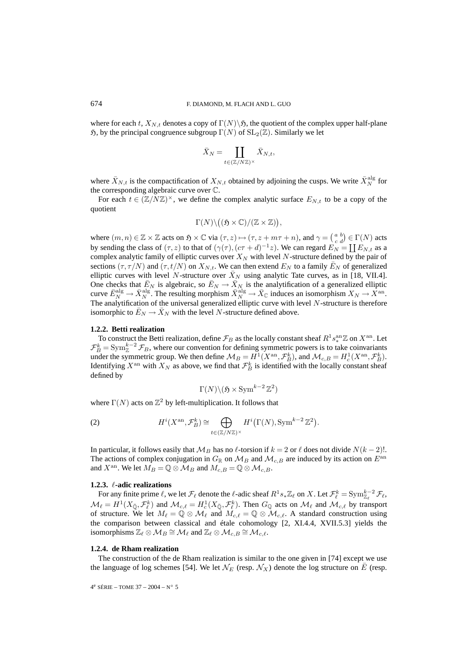where for each t,  $X_{N,t}$  denotes a copy of  $\Gamma(N)\$ , the quotient of the complex upper half-plane  $\mathfrak{H}$ , by the principal congruence subgroup  $\Gamma(N)$  of  $SL_2(\mathbb{Z})$ . Similarly we let

$$
\bar{X}_N = \coprod_{t \in (\mathbb{Z}/N\mathbb{Z})^\times} \bar{X}_{N,t},
$$

where  $\bar{X}_{N,t}$  is the compactification of  $X_{N,t}$  obtained by adjoining the cusps. We write  $\bar{X}_N^{\text{alg}}$  for the corresponding algebraic curve over C.

For each  $t \in (\mathbb{Z}/N\mathbb{Z})^{\times}$ , we define the complex analytic surface  $E_{N,t}$  to be a copy of the quotient

$$
\Gamma(N) \setminus ((\mathfrak{H} \times \mathbb{C})/(\mathbb{Z} \times \mathbb{Z})),
$$

where  $(m, n) \in \mathbb{Z} \times \mathbb{Z}$  acts on  $\mathfrak{H} \times \mathbb{C}$  via  $(\tau, z) \mapsto (\tau, z + m\tau + n)$ , and  $\gamma = \begin{pmatrix} a & b \\ c & d \end{pmatrix} \in \Gamma(N)$  acts by sending the class of  $(\tau, z)$  to that of  $(\gamma(\tau), (c\tau + d)^{-1}z)$ . We can regard  $E_N = \coprod E_{N,t}$  as a complex analytic family of elliptic curves over  $X_N$  with level N-structure defined by the pair of sections  $(\tau, \tau/N)$  and  $(\tau, t/N)$  on  $X_{N,t}$ . We can then extend  $E_N$  to a family  $\bar{E}_N$  of generalized elliptic curves with level N-structure over  $X_N$  using analytic Tate curves, as in [18, VII.4]. One checks that  $\bar{E}_N$  is algebraic, so  $\bar{E}_N \to \bar{X}_N$  is the analytification of a generalized elliptic curve  $\bar{E}_N^{\text{alg}} \to \bar{X}_N^{\text{alg}}$ . The resulting morphism  $\bar{X}_N^{\text{alg}} \to \bar{X}_\mathbb{C}$  induces an isomorphism  $X_N \to \bar{X}^{\text{an}}$ . The analytification of the universal generalized elliptic curve with level  $N$ -structure is therefore isomorphic to  $E_N \to X_N$  with the level N-structure defined above.

## **1.2.2. Betti realization**

To construct the Betti realization, define  $\mathcal{F}_B$  as the locally constant sheaf  $R^1s_*^{\text{an}}\mathbb{Z}$  on  $X^{\text{an}}$ . Let  $\mathcal{F}_{B}^{k} = \text{Sym}_{\mathbb{Z}}^{k-2} \mathcal{F}_{B}$ , where our convention for defining symmetric powers is to take coinvariants under the symmetric group. We then define  $\mathcal{M}_B = H^1(X^{\text{an}}, \mathcal{F}_B^k)$ , and  $\mathcal{M}_{c,B} = H^1_c(X^{\text{an}}, \mathcal{F}_B^k)$ . Identifying  $X^{\text{an}}$  with  $X_N$  as above, we find that  $\mathcal{F}_{B}^{k}$  is identified with the locally constant sheaf defined by

$$
\Gamma(N) \backslash (\mathfrak{H} \times \operatorname{Sym}^{k-2} \mathbb{Z}^2)
$$

where  $\Gamma(N)$  acts on  $\mathbb{Z}^2$  by left-multiplication. It follows that

(2) 
$$
H^{i}(X^{\text{an}}, \mathcal{F}_{B}^{k}) \cong \bigoplus_{t \in (\mathbb{Z}/N\mathbb{Z})^{\times}} H^{i}(\Gamma(N), \text{Sym}^{k-2}\mathbb{Z}^{2}).
$$

In particular, it follows easily that  $\mathcal{M}_B$  has no  $\ell$ -torsion if  $k = 2$  or  $\ell$  does not divide  $N(k - 2)!$ . The actions of complex conjugation in  $G_{\mathbb{R}}$  on  $\mathcal{M}_B$  and  $\mathcal{M}_{c,B}$  are induced by its action on  $E^{\text{an}}$ and  $X^{\text{an}}$ . We let  $M_B = \mathbb{Q} \otimes \mathcal{M}_B$  and  $M_{c,B} = \mathbb{Q} \otimes \mathcal{M}_{c,B}$ .

#### **1.2.3. -adic realizations**

For any finite prime  $\ell$ , we let  $\mathcal{F}_{\ell}$  denote the  $\ell$ -adic sheaf  $R^1s_*\mathbb{Z}_{\ell}$  on X. Let  $\mathcal{F}_{\ell}^k = \text{Sym}_{\mathbb{Z}_{\ell}}^{k-2} \mathcal{F}_{\ell}$ ,  $\mathcal{M}_{\ell} = H^1(X_{\bar{\mathbb{Q}}}, \mathcal{F}_{\ell}^k)$  and  $\mathcal{M}_{c,\ell} = H^1_c(X_{\bar{\mathbb{Q}}}, \mathcal{F}_{\ell}^k)$ . Then  $G_{\mathbb{Q}}$  acts on  $\mathcal{M}_{\ell}$  and  $\mathcal{M}_{c,\ell}$  by transport of structure. We let  $M_{\ell} = \mathbb{Q} \otimes \mathcal{M}_{\ell}$  and  $M_{c,\ell} = \mathbb{Q} \otimes \mathcal{M}_{c,\ell}$ . A standard construction using the comparison between classical and étale cohomology [2, XI.4.4, XVII.5.3] yields the isomorphisms  $\mathbb{Z}_{\ell} \otimes M_B \cong M_{\ell}$  and  $\mathbb{Z}_{\ell} \otimes M_{c,B} \cong M_{c,\ell}$ .

## **1.2.4. de Rham realization**

The construction of the de Rham realization is similar to the one given in [74] except we use the language of log schemes [54]. We let  $\mathcal{N}_E$  (resp.  $\mathcal{N}_X$ ) denote the log structure on E (resp.

 $4^e$  SÉRIE – TOME 37 – 2004 – N° 5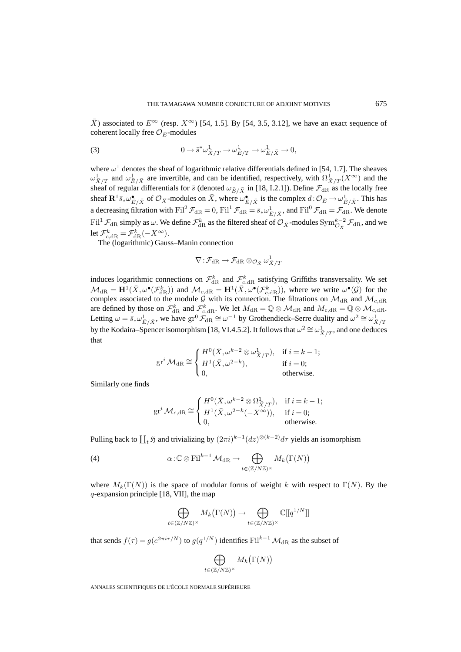$\bar{X}$ ) associated to  $E^{\infty}$  (resp.  $X^{\infty}$ ) [54, 1.5]. By [54, 3.5, 3.12], we have an exact sequence of coherent locally free  $\mathcal{O}_{\bar{E}}$ -modules

(3) 
$$
0 \to \bar{s}^* \omega^1_{\bar{X}/T} \to \omega^1_{\bar{E}/T} \to \omega^1_{\bar{E}/\bar{X}} \to 0,
$$

where  $\omega^1$  denotes the sheaf of logarithmic relative differentials defined in [54, 1.7]. The sheaves  $\omega_{\bar{X}/T}^1$  and  $\omega_{\bar{E}/\bar{X}}^1$  are invertible, and can be identified, respectively, with  $\Omega_{\bar{X}/T}^1(X^{\infty})$  and the sheaf of regular differentials for  $\bar{s}$  (denoted  $\omega_{\bar{E}/\bar{X}}$  in [18, I.2.1]). Define  $\mathcal{F}_{\text{dR}}$  as the locally free sheaf  $\mathbf{R}^1 \bar{s}_* \omega_{\bar{E}/\bar{X}}^{\bullet}$  of  $\mathcal{O}_{\bar{X}}$ -modules on  $\bar{X}$ , where  $\omega_{\bar{E}/\bar{X}}^{\bullet}$  is the complex  $d \colon \mathcal{O}_{\bar{E}} \to \omega_{\bar{E}/\bar{X}}^1$ . This has a decreasing filtration with  $\text{Fil}^2 \mathcal{F}_{\text{dR}} = 0$ ,  $\text{Fil}^1 \mathcal{F}_{\text{dR}} = \bar{s}_* \omega_{\bar{E}/\bar{X}}^1$ , and  $\text{Fil}^0 \mathcal{F}_{\text{dR}} = \mathcal{F}_{\text{dR}}$ . We denote  $\text{Fil}^1 \, \mathcal{F}_{\text{dR}}$  simply as  $\omega$ . We define  $\mathcal{F}_{\text{dR}}^k$  as the filtered sheaf of  $\mathcal{O}_{\bar{X}}$ -modules  $\text{Sym}^{k-2}_{\mathcal{O}_{\bar{X}}} \mathcal{F}_{\text{dR}}$ , and we let  $\mathcal{F}^k_{c, \mathrm{dR}} = \mathcal{F}^k_{\mathrm{dR}}(-X^\infty)$ .

The (logarithmic) Gauss–Manin connection

$$
\nabla\!:\!\mathcal{F}_{\mathrm{dR}}\!\rightarrow\!\mathcal{F}_{\mathrm{dR}}\otimes_{\mathcal{O}_{\bar{X}}}\omega_{\bar{X}/T}^{1}
$$

induces logarithmic connections on  $\mathcal{F}^k_{\text{dR}}$  and  $\mathcal{F}^k_{c,\text{dR}}$  satisfying Griffiths transversality. We set  $\mathcal{M}_{\mathrm{dR}} = \mathbf{H}^1(\bar{X}, \omega^{\bullet}(\mathcal{F}_{\mathrm{dR}}^k))$  and  $\mathcal{M}_{c,\mathrm{dR}} = \mathbf{H}^1(\bar{X}, \omega^{\bullet}(\mathcal{F}_{c,\mathrm{dR}}^k))$ , where we write  $\omega^{\bullet}(\mathcal{G})$  for the complex associated to the module G with its connection. The filtrations on  $\mathcal{M}_{dR}$  and  $\mathcal{M}_{c,dR}$ are defined by those on  $\mathcal{F}_{\text{dR}}^k$  and  $\mathcal{F}_{c,\text{dR}}^k$ . We let  $M_{\text{dR}} = \mathbb{Q} \otimes \mathcal{M}_{\text{dR}}$  and  $M_{c,\text{dR}} = \mathbb{Q} \otimes \mathcal{M}_{c,\text{dR}}$ . Letting  $\omega = \bar{s}_*\omega_{\bar{E}/\bar{X}}^1$ , we have  $\text{gr}^0 \mathcal{F}_{\text{dR}} \cong \omega^{-1}$  by Grothendieck–Serre duality and  $\omega^2 \cong \omega_{\bar{X}/T}^1$ by the Kodaira–Spencer isomorphism [18, VI.4.5.2]. It follows that  $\omega^2 \cong \omega_{\bar{X}/T}^1$ , and one deduces that

$$
\operatorname{gr}^i \mathcal{M}_{\mathrm{dR}} \cong \begin{cases} H^0(\bar{X}, \omega^{k-2} \otimes \omega^1_{\bar{X}/T}), & \text{if } i = k - 1; \\ H^1(\bar{X}, \omega^{2-k}), & \text{if } i = 0; \\ 0, & \text{otherwise.} \end{cases}
$$

Similarly one finds

$$
\operatorname{gr}^i \mathcal{M}_{c, \mathrm{dR}} \cong \begin{cases} H^0(\bar{X}, \omega^{k-2} \otimes \Omega^1_{\bar{X}/T}), & \text{if } i = k - 1; \\ H^1(\bar{X}, \omega^{2-k}(-X^{\infty})), & \text{if } i = 0; \\ 0, & \text{otherwise.} \end{cases}
$$

Pulling back to  $\prod_t \mathfrak{H}$  and trivializing by  $(2\pi i)^{k-1}(dz)^{\otimes (k-2)}d\tau$  yields an isomorphism

(4) 
$$
\alpha : \mathbb{C} \otimes \mathrm{Fil}^{k-1} \mathcal{M}_{\mathrm{dR}} \to \bigoplus_{t \in (\mathbb{Z}/N\mathbb{Z})^{\times}} M_k(\Gamma(N))
$$

where  $M_k(\Gamma(N))$  is the space of modular forms of weight k with respect to  $\Gamma(N)$ . By the q-expansion principle [18, VII], the map

$$
\bigoplus_{t \in (\mathbb{Z}/N\mathbb{Z})^\times} M_k(\Gamma(N)) \to \bigoplus_{t \in (\mathbb{Z}/N\mathbb{Z})^\times} \mathbb{C}[[q^{1/N}]]
$$

that sends  $f(\tau) = g(e^{2\pi i \tau/N})$  to  $g(q^{1/N})$  identifies Fil<sup>k-1</sup>  $\mathcal{M}_{\rm dR}$  as the subset of

$$
\bigoplus_{t \in (\mathbb{Z}/N\mathbb{Z})^\times} M_k\big(\Gamma(N)\big)
$$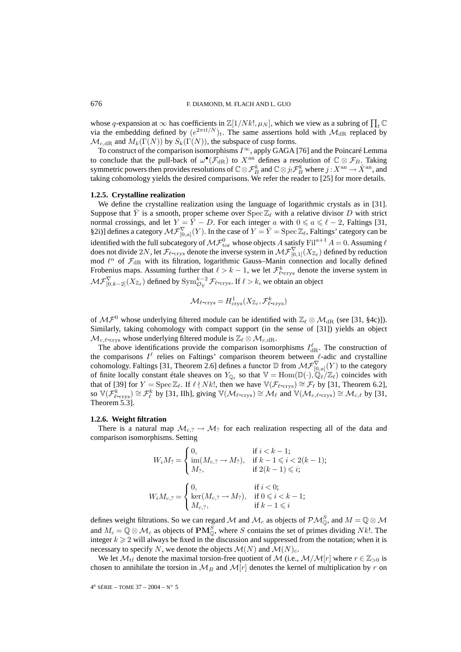whose q-expansion at  $\infty$  has coefficients in  $\mathbb{Z}[1/Nk!, \mu_N]$ , which we view as a subring of  $\prod_t \mathbb{C}$ via the embedding defined by  $(e^{2\pi i t/N})_t$ . The same assertions hold with  $\mathcal{M}_{\text{dR}}$  replaced by  $\mathcal{M}_{c,dR}$  and  $M_k(\Gamma(N))$  by  $S_k(\Gamma(N))$ , the subspace of cusp forms.

To construct of the comparison isomorphisms  $I^{\infty}$ , apply GAGA [76] and the Poincaré Lemma to conclude that the pull-back of  $\omega^{\bullet}(\mathcal{F}_{dR})$  to  $X^{an}$  defines a resolution of  $\mathbb{C}\otimes\mathcal{F}_B$ . Taking symmetric powers then provides resolutions of  $\mathbb{C} \otimes \mathcal{F}_{B}^{k}$  and  $\mathbb{C} \otimes j_{!} \mathcal{F}_{B}^{k}$  where  $j$  :  $X^{\mathrm{an}} \to \bar{X}^{\mathrm{an}}$ , and taking cohomology yields the desired comparisons. We refer the reader to [25] for more details.

#### **1.2.5. Crystalline realization**

We define the crystalline realization using the language of logarithmic crystals as in [31]. Suppose that  $\bar{Y}$  is a smooth, proper scheme over  $\text{Spec } \mathbb{Z}_{\ell}$  with a relative divisor D with strict normal crossings, and let  $Y = \overline{Y} - D$ . For each integer a with  $0 \le a \le \ell - 2$ , Faltings [31, §2i)] defines a category  $\mathcal{MF}_{[0,a]}^{\nabla}(Y)$ . In the case of  $Y = \overline{Y} = \text{Spec } \mathbb{Z}_{\ell}$ , Faltings' category can be identified with the full subcategory of  $\mathcal{MF}^0_{\rm tor}$  whose objects A satisfy  ${\rm Fil}^{a+1} A = 0$ . Assuming  $\ell$ does not divide  $2N$ , let  $\mathcal{F}_{\ell\text{-crys}}$  denote the inverse system in  $\mathcal{MF}^{\nabla}_{[0,1]}(X_{\mathbb{Z}_\ell})$  defined by reduction mod  $\ell^n$  of  $\mathcal{F}_{dR}$  with its filtration, logarithmic Gauss–Manin connection and locally defined Frobenius maps. Assuming further that  $\ell > k - 1$ , we let  $\mathcal{F}_{\ell\text{-crys}}^k$  denote the inverse system in  $\mathcal{MF}^{\nabla}_{[0,k-2]}(X_{\mathbb{Z}_\ell})$  defined by  $\text{Sym}^{k-2}_{\mathcal{O}_{\bar{Y}}}\mathcal{F}_{\ell\text{-crys}}$ . If  $\ell > k$ , we obtain an object

$$
\mathcal{M}_{\ell\text{-crys}} = H^1_{\text{crys}}(X_{\mathbb{Z}_{\ell}}, \mathcal{F}^k_{\ell\text{-crys}})
$$

of  $M\mathcal{F}^0$  whose underlying filtered module can be identified with  $\mathbb{Z}_{\ell}\otimes\mathcal{M}_{\mathrm{dR}}$  (see [31, §4c)]). Similarly, taking cohomology with compact support (in the sense of [31]) yields an object  $\mathcal{M}_{c,\ell\text{-crys}}$  whose underlying filtered module is  $\mathbb{Z}_{\ell}\otimes\mathcal{M}_{c,\mathrm{dR}}.$ 

The above identifications provide the comparison isomorphisms  $I_{\text{dR}}^{\ell}$ . The construction of the comparisons  $I^{\ell}$  relies on Faltings' comparison theorem between  $\ell$ -adic and crystalline cohomology. Faltings [31, Theorem 2.6] defines a functor  $\mathbb D$  from  $\mathcal{MF}_{[0,a]}^{\nabla}(Y)$  to the category of finite locally constant étale sheaves on  $Y_{\mathbb{Q}_\ell}$  so that  $\mathbb{V} = \text{Hom}(\mathbb{D}(\cdot), \mathbb{Q}_\ell/\mathbb{Z}_\ell)$  coincides with that of [39] for  $Y = \text{Spec } \mathbb{Z}_{\ell}$ . If  $\ell \nmid Nk!$ , then we have  $\mathbb{V}(\mathcal{F}_{\ell\text{-crys}}) \cong \mathcal{F}_{\ell}$  by [31, Theorem 6.2], so  $\mathbb{V}(\mathcal{F}_{\ell-\text{crys}}^k) \cong \mathcal{F}_{\ell}^k$  by [31, IIh], giving  $\mathbb{V}(\mathcal{M}_{\ell-\text{crys}}) \cong \mathcal{M}_{\ell}$  and  $\mathbb{V}(\mathcal{M}_{c,\ell-\text{crys}}) \cong \mathcal{M}_{c,\ell}$  by [31, Theorem 5.3].

#### **1.2.6. Weight filtration**

There is a natural map  $\mathcal{M}_{c,2} \to \mathcal{M}_2$  for each realization respecting all of the data and comparison isomorphisms. Setting

$$
W_i M_? = \begin{cases} 0, & \text{if } i < k - 1; \\ \text{im}(M_{c,?} \to M_?,) & \text{if } k - 1 \leqslant i < 2(k - 1); \\ M_?, & \text{if } 2(k - 1) \leqslant i; \end{cases}
$$
\n
$$
W_i M_{c,?} = \begin{cases} 0, & \text{if } i < 0; \\ \text{ker}(M_{c,?} \to M_?,) & \text{if } 0 \leqslant i < k - 1; \\ M_{c,?}, & \text{if } k - 1 \leqslant i \end{cases}
$$

defines weight filtrations. So we can regard M and  $M_c$  as objects of  $\mathcal{PM}_{\mathbb{Q}}^S$ , and  $M = \mathbb{Q} \otimes \mathcal{M}$ and  $M_c = \mathbb{Q} \otimes \mathcal{M}_c$  as objects of  $\mathbf{PM}^S_{\mathbb{Q}}$ , where S contains the set of primes dividing Nk!. The integer  $k \geq 2$  will always be fixed in the discussion and suppressed from the notation; when it is necessary to specify N, we denote the objects  $\mathcal{M}(N)$  and  $\mathcal{M}(N)_{c}$ .

We let  $\mathcal{M}_{\text{tf}}$  denote the maximal torsion-free quotient of  $\mathcal{M}$  (i.e.,  $\mathcal{M}/\mathcal{M}[r]$  where  $r \in \mathbb{Z}_{>0}$  is chosen to annihilate the torsion in  $\mathcal{M}_B$  and  $\mathcal{M}[r]$  denotes the kernel of multiplication by r on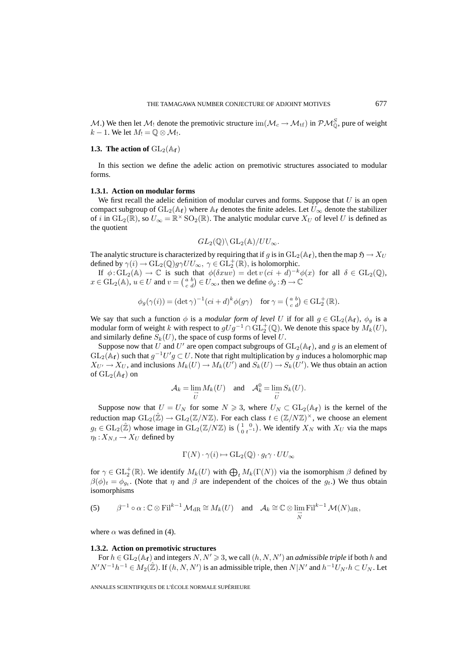M.) We then let  $M_!$  denote the premotivic structure  $\text{im}(\mathcal{M}_c \to \mathcal{M}_{\text{tf}})$  in  $\mathcal{PM}_{\mathbb{Q}}^S$ , pure of weight  $k-1$ . We let  $M_1 = \mathbb{Q} \otimes \mathcal{M}_1$ .

## **1.3. The action of**  $GL_2(\mathbb{A}_f)$

In this section we define the adelic action on premotivic structures associated to modular forms.

## **1.3.1. Action on modular forms**

We first recall the adelic definition of modular curves and forms. Suppose that  $U$  is an open compact subgroup of  $GL_2(\mathbb{A}_f)$  where  $\mathbb{A}_f$  denotes the finite adeles. Let  $U_\infty$  denote the stabilizer of i in  $GL_2(\mathbb{R})$ , so  $U_{\infty} = \mathbb{R}^{\times}$  SO<sub>2</sub>( $\mathbb{R}$ ). The analytic modular curve  $X_U$  of level U is defined as the quotient

$$
GL_2(\mathbb{Q})\backslash GL_2(\mathbb{A})/UU_{\infty}.
$$

The analytic structure is characterized by requiring that if g is in  $GL_2(\mathbb{A}_f)$ , then the map  $\mathfrak{H} \to X_U$ defined by  $\gamma(i) \to \mathrm{GL}_2(\mathbb{Q})$   $g \gamma U U_{\infty}, \ \gamma \in \mathrm{GL}_2^+(\mathbb{R})$ , is holomorphic.

If  $\phi: GL_2(\mathbb{A}) \to \mathbb{C}$  is such that  $\phi(\delta xuv) = \det v (ci + d)^{-k} \phi(x)$  for all  $\delta \in GL_2(\mathbb{Q})$ ,  $x \in GL_2(\mathbb{A}), u \in U$  and  $v = \begin{pmatrix} a & b \\ c & d \end{pmatrix} \in U_{\infty}$ , then we define  $\phi_g : \mathfrak{H} \to \mathbb{C}$ 

$$
\phi_g(\gamma(i)) = (\det \gamma)^{-1} (ci+d)^k \phi(g\gamma) \quad \text{for } \gamma = \begin{pmatrix} a & b \\ c & d \end{pmatrix} \in \text{GL}_2^+(\mathbb{R}).
$$

We say that such a function  $\phi$  is a *modular form of level* U if for all  $g \in GL_2(\mathbb{A}_f)$ ,  $\phi_g$  is a modular form of weight k with respect to  $gUg^{-1} \cap \text{GL}_2^+(\mathbb{Q})$ . We denote this space by  $M_k(U)$ , and similarly define  $S_k(U)$ , the space of cusp forms of level U.

Suppose now that U and U' are open compact subgroups of  $GL_2(\mathbb{A}_f)$ , and g is an element of  $GL_2(\mathbb{A}_f)$  such that  $g^{-1}U'g \subset U$ . Note that right multiplication by g induces a holomorphic map  $X_{U'} \to X_U$ , and inclusions  $M_k(U) \to M_k(U')$  and  $S_k(U) \to S_k(U')$ . We thus obtain an action of  $GL_2(\mathbb{A}_f)$  on

$$
\mathcal{A}_k = \lim_{\substack{\longrightarrow \\ U}} M_k(U) \quad \text{and} \quad \mathcal{A}_k^0 = \lim_{\substack{\longrightarrow \\ U}} S_k(U).
$$

Suppose now that  $U = U_N$  for some  $N \ge 3$ , where  $U_N \subset GL_2(\mathbb{A}_f)$  is the kernel of the reduction map  $GL_2(\hat{\mathbb{Z}}) \to GL_2(\mathbb{Z}/N\mathbb{Z})$ . For each class  $t \in (\mathbb{Z}/N\mathbb{Z})^{\times}$ , we choose an element  $g_t \in GL_2(\hat{\mathbb{Z}})$  whose image in  $GL_2(\mathbb{Z}/N\mathbb{Z})$  is  $\left(\begin{smallmatrix} 1 & 0 \\ 0 & t^{-1} \end{smallmatrix}\right)$ . We identify  $X_N$  with  $X_U$  via the maps  $\eta_t: X_{N,t} \to X_U$  defined by

$$
\Gamma(N) \cdot \gamma(i) \mapsto \mathrm{GL}_2(\mathbb{Q}) \cdot g_t \gamma \cdot U U_{\infty}
$$

for  $\gamma \in \mathrm{GL}_2^+(\mathbb{R})$ . We identify  $M_k(U)$  with  $\bigoplus_t M_k(\Gamma(N))$  via the isomorphism  $\beta$  defined by  $\beta(\phi)_t = \phi_{q_t}$ . (Note that  $\eta$  and  $\beta$  are independent of the choices of the  $g_t$ .) We thus obtain isomorphisms

(5) 
$$
\beta^{-1} \circ \alpha : \mathbb{C} \otimes \mathrm{Fil}^{k-1} \mathcal{M}_{\mathrm{dR}} \cong M_k(U)
$$
 and  $\mathcal{A}_k \cong \mathbb{C} \otimes \lim_{\substack{\longrightarrow \\ N}} \mathrm{Fil}^{k-1} \mathcal{M}(N)_{\mathrm{dR}},$ 

where  $\alpha$  was defined in (4).

## **1.3.2. Action on premotivic structures**

For  $h \in GL_2(\mathbb{A}_f)$  and integers  $N, N' \geq 3$ , we call  $(h, N, N')$  an *admissible triple* if both h and  $N'N^{-1}h^{-1} \in M_2(\hat{\mathbb{Z}})$ . If  $(h, N, N')$  is an admissible triple, then  $N|N'$  and  $h^{-1}U_{N'}h \subset U_N$ . Let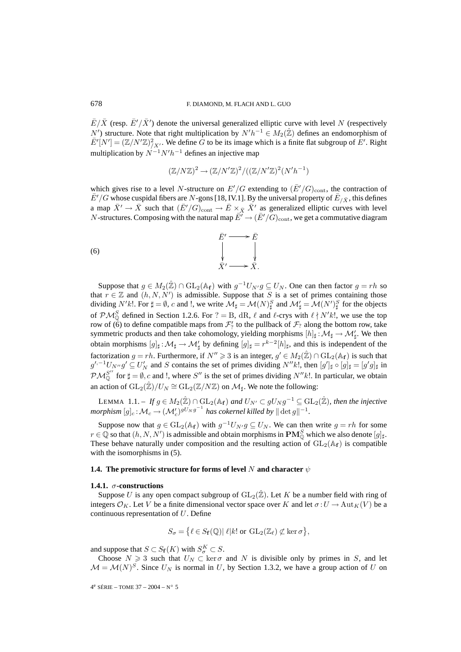$\bar{E}/\bar{X}$  (resp.  $\bar{E}'/\bar{X}'$ ) denote the universal generalized elliptic curve with level N (respectively N') structure. Note that right multiplication by  $N' h^{-1} \in M_2(\hat{\mathbb{Z}})$  defines an endomorphism of  $\bar{E}^{\prime}[N'] = (\mathbb{Z}/N'\mathbb{Z})^2_{/X'}$ . We define  $\tilde{G}$  to be its image which is a finite flat subgroup of  $E^{\prime}$ . Right multiplication by  $N^{-1}N'h^{-1}$  defines an injective map

$$
(\mathbb{Z}/N\mathbb{Z})^2 \to (\mathbb{Z}/N'\mathbb{Z})^2/((\mathbb{Z}/N'\mathbb{Z})^2(N'h^{-1})
$$

which gives rise to a level N-structure on  $E'/G$  extending to  $(\bar{E}'/G)_{\text{cont}}$ , the contraction of  $\bar{E}'/G$  whose cuspidal fibers are N-gons [18, IV.1]. By the universal property of  $\bar{E}_{/\bar{X}}$ , this defines a map  $\bar{X}' \to \bar{X}$  such that  $(\bar{E}'/G)_{\text{cont}} \to \bar{E} \times_{\bar{X}} \bar{X}'$  as generalized elliptic curves with level *N*-structures. Composing with the natural map  $\overline{E'} \to (\overline{E'}/G)_{\text{cont}}$ , we get a commutative diagram

$$
\begin{array}{ccc}\n\bar{E}' & \longrightarrow & \bar{E} \\
\downarrow & & \downarrow \\
\bar{X}' & \longrightarrow & \bar{X}.\n\end{array}
$$

Suppose that  $g \in M_2(\hat{\mathbb{Z}}) \cap GL_2(\mathbb{A}_f)$  with  $g^{-1}U_{N'}g \subseteq U_N$ . One can then factor  $g = rh$  so that  $r \in \mathbb{Z}$  and  $(h, N, N')$  is admissible. Suppose that S is a set of primes containing those dividing N'k!. For  $\sharp = \emptyset$ , c and !, we write  $\mathcal{M}_{\sharp} = \mathcal{M}(N)_{\sharp}^S$  and  $\mathcal{M}'_{\sharp} = \mathcal{M}(N')_{\sharp}^S$  for the objects of  $\mathcal{PM}_{\mathbb{Q}}^S$  defined in Section 1.2.6. For ? = B, dR,  $\ell$  and  $\ell$ -crys with  $\ell \nmid N'k!$ , we use the top row of (6) to define compatible maps from  $\mathcal{F}'_?$  to the pullback of  $\mathcal{F}_?$  along the bottom row, take symmetric products and then take cohomology, yielding morphisms  $[h]_\sharp : \mathcal{M}_\sharp \to \mathcal{M}'_\sharp$ . We then obtain morphisms  $[g]_\sharp : \mathcal{M}_\sharp \to \mathcal{M}_\sharp'$  by defining  $[g]_\sharp = r^{k-2}[h]_\sharp$ , and this is independent of the factorization  $g = rh$ . Furthermore, if  $N'' \ge 3$  is an integer,  $g' \in M_2(\hat{\mathbb{Z}}) \cap GL_2(\mathbb{A}_f)$  is such that  $g'$ <sup>,-1</sup> $U_{N''}g' \subseteq U'_{N}$  and S contains the set of primes dividing  $N''k!$ , then  $[g']_{\sharp} \circ [g]_{\sharp} = [g'g]_{\sharp}$  in  $\mathcal{PM}_{\mathbb{Q}}^{S''}$  for  $\sharp = \emptyset$ , c and !, where S'' is the set of primes dividing  $N''k!$ . In particular, we obtain an action of  $GL_2(\hat{\mathbb{Z}})/U_N \cong GL_2(\mathbb{Z}/N\mathbb{Z})$  on  $\mathcal{M}_{\sharp}$ . We note the following:

LEMMA 1.1. – If  $g \in M_2(\hat{\mathbb{Z}}) \cap GL_2(\mathbb{A}_f)$  and  $U_{N'} \subset gU_N g^{-1} ⊆ GL_2(\hat{\mathbb{Z}})$ , then the injective  ${\it morphism}\; [g]_c\!:\!{\cal M}_c\!\to\! ({\cal M}'_c)^{gU_Ng^{-1}}\;{\it has\;cokernel\;killed\;by}\parallel\det g\parallel^{-1}.$ 

Suppose now that  $g \in GL_2(\mathbb{A}_f)$  with  $g^{-1}U_{N}g \subseteq U_N$ . We can then write  $g = rh$  for some  $r \in \mathbb{Q}$  so that  $(h, N, N')$  is admissible and obtain morphisms in  $\mathbf{PM}_{\mathbb{Q}}^S$  which we also denote  $[g]_\sharp$ . These behave naturally under composition and the resulting action of  $GL_2(\mathbb{A}_f)$  is compatible with the isomorphisms in  $(5)$ .

## **1.4. The premotivic structure for forms of level N and character**  $\psi$

## **1.4.1.** σ**-constructions**

Suppose U is any open compact subgroup of  $GL_2(\hat{\mathbb{Z}})$ . Let K be a number field with ring of integers  $\mathcal{O}_K$ . Let V be a finite dimensional vector space over K and let  $\sigma: U \to \text{Aut}_K(V)$  be a continuous representation of U. Define

$$
S_{\sigma} = \{ \ell \in S_{\mathbf{f}}(\mathbb{Q}) | \ell | k! \text{ or } \mathrm{GL}_2(\mathbb{Z}_\ell) \not\subset \ker \sigma \},
$$

and suppose that  $S \subset S_f(K)$  with  $S_\sigma^K \subset S$ .

Choose  $N \geq 3$  such that  $U_N \subset \text{ker}\,\sigma$  and N is divisible only by primes in S, and let  $M = M(N)^S$ . Since  $U_N$  is normal in U, by Section 1.3.2, we have a group action of U on

 $4^e$  SÉRIE – TOME 37 – 2004 – N° 5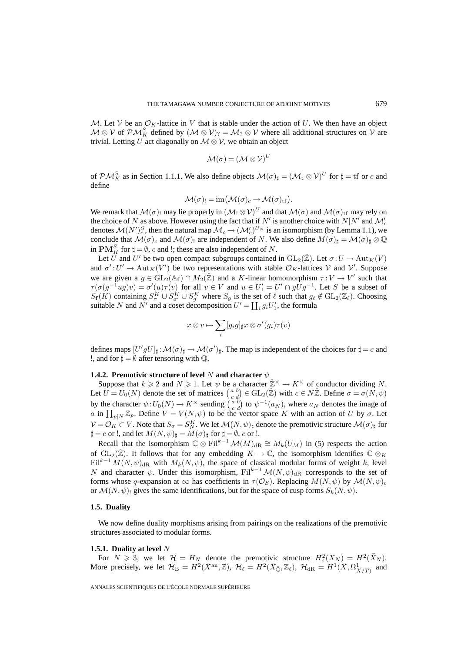M. Let V be an  $\mathcal{O}_K$ -lattice in V that is stable under the action of U. We then have an object  $\mathcal{M} \otimes \mathcal{V}$  of  $\mathcal{PM}_K^S$  defined by  $(\mathcal{M} \otimes \mathcal{V})_? = \mathcal{M}_? \otimes \mathcal{V}$  where all additional structures on  $\mathcal{V}$  are trivial. Letting U act diagonally on  $M \otimes V$ , we obtain an object

$$
\mathcal{M}(\sigma) = (\mathcal{M} \otimes \mathcal{V})^U
$$

of  $\mathcal{PM}_K^S$  as in Section 1.1.1. We also define objects  $\mathcal{M}(\sigma)_{\sharp} = (\mathcal{M}_{\sharp} \otimes \mathcal{V})^U$  for  $\sharp = \text{tf}$  or c and define

$$
\mathcal{M}(\sigma) = \operatorname{im}(\mathcal{M}(\sigma)_c \to \mathcal{M}(\sigma)_{\text{tf}}).
$$

We remark that  $\mathcal{M}(\sigma)$  may lie properly in  $(\mathcal{M}_1 \otimes \mathcal{V})^U$  and that  $\mathcal{M}(\sigma)$  and  $\mathcal{M}(\sigma)$ <sub>tf</sub> may rely on the choice of N as above. However using the fact that if N' is another choice with N|N' and  $\mathcal{M}_c'$ denotes  $\mathcal{M}(N')_c^S$ , then the natural map  $\mathcal{M}_c \to (\mathcal{M}'_c)^{U_N}$  is an isomorphism (by Lemma 1.1), we conclude that  $\mathcal{M}(\sigma)_c$  and  $\mathcal{M}(\sigma)$  are independent of N. We also define  $M(\sigma)_{\sharp} = \mathcal{M}(\sigma)_{\sharp} \otimes \mathbb{Q}$ in  $\mathbf{PM}_{K}^{S}$  for  $\sharp = \emptyset$ , c and !; these are also independent of N.

Let  $\hat{U}$  and  $U'$  be two open compact subgroups contained in  $\mathrm{GL}_2(\hat{\mathbb{Z}})$ . Let  $\sigma: U \to \mathrm{Aut}_K(V)$ and  $\sigma': U' \to \text{Aut}_K(V')$  be two representations with stable  $\mathcal{O}_K$ -lattices V and V'. Suppose we are given a  $g \in GL_2(\mathbb{A}_f) \cap M_2(\hat{\mathbb{Z}})$  and a K-linear homomorphism  $\tau: V \to V'$  such that  $\tau(\sigma(g^{-1}ug)v) = \sigma'(u)\tau(v)$  for all  $v \in V$  and  $u \in U'_1 = U' \cap gUg^{-1}$ . Let S be a subset of  $S_f(K)$  containing  $S_\sigma^K \cup S_{\sigma'}^K \cup S_g^K$  where  $S_g$  is the set of  $\ell$  such that  $g_\ell \notin GL_2(\mathbb{Z}_\ell)$ . Choosing suitable N and N' and a coset decomposition  $U' = \coprod_i g_i U'_1$ , the formula

$$
x\otimes v\mapsto \sum_i [g_ig]_\sharp x\otimes \sigma'(g_i)\tau(v)
$$

defines maps  $[U'gU]_\sharp : \mathcal{M}(\sigma)_\sharp \to \mathcal{M}(\sigma')_\sharp$ . The map is independent of the choices for  $\sharp = c$  and !, and for  $\sharp = \emptyset$  after tensoring with  $\mathbb{Q}$ ,

# **1.4.2. Premotivic structure of level** N **and character** ψ

Suppose that  $k \ge 2$  and  $N \ge 1$ . Let  $\psi$  be a character  $\hat{\mathbb{Z}}^{\times} \to K^{\times}$  of conductor dividing N. Let  $\hat{U} = U_0(N)$  denote the set of matrices  $\begin{pmatrix} a & b \\ c & d \end{pmatrix} \in GL_2(\hat{\mathbb{Z}})$  with  $c \in N\hat{\mathbb{Z}}$ . Define  $\sigma = \sigma(N, \psi)$ by the character  $\psi: U_0(N) \to K^\times$  sending  $\begin{pmatrix} a & b \\ c & d \end{pmatrix}$  to  $\psi^{-1}(a_N)$ , where  $a_N$  denotes the image of a in  $\prod_{p|N} \mathbb{Z}_p$ . Define  $V = V(N, \psi)$  to be the vector space K with an action of U by  $\sigma$ . Let  $\mathcal{V} = \mathcal{O}_K \subset V$ . Note that  $S_\sigma = S_N^K$ . We let  $\mathcal{M}(N, \psi)_{\sharp}$  denote the premotivic structure  $\mathcal{M}(\sigma)_{\sharp}$  for  $\sharp = c$  or !, and let  $M(N, \psi)_{\sharp} = M(\sigma)_{\sharp}$  for  $\sharp = \emptyset$ , c or !.

Recall that the isomorphism  $\mathbb{C} \otimes \mathrm{Fil}^{k-1}\mathcal{M}(M)_{\mathrm{dR}} \cong M_k(U_M)$  in (5) respects the action of  $GL_2(\hat{\mathbb{Z}})$ . It follows that for any embedding  $K \to \mathbb{C}$ , the isomorphism identifies  $\mathbb{C} \otimes_K$  $\text{Fil}^{k-1} M(N, \psi)_{\text{dR}}$  with  $M_k(N, \psi)$ , the space of classical modular forms of weight k, level N and character  $\psi$ . Under this isomorphism, Fil<sup>k-1</sup> $\mathcal{M}(N, \psi)_{\text{dR}}$  corresponds to the set of forms whose q-expansion at  $\infty$  has coefficients in  $\tau(\mathcal{O}_S)$ . Replacing  $M(N,\psi)$  by  $\mathcal{M}(N,\psi)_c$ or  $\mathcal{M}(N,\psi)$  gives the same identifications, but for the space of cusp forms  $S_k(N,\psi)$ .

## **1.5. Duality**

We now define duality morphisms arising from pairings on the realizations of the premotivic structures associated to modular forms.

#### **1.5.1. Duality at level** N

For  $N \ge 3$ , we let  $\mathcal{H} = H_N$  denote the premotivic structure  $H_c^2(X_N) = H^2(\bar{X}_N)$ . More precisely, we let  $\mathcal{H}_{\text{B}} = H^2(\bar{X}^{\text{an}}, \mathbb{Z})$ ,  $\mathcal{H}_{\ell} = H^2(\bar{X}_{\bar{\mathbb{Q}}}, \mathbb{Z}_{\ell})$ ,  $\mathcal{H}_{\text{dR}} = H^1(\bar{X}, \Omega^1_{\bar{X}/T})$  and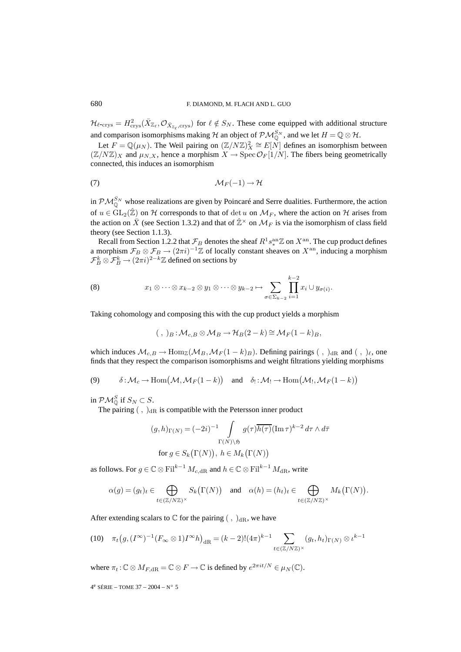$\mathcal{H}_{\ell\text{-crys}} = H^2_{\text{crys}}(\bar{X}_{\mathbb{Z}_{\ell}}, \mathcal{O}_{\bar{X}_{\mathbb{Z}_{\ell}},\text{crys}})$  for  $\ell \notin S_N$ . These come equipped with additional structure and comparison isomorphisms making  $H$  an object of  $\mathcal{PM}_{\mathbb{Q}}^{S_N}$ , and we let  $H = \mathbb{Q} \otimes \mathcal{H}$ .

Let  $F = \mathbb{Q}(\mu_N)$ . The Weil pairing on  $(\mathbb{Z}/N\mathbb{Z})^2 \cong E[N]$  defines an isomorphism between  $(\mathbb{Z}/N\mathbb{Z})_X$  and  $\mu_{N,X}$ , hence a morphism  $X \to \text{Spec } \mathcal{O}_F[1/N]$ . The fibers being geometrically connected, this induces an isomorphism

$$
M_F(-1) \to \mathcal{H}
$$

in  $\mathcal{PM}_{\mathbb{Q}}^{S_N}$  whose realizations are given by Poincaré and Serre dualities. Furthermore, the action of  $u \in GL_2(\hat{\mathbb{Z}})$  on H corresponds to that of det u on  $\mathcal{M}_F$ , where the action on H arises from the action on  $\bar{X}$  (see Section 1.3.2) and that of  $\hat{\mathbb{Z}}^{\times}$  on  $\mathcal{M}_F$  is via the isomorphism of class field theory (see Section 1.1.3).

Recall from Section 1.2.2 that  $\mathcal{F}_B$  denotes the sheaf  $R^1s^{\mathrm{an}}_*\mathbb{Z}$  on  $X^\mathrm{an}.$  The cup product defines a morphism  $\mathcal{F}_B \otimes \mathcal{F}_B \to (2\pi i)^{-1}\mathbb{Z}$  of locally constant sheaves on  $X^{\text{an}}$ , inducing a morphism  $\mathcal{F}_{B}^{k}\otimes \mathcal{F}_{B}^{k} \rightarrow (2\pi i)^{2-k}\mathbb{Z}$  defined on sections by

(8) 
$$
x_1 \otimes \cdots \otimes x_{k-2} \otimes y_1 \otimes \cdots \otimes y_{k-2} \mapsto \sum_{\sigma \in \Sigma_{k-2}} \prod_{i=1}^{k-2} x_i \cup y_{\sigma(i)}.
$$

Taking cohomology and composing this with the cup product yields a morphism

$$
(\ ,\ )_B:\mathcal{M}_{c,B}\otimes\mathcal{M}_B\to\mathcal{H}_B(2-k)\cong\mathcal{M}_F(1-k)_B,
$$

which induces  $\mathcal{M}_{c,B} \to \text{Hom}_{\mathbb{Z}}(\mathcal{M}_B, \mathcal{M}_F(1-k)_B)$ . Defining pairings  $( , )_{\text{dR}}$  and  $( , )_{\ell}$ , one finds that they respect the comparison isomorphisms and weight filtrations yielding morphisms

(9) 
$$
\delta : \mathcal{M}_c \to \text{Hom}(\mathcal{M}, \mathcal{M}_F(1-k))
$$
 and  $\delta_! : \mathcal{M}_! \to \text{Hom}(\mathcal{M}_!, \mathcal{M}_F(1-k))$ 

in  $\mathcal{PM}_{\mathbb{Q}}^S$  if  $S_N \subset S$ .

The pairing  $\left( \ , \ \right)$ <sub>dR</sub> is compatible with the Petersson inner product

$$
(g,h)_{\Gamma(N)} = (-2i)^{-1} \int_{\Gamma(N)\setminus \mathfrak{H}} g(\tau) \overline{h(\tau)} (\operatorname{Im} \tau)^{k-2} d\tau \wedge d\bar{\tau}
$$
  
for  $g \in S_k(\Gamma(N)), h \in M_k(\Gamma(N))$ 

as follows. For  $g \in \mathbb{C} \otimes \mathrm{Fil}^{k-1} M_{c,dR}$  and  $h \in \mathbb{C} \otimes \mathrm{Fil}^{k-1} M_{dR}$ , write

$$
\alpha(g)=(g_t)_t\in \bigoplus_{t\in (\mathbb{Z}/N\mathbb{Z})^\times} S_k\big(\Gamma(N)\big) \quad \text{and} \quad \alpha(h)=(h_t)_t\in \bigoplus_{t\in (\mathbb{Z}/N\mathbb{Z})^\times} M_k\big(\Gamma(N)\big).
$$

After extending scalars to  $\mathbb C$  for the pairing  $( , )_{\text{dR}}$ , we have

$$
(10) \quad \pi_t\big(g,(I^{\infty})^{-1}(F_{\infty}\otimes 1)I^{\infty}h\big)_{\mathrm{dR}}=(k-2)!(4\pi)^{k-1}\sum_{t\in(\mathbb{Z}/N\mathbb{Z})^{\times}}(g_t,h_t)_{\Gamma(N)}\otimes \iota^{k-1}
$$

where  $\pi_t : \mathbb{C} \otimes M_{F, \mathrm{dR}} = \mathbb{C} \otimes F \to \mathbb{C}$  is defined by  $e^{2\pi i t/N} \in \mu_N(\mathbb{C})$ .

4<sup>e</sup> SÉRIE – TOME 37 – 2004 – N° 5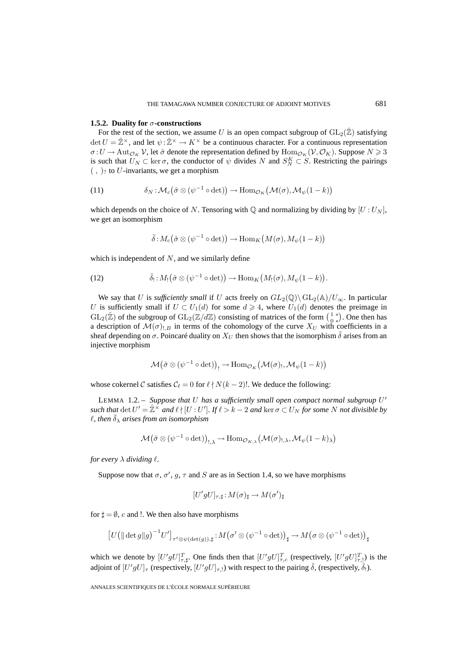## **1.5.2. Duality for** σ-constructions

For the rest of the section, we assume U is an open compact subgroup of  $GL_2(\hat{\mathbb{Z}})$  satisfying  $\det U = \hat{\mathbb{Z}}^{\times}$ , and let  $\psi : \hat{\mathbb{Z}}^{\times} \to K^{\times}$  be a continuous character. For a continuous representation  $\sigma: U \to \text{Aut}_{\mathcal{O}_K} \mathcal{V}$ , let  $\hat{\sigma}$  denote the representation defined by  $\text{Hom}_{\mathcal{O}_K}(\mathcal{V}, \mathcal{O}_K)$ . Suppose  $N \geq 3$ is such that  $U_N \subset \text{ker }\sigma$ , the conductor of  $\psi$  divides N and  $S_N^K \subset S$ . Restricting the pairings  $($ ,  $)_?$  to U-invariants, we get a morphism

(11) 
$$
\delta_N : \mathcal{M}_c(\hat{\sigma} \otimes (\psi^{-1} \circ \det)) \to \text{Hom}_{\mathcal{O}_K}(\mathcal{M}(\sigma), \mathcal{M}_{\psi}(1-k))
$$

which depends on the choice of N. Tensoring with  $\mathbb Q$  and normalizing by dividing by  $[U:U_N]$ , we get an isomorphism

$$
\bar{\delta}: M_c(\hat{\sigma} \otimes (\psi^{-1} \circ \det)) \to \text{Hom}_K\big(M(\sigma), M_{\psi}(1-k)\big)
$$

which is independent of  $N$ , and we similarly define

(12) 
$$
\bar{\delta}_!: M_!(\hat{\sigma} \otimes (\psi^{-1} \circ \det)) \to \text{Hom}_K\big(M_!(\sigma), M_\psi(1-k)\big).
$$

We say that U is *sufficiently small* if U acts freely on  $GL_2(\mathbb{Q})\backslash GL_2(\mathbb{A})/U_{\infty}$ . In particular U is sufficiently small if  $U \subset U_1(d)$  for some  $d \ge 4$ , where  $U_1(d)$  denotes the preimage in  $GL_2(\hat{\mathbb{Z}})$  of the subgroup of  $GL_2(\mathbb{Z}/d\mathbb{Z})$  consisting of matrices of the form  $\left(\begin{smallmatrix} 1 & * \\ 0 & * \end{smallmatrix}\right)$ . One then has a description of  $\mathcal{M}(\sigma)_{!,B}$  in terms of the cohomology of the curve  $X_U$  with coefficients in a sheaf depending on  $\sigma$ . Poincaré duality on  $X_U$  then shows that the isomorphism  $\delta$  arises from an injective morphism

$$
\mathcal{M}\big(\hat{\sigma} \otimes (\psi^{-1} \circ \det)\big)_{!} \to \mathrm{Hom}_{\mathcal{O}_K}\big(\mathcal{M}(\sigma)_{!}, \mathcal{M}_{\psi}(1-k)\big)
$$

whose cokernel C satisfies  $C_{\ell} = 0$  for  $\ell \nmid N(k-2)!$ . We deduce the following:

LEMMA 1.2. – *Suppose that* U *has a sufficiently small open compact normal subgroup* U-  $\mathit{such that} \det U' = \hat{\mathbb{Z}}^\times \text{ and } \ell \nmid [U:U']$ . If  $\ell > k - 2$  and  $\ker \sigma \subset U_N$  for some N not divisible by  $\ell$ , then  $\bar{\delta}_{\lambda}$  arises from an isomorphism

$$
\mathcal{M}\big(\hat{\sigma}\otimes(\psi^{-1}\circ\det)\big)_{!,\lambda}\to\text{Hom}_{\mathcal{O}_{K,\lambda}}\big(\mathcal{M}(\sigma)_{!,\lambda},\mathcal{M}_{\psi}(1-k)_{\lambda}\big)
$$

*for every*  $\lambda$  *dividing*  $\ell$ *.* 

Suppose now that  $\sigma$ ,  $\sigma'$ ,  $g$ ,  $\tau$  and  $S$  are as in Section 1.4, so we have morphisms

$$
[U'gU]_{\tau,\sharp}\colon\! M(\sigma)_{\sharp} \to M(\sigma')_{\sharp}
$$

for  $\sharp = \emptyset$ , c and !. We then also have morphisms

$$
\left[U\left(\|\det g\|g\right)^{-1}U'\right]_{\tau^t\otimes\psi(\det(g)),\sharp}\colon M\big(\sigma'\otimes(\psi^{-1}\circ\det)\big)_{\sharp}\to M\big(\sigma\otimes(\psi^{-1}\circ\det)\big)_{\sharp}
$$

which we denote by  $[U'gU]_{\tau,\sharp}^T$ . One finds then that  $[U'gU]_{\tau,c}^T$  (respectively,  $[U'gU]_{\tau,1}^T$ ) is the adjoint of  $[U'gU]_{\tau}$  (respectively,  $[U'gU]_{\tau,1}$ ) with respect to the pairing  $\bar{\delta}$ , (respectively,  $\bar{\delta}_1$ ).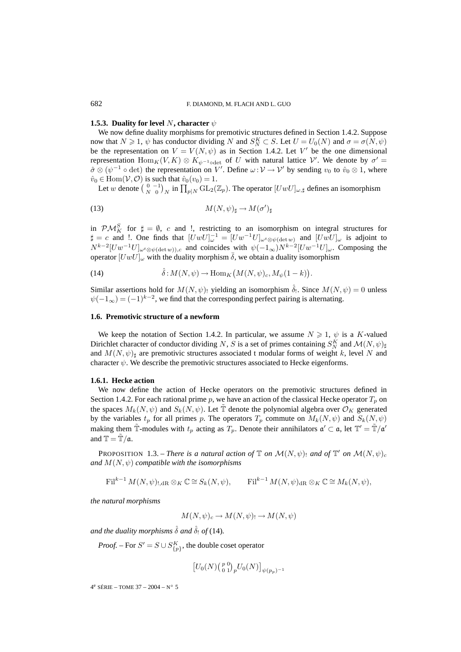#### **1.5.3. Duality for level** N, character  $\psi$

We now define duality morphisms for premotivic structures defined in Section 1.4.2. Suppose now that  $N \ge 1$ ,  $\psi$  has conductor dividing N and  $S_N^K \subset S$ . Let  $U = U_0(N)$  and  $\sigma = \sigma(N, \psi)$ be the representation on  $V = V(N, \psi)$  as in Section 1.4.2. Let V' be the one dimensional representation  $\text{Hom}_K(V,K) \otimes K_{\psi^{-1} \text{odet}}$  of U with natural lattice V'. We denote by  $\sigma' =$  $\hat{\sigma} \otimes (\psi^{-1} \circ \det)$  the representation on V'. Define  $\omega: V \to V'$  by sending  $v_0$  to  $\hat{v}_0 \otimes 1$ , where  $\hat{v}_0 \in \text{Hom}(\mathcal{V}, \mathcal{O})$  is such that  $\hat{v}_0(v_0)=1$ .

Let w denote  $\left(\begin{smallmatrix}0&-1\N&0\end{smallmatrix}\right)_N$  in  $\prod_{p|N}\mathrm{GL}_2(\mathbb{Z}_p)$ . The operator  $[UwU]_{\omega,\sharp}$  defines an isomorphism

(13) 
$$
M(N,\psi)_{\sharp} \to M(\sigma')_{\sharp}
$$

in  $\mathcal{PM}_K^S$  for  $\sharp = \emptyset$ , c and !, restricting to an isomorphism on integral structures for  $\sharp = c$  and !. One finds that  $[UwU]_{\omega}^{-1} = [Uw^{-1}U]_{\omega^t \otimes \psi(\det w)}$  and  $[UwU]_{\omega}$  is adjoint to  $N^{k-2}[Uw^{-1}U]_{\omega^t\otimes\psi(\det w))$ ,c and coincides with  $\psi(-1_{\infty})N^{k-2}[Uw^{-1}U]_{\omega}$ . Composing the operator  $[UwU]_{\omega}$  with the duality morphism  $\overline{\delta}$ , we obtain a duality isomorphism

(14) 
$$
\hat{\delta} : M(N, \psi) \to \text{Hom}_K\big(M(N, \psi)_c, M_{\psi}(1-k)\big).
$$

Similar assertions hold for  $M(N, \psi)$ , yielding an isomorphism  $\hat{\delta}$ . Since  $M(N, \psi) = 0$  unless  $\psi(-1_{\infty})=(-1)^{k-2}$ , we find that the corresponding perfect pairing is alternating.

## **1.6. Premotivic structure of a newform**

We keep the notation of Section 1.4.2. In particular, we assume  $N \geq 1$ ,  $\psi$  is a K-valued Dirichlet character of conductor dividing N, S is a set of primes containing  $S_N^K$  and  $\mathcal{M}(N,\psi)_{\sharp}$ and  $M(N,\psi)$ <sub>#</sub> are premotivic structures associated t modular forms of weight k, level N and character  $\psi$ . We describe the premotivic structures associated to Hecke eigenforms.

## **1.6.1. Hecke action**

We now define the action of Hecke operators on the premotivic structures defined in Section 1.4.2. For each rational prime p, we have an action of the classical Hecke operator  $T_p$  on the spaces  $M_k(N, \psi)$  and  $S_k(N, \psi)$ . Let  $\tilde{T}$  denote the polynomial algebra over  $\mathcal{O}_K$  generated by the variables  $t_p$  for all primes p. The operators  $T_p$  commute on  $M_k(N, \psi)$  and  $S_k(N, \psi)$ making them  $\tilde{\mathbb{T}}$ -modules with  $t_p$  acting as  $T_p$ . Denote their annihilators  $\mathfrak{a}' \subset \mathfrak{a}$ , let  $\mathbb{T}' = \tilde{\mathbb{T}}/\mathfrak{a}'$ and  $\mathbb{T} = \tilde{\mathbb{T}} / \mathfrak{a}$ .

**PROPOSITION** 1.3. – *There is a natural action of*  $\mathbb T$  *on*  $\mathcal M(N,\psi)$  *and of*  $\mathbb T'$  *on*  $\mathcal M(N,\psi)$ <sub>*c*</sub> *and*  $M(N,\psi)$  *compatible with the isomorphisms* 

 $Fil^{k-1}M(N,\psi)$ <sub>LdB</sub>  $\otimes_K \mathbb{C} \cong S_k(N,\psi)$ , Fil<sup>k-1</sup>  $M(N,\psi)_{\text{dB}} \otimes_K \mathbb{C} \cong M_k(N,\psi)$ ,

*the natural morphisms*

$$
M(N,\psi)_c \to M(N,\psi)_! \to M(N,\psi)
$$

*and the duality morphisms*  $\hat{\delta}$  *and*  $\hat{\delta}$ <sup>1</sup> *of* (14)*.* 

*Proof.* – For  $S' = S \cup S_{\{p\}}^K$ , the double coset operator

$$
\left[U_0(N)\binom{p\;0}{0\;1}^p U_0(N)\right]_{\psi(p_p)^{-1}}
$$

 $4^e$  SÉRIE – TOME 37 – 2004 – N° 5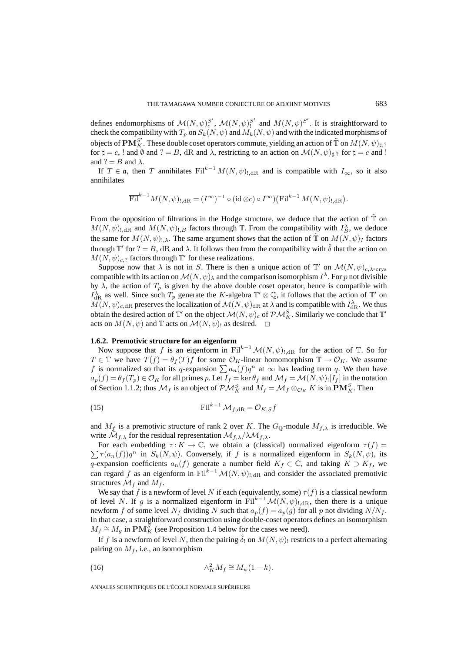defines endomorphisms of  $\mathcal{M}(N,\psi)_c^{S'}$ ,  $\mathcal{M}(N,\psi)_1^{S'}$  and  $M(N,\psi)^{S'}$ . It is straightforward to check the compatibility with  $T_p$  on  $S_k(N, \psi)$  and  $M_k(N, \psi)$  and with the indicated morphisms of objects of  $\mathbf{P}\mathbf{M}^{S'}_K$  . These double coset operators commute, yielding an action of  $\tilde{\mathbb{T}}$  on  $M(N,\psi)_{\sharp,?}$ for  $\sharp = c$ , ! and  $\hat{\psi}$  and ? = B, dR and  $\lambda$ , restricting to an action on  $\mathcal{M}(N, \psi)_{\sharp, ?}$  for  $\sharp = c$  and ! and ? =  $B$  and  $\lambda$ .

If  $T \in \mathfrak{a}$ , then T annihilates Fil<sup>k-1</sup>  $M(N, \psi)$ <sub>1.dR</sub> and is compatible with  $I_{\infty}$ , so it also annihilates

$$
\overline{\mathrm{Fil}}^{k-1} M(N, \psi)_{!, \mathrm{dR}} = (I^{\infty})^{-1} \circ (\mathrm{id} \otimes c) \circ I^{\infty} \big) \big( \mathrm{Fil}^{k-1} M(N, \psi)_{!, \mathrm{dR}} \big).
$$

From the opposition of filtrations in the Hodge structure, we deduce that the action of  $\tilde{T}$  on  $M(N, \psi)_{!, \text{dR}}$  and  $M(N, \psi)_{!, B}$  factors through  $\mathbb{T}$ . From the compatibility with  $I_B^{\lambda}$ , we deduce the same for  $M(N,\psi)_{1,\lambda}$ . The same argument shows that the action of  $\tilde{\mathbb{T}}$  on  $M(N,\psi)_{?}$  factors through  $\mathbb{T}'$  for  $? = B$ , dR and  $\lambda$ . It follows then from the compatibility with  $\hat{\delta}$  that the action on  $M(N, \psi)_{c, ?}$  factors through  $\mathbb{T}'$  for these realizations.

Suppose now that  $\lambda$  is not in S. There is then a unique action of  $\mathbb{T}'$  on  $\mathcal{M}(N,\psi)_{c,\lambda\text{-crys}}$ compatible with its action on  $\mathcal{M}(N,\psi)_{\lambda}$  and the comparison isomorphism  $I^{\lambda}$ . For p not divisible by  $\lambda$ , the action of  $T_p$  is given by the above double coset operator, hence is compatible with  $I_{\text{dR}}^{\lambda}$  as well. Since such  $T_p$  generate the K-algebra  $\mathbb{T}' \otimes \mathbb{Q}$ , it follows that the action of  $\mathbb{T}'$  on  $M(N,\psi)_{c,dR}$  preserves the localization of  $\mathcal{M}(N,\psi)_{dR}$  at  $\lambda$  and is compatible with  $I_{dR}^{\lambda}$ . We thus obtain the desired action of  $\mathbb{T}'$  on the object  $\mathcal{M}(N,\psi)_c$  of  $\mathcal{PM}_K^S.$  Similarly we conclude that  $\mathbb{T}'$ acts on  $M(N, \psi)$  and T acts on  $\mathcal{M}(N, \psi)$  as desired.  $\Box$ 

#### **1.6.2. Premotivic structure for an eigenform**

Now suppose that f is an eigenform in Fil<sup>k-1</sup> $\mathcal{M}(N, \psi)$ <sub>!dR</sub> for the action of T. So for  $T \in \mathbb{T}$  we have  $T(f) = \theta_f(T)f$  for some  $\mathcal{O}_K$ -linear homomorphism  $\mathbb{T} \to \mathcal{O}_K$ . We assume f is normalized so that its q-expansion  $\sum a_n(f)q^n$  at  $\infty$  has leading term q. We then have  $a_p(f) = \theta_f(T_p) \in \mathcal{O}_K$  for all primes p. Let  $I_f = \ker \theta_f$  and  $\mathcal{M}_f = \mathcal{M}(N, \psi)$  [ $I_f$ ] in the notation of Section 1.1.2; thus  $\mathcal{M}_f$  is an object of  $\mathcal{PM}_K^S$  and  $M_f = \mathcal{M}_f \otimes_{\mathcal{O}_K} K$  is in  $\mathbf{PM}_K^S$ . Then

$$
\text{Fil}^{k-1} \mathcal{M}_{f,\text{dR}} = \mathcal{O}_{K,S} f
$$

and  $M_f$  is a premotivic structure of rank 2 over K. The  $G_{\mathbb{Q}}$ -module  $M_{f,\lambda}$  is irreducible. We write  $\mathcal{M}_{f,\lambda}$  for the residual representation  $\mathcal{M}_{f,\lambda}/\lambda \mathcal{M}_{f,\lambda}$ .

 $\sum \tau(a_n(f))q^n$  in  $S_k(N,\psi)$ . Conversely, if f is a normalized eigenform in  $S_k(N,\psi)$ , its For each embedding  $\tau : K \to \mathbb{C}$ , we obtain a (classical) normalized eigenform  $\tau(f)$  = q-expansion coefficients  $a_n(f)$  generate a number field  $K_f \subset \mathbb{C}$ , and taking  $K \supset K_f$ , we can regard f as an eigenform in Fil<sup>k−1</sup>  $\mathcal{M}(N, \psi)$ <sub>!,dR</sub> and consider the associated premotivic structures  $\mathcal{M}_f$  and  $M_f$ .

We say that f is a newform of level N if each (equivalently, some)  $\tau(f)$  is a classical newform of level N. If g is a normalized eigenform in Fil<sup>k-1</sup> $\mathcal{M}(N,\psi)_{1,\text{dR}}$ , then there is a unique newform f of some level  $N_f$  dividing N such that  $a_p(f) = a_p(g)$  for all p not dividing  $N/N_f$ . In that case, a straightforward construction using double-coset operators defines an isomorphism  $M_f \cong M_g$  in  $\mathbf{PM}_K^S$  (see Proposition 1.4 below for the cases we need).

If f is a newform of level N, then the pairing  $\delta_!$  on  $M(N, \psi)$  restricts to a perfect alternating pairing on  $M_f$ , i.e., an isomorphism

(16) 
$$
\wedge^2_K M_f \cong M_{\psi}(1-k).
$$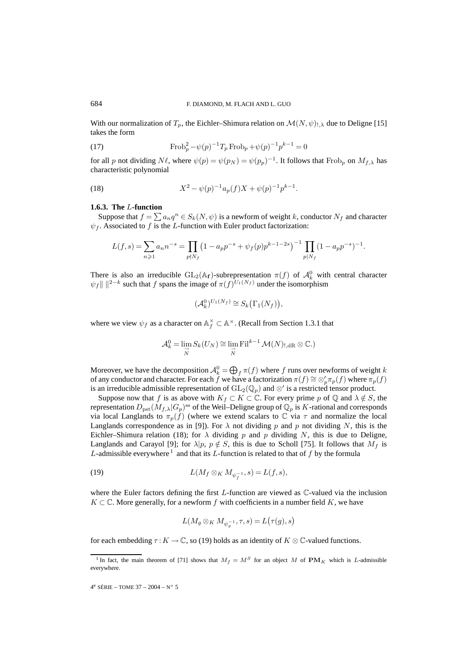With our normalization of  $T_p$ , the Eichler–Shimura relation on  $\mathcal{M}(N,\psi)_{,,\lambda}$  due to Deligne [15] takes the form

(17) 
$$
\text{Frob}_p^2 - \psi(p)^{-1} T_p \text{Frob}_p + \psi(p)^{-1} p^{k-1} = 0
$$

for all p not dividing  $N\ell$ , where  $\psi(p) = \psi(p_N) = \psi(p_p)^{-1}$ . It follows that Frob<sub>p</sub> on  $M_{f,\lambda}$  has characteristic polynomial

(18) 
$$
X^2 - \psi(p)^{-1} a_p(f) X + \psi(p)^{-1} p^{k-1}.
$$

#### **1.6.3. The** L**-function**

Suppose that  $f = \sum a_n q^n \in S_k(N, \psi)$  is a newform of weight k, conductor  $N_f$  and character  $\psi_f$ . Associated to f is the L-function with Euler product factorization:

$$
L(f,s)=\sum_{n\geqslant 1}a_{n}n^{-s}=\prod_{p\nmid N_{f}}\big(1-a_{p}p^{-s}+\psi_{f}(p)p^{k-1-2s}\big)^{-1}\prod_{p\mid N_{f}}(1-a_{p}p^{-s})^{-1}.
$$

There is also an irreducible  $GL_2(\mathbb{A}_f)$ -subrepresentation  $\pi(f)$  of  $\mathcal{A}^0_k$  with central character  $\psi_f \| \|^{2-k}$  such that f spans the image of  $\pi(f)^{U_1(N_f)}$  under the isomorphism

$$
(\mathcal{A}_k^0)^{U_1(N_f)} \cong S_k(\Gamma_1(N_f)),
$$

where we view  $\psi_f$  as a character on  $\mathbb{A}_f^{\times} \subset \mathbb{A}^{\times}$ . (Recall from Section 1.3.1 that

$$
\mathcal{A}_{k}^{0} = \lim_{\substack{\rightarrow \\ N}} S_{k}(U_{N}) \cong \lim_{\substack{\rightarrow \\ N}} \mathrm{Fil}^{k-1} \mathcal{M}(N)_{!, \mathrm{dR}} \otimes \mathbb{C}.
$$

Moreover, we have the decomposition  $\mathcal{A}_k^0 = \bigoplus_f \pi(f)$  where f runs over newforms of weight k of any conductor and character. For each f we have a factorization  $\pi(f) \cong \otimes'_p \pi_p(f)$  where  $\pi_p(f)$ is an irreducible admissible representation of  $\mathrm{GL}_2(\mathbb{Q}_p)$  and  $\otimes'$  is a restricted tensor product.

Suppose now that f is as above with  $K_f \subset K \subset \mathbb{C}$ . For every prime p of  $\mathbb{Q}$  and  $\lambda \notin S$ , the representation  $D_{\text{pst}}(M_{f,\lambda}|G_p)$ <sup>ss</sup> of the Weil–Deligne group of  $\mathbb{Q}_p$  is K-rational and corresponds via local Langlands to  $\pi_p(f)$  (where we extend scalars to  $\mathbb C$  via  $\tau$  and normalize the local Langlands correspondence as in [9]). For  $\lambda$  not dividing p and p not dividing N, this is the Eichler–Shimura relation (18); for  $\lambda$  dividing p and p dividing N, this is due to Deligne, Langlands and Carayol [9]; for  $\lambda |p, p \notin S$ , this is due to Scholl [75]. It follows that  $M_f$  is L-admissible everywhere<sup>1</sup> and that its L-function is related to that of f by the formula

(19) 
$$
L(M_f \otimes_K M_{\psi_f^{-1}}, s) = L(f, s),
$$

where the Euler factors defining the first L-function are viewed as  $\mathbb{C}$ -valued via the inclusion  $K \subset \mathbb{C}$ . More generally, for a newform f with coefficients in a number field K, we have

$$
L(M_g \otimes_K M_{\psi_g^{-1}}, \tau, s) = L(\tau(g), s)
$$

for each embedding  $\tau : K \to \mathbb{C}$ , so (19) holds as an identity of  $K \otimes \mathbb{C}$ -valued functions.

<sup>&</sup>lt;sup>1</sup> In fact, the main theorem of [71] shows that  $M_f = M^S$  for an object M of  $\mathbf{PM}_K$  which is L-admissible everywhere.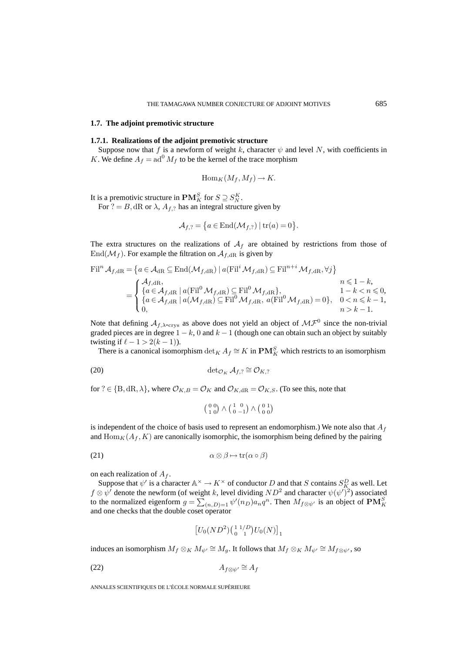## **1.7. The adjoint premotivic structure**

#### **1.7.1. Realizations of the adjoint premotivic structure**

Suppose now that f is a newform of weight k, character  $\psi$  and level N, with coefficients in K. We define  $A_f = ad^0 M_f$  to be the kernel of the trace morphism

$$
\operatorname{Hom}_K(M_f, M_f) \to K.
$$

It is a premotivic structure in  $\mathbf{PM}_{K}^{S}$  for  $S \supseteq S_{N}^{K}$ .

For ? = B, dR or  $\lambda$ ,  $A_{f,?}$  has an integral structure given by

$$
\mathcal{A}_{f,?} = \left\{ a \in \text{End}(\mathcal{M}_{f,?}) \mid \text{tr}(a) = 0 \right\}.
$$

The extra structures on the realizations of  $A_f$  are obtained by restrictions from those of  $\text{End}(\mathcal{M}_f)$ . For example the filtration on  $\mathcal{A}_{f,dR}$  is given by

$$
\mathrm{Fil}^n \mathcal{A}_{f, \mathrm{dR}} = \left\{ a \in \mathcal{A}_{\mathrm{dR}} \subseteq \mathrm{End}(\mathcal{M}_{f, \mathrm{dR}}) \mid a(\mathrm{Fil}^i \mathcal{M}_{f, \mathrm{dR}}) \subseteq \mathrm{Fil}^{n+i} \mathcal{M}_{f, \mathrm{dR}}, \forall j \right\}
$$
\n
$$
= \begin{cases} \n\mathcal{A}_{f, \mathrm{dR}}, & n \le 1 - k, \\
\left\{ a \in \mathcal{A}_{f, \mathrm{dR}} \mid a(\mathrm{Fil}^0 \mathcal{M}_{f, \mathrm{dR}}) \subseteq \mathrm{Fil}^0 \mathcal{M}_{f, \mathrm{dR}} \right\}, & n \le 1 - k, \\
\left\{ a \in \mathcal{A}_{f, \mathrm{dR}} \mid a(\mathcal{M}_{f, \mathrm{dR}}) \subseteq \mathrm{Fil}^0 \mathcal{M}_{f, \mathrm{dR}}, & a(\mathrm{Fil}^0 \mathcal{M}_{f, \mathrm{dR}}) = 0 \right\}, & 0 < n \le k - 1, \\
0, & n > k - 1. & \n\end{cases}
$$

Note that defining  $A_{f,\lambda\text{-crys}}$  as above does not yield an object of  $\mathcal{MF}^0$  since the non-trivial graded pieces are in degree  $1 - k$ , 0 and  $k - 1$  (though one can obtain such an object by suitably twisting if  $\ell - 1 > 2(k - 1)$ ).

There is a canonical isomorphism  $\det_K A_f \cong K$  in  $\mathbf{PM}_K^S$  which restricts to an isomorphism

$$
(20) \qquad \qquad \det_{\mathcal{O}_K} \mathcal{A}_{f,?} \cong \mathcal{O}_{K,?}
$$

for ?  $\in \{B, dR, \lambda\}$ , where  $\mathcal{O}_{K,B} = \mathcal{O}_K$  and  $\mathcal{O}_{K,dR} = \mathcal{O}_{K,S}$ . (To see this, note that

$$
\left(\begin{smallmatrix} 0 & 0 \\ 1 & 0 \end{smallmatrix}\right) \wedge \left(\begin{smallmatrix} 1 & 0 \\ 0 & -1 \end{smallmatrix}\right) \wedge \left(\begin{smallmatrix} 0 & 1 \\ 0 & 0 \end{smallmatrix}\right)
$$

is independent of the choice of basis used to represent an endomorphism.) We note also that  $A_f$ and  $\text{Hom}_K(A_f, K)$  are canonically isomorphic, the isomorphism being defined by the pairing

(21) 
$$
\alpha \otimes \beta \mapsto \text{tr}(\alpha \circ \beta)
$$

on each realization of  $A_f$ .

Suppose that  $\psi'$  is a character  $\mathbb{A}^{\times} \to K^{\times}$  of conductor D and that S contains  $S_{K_\lambda}^D$  as well. Let  $f \otimes \psi'$  denote the newform (of weight k, level dividing  $ND^2$  and character  $\psi(\psi')^2$ ) associated to the normalized eigenform  $g = \sum_{(n,D)=1} \psi'(n_D) a_n q^n$ . Then  $M_{f \otimes \psi'}$  is an object of  $PM_K^S$ and one checks that the double coset operator

$$
\left[U_0(ND^2)\left(\begin{smallmatrix} 1 & 1/D \\ 0 & 1 \end{smallmatrix}\right)U_0(N)\right]_1
$$

induces an isomorphism  $M_f \otimes_K M_{\psi'} \cong M_g$ . It follows that  $M_f \otimes_K M_{\psi'} \cong M_{f \otimes \psi'}$ , so

$$
(22)\qquad \qquad A_{f\otimes\psi'}\cong A_f
$$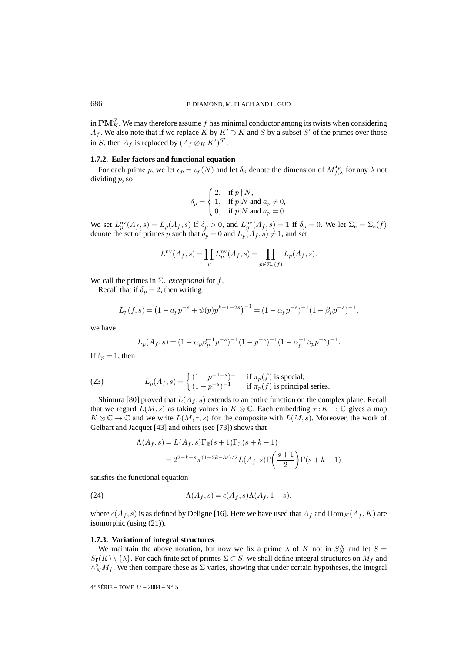in  $\mathbf{PM}_{K}^S$ . We may therefore assume  $f$  has minimal conductor among its twists when considering  $A_f$ . We also note that if we replace K by  $K' \supset K$  and S by a subset S' of the primes over those in S, then  $A_f$  is replaced by  $(A_f \otimes_K K')^{S'}$ .

# **1.7.2. Euler factors and functional equation**

For each prime p, we let  $c_p = v_p(N)$  and let  $\delta_p$  denote the dimension of  $M_{f,\lambda}^{I_p}$  for any  $\lambda$  not dividing p, so

$$
\delta_p = \begin{cases} 2, & \text{if } p \nmid N, \\ 1, & \text{if } p \mid N \text{ and } a_p \neq 0, \\ 0, & \text{if } p \mid N \text{ and } a_p = 0. \end{cases}
$$

We set  $L_p^{\text{nv}}(A_f, s) = L_p(A_f, s)$  if  $\delta_p > 0$ , and  $L_p^{\text{nv}}(A_f, s) = 1$  if  $\delta_p = 0$ . We let  $\Sigma_e = \Sigma_e(f)$ denote the set of primes p such that  $\delta_p = 0$  and  $L_p(A_f, s) \neq 1$ , and set

$$
L^{nv}(A_f, s) = \prod_p L_p^{nv}(A_f, s) = \prod_{p \notin \Sigma_e(f)} L_p(A_f, s).
$$

We call the primes in  $\Sigma_e$  *exceptional* for f.

Recall that if  $\delta_p = 2$ , then writing

$$
L_p(f,s) = \left(1 - a_p p^{-s} + \psi(p) p^{k-1-2s}\right)^{-1} = (1 - \alpha_p p^{-s})^{-1} (1 - \beta_p p^{-s})^{-1},
$$

we have

$$
L_p(A_f, s) = (1 - \alpha_p \beta_p^{-1} p^{-s})^{-1} (1 - p^{-s})^{-1} (1 - \alpha_p^{-1} \beta_p p^{-s})^{-1}.
$$

If  $\delta_p = 1$ , then

(23) 
$$
L_p(A_f, s) = \begin{cases} (1 - p^{-1-s})^{-1} & \text{if } \pi_p(f) \text{ is special;}\\ (1 - p^{-s})^{-1} & \text{if } \pi_p(f) \text{ is principal series.} \end{cases}
$$

Shimura [80] proved that  $L(A_f, s)$  extends to an entire function on the complex plane. Recall that we regard  $L(M,s)$  as taking values in  $K \otimes \mathbb{C}$ . Each embedding  $\tau : K \to \mathbb{C}$  gives a map  $K \otimes \mathbb{C} \to \mathbb{C}$  and we write  $L(M, \tau, s)$  for the composite with  $L(M, s)$ . Moreover, the work of Gelbart and Jacquet [43] and others (see [73]) shows that

$$
\Lambda(A_f, s) = L(A_f, s) \Gamma_{\mathbb{R}}(s+1) \Gamma_{\mathbb{C}}(s+k-1)
$$
  
=  $2^{2-k-s} \pi^{(1-2k-3s)/2} L(A_f, s) \Gamma\left(\frac{s+1}{2}\right) \Gamma(s+k-1)$ 

satisfies the functional equation

(24) 
$$
\Lambda(A_f, s) = \epsilon(A_f, s) \Lambda(A_f, 1 - s),
$$

where  $\epsilon(A_f, s)$  is as defined by Deligne [16]. Here we have used that  $A_f$  and  $\text{Hom}_K(A_f, K)$  are isomorphic (using (21)).

#### **1.7.3. Variation of integral structures**

We maintain the above notation, but now we fix a prime  $\lambda$  of K not in  $S_N^K$  and let  $S =$  $S_f(K) \setminus \{\lambda\}$ . For each finite set of primes  $\Sigma \subset S$ , we shall define integral structures on  $M_f$  and  $\wedge^2_K M_f$ . We then compare these as  $\Sigma$  varies, showing that under certain hypotheses, the integral

4e SÉRIE – TOME 37 – 2004 – N◦ 5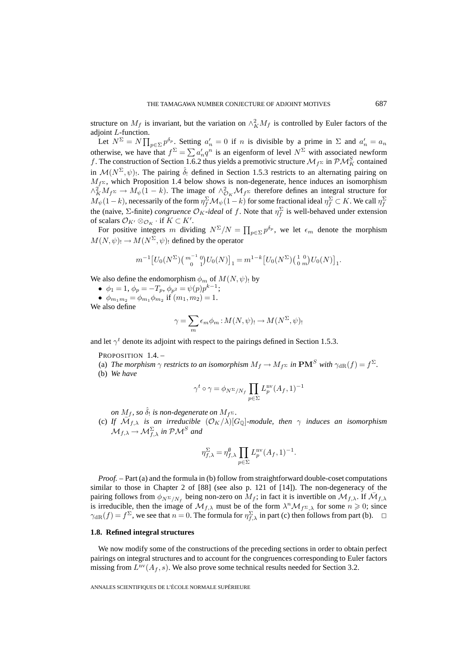structure on  $M_f$  is invariant, but the variation on  $\wedge_K^2 M_f$  is controlled by Euler factors of the adjoint L-function.

Let  $N^{\Sigma} = N \prod_{p \in \Sigma} p^{\delta_p}$ . Setting  $a'_n = 0$  if n is divisible by a prime in  $\Sigma$  and  $a'_n = a_n$ otherwise, we have that  $f^{\Sigma} = \sum a'_n q^n$  is an eigenform of level  $N^{\Sigma}$  with associated newform f. The construction of Section 1.6.2 thus yields a premotivic structure  $\mathcal{M}_{f^{\Sigma}}$  in  $\mathcal{PM}_{K}^{S}$  contained in  $\mathcal{M}(N^{\Sigma}, \psi)$ . The pairing  $\hat{\delta}_!$  defined in Section 1.5.3 restricts to an alternating pairing on  $M_f$  z, which Proposition 1.4 below shows is non-degenerate, hence induces an isomorphism  $\wedge^2_K M_f$   $\stackrel{\sim}{\sim}$   $M_{\psi}(1-k)$ . The image of  $\wedge^2_{\mathcal{O}_K} \mathcal{M}_{f^{\Sigma}}$  therefore defines an integral structure for  $M_\psi(1-k)$ , necessarily of the form  $\eta_f^\Sigma \mathcal M_\psi(1-k)$  for some fractional ideal  $\eta_f^\Sigma\subset K.$  We call  $\eta_f^\Sigma$ the (naive,  $\Sigma$ -finite) *congruence*  $\mathcal{O}_K$ -ideal of f. Note that  $\eta_f^{\Sigma}$  is well-behaved under extension of scalars  $\mathcal{O}_{K'} \otimes_{\mathcal{O}_K} \cdot \text{ if } K \subset K'.$ 

For positive integers m dividing  $N^{\Sigma}/N = \prod_{p \in \Sigma} p^{\delta_p}$ , we let  $\epsilon_m$  denote the morphism  $M(N, \psi)$ !  $\rightarrow M(N^{\Sigma}, \psi)$ ! defined by the operator

$$
m^{-1}\big[U_0(N^{\Sigma})\big(\begin{array}{c}m^{-1} \ 0\\0\end{array}\big)U_0(N)\big]_1 = m^{1-k}\big[U_0(N^{\Sigma})\big(\begin{array}{c}1 \ 0\\0\end{array}\big)U_0(N)\big]_1.
$$

We also define the endomorphism  $\phi_m$  of  $M(N,\psi)$ ! by

•  $\phi_1 = 1, \, \phi_p = -T_p, \, \phi_{p^2} = \psi(p)p^{k-1};$ •  $\phi_{m_1m_2} = \phi_{m_1} \phi_{m_2}$  if  $(m_1, m_2) = 1$ .

We also define

$$
\gamma = \sum_{m} \epsilon_m \phi_m : M(N, \psi) \to M(N^{\Sigma}, \psi)
$$

and let  $\gamma^t$  denote its adjoint with respect to the pairings defined in Section 1.5.3.

PROPOSITION 1.4. -

- (a) *The morphism*  $\gamma$  *restricts to an isomorphism*  $M_f \to M_f$  *z in*  $\text{PM}^S$  *with*  $\gamma_{\text{dR}}(f) = f^{\Sigma}$ *.*
- (b) *We have*

$$
\gamma^t \circ \gamma = \phi_{N^{\Sigma}/N_f} \prod_{p \in \Sigma} L_p^{\text{nv}}(A_f, 1)^{-1}
$$

*on*  $M_f$ , so  $\hat{\delta}_!$  *is non-degenerate on*  $M_f$   $\ge$ .

(c) *If*  $\overline{M}_{f,\lambda}$  *is an irreducible*  $(\mathcal{O}_K/\lambda)[G_{\mathbb{Q}}]$ *-module, then*  $\gamma$  *induces an isomorphism*  $\mathcal{M}_{f,\lambda} \rightarrow \mathcal{M}_{f,\lambda}^{\Sigma}$  in  $\mathcal{PM}^S$  and

$$
\eta_{f,\lambda}^{\Sigma} = \eta_{f,\lambda}^{\emptyset} \prod_{p \in \Sigma} L_p^{\rm nv}(A_f,1)^{-1}.
$$

*Proof.* – Part (a) and the formula in (b) follow from straightforward double-coset computations similar to those in Chapter 2 of [88] (see also p. 121 of [14]). The non-degeneracy of the pairing follows from  $\phi_{N^{\Sigma}/N_f}$  being non-zero on  $M_f$ ; in fact it is invertible on  $\mathcal{M}_{f,\lambda}$ . If  $\mathcal{M}_{f,\lambda}$ is irreducible, then the image of  $\mathcal{M}_{f,\lambda}$  must be of the form  $\lambda^n \mathcal{M}_{f^{\Sigma},\lambda}$  for some  $n \geq 0$ ; since  $\gamma_{\text{dR}}(f) = f^{\Sigma}$ , we see that  $n = 0$ . The formula for  $\eta_{f,\lambda}^{\Sigma}$  in part (c) then follows from part (b).  $\Box$ 

#### **1.8. Refined integral structures**

We now modify some of the constructions of the preceding sections in order to obtain perfect pairings on integral structures and to account for the congruences corresponding to Euler factors missing from  $L^{\text{nv}}(A_f, s)$ . We also prove some technical results needed for Section 3.2.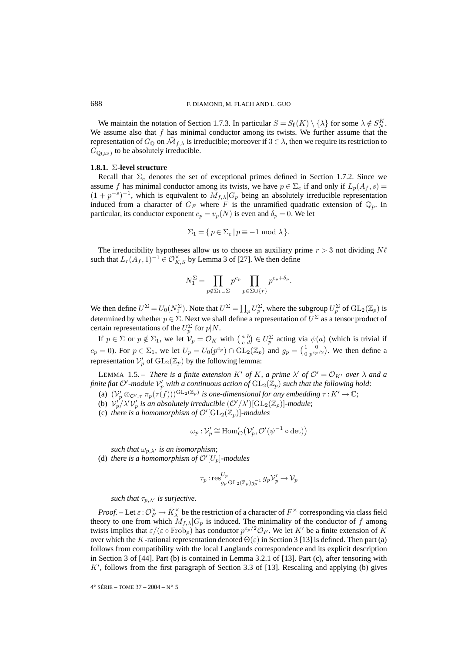We maintain the notation of Section 1.7.3. In particular  $S = S_f(K) \setminus {\{\lambda\}}$  for some  $\lambda \notin S_N^K$ . We assume also that  $f$  has minimal conductor among its twists. We further assume that the representation of  $G_{\mathbb{Q}}$  on  $\mathcal{M}_{f,\lambda}$  is irreducible; moreover if  $3 \in \lambda$ , then we require its restriction to  $G_{\mathbb{Q}(\mu_3)}$  to be absolutely irreducible.

#### **1.8.1.** Σ**-level structure**

Recall that  $\Sigma_e$  denotes the set of exceptional primes defined in Section 1.7.2. Since we assume f has minimal conductor among its twists, we have  $p \in \Sigma_e$  if and only if  $L_p(A_f, s)$  =  $(1 + p^{-s})^{-1}$ , which is equivalent to  $M_{f,\lambda}|G_p$  being an absolutely irreducible representation induced from a character of  $G_F$  where F is the unramified quadratic extension of  $\mathbb{Q}_p$ . In particular, its conductor exponent  $c_p = v_p(N)$  is even and  $\delta_p = 0$ . We let

$$
\Sigma_1 = \{ p \in \Sigma_e \, | \, p \equiv -1 \bmod \lambda \}.
$$

The irreducibility hypotheses allow us to choose an auxiliary prime  $r > 3$  not dividing  $N\ell$ such that  $L_r(A_f, 1)^{-1} \in \mathcal{O}_{K, S}^{\times}$  by Lemma 3 of [27]. We then define

$$
N_1^{\Sigma} = \prod_{p \notin \Sigma_1 \cup \Sigma} p^{c_p} \prod_{p \in \Sigma \cup \{r\}} p^{c_p + \delta_p}.
$$

We then define  $U^{\Sigma} = U_0(N_1^{\Sigma})$ . Note that  $U^{\Sigma} = \prod_p U_p^{\Sigma}$ , where the subgroup  $U_p^{\Sigma}$  of  $GL_2(\mathbb{Z}_p)$  is determined by whether  $p \in \Sigma$ . Next we shall define a representation of  $U^{\Sigma}$  as a tensor product of certain representations of the  $U_p^{\Sigma}$  for  $p|N$ .

If  $p \in \Sigma$  or  $p \notin \Sigma_1$ , we let  $\mathcal{V}_p = \mathcal{O}_K$  with  $\binom{a}{c}$   $d \in U_p^{\Sigma}$  acting via  $\psi(a)$  (which is trivial if  $c_p = 0$ ). For  $p \in \Sigma_1$ , we let  $U_p = U_0(p^{c_p}) \cap GL_2(\mathbb{Z}_p)$  and  $g_p = \begin{pmatrix} 1 & 0 \\ 0 & p^{c_p/2} \end{pmatrix}$ . We then define a representation  $\mathcal{V}'_p$  of  $\mathrm{GL}_2(\mathbb{Z}_p)$  by the following lemma:

LEMMA 1.5. – *There is a finite extension* K' of K, a prime  $\lambda'$  of  $\mathcal{O}' = \mathcal{O}_{K'}$  over  $\lambda$  and a finite flat  $\mathcal{O}'$  -module  $\mathcal{V}'_p$  with a continuous action of  $\mathrm{GL}_2(\mathbb{Z}_p)$  such that the following hold:

- (a)  $(\mathcal{V}'_p\otimes_{\mathcal{O}',\tau}\pi_p(\tau(f)))^{\operatorname{GL}_2(\mathbb{Z}_p)}$  *is one-dimensional for any embedding*  $\tau:K'\to\mathbb{C}$ ;
- (b)  $\mathcal{V}_p'/\lambda' \mathcal{V}_p'$  is an absolutely irreducible  $(\mathcal{O}'/\lambda')[\mathrm{GL}_2(\mathbb{Z}_p)]$ -module;
- (c) there is a homomorphism of  $\mathcal{O}'[\operatorname{GL}_2(\mathbb{Z}_p)]$ -modules

$$
\omega_p: \mathcal{V}'_p \cong \text{Hom}'_{\mathcal{O}}(\mathcal{V}'_p, \mathcal{O}'(\psi^{-1} \circ \det))
$$

such that  $\omega_{p,\lambda'}$  is an isomorphism; (d) there is a homomorphism of  $\mathcal{O}'[U_p]$ -modules

$$
\tau_p:\operatorname{res}^{U_p}_{g_p\operatorname{GL}_2(\mathbb{Z}_p)g_p^{-1}}g_p\mathcal{V}'_p\rightarrow \mathcal{V}_p
$$

such that  $\tau_{p,\lambda'}$  is surjective.

*Proof.* – Let  $\varepsilon$  :  $\mathcal{O}_F^{\times} \to \bar{K}_\lambda^{\times}$  be the restriction of a character of  $F^\times$  corresponding via class field theory to one from which  $M_{f,\lambda}|G_p$  is induced. The minimality of the conductor of f among twists implies that  $\varepsilon/(\varepsilon \circ \text{Frob}_p)$  has conductor  $p^{c_p/2}\mathcal{O}_F$ . We let  $K'$  be a finite extension of K over which the K-rational representation denoted  $\Theta(\varepsilon)$  in Section 3 [13] is defined. Then part (a) follows from compatibility with the local Langlands correspondence and its explicit description in Section 3 of [44]. Part (b) is contained in Lemma 3.2.1 of [13]. Part (c), after tensoring with  $K'$ , follows from the first paragraph of Section 3.3 of [13]. Rescaling and applying (b) gives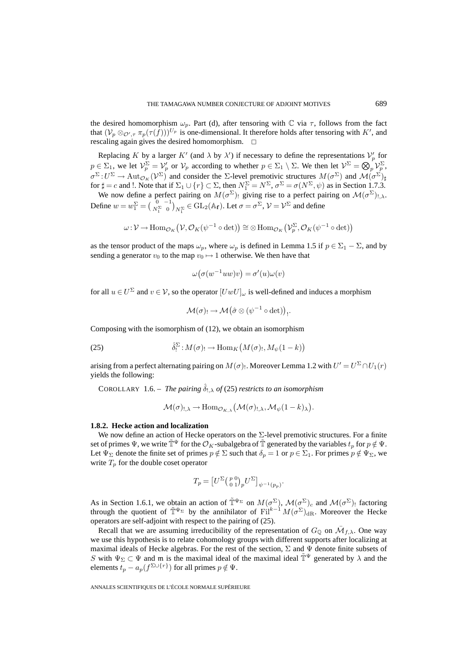the desired homomorphism  $\omega_p$ . Part (d), after tensoring with  $\mathbb C$  via  $\tau$ , follows from the fact that  $(\mathcal{V}_p \otimes_{\mathcal{O}', \tau} \pi_p(\tau(f)))^{U_p}$  is one-dimensional. It therefore holds after tensoring with K', and rescaling again gives the desired homomorphism.  $\Box$ 

Replacing K by a larger K' (and  $\lambda$  by  $\lambda'$ ) if necessary to define the representations  $\mathcal{V}'_p$  for  $p \in \Sigma_1$ , we let  $\mathcal{V}_p^{\Sigma} = \mathcal{V}_p'$  or  $\mathcal{V}_p$  according to whether  $p \in \Sigma_1 \setminus \Sigma$ . We then let  $\mathcal{V}^{\Sigma} = \bigotimes_p \mathcal{V}_p^{\Sigma}$ ,  $\sigma^{\Sigma}: U^{\Sigma} \to \text{Aut}_{\mathcal{O}_K}(\mathcal{V}^{\Sigma})$  and consider the  $\Sigma$ -level premotivic structures  $M(\sigma^{\Sigma})$  and  $\mathcal{M}(\sigma^{\Sigma})_{\sharp}$ for  $\sharp = c$  and !. Note that if  $\Sigma_1 \cup \{r\} \subset \Sigma$ , then  $N_1^{\Sigma} = N^{\Sigma}$ ,  $\sigma^{\Sigma} = \sigma(N^{\Sigma}, \psi)$  as in Section 1.7.3.

We now define a perfect pairing on  $M(\sigma^{\Sigma})$ ! giving rise to a perfect pairing on  $\mathcal{M}(\sigma^{\Sigma})_{!,\lambda}$ . Define  $w = w_1^{\Sigma} = \begin{pmatrix} 0 & -1 \\ N_1^{\Sigma} & 0 \end{pmatrix}$  $\begin{matrix} N_1^{\Sigma} \in GL_2(\mathbb{A}_f)$ . Let  $\sigma = \sigma^{\Sigma}$ ,  $\mathcal{V} = \mathcal{V}^{\Sigma}$  and define

$$
\omega: \mathcal{V} \to \text{Hom}_{\mathcal{O}_K}(\mathcal{V}, \mathcal{O}_K(\psi^{-1} \circ \det)) \cong \otimes \text{Hom}_{\mathcal{O}_K}(\mathcal{V}_p^{\Sigma}, \mathcal{O}_K(\psi^{-1} \circ \det))
$$

as the tensor product of the maps  $\omega_p$ , where  $\omega_p$  is defined in Lemma 1.5 if  $p \in \Sigma_1 - \Sigma$ , and by sending a generator  $v_0$  to the map  $v_0 \mapsto 1$  otherwise. We then have that

 $\omega(\sigma(w^{-1}uw)v) = \sigma'(u)\omega(v)$ 

for all  $u \in U^{\Sigma}$  and  $v \in V$ , so the operator  $[UwU]_{\omega}$  is well-defined and induces a morphism

$$
\mathcal{M}(\sigma) \longrightarrow \mathcal{M}\big(\hat{\sigma} \otimes (\psi^{-1} \circ \det)\big) \,.
$$

Composing with the isomorphism of (12), we obtain an isomorphism

(25) 
$$
\hat{\delta}_!^{\Sigma}: M(\sigma)_! \to \text{Hom}_K\big(M(\sigma)_!, M_\psi(1-k)\big)
$$

arising from a perfect alternating pairing on  $M(\sigma)$ . Moreover Lemma 1.2 with  $U'=U^{\Sigma}\cap U_{1}(r)$ yields the following:

COROLLARY 1.6. – *The pairing*  $\hat{\delta}_{!,\lambda}$  *of* (25) *restricts to an isomorphism* 

 $\mathcal{M}(\sigma)_{!,\lambda} \to \mathrm{Hom}_{\mathcal{O}_{K,\lambda}}\big(\mathcal{M}(\sigma)_{!,\lambda},\mathcal{M}_{\psi}(1-k)_{\lambda}\big).$ 

## **1.8.2. Hecke action and localization**

We now define an action of Hecke operators on the Σ-level premotivic structures. For a finite set of primes  $\Psi$ , we write  $\tilde{\mathbb{T}}^{\Psi}$  for the  $\mathcal{O}_K$ -subalgebra of  $\tilde{\mathbb{T}}$  generated by the variables  $t_p$  for  $p \notin \Psi$ . Let  $\Psi_{\Sigma}$  denote the finite set of primes  $p \notin \Sigma$  such that  $\delta_p = 1$  or  $p \in \Sigma_1$ . For primes  $p \notin \Psi_{\Sigma}$ , we write  $T_p$  for the double coset operator

$$
T_p = \left[U^{\Sigma} \left(\begin{smallmatrix} p & 0 \\ 0 & 1 \end{smallmatrix}\right)_p U^{\Sigma}\right]_{\psi^{-1}(p_p)}.
$$

As in Section 1.6.1, we obtain an action of  $\tilde{T}^{\Psi_{\Sigma}}$  on  $M(\sigma^{\Sigma})$ ,  $\mathcal{M}(\sigma^{\Sigma})_c$  and  $\mathcal{M}(\sigma^{\Sigma})_!$  factoring through the quotient of  $\tilde{T}^{\Psi_{\Sigma}}$  by the annihilator of  $\text{Fil}^{k-1}M(\sigma^{\Sigma})_{\text{dR}}$ . Moreover the Hecke operators are self-adjoint with respect to the pairing of (25).

Recall that we are assuming irreducibility of the representation of  $G_{\mathbb{Q}}$  on  $\overline{\mathcal{M}}_{f,\lambda}$ . One way we use this hypothesis is to relate cohomology groups with different supports after localizing at maximal ideals of Hecke algebras. For the rest of the section,  $\Sigma$  and  $\Psi$  denote finite subsets of S with  $\Psi_{\Sigma} \subset \Psi$  and m is the maximal ideal of the maximal ideal  $\tilde{\mathbb{T}}^{\Psi}$  generated by  $\lambda$  and the elements  $t_p - a_p(f^{\Sigma \cup \{r\}})$  for all primes  $p \notin \Psi$ .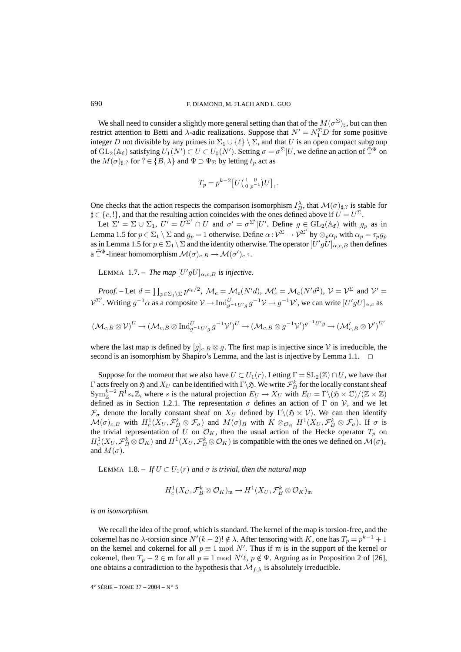We shall need to consider a slightly more general setting than that of the  $M(\sigma^{\Sigma})_{\sharp}$ , but can then restrict attention to Betti and  $\lambda$ -adic realizations. Suppose that  $N' = N_1^{\Sigma} D$  for some positive integer D not divisible by any primes in  $\Sigma_1 \cup {\ell} \setminus \Sigma$ , and that U is an open compact subgroup of  $GL_2(\mathbb{A}_f)$  satisfying  $U_1(N') \subset U \subset U_0(N')$ . Setting  $\sigma = \sigma^{\Sigma}|U$ , we define an action of  $\tilde{\mathbb{T}}^{\Psi}$  on the  $M(\sigma)_{\sharp,\mathcal{C}}$  for  $\mathcal{C} \in \{B, \lambda\}$  and  $\Psi \supset \Psi_{\Sigma}$  by letting  $t_p$  act as

$$
T_p = p^{k-2} \left[ U \left( \begin{smallmatrix} 1 & 0 \\ 0 & p^{-1} \end{smallmatrix} \right) U \right]_1.
$$

One checks that the action respects the comparison isomorphism  $I_B^{\lambda}$ , that  $\mathcal{M}(\sigma)_{\sharp,?}$  is stable for  $\sharp \in \{c, !\}$ , and that the resulting action coincides with the ones defined above if  $U = U^{\Sigma}$ .

Let  $\Sigma' = \Sigma \cup \Sigma_1$ ,  $U' = U^{\Sigma'} \cap U$  and  $\sigma' = \sigma^{\Sigma'} | U'$ . Define  $g \in GL_2(\mathbb{A}_f)$  with  $g_p$  as in Lemma 1.5 for  $p \in \Sigma_1 \setminus \Sigma$  and  $g_p = 1$  otherwise. Define  $\alpha : \mathcal{V}^{\Sigma} \to \mathcal{V}^{\Sigma'}$  by  $\otimes_p \alpha_p$  with  $\alpha_p = \tau_p g_p$ as in Lemma 1.5 for  $p \in \Sigma_1 \setminus \Sigma$  and the identity otherwise. The operator  $[U'gU]_{\alpha,c,B}$  then defines a  $\tilde{\mathbb{T}}^{\Psi}$ -linear homomorphism  $\mathcal{M}(\sigma)_{c,B} \to \mathcal{M}(\sigma')_{c,?}$ .

LEMMA 1.7. – *The map*  $[U'gU]_{\alpha,c,B}$  *is injective.* 

*Proof.* – Let  $d = \prod_{p \in \Sigma_1 \backslash \Sigma} p^{c_p/2}$ ,  $\mathcal{M}_c = \mathcal{M}_c(N'd)$ ,  $\mathcal{M}'_c = \mathcal{M}_c(N'd^2)$ ,  $\mathcal{V} = \mathcal{V}^{\Sigma}$  and  $\mathcal{V}' =$  $V^{\Sigma'}$ . Writing  $g^{-1}\alpha$  as a composite  $V \to \text{Ind}_{g^{-1}U'g}^U g^{-1}V \to g^{-1}V'$ , we can write  $[U'gU]_{\alpha,c}$  as

$$
(\mathcal{M}_{c,B} \otimes \mathcal{V})^U \to (\mathcal{M}_{c,B} \otimes \mathrm{Ind}_{g^{-1}U'g}^U g^{-1}\mathcal{V}')^U \to (\mathcal{M}_{c,B} \otimes g^{-1}\mathcal{V}')^{g^{-1}U'g} \to (\mathcal{M}'_{c,B} \otimes \mathcal{V}')^{U'}
$$

where the last map is defined by  $[g]_{c,B} \otimes g$ . The first map is injective since V is irreducible, the second is an isomorphism by Shapiro's Lemma, and the last is injective by Lemma 1.1.  $\Box$ 

Suppose for the moment that we also have  $U \subset U_1(r)$ . Letting  $\Gamma = SL_2(\mathbb{Z}) \cap U$ , we have that Γ acts freely on  $\frak H$  and  $X_U$  can be identified with  $\Gamma\backslash\frak H.$  We write  $\mathcal F_B^k$  for the locally constant sheaf  $\text{Sym}_{\mathbb{Z}}^{k-2} R^1s_*\mathbb{Z}$ , where s is the natural projection  $E_U \to X_U$  with  $E_U = \Gamma \setminus (\mathfrak{H} \times \mathbb{C}) / (\mathbb{Z} \times \mathbb{Z})$ defined as in Section 1.2.1. The representation  $\sigma$  defines an action of Γ on V, and we let  $\mathcal{F}_{\sigma}$  denote the locally constant sheaf on  $X_U$  defined by  $\Gamma \backslash (\mathfrak{H} \times \mathcal{V})$ . We can then identify  $\mathcal{M}(\sigma)_{c,B}$  with  $H^1_c(X_U, \mathcal{F}_B^k \otimes \mathcal{F}_\sigma)$  and  $M(\sigma)_B$  with  $K \otimes_{\mathcal{O}_K} H^1(X_U, \mathcal{F}_B^k \otimes \mathcal{F}_\sigma)$ . If  $\sigma$  is the trivial representation of U on  $\mathcal{O}_K$ , then the usual action of the Hecke operator  $T_p$  on  $H_c^1(X_U, \mathcal{F}_B^k \otimes \mathcal{O}_K)$  and  $H^1(X_U, \mathcal{F}_B^k \otimes \mathcal{O}_K)$  is compatible with the ones we defined on  $\mathcal{M}(\sigma)_c$ and  $M(\sigma)$ .

LEMMA 1.8. – *If*  $U \subset U_1(r)$  *and*  $\sigma$  *is trivial, then the natural map* 

$$
H^1_c(X_U, \mathcal{F}_B^k \otimes \mathcal{O}_K)_{\mathfrak{m}} \to H^1(X_U, \mathcal{F}_B^k \otimes \mathcal{O}_K)_{\mathfrak{m}}
$$

*is an isomorphism.*

We recall the idea of the proof, which is standard. The kernel of the map is torsion-free, and the cokernel has no  $\lambda$ -torsion since  $N'(k-2)! \notin \lambda$ . After tensoring with K, one has  $T_p = p^{k-1} + 1$ on the kernel and cokernel for all  $p \equiv 1 \mod N'$ . Thus if m is in the support of the kernel or cokernel, then  $T_p - 2 \in \mathfrak{m}$  for all  $p \equiv 1 \mod N' \ell$ ,  $p \notin \Psi$ . Arguing as in Proposition 2 of [26], one obtains a contradiction to the hypothesis that  $\overline{\mathcal{M}}_{f,\lambda}$  is absolutely irreducible.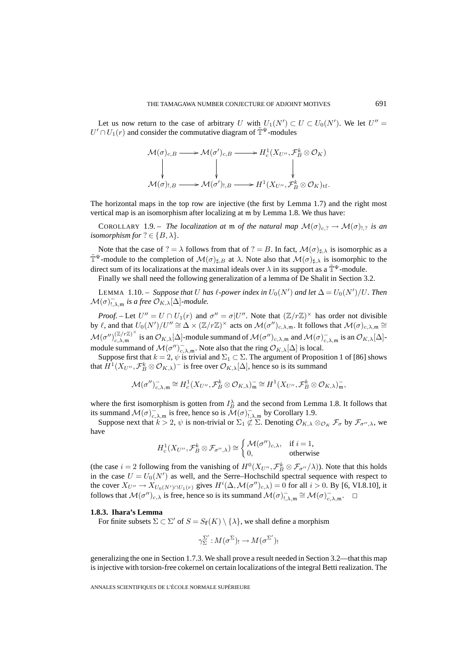Let us now return to the case of arbitrary U with  $U_1(N') \subset U \subset U_0(N')$ . We let  $U'' =$  $U' \cap U_1(r)$  and consider the commutative diagram of  $\tilde{T}^{\Psi}$ -modules

$$
\mathcal{M}(\sigma)_{c,B} \longrightarrow \mathcal{M}(\sigma')_{c,B} \longrightarrow H_c^1(X_{U''}, \mathcal{F}_B^k \otimes \mathcal{O}_K)
$$
\n
$$
\downarrow \qquad \qquad \downarrow \qquad \qquad \downarrow
$$
\n
$$
\mathcal{M}(\sigma)_{!,B} \longrightarrow \mathcal{M}(\sigma')_{!,B} \longrightarrow H^1(X_{U''}, \mathcal{F}_B^k \otimes \mathcal{O}_K)_{\mathrm{tf}}.
$$

The horizontal maps in the top row are injective (the first by Lemma 1.7) and the right most vertical map is an isomorphism after localizing at m by Lemma 1.8. We thus have:

COROLLARY 1.9. – *The localization at* m *of the natural map*  $\mathcal{M}(\sigma)_{c, ?} \to \mathcal{M}(\sigma)_{1, ?}$  *is an isomorphism for*  $? \in \{B, \lambda\}.$ 

Note that the case of ? =  $\lambda$  follows from that of ? = B. In fact,  $\mathcal{M}(\sigma)_{\sharp,\lambda}$  is isomorphic as a  $\tilde{\mathbb{T}}^{\Psi}$ -module to the completion of  $\mathcal{M}(\sigma)_{\sharp,B}$  at  $\lambda$ . Note also that  $\mathcal{M}(\sigma)_{\sharp,\lambda}$  is isomorphic to the direct sum of its localizations at the maximal ideals over  $\lambda$  in its support as a  $\tilde{\mathbb{T}}^{\Psi}$ -module.

Finally we shall need the following generalization of a lemma of De Shalit in Section 3.2.

LEMMA 1.10. – *Suppose that* U has  $\ell$ -power index in  $U_0(N')$  and let  $\Delta = U_0(N')/U$ . Then  $\mathcal{M}(\sigma)_{!,\lambda,\mathfrak{m}}^-$  *is a free*  $\mathcal{O}_{K,\lambda}[\Delta]$ *-module.* 

*Proof.* – Let  $U'' = U \cap U_1(r)$  and  $\sigma'' = \sigma |U''|$ . Note that  $(\mathbb{Z}/r\mathbb{Z})^{\times}$  has order not divisible by  $\ell$ , and that  $U_0(N')/U'' \cong \Delta \times (\mathbb{Z}/r\mathbb{Z})^{\times}$  acts on  $\mathcal{M}(\sigma'')_{c,\lambda,\mathfrak{m}}$ . It follows that  $\mathcal{M}(\sigma)_{c,\lambda,\mathfrak{m}} \cong$  $\mathcal{M}(\sigma'')_{c,\lambda,\mathfrak{m}}^{(\mathbb{Z}/r\mathbb{Z})^{\times}}$  is an  $\mathcal{O}_{K,\lambda}[\Delta]$ -module summand of  $\mathcal{M}(\sigma'')_{c,\lambda,\mathfrak{m}}$  and  $\mathcal{M}(\sigma)_{c,\lambda,\mathfrak{m}}^-$  is an  $\mathcal{O}_{K,\lambda}[\Delta]$ module summand of  $\mathcal{M}(\sigma'')_{c,\lambda,\mathfrak{m}}^-$ . Note also that the ring  $\mathcal{O}_{K,\lambda}[\Delta]$  is local.

Suppose first that  $k = 2$ ,  $\psi$  is trivial and  $\Sigma_1 \subset \Sigma$ . The argument of Proposition 1 of [86] shows that  $H^1(X_{U''}, \mathcal{F}_{B}^k \otimes \mathcal{O}_{K,\lambda})^-$  is free over  $\mathcal{O}_{K,\lambda}[\Delta]$ , hence so is its summand

$$
\mathcal{M}(\sigma'')_{c,\lambda,\mathfrak{m}}^{-} \cong H_{c}^{1}(X_{U''},\mathcal{F}_{B}^{k} \otimes \mathcal{O}_{K,\lambda})_{\mathfrak{m}}^{-} \cong H^{1}(X_{U''},\mathcal{F}_{B}^{k} \otimes \mathcal{O}_{K,\lambda})_{\mathfrak{m}}^{-},
$$

where the first isomorphism is gotten from  $I_B^{\lambda}$  and the second from Lemma 1.8. It follows that its summand  $\mathcal{M}(\sigma)_{c,\lambda,\mathfrak{m}}^-$  is free, hence so is  $\mathcal{M}(\sigma)_{1,\lambda,\mathfrak{m}}^-$  by Corollary 1.9.

Suppose next that  $k > 2$ ,  $\psi$  is non-trivial or  $\Sigma_1 \not\subset \Sigma$ . Denoting  $\mathcal{O}_{K,\lambda} \otimes_{\mathcal{O}_K} \mathcal{F}_{\sigma}$  by  $\mathcal{F}_{\sigma'',\lambda}$ , we have

$$
H_c^1(X_{U''}, \mathcal{F}_B^k \otimes \mathcal{F}_{\sigma'', \lambda}) \cong \begin{cases} \mathcal{M}(\sigma'')_{c, \lambda}, & \text{if } i = 1, \\ 0, & \text{otherwise} \end{cases}
$$

(the case  $i = 2$  following from the vanishing of  $H^0(X_{U''}, \mathcal{F}_{B}^k \otimes \mathcal{F}_{\sigma''}/\lambda)$ ). Note that this holds in the case  $U = U_0(N')$  as well, and the Serre–Hochschild spectral sequence with respect to the cover  $X_{U''} \to X_{U_0(N') \cap U_1(r)}$  gives  $H^i(\Delta, \mathcal{M}(\sigma'')_{c,\lambda}) = 0$  for all  $i > 0$ . By [6, VI.8.10], it follows that  $\mathcal{M}(\sigma'')_{c,\lambda}$  is free, hence so is its summand  $\mathcal{M}(\sigma)_{,,\lambda,\mathfrak{m}}^- \cong \mathcal{M}(\sigma)_{c,\lambda,\mathfrak{m}}^-$ .  $\Box$ 

#### **1.8.3. Ihara's Lemma**

For finite subsets  $\Sigma \subset \Sigma'$  of  $S = S_{\mathbf{f}}(K) \setminus \{\lambda\}$ , we shall define a morphism

$$
\gamma_{\Sigma}^{\Sigma'} : M(\sigma^{\Sigma})_! \to M(\sigma^{\Sigma'})_!
$$

generalizing the one in Section 1.7.3. We shall prove a result needed in Section 3.2—that this map is injective with torsion-free cokernel on certain localizations of the integral Betti realization. The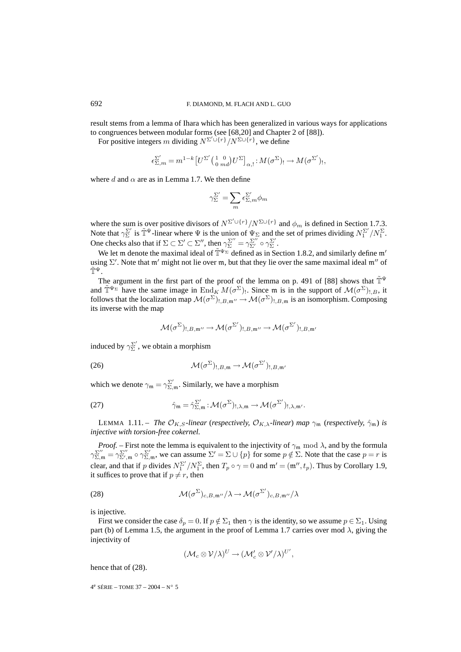result stems from a lemma of Ihara which has been generalized in various ways for applications to congruences between modular forms (see [68,20] and Chapter 2 of [88]).

For positive integers m dividing  $N^{\Sigma' \cup \{r\}}/N^{\Sigma \cup \{r\}}$ , we define

$$
\epsilon_{\Sigma,m}^{\Sigma'} = m^{1-k} \left[ U^{\Sigma'} \left( \begin{smallmatrix} 1 & 0 \\ 0 & md \end{smallmatrix} \right) U^{\Sigma} \right]_{\alpha,!} : M(\sigma^{\Sigma'})_! \to M(\sigma^{\Sigma'}),
$$

where d and  $\alpha$  are as in Lemma 1.7. We then define

$$
\gamma_{\Sigma}^{\Sigma'} = \sum_{m} \epsilon_{\Sigma,m}^{\Sigma'} \phi_m
$$

where the sum is over positive divisors of  $N^{\Sigma' \cup \{r\}}/N^{\Sigma \cup \{r\}}$  and  $\phi_m$  is defined in Section 1.7.3. Note that  $\gamma_{\Sigma}^{\Sigma'}$  is  $\tilde{T}^{\Psi}$ -linear where  $\Psi$  is the union of  $\Psi_{\Sigma}$  and the set of primes dividing  $N_1^{\Sigma'}/N_1^{\Sigma}$ . One checks also that if  $\Sigma \subset \Sigma' \subset \Sigma''$ , then  $\gamma_{\Sigma}^{\Sigma''} = \gamma_{\Sigma'}^{\Sigma''} \circ \gamma_{\Sigma}^{\Sigma'}$ .

We let m denote the maximal ideal of  $\tilde{T}^{\Psi_{\Sigma}}$  defined as in Section 1.8.2, and similarly define m' using  $\Sigma'$ . Note that m' might not lie over m, but that they lie over the same maximal ideal m'' of  $\tilde{\mathbb{T}}^{\Psi}$ .

The argument in the first part of the proof of the lemma on p. 491 of [88] shows that  $\tilde{\mathbb{T}}^{\Psi}$ and  $\tilde{\mathbb{T}}^{\Psi_{\Sigma}}$  have the same image in End<sub>K</sub>  $M(\sigma^{\Sigma})$ . Since m is in the support of  $\mathcal{M}(\sigma^{\Sigma})_{!,B}$ , it follows that the localization map  $\mathcal{M}(\sigma^{\Sigma})_{!,\,B,\mathfrak{m}''}\to \mathcal{M}(\sigma^{\Sigma})_{!,\,B,\mathfrak{m}}$  is an isomorphism. Composing its inverse with the map

$$
\mathcal{M}(\sigma^{\Sigma})_{!,B,\mathfrak{m}''}\to \mathcal{M}(\sigma^{\Sigma'})_{!,B,\mathfrak{m}''}\to \mathcal{M}(\sigma^{\Sigma'})_{!,B,\mathfrak{m}''}
$$

induced by  $\gamma_{\Sigma}^{\Sigma'}$ , we obtain a morphism

(26) 
$$
\mathcal{M}(\sigma^{\Sigma})_{!,B,\mathfrak{m}} \to \mathcal{M}(\sigma^{\Sigma'})_{!,B,\mathfrak{m}'}
$$

which we denote  $\gamma_m = \gamma_{\Sigma,m}^{\Sigma'}$ . Similarly, we have a morphism

(27) 
$$
\hat{\gamma}_{m} = \hat{\gamma}_{\Sigma,m}^{\Sigma'} : \mathcal{M}(\sigma^{\Sigma})_{!,\lambda,m} \to \mathcal{M}(\sigma^{\Sigma'})_{!,\lambda,m'}.
$$

LEMMA 1.11. – *The*  $\mathcal{O}_{K,S}$ -linear (*respectively,*  $\mathcal{O}_{K,\lambda}$ -linear) *map*  $\gamma_m$  (*respectively,*  $\hat{\gamma}_m$ ) *is injective with torsion-free cokernel.*

*Proof.* – First note the lemma is equivalent to the injectivity of  $\gamma_m$  mod  $\lambda$ , and by the formula  $\gamma_{\Sigma,\mathfrak{m}}^{\Sigma''} = \gamma_{\Sigma',\mathfrak{m}}^{\Sigma''} \circ \gamma_{\Sigma,\mathfrak{m}}^{\Sigma'}$ , we can assume  $\Sigma' = \Sigma \cup \{p\}$  for some  $p \notin \Sigma$ . Note that the case  $p = r$  is clear, and that if p divides  $N_1^{\Sigma'}/N_1^{\Sigma}$ , then  $T_p \circ \gamma = 0$  and  $\mathfrak{m}' = (\mathfrak{m}'', t_p)$ . Thus by Corollary 1.9, it suffices to prove that if  $p \neq r$ , then

(28) 
$$
\mathcal{M}(\sigma^{\Sigma})_{c,B,\mathfrak{m}''}/\lambda \to \mathcal{M}(\sigma^{\Sigma'})_{c,B,\mathfrak{m}''}/\lambda
$$

is injective.

First we consider the case  $\delta_p = 0$ . If  $p \notin \Sigma_1$  then  $\gamma$  is the identity, so we assume  $p \in \Sigma_1$ . Using part (b) of Lemma 1.5, the argument in the proof of Lemma 1.7 carries over mod  $\lambda$ , giving the injectivity of

$$
(\mathcal{M}_c\otimes\mathcal{V}/\lambda)^U\to (\mathcal{M}'_c\otimes\mathcal{V}'/\lambda)^{U'},
$$

hence that of (28).

 $4^e$  SÉRIE – TOME 37 – 2004 – N° 5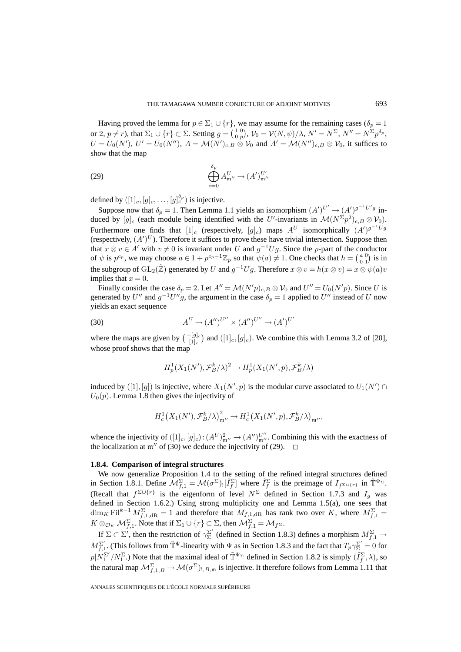Having proved the lemma for  $p \in \Sigma_1 \cup \{r\}$ , we may assume for the remaining cases ( $\delta_p = 1$ ) or 2,  $p \neq r$ ), that  $\Sigma_1 \cup \{r\} \subset \Sigma$ . Setting  $g = \begin{pmatrix} 1 & 0 \\ 0 & p \end{pmatrix}$ ,  $\mathcal{V}_0 = \mathcal{V}(N, \psi)/\lambda$ ,  $N' = N^{\Sigma}$ ,  $N'' = N^{\Sigma}p^{\delta_p}$ ,  $U = U_0(N')$ ,  $U' = U_0(N'')$ ,  $A = \mathcal{M}(N')_{c,B} \otimes V_0$  and  $A' = \mathcal{M}(N'')_{c,B} \otimes V_0$ , it suffices to show that the map

(29) 
$$
\bigoplus_{i=0}^{\delta_p} A_{\mathfrak{m}''}^U \to (A')_{\mathfrak{m}''}^{U'}
$$

defined by  $([1]_c, [g]_c, \ldots, [g]_c^{\delta_p}$  is injective.

Suppose now that  $\delta_p = 1$ . Then Lemma 1.1 yields an isomorphism  $(A')^{U'} \rightarrow (A')^{g^{-1}U'g}$  induced by  $[g]_c$  (each module being identified with the U'-invariants in  $\mathcal{M}(N^{\Sigma}p^2)_{c,B}\otimes\mathcal{V}_0)$ . Furthermore one finds that  $[1]_c$  (respectively,  $[g]_c$ ) maps  $A^U$  isomorphically  $(A')^{g^{-1}Ug}$ (respectively,  $(A')^U$ ). Therefore it suffices to prove these have trivial intersection. Suppose then that  $x \otimes v \in A'$  with  $v \neq 0$  is invariant under U and  $g^{-1}Ug$ . Since the p-part of the conductor of  $\psi$  is  $p^{c_p}$ , we may choose  $a \in 1 + p^{c_p-1} \mathbb{Z}_p$  so that  $\psi(a) \neq 1$ . One checks that  $h = \begin{pmatrix} a & 0 \\ 0 & 1 \end{pmatrix}$  is in the subgroup of GL<sub>2</sub>( $\hat{\mathbb{Z}}$ ) generated by U and  $g^{-1}Ug$ . Therefore  $x \otimes v = h(x \otimes v) = x \otimes \psi(a)v$ implies that  $x = 0$ .

Finally consider the case  $\delta_p = 2$ . Let  $A'' = \mathcal{M}(N'p)_{c,B} \otimes \mathcal{V}_0$  and  $U'' = U_0(N'p)$ . Since U is generated by U'' and  $g^{-1}U''g$ , the argument in the case  $\delta_p = 1$  applied to U'' instead of U now yields an exact sequence

(30) 
$$
A^U \to (A'')^{U''} \times (A'')^{U''} \to (A')^{U'}
$$

where the maps are given by  $\binom{-[g]_c}{[1]_c}$  and  $([1]_c, [g]_c)$ . We combine this with Lemma 3.2 of [20], whose proof shows that the map

$$
H_p^1(X_1(N'), \mathcal{F}_B^k/\lambda)^2 \to H_p^1(X_1(N', p), \mathcal{F}_B^k/\lambda)
$$

induced by  $([1],[g])$  is injective, where  $X_1(N',p)$  is the modular curve associated to  $U_1(N') \cap$  $U_0(p)$ . Lemma 1.8 then gives the injectivity of

$$
H_c^1(X_1(N'), \mathcal{F}_B^k/\lambda)_{\mathfrak{m}''}^2 \to H_c^1(X_1(N', p), \mathcal{F}_B^k/\lambda)_{\mathfrak{m}''},
$$

whence the injectivity of  $([1]_c, [g]_c) : (A^U)_{\mathfrak{m}''}^2 \to (A'')_{\mathfrak{m}''}^{U''}$ . Combining this with the exactness of the localization at  $m''$  of (30) we deduce the injectivity of (29).  $\Box$ 

## **1.8.4. Comparison of integral structures**

We now generalize Proposition 1.4 to the setting of the refined integral structures defined in Section 1.8.1. Define  $\mathcal{M}_{f,1}^{\Sigma} = \mathcal{M}(\sigma^{\Sigma}) \cdot [\tilde{I}_f^{\Sigma}]$  where  $\tilde{I}_f^{\Sigma}$  is the preimage of  $I_{f^{\Sigma \cup \{r\}}}$  in  $\tilde{\mathbb{T}}^{\Psi_{\Sigma}}$ . (Recall that  $f^{\Sigma \cup \{r\}}$  is the eigenform of level  $N^{\Sigma}$  defined in Section 1.7.3 and  $I_{q}$  was defined in Section 1.6.2.) Using strong multiplicity one and Lemma 1.5(a), one sees that  $\dim_K \mathrm{Fil}^{k-1} M_{f,1,\mathrm{dR}}^{\Sigma} = 1$  and therefore that  $M_{f,1,\mathrm{dR}}$  has rank two over K, where  $M_{f,1}^{\Sigma} =$  $K \otimes_{\mathcal{O}_K} \mathcal{M}_{f,1}^{\Sigma}$ . Note that if  $\Sigma_1 \cup \{r\} \subset \Sigma$ , then  $\mathcal{M}_{f,1}^{\Sigma} = \mathcal{M}_{f^{\Sigma}}$ .

If  $\Sigma \subset \Sigma'$ , then the restriction of  $\gamma_{\Sigma}^{\Sigma'}$  (defined in Section 1.8.3) defines a morphism  $M_{f,1}^{\Sigma} \to$  $M_{f,1}^{\Sigma'}$ . (This follows from  $\tilde{T}^{\Psi}$ -linearity with  $\Psi$  as in Section 1.8.3 and the fact that  $T_p\gamma_{\Sigma}^{\Sigma'}=0$  for  $p|N_1^{\Sigma'}/N_1^{\Sigma}$ .) Note that the maximal ideal of  $\tilde{T}^{\Psi_{\Sigma}}$  defined in Section 1.8.2 is simply  $(\tilde{I}_f^{\Sigma}, \lambda)$ , so the natural map  $\mathcal{M}_{f,1,B}^{\Sigma}\to \mathcal{M}(\sigma^{\Sigma})_{!,B,\mathfrak{m}}$  is injective. It therefore follows from Lemma 1.11 that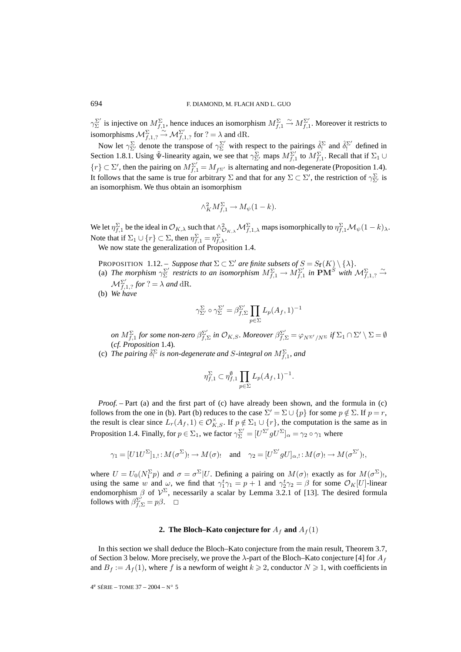$\gamma_{\Sigma}^{\Sigma'}$  is injective on  $M^{\Sigma}_{f,1}$ , hence induces an isomorphism  $M^{\Sigma}_{f,1}$  $\stackrel{\sim}{\rightarrow} M_{f,1}^{\Sigma'}$ . Moreover it restricts to isomorphisms  $\mathcal{M}^{\Sigma}_{f,1,?}$  $\stackrel{\sim}{\rightarrow}$   $\mathcal{M}_{f,1,?}^{\Sigma'}$  for ? =  $\lambda$  and dR.

Now let  $\gamma_{\Sigma'}^{\Sigma}$  denote the transpose of  $\gamma_{\Sigma}^{\Sigma'}$  with respect to the pairings  $\hat{\delta}_1^{\Sigma}$  and  $\hat{\delta}_1^{\Sigma'}$  defined in Section 1.8.1. Using  $\tilde{\Psi}$ -linearity again, we see that  $\gamma_{\Sigma'}^{\Sigma}$  maps  $M_{f,1}^{\Sigma'}$  to  $M_{f,1}^{\Sigma}$ . Recall that if  $\Sigma_1 \cup$  $\{r\} \subset \Sigma'$ , then the pairing on  $M_{f,1}^{\Sigma'} = M_{f^{\Sigma'}}$  is alternating and non-degenerate (Proposition 1.4). It follows that the same is true for arbitrary  $\Sigma$  and that for any  $\Sigma \subset \Sigma'$ , the restriction of  $\gamma_{\Sigma'}^{\Sigma}$  is an isomorphism. We thus obtain an isomorphism

$$
\wedge^2_K M_{f,1}^{\Sigma} \to M_{\psi}(1-k).
$$

We let  $\eta_{f,1}^{\Sigma}$  be the ideal in  $\mathcal{O}_{K,\lambda}$  such that  $\wedge_{\mathcal{O}_{K,\lambda}}^2 \mathcal{M}_{f,1,\lambda}^{\Sigma}$  maps isomorphically to  $\eta_{f,1}^{\Sigma} \mathcal{M}_{\psi}(1-k)_{\lambda}$ . Note that if  $\Sigma_1 \cup \{r\} \subset \Sigma$ , then  $\eta_{f,1}^{\Sigma} = \eta_{f,\lambda}^{\Sigma}$ .

We now state the generalization of Proposition 1.4.

**PROPOSITION** 1.12. – *Suppose that*  $\Sigma \subset \Sigma'$  *are finite subsets of*  $S = S_f(K) \setminus {\{\lambda\}}$ *.* 

- (a) The morphism  $\gamma_{\Sigma}^{\Sigma'}$  restricts to an isomorphism  $M_{f,1}^{\Sigma} \to M_{f,1}^{\Sigma'}$  in  $\mathbf{PM}^S$  with  $\mathcal{M}_{f,1,2}^{\Sigma}$ ∼ →  $\mathcal{M}_{f,1,?}^{\Sigma'}$  for  $? = \lambda$  and dR.
- (b) *We have*

$$
\gamma_{\Sigma'}^{\Sigma} \circ \gamma_{\Sigma}^{\Sigma'} = \beta_{f,\Sigma}^{\Sigma'} \prod_{p \in \Sigma} L_p(A_f, 1)^{-1}
$$

 $\rho$ n  $M_{f,1}^{\Sigma}$  *for some non-zero*  $\beta_{f,\Sigma}^{\Sigma'}$  *in*  $\mathcal{O}_{K,S}.$  *Moreover*  $\beta_{f,\Sigma}^{\Sigma'}=\varphi_{N^{\Sigma'}/N^{\Sigma}}$  *if*  $\Sigma_1\cap\Sigma'\setminus\Sigma=\emptyset$ (*cf. Proposition* 1.4)*.*

(c) The pairing  $\hat{\delta}_1^{\Sigma}$  is non-degenerate and S-integral on  $M_{f,1}^{\Sigma}$ , and

$$
\eta_{f,1}^{\Sigma} \subset \eta_{f,1}^{\emptyset} \prod_{p \in \Sigma} L_p(A_f, 1)^{-1}.
$$

*Proof.* – Part (a) and the first part of (c) have already been shown, and the formula in (c) follows from the one in (b). Part (b) reduces to the case  $\Sigma' = \Sigma \cup \{p\}$  for some  $p \notin \Sigma$ . If  $p = r$ , the result is clear since  $L_r(A_f, 1) \in \mathcal{O}_{K, S}^{\times}$ . If  $p \notin \Sigma_1 \cup \{r\}$ , the computation is the same as in Proposition 1.4. Finally, for  $p \in \Sigma_1$ , we factor  $\gamma_{\Sigma}^{\Sigma'} = [U^{\Sigma'} g U^{\Sigma}]_{\alpha} = \gamma_2 \circ \gamma_1$  where

$$
\gamma_1 = [U1U^{\Sigma}]_{1,!} : M(\sigma^{\Sigma})_! \to M(\sigma)_! \quad \text{and} \quad \gamma_2 = [U^{\Sigma'} g U]_{\alpha,!} : M(\sigma)_! \to M(\sigma^{\Sigma'})_!,
$$

where  $U = U_0(N_1^{\Sigma}p)$  and  $\sigma = \sigma^{\Sigma}|U$ . Defining a pairing on  $M(\sigma)$  exactly as for  $M(\sigma^{\Sigma})_!$ , using the same w and  $\omega$ , we find that  $\gamma_1^t \gamma_1 = p + 1$  and  $\gamma_2^t \gamma_2 = \beta$  for some  $\mathcal{O}_K[U]$ -linear endomorphism  $\beta$  of  $V^{\Sigma}$ , necessarily a scalar by Lemma 3.2.1 of [13]. The desired formula follows with  $\beta_{f,\Sigma}^{\Sigma'} = p\beta$ .  $\Box$ 

## **2. The Bloch–Kato conjecture for**  $A_f$  and  $A_f(1)$

In this section we shall deduce the Bloch–Kato conjecture from the main result, Theorem 3.7, of Section 3 below. More precisely, we prove the  $\lambda$ -part of the Bloch–Kato conjecture [4] for  $A_f$ and  $B_f := A_f(1)$ , where f is a newform of weight  $k \ge 2$ , conductor  $N \ge 1$ , with coefficients in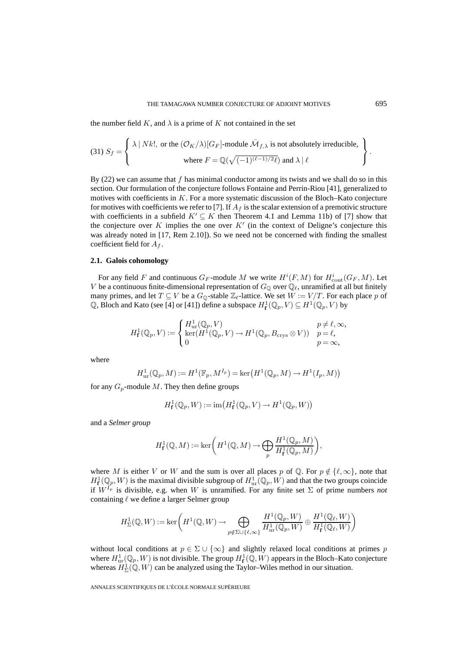the number field  $K$ , and  $\lambda$  is a prime of K not contained in the set

(31) 
$$
S_f = \begin{cases} \lambda | Nk!, \text{ or the } (\mathcal{O}_K/\lambda)[G_F]\text{-module } \bar{M}_{f,\lambda} \text{ is not absolutely irreducible,} \\ \text{where } F = \mathbb{Q}(\sqrt{(-1)^{(\ell-1)/2}\ell}) \text{ and } \lambda | \ell \end{cases}
$$
.

By  $(22)$  we can assume that f has minimal conductor among its twists and we shall do so in this section. Our formulation of the conjecture follows Fontaine and Perrin-Riou [41], generalized to motives with coefficients in  $K$ . For a more systematic discussion of the Bloch–Kato conjecture for motives with coefficients we refer to [7]. If  $A_f$  is the scalar extension of a premotivic structure with coefficients in a subfield  $K' \subseteq K$  then Theorem 4.1 and Lemma 11b) of [7] show that the conjecture over  $K$  implies the one over  $K'$  (in the context of Deligne's conjecture this was already noted in [17, Rem 2.10]). So we need not be concerned with finding the smallest coefficient field for  $A_f$ .

#### **2.1. Galois cohomology**

For any field F and continuous  $G_F$ -module M we write  $H^i(F, M)$  for  $H^i_{\text{cont}}(G_F, M)$ . Let V be a continuous finite-dimensional representation of  $G_{\mathbb{Q}}$  over  $\mathbb{Q}_\ell$ , unramified at all but finitely many primes, and let  $T \subseteq V$  be a  $G_{\mathbb{Q}}$ -stable  $\mathbb{Z}_{\ell}$ -lattice. We set  $W := V/T$ . For each place p of Q, Bloch and Kato (see [4] or [41]) define a subspace  $H^1_{\mathbf{f}}(\mathbb{Q}_p, V) \subseteq H^1(\mathbb{Q}_p, V)$  by

$$
H_{\mathbf{f}}^1(\mathbb{Q}_p, V) := \begin{cases} H_{\text{ur}}^1(\mathbb{Q}_p, V) & p \neq \ell, \infty, \\ \ker(H^1(\mathbb{Q}_p, V) \to H^1(\mathbb{Q}_p, B_{\text{crys}} \otimes V)) & p = \ell, \\ 0 & p = \infty, \end{cases}
$$

where

$$
H^1_{\text{ur}}(\mathbb{Q}_p, M) := H^1(\mathbb{F}_p, M^{I_p}) = \ker\left(H^1(\mathbb{Q}_p, M) \to H^1(I_p, M)\right)
$$

for any  $G_p$ -module M. They then define groups

$$
H^1_{\mathbf{f}}(\mathbb{Q}_p, W) := \text{im}\big(H^1_{\mathbf{f}}(\mathbb{Q}_p, V) \to H^1(\mathbb{Q}_p, W)\big)
$$

and a *Selmer group*

$$
H^1_{\mathbf{f}}(\mathbb{Q},M):=\ker\bigg(H^1(\mathbb{Q},M)\to \bigoplus_p\frac{H^1(\mathbb{Q}_p,M)}{H^1_{\mathbf{f}}(\mathbb{Q}_p,M)}\bigg),
$$

where M is either V or W and the sum is over all places p of Q. For  $p \notin \{l, \infty\}$ , note that  $H^1_{\textbf{f}}(\mathbb{Q}_p, W)$  is the maximal divisible subgroup of  $H^1_{\text{ur}}(\mathbb{Q}_p, W)$  and that the two groups coincide if  $W^{I_p}$  is divisible, e.g. when W is unramified. For any finite set  $\Sigma$  of prime numbers *not* containing  $\ell$  we define a larger Selmer group

$$
H^1_{\Sigma}(\mathbb{Q},W):=\ker\bigg(H^1(\mathbb{Q},W)\to \bigoplus_{p\notin \Sigma\cup\{\ell,\infty\}}\frac{H^1(\mathbb{Q}_p,W)}{H^1_{\mathrm{ur}}(\mathbb{Q}_p,W)}\oplus \frac{H^1(\mathbb{Q}_\ell,W)}{H^1_{\mathbf{f}}(\mathbb{Q}_\ell,W)}\bigg)
$$

without local conditions at  $p \in \Sigma \cup \{\infty\}$  and slightly relaxed local conditions at primes p where  $H^1_{\text{ur}}(\mathbb{Q}_p, W)$  is not divisible. The group  $H^1_{\mathbf{f}}(\mathbb{Q}, W)$  appears in the Bloch–Kato conjecture whereas  $H^1_{\Sigma}(\mathbb{Q}, W)$  can be analyzed using the Taylor–Wiles method in our situation.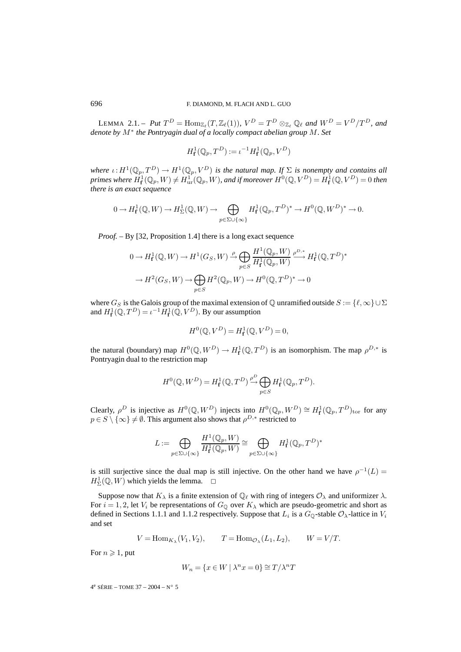LEMMA 2.1. – Put  $T^D = \text{Hom}_{\mathbb{Z}_{\ell}}(T, \mathbb{Z}_{\ell}(1)), V^D = T^D \otimes_{\mathbb{Z}_{\ell}} \mathbb{Q}_{\ell}$  and  $W^D = V^D / T^D$ , and *denote by* M<sup>∗</sup> *the Pontryagin dual of a locally compact abelian group* M*. Set*

$$
H_{\mathbf{f}}^1(\mathbb{Q}_p, T^D) := \iota^{-1} H_{\mathbf{f}}^1(\mathbb{Q}_p, V^D)
$$

*where*  $\iota: H^1(\mathbb{Q}_p, T^D) \to H^1(\mathbb{Q}_p, V^D)$  *is the natural map. If*  $\Sigma$  *is nonempty and contains all*  $\textit{primes where} \ H^{1}_{\textbf{f}}(\mathbb{Q}_p,W) \neq H^1_{\textup{ur}}(\mathbb{Q}_p,W) \text{, and if moreover } H^0(\mathbb{Q},V^D) = H^{1}_{\textbf{f}}(\mathbb{Q},V^D) = 0 \text{ then}$ *there is an exact sequence*

$$
0 \to H^1_{\mathbf{f}}(\mathbb{Q}, W) \to H^1_{\Sigma}(\mathbb{Q}, W) \to \bigoplus_{p \in \Sigma \cup \{\infty\}} H^1_{\mathbf{f}}(\mathbb{Q}_p, T^D)^* \to H^0(\mathbb{Q}, W^D)^* \to 0.
$$

*Proof. –* By [32, Proposition 1.4] there is a long exact sequence

$$
0 \to H_{\mathbf{f}}^1(\mathbb{Q}, W) \to H^1(G_S, W) \xrightarrow{\rho} \bigoplus_{p \in S} \frac{H^1(\mathbb{Q}_p, W)}{H_{\mathbf{f}}^1(\mathbb{Q}_p, W)} \xrightarrow{\rho^{D,*}} H_{\mathbf{f}}^1(\mathbb{Q}, T^D)^*
$$

$$
\to H^2(G_S, W) \to \bigoplus_{p \in S} H^2(\mathbb{Q}_p, W) \to H^0(\mathbb{Q}, T^D)^* \to 0
$$

where  $G_S$  is the Galois group of the maximal extension of Q unramified outside  $S := \{ \ell, \infty \} \cup \Sigma$ and  $H_{\mathbf{f}}^1(\mathbb{Q}, T^D) = \iota^{-1} H_{\mathbf{f}}^1(\mathbb{Q}, V^D)$ . By our assumption

$$
H^0(\mathbb{Q}, V^D) = H^1_{\mathbf{f}}(\mathbb{Q}, V^D) = 0,
$$

the natural (boundary) map  $H^0(\mathbb{Q}, W^D) \to H^1_{\mathbf{f}}(\mathbb{Q}, T^D)$  is an isomorphism. The map  $\rho^{D,*}$  is Pontryagin dual to the restriction map

$$
H^0(\mathbb{Q},W^D)=H^1_{\mathbf{f}}(\mathbb{Q},T^D)\mathop{\to}\limits^{\rho^D}\bigoplus_{p\in S}H^1_{\mathbf{f}}(\mathbb{Q}_p,T^D).
$$

Clearly,  $\rho^D$  is injective as  $H^0(\mathbb{Q}, W^D)$  injects into  $H^0(\mathbb{Q}_p, W^D) \cong H^1_{\mathbf{f}}(\mathbb{Q}_p, T^D)_{\text{tor}}$  for any  $p \in S \setminus \{\infty\} \neq \emptyset$ . This argument also shows that  $\rho^{D,*}$  restricted to

$$
L:=\bigoplus_{p\in \Sigma\cup \{\infty\}}\frac{H^1(\mathbb{Q}_p,W)}{H^1_{\mathbf{f}}(\mathbb{Q}_p,W)}\cong \bigoplus_{p\in \Sigma\cup \{\infty\}}H^1_{\mathbf{f}}(\mathbb{Q}_p,T^D)^*
$$

is still surjective since the dual map is still injective. On the other hand we have  $\rho^{-1}(L)$  =  $H^1_{\Sigma}(\mathbb{Q}, W)$  which yields the lemma.  $\Box$ 

Suppose now that  $K_{\lambda}$  is a finite extension of  $\mathbb{Q}_{\ell}$  with ring of integers  $\mathcal{O}_{\lambda}$  and uniformizer  $\lambda$ . For  $i = 1, 2$ , let  $V_i$  be representations of  $G_{\mathbb{Q}}$  over  $K_{\lambda}$  which are pseudo-geometric and short as defined in Sections 1.1.1 and 1.1.2 respectively. Suppose that  $L_i$  is a  $G_{\mathbb{Q}}$ -stable  $\mathcal{O}_{\lambda}$ -lattice in  $V_i$ and set

$$
V = \text{Hom}_{K_{\lambda}}(V_1, V_2), \qquad T = \text{Hom}_{\mathcal{O}_{\lambda}}(L_1, L_2), \qquad W = V/T.
$$

For  $n \geqslant 1$ , put

$$
W_n = \{ x \in W \mid \lambda^n x = 0 \} \cong T / \lambda^n T
$$

 $4^e$  SÉRIE – TOME 37 – 2004 – N° 5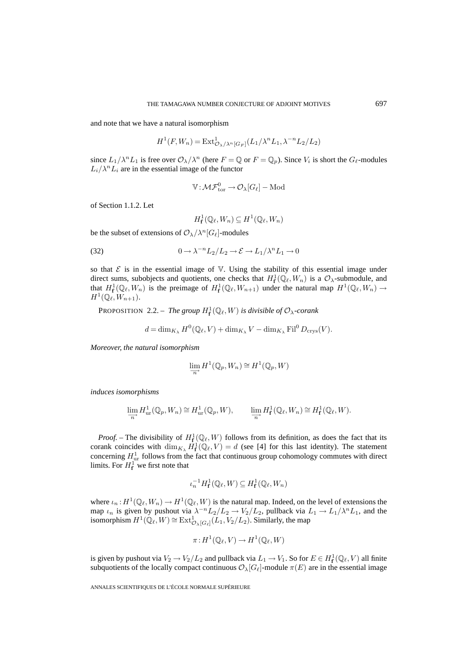and note that we have a natural isomorphism

$$
H^1(F, W_n) = \text{Ext}^1_{\mathcal{O}_{\lambda}/\lambda^n[G_F]}(L_1/\lambda^n L_1, \lambda^{-n} L_2/L_2)
$$

since  $L_1/\lambda^n L_1$  is free over  $\mathcal{O}_{\lambda}/\lambda^n$  (here  $F = \mathbb{Q}$  or  $F = \mathbb{Q}_p$ ). Since  $V_i$  is short the  $G_{\ell}$ -modules  $L_i/\lambda^n L_i$  are in the essential image of the functor

$$
\mathbb{V}\colon \!\mathcal{MF}^0_\text{tor}\ \!\to \!\mathcal{O}_{\lambda}[G_\ell]-\text{Mod}
$$

of Section 1.1.2. Let

 $H^1_{\mathbf{f}}(\mathbb{Q}_\ell, W_n) \subseteq H^1(\mathbb{Q}_\ell, W_n)$ 

be the subset of extensions of  $\mathcal{O}_{\lambda}/\lambda^{n}[G_{\ell}]$ -modules

(32) 
$$
0 \to \lambda^{-n} L_2/L_2 \to \mathcal{E} \to L_1/\lambda^n L_1 \to 0
$$

so that  $\mathcal E$  is in the essential image of  $\nabla$ . Using the stability of this essential image under direct sums, subobjects and quotients, one checks that  $H_{\mathbf{f}}^1(\mathbb{Q}_\ell, W_n)$  is a  $\mathcal{O}_\lambda$ -submodule, and that  $H^1_{\mathbf{f}}(\mathbb{Q}_\ell, W_n)$  is the preimage of  $H^1_{\mathbf{f}}(\mathbb{Q}_\ell, W_{n+1})$  under the natural map  $H^1(\mathbb{Q}_\ell, W_n) \to$  $H^1(\mathbb{Q}_\ell, W_{n+1}).$ 

**PROPOSITION** 2.2. – *The group*  $H_f^1(\mathbb{Q}_\ell, W)$  *is divisible of*  $\mathcal{O}_{\lambda}$ -corank

$$
d = \dim_{K_{\lambda}} H^0(\mathbb{Q}_{\ell}, V) + \dim_{K_{\lambda}} V - \dim_{K_{\lambda}} \mathrm{Fil}^0 D_{\mathrm{crys}}(V).
$$

*Moreover, the natural isomorphism*

$$
\varinjlim_{n} H^{1}(\mathbb{Q}_{p}, W_{n}) \cong H^{1}(\mathbb{Q}_{p}, W)
$$

*induces isomorphisms*

$$
\lim_{\substack{\longrightarrow \\ n}} H^1_{\text{ur}}(\mathbb{Q}_p, W_n) \cong H^1_{\text{ur}}(\mathbb{Q}_p, W), \qquad \lim_{\substack{\longrightarrow \\ n}} H^1_{\mathbf{f}}(\mathbb{Q}_\ell, W_n) \cong H^1_{\mathbf{f}}(\mathbb{Q}_\ell, W).
$$

*Proof.* – The divisibility of  $H^1_{\mathbf{f}}(\mathbb{Q}_\ell, W)$  follows from its definition, as does the fact that its corank coincides with  $\dim_{K_\lambda} H^1_{\mathbf{f}}(\mathbb{Q}_\ell, V) = d$  (see [4] for this last identity). The statement concerning  $H_{\text{ur}}^1$  follows from the fact that continuous group cohomology commutes with direct limits. For  $H_{\mathbf{f}}^1$  we first note that

$$
\iota_n^{-1} H^1_{\mathbf{f}}(\mathbb{Q}_\ell, W) \subseteq H^1_{\mathbf{f}}(\mathbb{Q}_\ell, W_n)
$$

where  $\iota_n: H^1(\mathbb{Q}_\ell, W_n) \to H^1(\mathbb{Q}_\ell, W)$  is the natural map. Indeed, on the level of extensions the map  $\iota_n$  is given by pushout via  $\lambda^{-n}L_2/L_2 \to V_2/L_2$ , pullback via  $L_1 \to L_1/\lambda^n L_1$ , and the isomorphism  $H^1(\overline{\mathbb{Q}_\ell}, W) \cong \text{Ext}^1_{\mathcal{O}_\lambda[G_\ell]}(L_1, V_2/L_2)$ . Similarly, the map

$$
\pi: H^1(\mathbb{Q}_\ell, V) \to H^1(\mathbb{Q}_\ell, W)
$$

is given by pushout via  $V_2 \to V_2/L_2$  and pullback via  $L_1 \to V_1$ . So for  $E \in H^1_{\bf f}(\mathbb{Q}_\ell, V)$  all finite subquotients of the locally compact continuous  $\mathcal{O}_{\lambda}[G_{\ell}]$ -module  $\pi(E)$  are in the essential image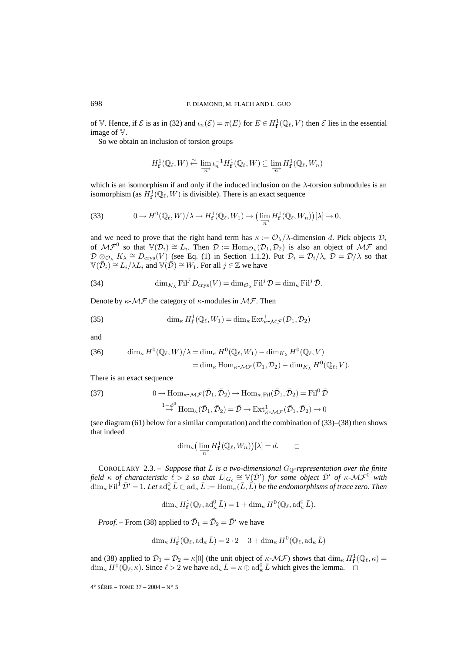of V. Hence, if  $\mathcal E$  is as in (32) and  $\iota_n(\mathcal E) = \pi(E)$  for  $E \in H^1_{\mathbf f}(\mathbb Q_\ell, V)$  then  $\mathcal E$  lies in the essential image of V.

So we obtain an inclusion of torsion groups

$$
H_{\mathbf{f}}^1(\mathbb{Q}_\ell, W) \xleftarrow{\sim} \lim_{\substack{\longrightarrow \\ n}} \iota_n^{-1} H_{\mathbf{f}}^1(\mathbb{Q}_\ell, W) \subseteq \lim_{\substack{\longrightarrow \\ n}} H_{\mathbf{f}}^1(\mathbb{Q}_\ell, W_n)
$$

which is an isomorphism if and only if the induced inclusion on the  $\lambda$ -torsion submodules is an isomorphism (as  $H^1_{\mathbf{f}}(\mathbb{Q}_\ell, W)$  is divisible). There is an exact sequence

(33) 
$$
0 \to H^0(\mathbb{Q}_\ell, W)/\lambda \to H^1_{\mathbf{f}}(\mathbb{Q}_\ell, W_1) \to \left(\varinjlim_{n} H^1_{\mathbf{f}}(\mathbb{Q}_\ell, W_n)\right)[\lambda] \to 0,
$$

and we need to prove that the right hand term has  $\kappa := \mathcal{O}_{\lambda}/\lambda$ -dimension d. Pick objects  $\mathcal{D}_i$ of  $\mathcal{MF}^0$  so that  $\mathbb{V}(\mathcal{D}_i) \cong L_i$ . Then  $\mathcal{D} := \text{Hom}_{\mathcal{O}_\lambda}(\mathcal{D}_1, \mathcal{D}_2)$  is also an object of  $\mathcal{MF}$  and  $\mathcal{D}\otimes_{\mathcal{O}_\lambda} K_\lambda \cong D_{\text{crys}}(V)$  (see Eq. (1) in Section 1.1.2). Put  $\overline{\mathcal{D}}_i = \mathcal{D}_i/\lambda$ ,  $\overline{\mathcal{D}} = \mathcal{D}/\lambda$  so that  $\mathbb{V}(\overline{\mathcal{D}}_i) \cong L_i/\lambda L_i$  and  $\mathbb{V}(\overline{\mathcal{D}}) \cong W_1$ . For all  $j \in \mathbb{Z}$  we have

(34) 
$$
\dim_{K_{\lambda}} \mathrm{Fil}^j D_{\mathrm{crys}}(V) = \dim_{\mathcal{O}_{\lambda}} \mathrm{Fil}^j \mathcal{D} = \dim_{\kappa} \mathrm{Fil}^j \bar{\mathcal{D}}.
$$

Denote by  $\kappa$ - $\mathcal{MF}$  the category of  $\kappa$ -modules in  $\mathcal{MF}$ . Then

(35) 
$$
\dim_{\kappa} H^1_{\mathbf{f}}(\mathbb{Q}_{\ell}, W_1) = \dim_{\kappa} \mathrm{Ext}^1_{\kappa - \mathcal{MF}}(\bar{\mathcal{D}}_1, \bar{\mathcal{D}}_2)
$$

and

(36) 
$$
\dim_{\kappa} H^{0}(\mathbb{Q}_{\ell}, W)/\lambda = \dim_{\kappa} H^{0}(\mathbb{Q}_{\ell}, W_{1}) - \dim_{K_{\lambda}} H^{0}(\mathbb{Q}_{\ell}, V)
$$

$$
= \dim_{\kappa} \text{Hom}_{\kappa \sim M \mathcal{F}}(\bar{\mathcal{D}}_{1}, \bar{\mathcal{D}}_{2}) - \dim_{K_{\lambda}} H^{0}(\mathbb{Q}_{\ell}, V).
$$

There is an exact sequence

(37) 
$$
0 \to \text{Hom}_{\kappa \text{-} \mathcal{M} \mathcal{F}}(\bar{\mathcal{D}}_1, \bar{\mathcal{D}}_2) \to \text{Hom}_{\kappa, \text{Fil}}(\bar{\mathcal{D}}_1, \bar{\mathcal{D}}_2) = \text{Fil}^0 \bar{\mathcal{D}}
$$

$$
\overset{1-\phi^0}{\to} \text{Hom}_{\kappa}(\bar{\mathcal{D}}_1, \bar{\mathcal{D}}_2) = \bar{\mathcal{D}} \to \text{Ext}^1_{\kappa \text{-} \mathcal{M} \mathcal{F}}(\bar{\mathcal{D}}_1, \bar{\mathcal{D}}_2) \to 0
$$

(see diagram (61) below for a similar computation) and the combination of (33)–(38) then shows that indeed

$$
\dim_{\kappa}\left(\varinjlim_{n} H_{\mathbf{f}}^1(\mathbb{Q}_{\ell}, W_n)\right)[\lambda] = d. \qquad \Box
$$

COROLLARY 2.3. – *Suppose that*  $\overline{L}$  *is a two-dimensional*  $G_{\mathbb{Q}}$ -representation over the finite  $f$ ield  $\kappa$  of characteristic  $\ell > 2$  so that  $L|_{G_{\ell}} \cong \mathbb{V}(\bar{\mathcal{D}}')$  for some object  $\bar{\mathcal{D}}'$  of  $\kappa$ -M $\mathcal{F}^0$  with  $\dim_\kappa \mathrm{Fil}^1 \, \bar{\mathcal{D}}' = 1.$  Let  $\mathrm{ad}_\kappa^0 \, \bar{L} \subset \mathrm{ad}_\kappa \, \bar{L} := \mathrm{Hom}_\kappa(\bar{L}, \bar{L})$  be the endomorphisms of trace zero. Then

$$
\dim_{\kappa} H^1_{\mathbf{f}}(\mathbb{Q}_{\ell},\mathrm{ad}_{\kappa}^0 \bar{L}) = 1 + \dim_{\kappa} H^0(\mathbb{Q}_{\ell},\mathrm{ad}_{\kappa}^0 \bar{L}).
$$

*Proof.* – From (38) applied to  $\bar{\mathcal{D}}_1 = \bar{\mathcal{D}}_2 = \bar{\mathcal{D}}'$  we have

$$
\dim _{\kappa}H_{\mathbf{f}}^1(\mathbb{Q}_{\ell},\mathrm{ad}_{\kappa}\,\bar{L})=2\cdot 2-3+\dim _{\kappa}H^0(\mathbb{Q}_{\ell},\mathrm{ad}_{\kappa}\,\bar{L})
$$

and (38) applied to  $\bar{\mathcal{D}}_1 = \bar{\mathcal{D}}_2 = \kappa[0]$  (the unit object of  $\kappa$ - $\mathcal{MF}$ ) shows that  $\dim_{\kappa} H_f^1(\mathbb{Q}_{\ell}, \kappa) =$  $\dim_{\kappa} H^0(\mathbb{Q}_{\ell}, \kappa)$ . Since  $\ell > 2$  we have  $\mathrm{ad}_{\kappa} \bar{L} = \kappa \oplus \mathrm{ad}_{\kappa}^0 \bar{L}$  which gives the lemma.  $\Box$ 

 $4^e$  SÉRIE – TOME 37 – 2004 – N° 5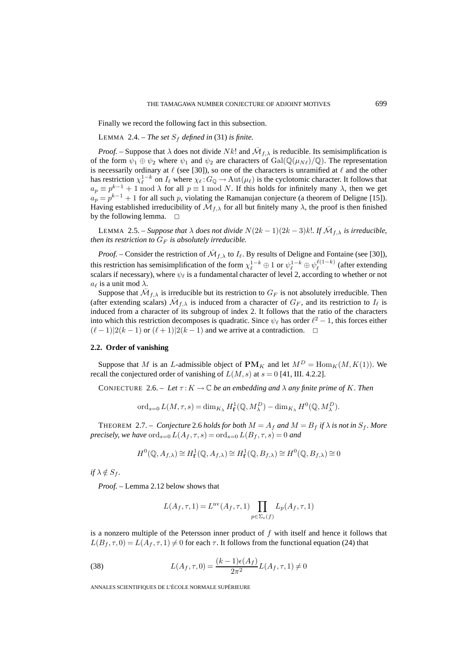Finally we record the following fact in this subsection.

LEMMA 2.4. – *The set*  $S_f$  *defined in* (31) *is finite.* 

*Proof.* – Suppose that  $\lambda$  does not divide Nk! and  $\overline{M}_{f,\lambda}$  is reducible. Its semisimplification is of the form  $\psi_1 \oplus \psi_2$  where  $\psi_1$  and  $\psi_2$  are characters of  $Gal(\mathbb{Q}(\mu_{N\ell})/\mathbb{Q})$ . The representation is necessarily ordinary at  $\ell$  (see [30]), so one of the characters is unramified at  $\ell$  and the other has restriction  $\chi_{\ell}^{1-k}$  on  $I_{\ell}$  where  $\chi_{\ell}: G_{\mathbb{Q}} \to \text{Aut}(\mu_{\ell})$  is the cyclotomic character. It follows that  $a_p \equiv p^{k-1} + 1 \mod \lambda$  for all  $p \equiv 1 \mod N$ . If this holds for infinitely many  $\lambda$ , then we get  $a_p = p^{k-1} + 1$  for all such p, violating the Ramanujan conjecture (a theorem of Deligne [15]). Having established irreducibility of  $\overline{\mathcal{M}}_{f,\lambda}$  for all but finitely many  $\lambda$ , the proof is then finished by the following lemma.  $\square$ 

LEMMA 2.5. – *Suppose that*  $\lambda$  *does not divide*  $N(2k-1)(2k-3)k!$ *. If*  $\overline{\mathcal{M}}_{f,\lambda}$  *is irreducible, then its restriction to*  $G_F$  *is absolutely irreducible.* 

*Proof.* – Consider the restriction of  $\bar{M}_{f,\lambda}$  to  $I_{\ell}$ . By results of Deligne and Fontaine (see [30]), this restriction has semisimplification of the form  $\chi_{\ell}^{1-k} \oplus 1$  or  $\psi_{\ell}^{1-k} \oplus \psi_{\ell}^{\ell(1-k)}$  $\int_{\ell}^{\ell(1-\kappa)}$  (after extending scalars if necessary), where  $\psi_{\ell}$  is a fundamental character of level 2, according to whether or not  $a_{\ell}$  is a unit mod  $\lambda$ .

Suppose that  $\overline{\mathcal{M}}_{f,\lambda}$  is irreducible but its restriction to  $G_F$  is not absolutely irreducible. Then (after extending scalars)  $\bar{M}_{f,\lambda}$  is induced from a character of  $G_F$ , and its restriction to  $I_\ell$  is induced from a character of its subgroup of index 2. It follows that the ratio of the characters into which this restriction decomposes is quadratic. Since  $\psi_{\ell}$  has order  $\ell^2 - 1$ , this forces either  $(\ell-1)|2(k-1)$  or  $(\ell+1)|2(k-1)$  and we arrive at a contradiction.  $\Box$ 

## **2.2. Order of vanishing**

Suppose that M is an L-admissible object of  $\mathbf{PM}_K$  and let  $M^D = \text{Hom}_K(M, K(1))$ . We recall the conjectured order of vanishing of  $L(M, s)$  at  $s = 0$  [41, III. 4.2.2].

CONJECTURE 2.6. – Let  $\tau: K \to \mathbb{C}$  be an embedding and  $\lambda$  any finite prime of K. Then

$$
\operatorname{ord}_{s=0} L(M,\tau,s) = \dim_{K_{\lambda}} H_{\mathbf{f}}^1(\mathbb{Q},M_{\lambda}^D) - \dim_{K_{\lambda}} H^0(\mathbb{Q},M_{\lambda}^D).
$$

THEOREM 2.7. – *Conjecture* 2.6 *holds for both*  $M = A_f$  *and*  $M = B_f$  *if*  $\lambda$  *is not in*  $S_f$ *. More precisely, we have*  $\text{ord}_{s=0} L(A_f, \tau, s) = \text{ord}_{s=0} L(B_f, \tau, s) = 0$  *and* 

$$
H^0(\mathbb{Q}, A_{f,\lambda}) \cong H^1_{\mathbf{f}}(\mathbb{Q}, A_{f,\lambda}) \cong H^1_{\mathbf{f}}(\mathbb{Q}, B_{f,\lambda}) \cong H^0(\mathbb{Q}, B_{f,\lambda}) \cong 0
$$

 $if \lambda \notin S_f$ .

*Proof. –* Lemma 2.12 below shows that

$$
L(A_f, \tau, 1) = L^{\text{nv}}(A_f, \tau, 1) \prod_{p \in \Sigma_e(f)} L_p(A_f, \tau, 1)
$$

is a nonzero multiple of the Petersson inner product of  $f$  with itself and hence it follows that  $L(B_f, \tau, 0) = L(A_f, \tau, 1) \neq 0$  for each  $\tau$ . It follows from the functional equation (24) that

(38) 
$$
L(A_f, \tau, 0) = \frac{(k-1)\epsilon(A_f)}{2\pi^2} L(A_f, \tau, 1) \neq 0
$$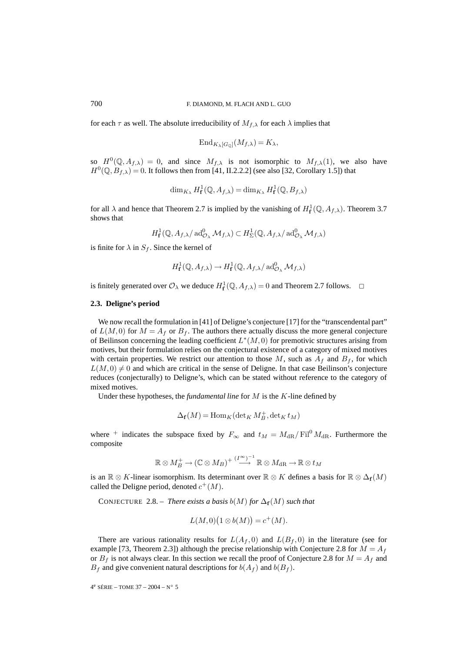for each  $\tau$  as well. The absolute irreducibility of  $M_{f,\lambda}$  for each  $\lambda$  implies that

$$
\mathrm{End}_{K_{\lambda}[G_{\mathbb{Q}}]}(M_{f,\lambda}) = K_{\lambda},
$$

so  $H^0(\mathbb{Q}, A_{f,\lambda})=0$ , and since  $M_{f,\lambda}$  is not isomorphic to  $M_{f,\lambda}(1)$ , we also have  $H^0(\mathbb{Q}, B_{f,\lambda})=0$ . It follows then from [41, II.2.2.2] (see also [32, Corollary 1.5]) that

$$
\dim_{K_{\lambda}} H^1_{\mathbf{f}}(\mathbb{Q}, A_{f,\lambda}) = \dim_{K_{\lambda}} H^1_{\mathbf{f}}(\mathbb{Q}, B_{f,\lambda})
$$

for all  $\lambda$  and hence that Theorem 2.7 is implied by the vanishing of  $H_{\mathbf{f}}^1(\mathbb{Q}, A_{f,\lambda})$ . Theorem 3.7 shows that

$$
H^1_{\mathbf{f}}(\mathbb{Q}, A_{f,\lambda}/\operatorname{ad}^0_{\mathcal{O}_\lambda} \mathcal{M}_{f,\lambda}) \subset H^1_{\Sigma}(\mathbb{Q}, A_{f,\lambda}/\operatorname{ad}^0_{\mathcal{O}_\lambda} \mathcal{M}_{f,\lambda})
$$

is finite for  $\lambda$  in  $S_f$ . Since the kernel of

$$
H^1_{\mathbf{f}}(\mathbb{Q}, A_{f,\lambda}) \to H^1_{\mathbf{f}}(\mathbb{Q}, A_{f,\lambda}/ \operatorname{ad}^0_{\mathcal{O}_{\lambda}} \mathcal{M}_{f,\lambda})
$$

is finitely generated over  $\mathcal{O}_{\lambda}$  we deduce  $H_{\mathbf{f}}^1(\mathbb{Q}, A_{f,\lambda})=0$  and Theorem 2.7 follows.  $\Box$ 

## **2.3. Deligne's period**

We now recall the formulation in [41] of Deligne's conjecture [17] for the "transcendental part" of  $L(M, 0)$  for  $M = A_f$  or  $B_f$ . The authors there actually discuss the more general conjecture of Beilinson concerning the leading coefficient  $L^*(M, 0)$  for premotivic structures arising from motives, but their formulation relies on the conjectural existence of a category of mixed motives with certain properties. We restrict our attention to those  $M$ , such as  $A_f$  and  $B_f$ , for which  $L(M, 0) \neq 0$  and which are critical in the sense of Deligne. In that case Beilinson's conjecture reduces (conjecturally) to Deligne's, which can be stated without reference to the category of mixed motives.

Under these hypotheses, the *fundamental line* for M is the K-line defined by

$$
\Delta_{\mathbf{f}}(M) = \operatorname{Hom}_{K}(\operatorname{det}_{K} M_{B}^{+}, \operatorname{det}_{K} t_{M})
$$

where <sup>+</sup> indicates the subspace fixed by  $F_{\infty}$  and  $t_M = M_{\rm dR}/\text{Fil}^0 M_{\rm dR}$ . Furthermore the composite

$$
\mathbb{R} \otimes M_B^+ \to (\mathbb{C} \otimes M_B)^+ \stackrel{(I^{\infty})^{-1}}{\longrightarrow} \mathbb{R} \otimes M_{\mathrm{dR}} \to \mathbb{R} \otimes t_M
$$

is an  $\mathbb{R} \otimes K$ -linear isomorphism. Its determinant over  $\mathbb{R} \otimes K$  defines a basis for  $\mathbb{R} \otimes \Delta_f(M)$ called the Deligne period, denoted  $c^+(M)$ .

CONJECTURE 2.8. – *There exists a basis*  $b(M)$  *for*  $\Delta_f(M)$  *such that* 

$$
L(M,0)(1 \otimes b(M)) = c^+(M).
$$

There are various rationality results for  $L(A_f, 0)$  and  $L(B_f, 0)$  in the literature (see for example [73, Theorem 2.3]) although the precise relationship with Conjecture 2.8 for  $M = A_f$ or  $B_f$  is not always clear. In this section we recall the proof of Conjecture 2.8 for  $M = A_f$  and  $B_f$  and give convenient natural descriptions for  $b(A_f)$  and  $b(B_f)$ .

4e SÉRIE – TOME 37 – 2004 – N◦ 5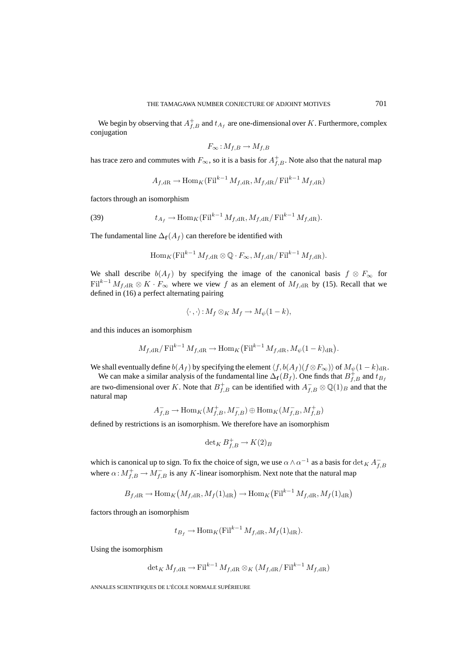We begin by observing that  $A_{f,B}^+$  and  $t_{A_f}$  are one-dimensional over K. Furthermore, complex conjugation

$$
F_{\infty}: M_{f,B} \to M_{f,B}
$$

has trace zero and commutes with  $F_{\infty}$ , so it is a basis for  $A_{f,B}^+$ . Note also that the natural map

$$
A_{f,dR} \to \text{Hom}_K(\text{Fil}^{k-1} M_{f,dR}, M_{f,dR}/\text{Fil}^{k-1} M_{f,dR})
$$

factors through an isomorphism

(39) 
$$
t_{A_f} \to \text{Hom}_K(\text{Fil}^{k-1} M_{f,\text{dR}}, M_{f,\text{dR}}/\text{Fil}^{k-1} M_{f,\text{dR}}).
$$

The fundamental line  $\Delta_f(A_f)$  can therefore be identified with

$$
\operatorname{Hom}_K(\operatorname{Fil}^{k-1} M_{f,\operatorname{dR}} \otimes \mathbb{Q} \cdot F_{\infty}, M_{f,\operatorname{dR}} / \operatorname{Fil}^{k-1} M_{f,\operatorname{dR}}).
$$

We shall describe  $b(A_f)$  by specifying the image of the canonical basis  $f \otimes F_{\infty}$  for Fil<sup>k-1</sup>  $M_{f,dR} \otimes K \cdot F_{\infty}$  where we view f as an element of  $M_{f,dR}$  by (15). Recall that we defined in (16) a perfect alternating pairing

$$
\langle \cdot \,, \cdot \rangle : M_f \otimes_K M_f \to M_{\psi}(1-k),
$$

and this induces an isomorphism

$$
M_{f,\mathrm{dR}}/\mathrm{Fil}^{k-1} M_{f,\mathrm{dR}} \to \mathrm{Hom}_K(\mathrm{Fil}^{k-1} M_{f,\mathrm{dR}}, M_{\psi}(1-k)_{\mathrm{dR}}).
$$

We shall eventually define  $b(A_f)$  by specifying the element  $\langle f, b(A_f)(f \otimes F_{\infty}) \rangle$  of  $M_{\psi}(1 - k)_{dR}$ .

We can make a similar analysis of the fundamental line  $\Delta_f(B_f)$ . One finds that  $B_{f,B}^+$  and  $t_{B_f}$ are two-dimensional over K. Note that  $B_{f,B}^+$  can be identified with  $A_{f,B}^- \otimes \mathbb{Q}(1)_B$  and that the natural map

$$
A_{f,B}^-\to\mathop{\rm Hom}\nolimits_K(M_{f,B}^+,M_{f,B}^-)\oplus\mathop{\rm Hom}\nolimits_K(M_{f,B}^-,M_{f,B}^+)
$$

defined by restrictions is an isomorphism. We therefore have an isomorphism

$$
\det\nolimits_K B^+_{f,B} \to K(2)_B
$$

which is canonical up to sign. To fix the choice of sign, we use  $\alpha \wedge \alpha^{-1}$  as a basis for  $\det_K A_{f,B}^$ where  $\alpha$ :  $M_{f,B}^+ \to M_{f,B}^-$  is any K-linear isomorphism. Next note that the natural map

$$
B_{f,dR} \to \text{Hom}_K\left(M_{f,dR}, M_f(1)_{dR}\right) \to \text{Hom}_K\left(\text{Fil}^{k-1} M_{f,dR}, M_f(1)_{dR}\right)
$$

factors through an isomorphism

$$
t_{B_f} \to \text{Hom}_K(\text{Fil}^{k-1} M_{f,\text{dR}}, M_f(1)_{\text{dR}}).
$$

Using the isomorphism

$$
\det_{K} M_{f,dR} \to \mathrm{Fil}^{k-1} M_{f,dR} \otimes_{K} (M_{f,dR}/\mathrm{Fil}^{k-1} M_{f,dR})
$$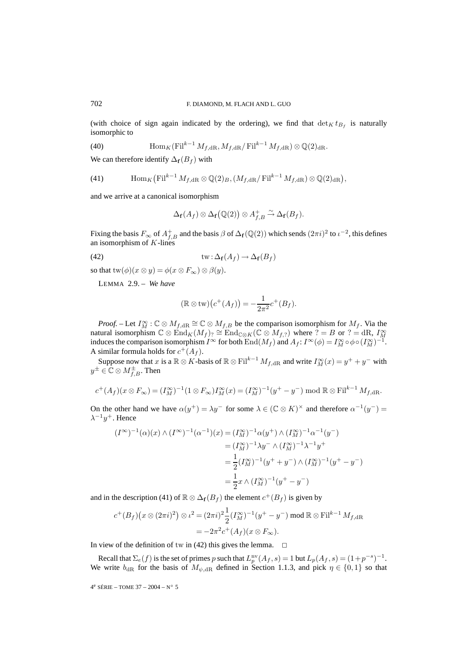(with choice of sign again indicated by the ordering), we find that  $\det_K t_{B_f}$  is naturally isomorphic to

(40) 
$$
\operatorname{Hom}_K(\operatorname{Fil}^{k-1} M_{f,\operatorname{dR}} , M_{f,\operatorname{dR}}/\operatorname{Fil}^{k-1} M_{f,\operatorname{dR}}) \otimes \mathbb{Q}(2)_{\operatorname{dR}}.
$$

We can therefore identify  $\Delta_f(B_f)$  with

(41) 
$$
\text{Hom}_K(\text{Fil}^{k-1} M_{f,\text{dR}} \otimes \mathbb{Q}(2)_B, (M_{f,\text{dR}}/\text{Fil}^{k-1} M_{f,\text{dR}}) \otimes \mathbb{Q}(2)_\text{dR}),
$$

and we arrive at a canonical isomorphism

$$
\Delta_{\mathbf{f}}(A_f) \otimes \Delta_{\mathbf{f}}(\mathbb{Q}(2)) \otimes A_{f,B}^+ \xrightarrow{\sim} \Delta_{\mathbf{f}}(B_f).
$$

Fixing the basis  $F_{\infty}$  of  $A_{f,B}^+$  and the basis  $\beta$  of  $\Delta_f(\mathbb{Q}(2))$  which sends  $(2\pi i)^2$  to  $\iota^{-2}$ , this defines an isomorphism of  $K$ -lines

(42) 
$$
\operatorname{tw} : \Delta_{\mathbf{f}}(A_f) \to \Delta_{\mathbf{f}}(B_f)
$$

so that  $\text{tw}(\phi)(x \otimes y) = \phi(x \otimes F_{\infty}) \otimes \beta(y).$ 

LEMMA 2.9. – *We have*

$$
(\mathbb{R} \otimes \text{tw})\big(c^+(A_f)\big) = -\frac{1}{2\pi^2}c^+(B_f).
$$

*Proof.* – Let  $I_M^{\infty}$ :  $\mathbb{C} \otimes M_{f, \text{dR}} \cong \mathbb{C} \otimes M_{f, B}$  be the comparison isomorphism for  $M_f$ . Via the natural isomorphism  $\mathbb{C} \otimes \text{End}_K(M_f)$ ?  $\cong \text{End}_{\mathbb{C} \otimes K}(\mathbb{C} \otimes M_{f, ?})$  where  $\mathbb{C} = B$  or  $\mathbb{C} = \text{dR}$ ,  $I^{\infty}_M$  induces the comparison isomorphism  $I^{\infty}$  for both  $\text{End}(M_f)$  and  $A_f: I^{\infty}(\phi) = I^{\infty}_M \circ \phi \circ$ A similar formula holds for  $c^+(A_f)$ .

Suppose now that x is a  $\mathbb{R} \otimes K$ -basis of  $\mathbb{R} \otimes \text{Fil}^{k-1} M_{f, \text{dR}}$  and write  $I_M^{\infty}(x) = y^+ + y^-$  with  $y^{\pm}\in\mathbb{C}\otimes M_{f,B}^{\pm}.$  Then

$$
c^+(A_f)(x \otimes F_\infty) = (I_M^{\infty})^{-1} (1 \otimes F_\infty) I_M^{\infty}(x) = (I_M^{\infty})^{-1} (y^+ - y^-) \bmod \mathbb{R} \otimes \text{Fil}^{k-1} M_{f, \text{dR}}.
$$

On the other hand we have  $\alpha(y^+) = \lambda y^-$  for some  $\lambda \in (\mathbb{C} \otimes K)^\times$  and therefore  $\alpha^{-1}(y^-) =$  $\lambda^{-1}y^+$ . Hence

$$
(I^{\infty})^{-1}(\alpha)(x) \wedge (I^{\infty})^{-1}(\alpha^{-1})(x) = (I^{\infty}_{M})^{-1}\alpha(y^{+}) \wedge (I^{\infty}_{M})^{-1}\alpha^{-1}(y^{-})
$$
  

$$
= (I^{\infty}_{M})^{-1}\lambda y^{-} \wedge (I^{\infty}_{M})^{-1}\lambda^{-1}y^{+}
$$
  

$$
= \frac{1}{2}(I^{\infty}_{M})^{-1}(y^{+} + y^{-}) \wedge (I^{\infty}_{M})^{-1}(y^{+} - y^{-})
$$
  

$$
= \frac{1}{2}x \wedge (I^{\infty}_{M})^{-1}(y^{+} - y^{-})
$$

and in the description (41) of  $\mathbb{R} \otimes \Delta_f(B_f)$  the element  $c^+(B_f)$  is given by

$$
c^{+}(B_f)(x \otimes (2\pi i)^2) \otimes \iota^2 = (2\pi i)^2 \frac{1}{2} (I_M^{\infty})^{-1} (y^+ - y^-) \bmod \mathbb{R} \otimes \mathrm{Fil}^{k-1} M_{f, \mathrm{dR}}
$$
  
=  $-2\pi^2 c^{+}(A_f)(x \otimes F_{\infty}).$ 

In view of the definition of tw in (42) this gives the lemma.  $\Box$ 

Recall that  $\Sigma_e(f)$  is the set of primes p such that  $L_p^{\text{nv}}(A_f, s) = 1$  but  $L_p(A_f, s) = (1+p^{-s})^{-1}$ . We write  $b_{\text{dR}}$  for the basis of  $M_{\psi, \text{dR}}$  defined in Section 1.1.3, and pick  $\eta \in \{0, 1\}$  so that

4e SÉRIE – TOME 37 – 2004 – N◦ 5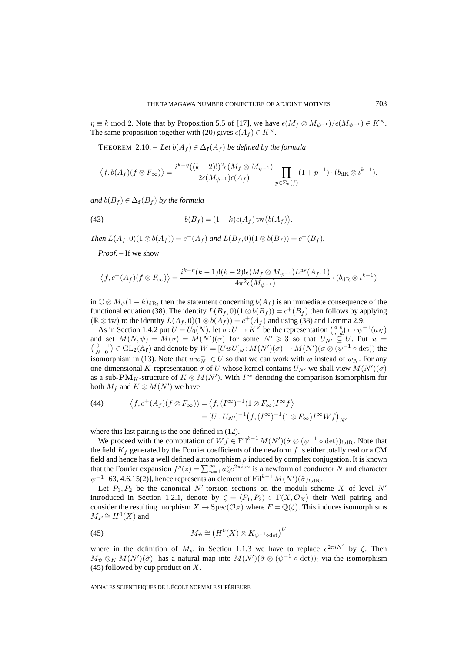$\eta \equiv k \mod 2$ . Note that by Proposition 5.5 of [17], we have  $\epsilon(M_f \otimes M_{\psi^{-1}})/\epsilon(M_{\psi^{-1}}) \in K^{\times}$ . The same proposition together with (20) gives  $\epsilon(A_f) \in K^{\times}$ .

THEOREM 2.10. – Let  $b(A_f) \in \Delta_f(A_f)$  be defined by the formula

$$
\langle f, b(A_f)(f \otimes F_{\infty}) \rangle = \frac{i^{k-\eta}((k-2)!)^2 \epsilon(M_f \otimes M_{\psi^{-1}})}{2\epsilon(M_{\psi^{-1}})\epsilon(A_f)} \prod_{p \in \Sigma_e(f)} (1+p^{-1}) \cdot (b_{\mathrm{dR}} \otimes \iota^{k-1}),
$$

*and*  $b(B_f) \in \Delta_f(B_f)$  *by the formula* 

(43) 
$$
b(B_f) = (1 - k)\epsilon(A_f)\operatorname{tw}(b(A_f)).
$$

*Then*  $L(A_f, 0)(1 \otimes b(A_f)) = c^+(A_f)$  *and*  $L(B_f, 0)(1 \otimes b(B_f)) = c^+(B_f)$ *.* 

*Proof. –* If we show

$$
\langle f, c^+(A_f)(f \otimes F_{\infty}) \rangle = \frac{i^{k-\eta}(k-1)!(k-2)! \epsilon (M_f \otimes M_{\psi^{-1}}) L^{\text{nv}}(A_f, 1)}{4\pi^2 \epsilon (M_{\psi^{-1}})} \cdot (b_{\text{dR}} \otimes \iota^{k-1})
$$

in  $\mathbb{C} \otimes M_{\psi}(1-k)_{\text{dR}}$ , then the statement concerning  $b(A_f)$  is an immediate consequence of the functional equation (38). The identity  $L(B_f, 0)(1 \otimes b(B_f)) = c^+(B_f)$  then follows by applying ( $\mathbb{R} \otimes$  tw) to the identity  $L(A_f, 0)(1 \otimes b(A_f)) = c^+(A_f)$  and using (38) and Lemma 2.9.

As in Section 1.4.2 put  $U = U_0(N)$ , let  $\sigma: U \to K^\times$  be the representation  $\begin{pmatrix} a & b \\ c & d \end{pmatrix} \mapsto \psi^{-1}(a_N)$ and set  $M(N,\psi) = M(\sigma) = M(N')(\sigma)$  for some  $N' \ge 3$  so that  $U_{N'} \subseteq U$ . Put  $w =$  $\binom{0}{N-1} \in GL_2(\mathbb{A}_f)$  and denote by  $W = [UwU]_{\omega}: M(N')(\sigma) \to M(N')(\hat{\sigma} \otimes (\psi^{-1} \circ \det))$  the isomorphism in (13). Note that  $ww_N^{-1} \in U$  so that we can work with w instead of  $w_N$ . For any one-dimensional K-representation  $\sigma$  of U whose kernel contains  $U_{N'}$  we shall view  $M(N')(\sigma)$ as a sub- $\textbf{PM}_K$ -structure of  $K \otimes M(N')$ . With  $I^{\infty}$  denoting the comparison isomorphism for both  $M_f$  and  $K \otimes M(N')$  we have

(44) 
$$
\langle f, c^+(A_f)(f \otimes F_\infty) \rangle = \langle f, (I^\infty)^{-1} (1 \otimes F_\infty) I^\infty f \rangle
$$

$$
= [U : U_{N'}]^{-1} (f, (I^\infty)^{-1} (1 \otimes F_\infty) I^\infty W f]_{N'}
$$

where this last pairing is the one defined in (12).

We proceed with the computation of  $Wf \in \text{Fil}^{k-1} M(N')(\hat{\sigma} \otimes (\psi^{-1} \circ \det))_{!, \text{dR}}$ . Note that the field  $K_f$  generated by the Fourier coefficients of the newform f is either totally real or a CM field and hence has a well defined automorphism  $\rho$  induced by complex conjugation. It is known that the Fourier expansion  $f^{\rho}(z) = \sum_{n=1}^{\infty} a_n^{\rho} e^{2\pi i z n}$  is a newform of conductor N and character  $\psi^{-1}$  [63, 4.6.15(2)], hence represents an element of Fil<sup>k-1</sup>  $M(N')(\hat{\sigma})_{!,\mathrm{dR}}$ .

Let  $P_1, P_2$  be the canonical N'-torsion sections on the moduli scheme X of level N' introduced in Section 1.2.1, denote by  $\zeta = \langle P_1, P_2 \rangle \in \Gamma(X, \mathcal{O}_X)$  their Weil pairing and consider the resulting morphism  $X \to \text{Spec}(\mathcal{O}_F)$  where  $F = \mathbb{Q}(\zeta)$ . This induces isomorphisms  $M_F \cong H^0(X)$  and

(45) 
$$
M_{\psi} \cong \left(H^{0}(X) \otimes K_{\psi^{-1} \text{odet}}\right)^{U}
$$

where in the definition of  $M_{\psi}$  in Section 1.1.3 we have to replace  $e^{2\pi i N'}$  by  $\zeta$ . Then  $M_{\psi} \otimes_K M(N')(\hat{\sigma})$ ! has a natural map into  $M(N')(\hat{\sigma} \otimes (\psi^{-1} \circ \det))$ ! via the isomorphism (45) followed by cup product on  $X$ .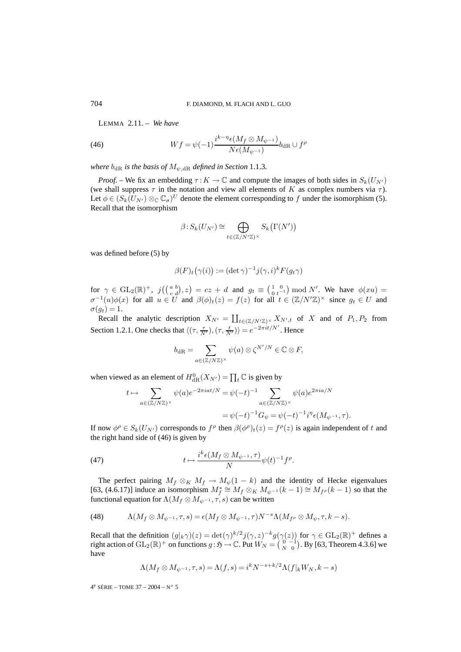LEMMA 2.11. – *We have*

(46) 
$$
Wf = \psi(-1)\frac{i^{k-\eta}\epsilon(M_f\otimes M_{\psi^{-1}})}{N\epsilon(M_{\psi^{-1}})}b_{\text{dR}}\cup f^{\rho}
$$

*where*  $b_{\text{dR}}$  *is the basis of*  $M_{\psi, \text{dR}}$  *defined in Section* 1.1.3*.* 

*Proof.* – We fix an embedding  $\tau: K \to \mathbb{C}$  and compute the images of both sides in  $S_k(U_{N'})$ (we shall suppress  $\tau$  in the notation and view all elements of K as complex numbers via  $\tau$ ). Let  $\phi \in (S_k(U_{N'})\otimes_{\mathbb{C}} \mathbb{C}_{\sigma})^U$  denote the element corresponding to f under the isomorphism (5). Recall that the isomorphism

$$
\beta: S_k(U_{N'}) \cong \bigoplus_{t \in (\mathbb{Z}/N'\mathbb{Z})^{\times}} S_k(\Gamma(N'))
$$

was defined before (5) by

$$
\beta(F)_t(\gamma(i)) := (\det \gamma)^{-1} j(\gamma, i)^k F(g_t \gamma)
$$

for  $\gamma \in GL_2(\mathbb{R})^+$ ,  $j\left(\begin{pmatrix} a & b \\ c & d \end{pmatrix}, z\right) = cz + d$  and  $g_t \equiv \begin{pmatrix} 1 & 0 \\ 0 & t^{-1} \end{pmatrix}$  mod N'. We have  $\phi(xu) =$  $\sigma^{-1}(u)\phi(x)$  for all  $u \in U$  and  $\beta(\phi)_t(z) = f(z)$  for all  $t \in (\mathbb{Z}/N'\mathbb{Z})^{\times}$  since  $g_t \in U$  and  $\sigma(g_t)=1.$ 

Recall the analytic description  $X_{N'} = \coprod_{t \in (\mathbb{Z}/N'\mathbb{Z})^{\times}} X_{N',t}$  of X and of  $P_1, P_2$  from Section 1.2.1. One checks that  $\langle (\tau, \frac{\tau}{N'}) , (\tau, \frac{t}{N'}) \rangle = e^{-2\pi it/N'}$ . Hence

$$
b_{\mathrm{dR}} = \sum_{a \in (\mathbb{Z}/N\mathbb{Z})^{\times}} \psi(a) \otimes \zeta^{N'/N} \in \mathbb{C} \otimes F,
$$

when viewed as an element of  $H^0_{\text{dR}}(X_{N'}) = \prod_t \mathbb{C}$  is given by

$$
t \mapsto \sum_{a \in (\mathbb{Z}/N\mathbb{Z})^{\times}} \psi(a) e^{-2\pi i at/N} = \psi(-t)^{-1} \sum_{a \in (\mathbb{Z}/N\mathbb{Z})^{\times}} \psi(a) e^{2\pi i a/N}
$$
  
=  $\psi(-t)^{-1} G_{\psi} = \psi(-t)^{-1} i^{\eta} \epsilon(M_{\psi^{-1}}, \tau).$ 

If now  $\phi^{\rho} \in S_k(U_{N'})$  corresponds to  $f^{\rho}$  then  $\beta(\phi^{\rho})_t(z) = f^{\rho}(z)$  is again independent of t and the right hand side of (46) is given by

(47) 
$$
t \mapsto \frac{i^k \epsilon (M_f \otimes M_{\psi^{-1}}, \tau)}{N} \psi(t)^{-1} f^{\rho}.
$$

The perfect pairing  $M_f \otimes_K M_f \to M_\psi(1 - k)$  and the identity of Hecke eigenvalues [63, (4.6.17)] induce an isomorphism  $M_f^* \cong M_f \otimes_K M_{\psi^{-1}}(k-1) \cong M_{f^{\rho}}(k-1)$  so that the functional equation for  $\Lambda(M_f \otimes M_{\psi^{-1}}, \tau, s)$  can be written

(48) 
$$
\Lambda(M_f \otimes M_{\psi^{-1}}, \tau, s) = \epsilon(M_f \otimes M_{\psi^{-1}}, \tau) N^{-s} \Lambda(M_{f^{\rho}} \otimes M_{\psi}, \tau, k-s).
$$

Recall that the definition  $(g|_k \gamma)(z) = \det(\gamma)^{k/2} j(\gamma, z)^{-k} g(\gamma(z))$  for  $\gamma \in GL_2(\mathbb{R})^+$  defines a right action of  $\mathrm{GL}_2(\mathbb{R})^+$  on functions  $g : \mathfrak{H} \to \mathbb{C}$ . Put  $W_N = \left( \begin{smallmatrix} 0 & -1 \\ N & 0 \end{smallmatrix} \right)$ . By [63, Theorem 4.3.6] we have

$$
\Lambda(M_f\otimes M_{\psi^{-1}},\tau,s)=\Lambda(f,s)=i^kN^{-s+k/2}\Lambda(f|_kW_N,k-s)
$$

 $4^e$  SÉRIE – TOME 37 – 2004 – N° 5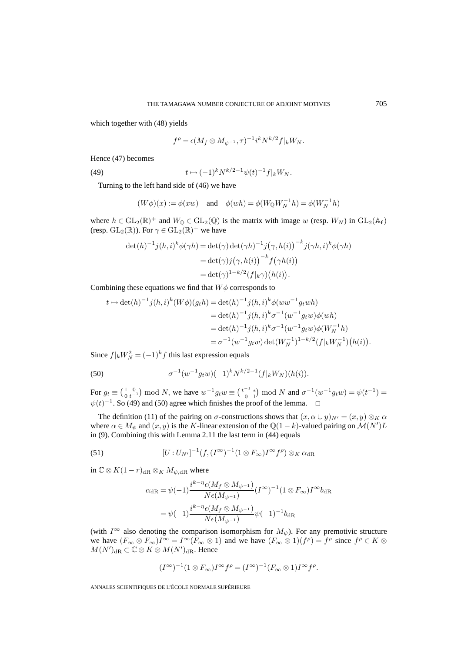which together with (48) yields

$$
f^{\rho} = \epsilon (M_f \otimes M_{\psi^{-1}}, \tau)^{-1} i^k N^{k/2} f|_k W_N.
$$

Hence (47) becomes

(49) 
$$
t \mapsto (-1)^k N^{k/2-1} \psi(t)^{-1} f|_k W_N.
$$

Turning to the left hand side of (46) we have

$$
(W\phi)(x):=\phi(xw)\quad\text{ and }\quad\phi(wh)=\phi(W_\mathbb{Q}W_N^{-1}h)=\phi(W_N^{-1}h)
$$

where  $h \in GL_2(\mathbb{R})^+$  and  $W_{\mathbb{Q}} \in GL_2(\mathbb{Q})$  is the matrix with image w (resp.  $W_N$ ) in  $GL_2(\mathbb{A}_f)$ (resp.  $GL_2(\mathbb{R})$ ). For  $\gamma \in GL_2(\mathbb{R})^+$  we have

$$
\det(h)^{-1} j(h, i)^k \phi(\gamma h) = \det(\gamma) \det(\gamma h)^{-1} j(\gamma, h(i))^{-k} j(\gamma h, i)^k \phi(\gamma h)
$$
  
= 
$$
\det(\gamma) j(\gamma, h(i))^{-k} f(\gamma h(i))
$$
  
= 
$$
\det(\gamma)^{1 - k/2} (f|_{k} \gamma) (h(i)).
$$

Combining these equations we find that  $W\phi$  corresponds to

$$
t \mapsto \det(h)^{-1} j(h, i)^k (W\phi)(g_t h) = \det(h)^{-1} j(h, i)^k \phi(ww^{-1} g_t wh)
$$
  
\n
$$
= \det(h)^{-1} j(h, i)^k \sigma^{-1}(w^{-1} g_t w) \phi(wh)
$$
  
\n
$$
= \det(h)^{-1} j(h, i)^k \sigma^{-1}(w^{-1} g_t w) \phi(W_N^{-1} h)
$$
  
\n
$$
= \sigma^{-1}(w^{-1} g_t w) \det(W_N^{-1})^{1-k/2} (f|_k W_N^{-1})(h(i)).
$$

Since  $f|_k W_N^2 = (-1)^k f$  this last expression equals

(50) 
$$
\sigma^{-1}(w^{-1}g_t w)(-1)^k N^{k/2-1}(f|_k W_N)(h(i)).
$$

For  $g_t \equiv \begin{pmatrix} 1 & 0 \\ 0 & t^{-1} \end{pmatrix}$  mod N, we have  $w^{-1} g_t w \equiv \begin{pmatrix} t^{-1} & * \\ 0 & 1 \end{pmatrix}$  $\binom{0}{0}$  and  $N$  and  $\sigma^{-1}(w^{-1}g_t w) = \psi(t^{-1}) =$  $\psi(t)^{-1}$ . So (49) and (50) agree which finishes the proof of the lemma.  $\Box$ 

The definition (11) of the pairing on  $\sigma$ -constructions shows that  $(x, \alpha \cup y)_{N'} = (x, y) \otimes_K \alpha$ where  $\alpha \in M_{\psi}$  and  $(x, y)$  is the K-linear extension of the  $\mathbb{Q}(1-k)$ -valued pairing on  $\mathcal{M}(N')L$ in (9). Combining this with Lemma 2.11 the last term in (44) equals

(51) 
$$
[U:U_{N'}]^{-1}(f,(I^{\infty})^{-1}(1\otimes F_{\infty})I^{\infty}f^{\rho})\otimes_{K}\alpha_{\mathrm{dR}}
$$

in  $\mathbb{C} \otimes K(1-r)_{\text{dR}} \otimes_K M_{\psi, \text{dR}}$  where

$$
\alpha_{\text{dR}} = \psi(-1) \frac{i^{k-\eta} \epsilon (M_f \otimes M_{\psi^{-1}})}{N \epsilon (M_{\psi^{-1}})} (I^{\infty})^{-1} (1 \otimes F_{\infty}) I^{\infty} b_{\text{dR}}
$$

$$
= \psi(-1) \frac{i^{k-\eta} \epsilon (M_f \otimes M_{\psi^{-1}})}{N \epsilon (M_{\psi^{-1}})} \psi(-1)^{-1} b_{\text{dR}}
$$

(with  $I^{\infty}$  also denoting the comparison isomorphism for  $M_{\psi}$ ). For any premotivic structure we have  $(F_{\infty} \otimes F_{\infty})I^{\infty} = I^{\infty}(F_{\infty} \otimes 1)$  and we have  $(F_{\infty} \otimes 1)(f^{\rho}) = f^{\rho}$  since  $f^{\rho} \in K \otimes I$  $M(N')_{\rm dR}\subset \mathbb{C}\otimes K\otimes M(N')_{\rm dR}$ . Hence

$$
(I^{\infty})^{-1}(1 \otimes F_{\infty})I^{\infty}f^{\rho} = (I^{\infty})^{-1}(F_{\infty} \otimes 1)I^{\infty}f^{\rho}.
$$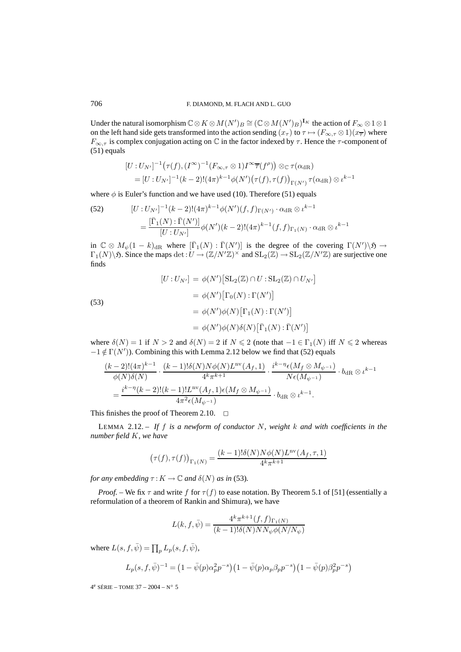Under the natural isomorphism  $\mathbb{C} \otimes K \otimes M(N')_B \cong (\mathbb{C} \otimes M(N')_B)^{\mathbf{I}_K}$  the action of  $F_{\infty} \otimes 1 \otimes 1$ on the left hand side gets transformed into the action sending  $(x_\tau)$  to  $\tau \mapsto (F_{\infty,\tau} \otimes 1)(x_{\overline{\tau}})$  where  $F_{\infty,\tau}$  is complex conjugation acting on C in the factor indexed by  $\tau$ . Hence the  $\tau$ -component of (51) equals

$$
[U:U_{N'}]^{-1}(\tau(f), (I^{\infty})^{-1}(F_{\infty,\tau}\otimes 1)I^{\infty}\overline{\tau}(f^{\rho}))\otimes_{\mathbb{C}}\tau(\alpha_{\mathrm{dR}})
$$
  
= 
$$
[U:U_{N'}]^{-1}(k-2)!(4\pi)^{k-1}\phi(N')(\tau(f),\tau(f))_{\Gamma(N')}\tau(\alpha_{\mathrm{dR}})\otimes \iota^{k-1}
$$

where  $\phi$  is Euler's function and we have used (10). Therefore (51) equals

(52) 
$$
[U:U_{N'}]^{-1}(k-2)!(4\pi)^{k-1}\phi(N')(f,f)_{\Gamma(N')} \cdot \alpha_{\text{dR}} \otimes \iota^{k-1}
$$

$$
= \frac{[\bar{\Gamma}_1(N):\bar{\Gamma}(N')]}{[U:U_{N'}]} \phi(N')(k-2)!(4\pi)^{k-1}(f,f)_{\Gamma_1(N)} \cdot \alpha_{\text{dR}} \otimes \iota^{k-1}
$$

in  $\mathbb{C} \otimes M_{\psi}(1-k)_{\text{dR}}$  where  $[\bar{\Gamma}_1(N) : \bar{\Gamma}(N')]$  is the degree of the covering  $\Gamma(N')\backslash \mathfrak{H} \to$  $\Gamma_1(N)\backslash\mathfrak{H}$ . Since the maps  $\det:U\to(\mathbb{Z}/N'\mathbb{Z})^\times$  and  $\mathrm{SL}_2(\mathbb{Z})\to\mathrm{SL}_2(\mathbb{Z}/N'\mathbb{Z})$  are surjective one finds

(53)  
\n
$$
[U:U_{N'}] = \phi(N') \left[\mathrm{SL}_{2}(\mathbb{Z}) \cap U : \mathrm{SL}_{2}(\mathbb{Z}) \cap U_{N'}\right]
$$
\n
$$
= \phi(N') \left[\Gamma_{0}(N) : \Gamma(N')\right]
$$
\n
$$
= \phi(N')\phi(N) \left[\Gamma_{1}(N) : \Gamma(N')\right]
$$
\n
$$
= \phi(N')\phi(N)\delta(N) \left[\bar{\Gamma}_{1}(N) : \bar{\Gamma}(N')\right]
$$

where  $\delta(N) = 1$  if  $N > 2$  and  $\delta(N) = 2$  if  $N \le 2$  (note that  $-1 \in \Gamma_1(N)$  iff  $N \le 2$  whereas  $-1 \notin \Gamma(N')$ ). Combining this with Lemma 2.12 below we find that (52) equals

$$
\frac{(k-2)!(4\pi)^{k-1}}{\phi(N)\delta(N)} \cdot \frac{(k-1)!\delta(N)N\phi(N)L^{nv}(A_f,1)}{4^k\pi^{k+1}} \cdot \frac{i^{k-\eta}\epsilon(M_f\otimes M_{\psi^{-1}})}{N\epsilon(M_{\psi^{-1}})} \cdot b_{\mathrm{dR}}\otimes \iota^{k-1}
$$

$$
= \frac{i^{k-\eta}(k-2)!(k-1)!L^{nv}(A_f,1)\epsilon(M_f\otimes M_{\psi^{-1}})}{4\pi^2\epsilon(M_{\psi^{-1}})} \cdot b_{\mathrm{dR}}\otimes \iota^{k-1}.
$$

This finishes the proof of Theorem 2.10.  $\Box$ 

LEMMA 2.12. – *If* f *is a newform of conductor* N*, weight* k *and with coefficients in the number field* K*, we have*

$$
\left(\tau(f),\tau(f)\right)_{\Gamma_1(N)}=\frac{(k-1)!\delta(N)N\phi(N)L^{\rm nv}(A_f,\tau,1)}{4^k\pi^{k+1}}
$$

*for any embedding*  $\tau : K \to \mathbb{C}$  *and*  $\delta(N)$  *as in* (53)*.* 

*Proof.* – We fix  $\tau$  and write f for  $\tau(f)$  to ease notation. By Theorem 5.1 of [51] (essentially a reformulation of a theorem of Rankin and Shimura), we have

$$
L(k, f, \bar{\psi}) = \frac{4^k \pi^{k+1} (f, f)_{\Gamma_1(N)}}{(k-1)!\delta(N)NN_{\psi}\phi(N/N_{\psi})}
$$

where  $L(s, f, \bar{\psi}) = \prod_p L_p(s, f, \bar{\psi}),$ 

$$
L_p(s, f, \bar{\psi})^{-1} = (1 - \bar{\psi}(p)\alpha_p^2 p^{-s}) (1 - \bar{\psi}(p)\alpha_p \beta_p p^{-s}) (1 - \bar{\psi}(p)\beta_p^2 p^{-s})
$$

 $4^e$  SÉRIE – TOME 37 – 2004 – N° 5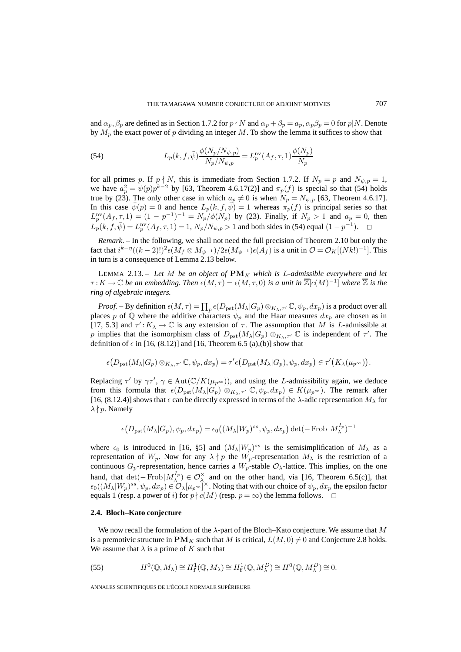and  $\alpha_p$ ,  $\beta_p$  are defined as in Section 1.7.2 for  $p \nmid N$  and  $\alpha_p + \beta_p = a_p$ ,  $\alpha_p \beta_p = 0$  for  $p \mid N$ . Denote by  $M_p$  the exact power of p dividing an integer M. To show the lemma it suffices to show that

(54) 
$$
L_p(k, f, \bar{\psi}) \frac{\phi(N_p/N_{\psi, p})}{N_p/N_{\psi, p}} = L_p^{\text{nv}}(A_f, \tau, 1) \frac{\phi(N_p)}{N_p}
$$

for all primes p. If  $p \nmid N$ , this is immediate from Section 1.7.2. If  $N_p = p$  and  $N_{\psi, p} = 1$ , we have  $a_p^2 = \psi(p)p^{k-2}$  by [63, Theorem 4.6.17(2)] and  $\pi_p(f)$  is special so that (54) holds true by (23). The only other case in which  $a_p \neq 0$  is when  $N_p = N_{\psi, p}$  [63, Theorem 4.6.17]. In this case  $\bar{\psi}(p)=0$  and hence  $L_p(k, f, \bar{\psi})=1$  whereas  $\pi_p(f)$  is principal series so that  $L_p^{\text{nv}}(A_f, \tau, 1) = (1 - p^{-1})^{-1} = N_p/\phi(N_p)$  by (23). Finally, if  $N_p > 1$  and  $a_p = 0$ , then  $L_p(k, f, \bar{\psi}) = L_p^{\text{nv}}(A_f, \tau, 1) = 1, N_p/N_{\psi, p} > 1$  and both sides in (54) equal  $(1 - p^{-1})$ .  $\Box$ 

*Remark*. – In the following, we shall not need the full precision of Theorem 2.10 but only the fact that  $i^{k-\eta}((k-2)!)^2 \epsilon(M_f \otimes M_{\psi^{-1}})/2\epsilon(M_{\psi^{-1}})\epsilon(A_f)$  is a unit in  $\mathcal{O} = \mathcal{O}_K[(Nk!)^{-1}]$ . This in turn is a consequence of Lemma 2.13 below.

LEMMA 2.13. – Let M be an object of  $PM_K$  which is L-admissible everywhere and let  $\tau: K \to \mathbb{C}$  *be an embedding. Then*  $\epsilon(M, \tau) = \epsilon(M, \tau, 0)$  *is a unit in*  $\mathbb{Z}[\epsilon(M)^{-1}]$  *where*  $\mathbb{Z}$  *is the ring of algebraic integers.*

*Proof.* – By definition  $\epsilon(M, \tau) = \prod_p \epsilon(D_{\rm pst}(M_\lambda | G_p) \otimes_{K_\lambda, \tau'} \mathbb{C}, \psi_p, dx_p)$  is a product over all places p of Q where the additive characters  $\psi_p$  and the Haar measures  $dx_p$  are chosen as in [17, 5.3] and  $\tau' : K_{\lambda} \to \mathbb{C}$  is any extension of  $\tau$ . The assumption that M is L-admissible at p implies that the isomorphism class of  $D_{\text{pst}}(M_{\lambda}|G_p) \otimes_{K_{\lambda}, \tau'} \mathbb{C}$  is independent of  $\tau'$ . The definition of  $\epsilon$  in [16, (8.12)] and [16, Theorem 6.5 (a),(b)] show that

$$
\epsilon(D_{\rm pst}(M_{\lambda}|G_p)\otimes_{K_{\lambda},\tau'}\mathbb{C},\psi_p,dx_p)=\tau'\epsilon(D_{\rm pst}(M_{\lambda}|G_p),\psi_p,dx_p)\in\tau'\bigl(K_{\lambda}(\mu_{p^{\infty}})\bigr).
$$

Replacing  $\tau'$  by  $\gamma\tau'$ ,  $\gamma \in \text{Aut}(\mathbb{C}/K(\mu_{p^{\infty}}))$ , and using the *L*-admissibility again, we deduce from this formula that  $\epsilon(D_{\text{pst}}(M_{\lambda}|G_p)\otimes_{K_{\lambda},\tau'} \mathbb{C},\psi_p,dx_p) \in K(\mu_{p^{\infty}})$ . The remark after [16, (8.12.4)] shows that  $\epsilon$  can be directly expressed in terms of the  $\lambda$ -adic representation  $M_{\lambda}$  for  $\lambda \nmid p$ . Namely

$$
\epsilon(D_{\mathrm{pst}}(M_{\lambda}|G_p), \psi_p, dx_p) = \epsilon_0((M_{\lambda}|W_p)^{ss}, \psi_p, dx_p) \det(-\operatorname{Frob}|M_{\lambda}^{I_p})^{-1}
$$

where  $\epsilon_0$  is introduced in [16, §5] and  $(M_\lambda|W_p)^{ss}$  is the semisimplification of  $M_\lambda$  as a representation of  $W_p$ . Now for any  $\lambda \nmid p$  the  $W_p$ -representation  $M_\lambda$  is the restriction of a continuous  $G_p$ -representation, hence carries a  $W_p$ -stable  $\mathcal{O}_\lambda$ -lattice. This implies, on the one hand, that  $\det(-\text{Frob}|M_\lambda^{I_p}) \in \mathcal{O}_\lambda^\times$  and on the other hand, via [16, Theorem 6.5(c)], that  $\epsilon_0((M_{\lambda}|W_p)^{ss}, \psi_p, dx_p) \in \mathcal{O}_{\lambda}[\mu_{p^{\infty}}]^{\times}$ . Noting that with our choice of  $\psi_p, dx_p$  the epsilon factor equals 1 (resp. a power of i) for  $p \nmid c(M)$  (resp.  $p = \infty$ ) the lemma follows.  $\Box$ 

#### **2.4. Bloch–Kato conjecture**

We now recall the formulation of the  $\lambda$ -part of the Bloch–Kato conjecture. We assume that M is a premotivic structure in  $\mathbf{PM}_K$  such that M is critical,  $L(M, 0) \neq 0$  and Conjecture 2.8 holds. We assume that  $\lambda$  is a prime of K such that

(55) 
$$
H^0(\mathbb{Q}, M_\lambda) \cong H^1_{\mathbf{f}}(\mathbb{Q}, M_\lambda) \cong H^1_{\mathbf{f}}(\mathbb{Q}, M_\lambda^D) \cong H^0(\mathbb{Q}, M_\lambda^D) \cong 0.
$$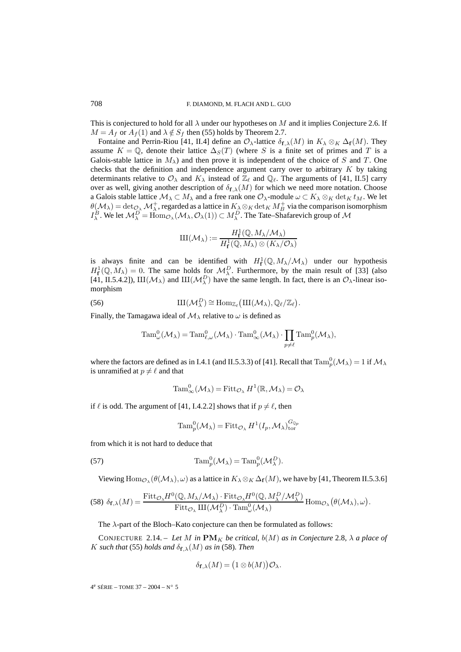This is conjectured to hold for all  $\lambda$  under our hypotheses on M and it implies Conjecture 2.6. If  $M = A_f$  or  $A_f(1)$  and  $\lambda \notin S_f$  then (55) holds by Theorem 2.7.

Fontaine and Perrin-Riou [41, II.4] define an  $\mathcal{O}_{\lambda}$ -lattice  $\delta_{\mathbf{f},\lambda}(M)$  in  $K_{\lambda} \otimes_K \Delta_{\mathbf{f}}(M)$ . They assume  $K = \mathbb{Q}$ , denote their lattice  $\Delta_S(T)$  (where S is a finite set of primes and T is a Galois-stable lattice in  $M_{\lambda}$ ) and then prove it is independent of the choice of S and T. One checks that the definition and independence argument carry over to arbitrary  $K$  by taking determinants relative to  $\mathcal{O}_\lambda$  and  $K_\lambda$  instead of  $\mathbb{Z}_\ell$  and  $\mathbb{Q}_\ell$ . The arguments of [41, II.5] carry over as well, giving another description of  $\delta_{\mathbf{f},\lambda}(M)$  for which we need more notation. Choose a Galois stable lattice  $M_\lambda \subset M_\lambda$  and a free rank one  $\mathcal{O}_\lambda$ -module  $\omega \subset K_\lambda \otimes_K \det_K t_M$ . We let  $\theta(M_{\lambda}) = \det_{\mathcal{O}_{\lambda}} \mathcal{M}_{\lambda}^{+}$ , regarded as a lattice in  $K_{\lambda} \otimes_{K} \det_{K} M_{B}^{+}$  via the comparison isomorphism  $I_\lambda^B$ . We let  $\mathcal{M}^D_\lambda = \text{Hom}_{\mathcal{O}_\lambda}(\mathcal{M}_\lambda, \mathcal{O}_\lambda(1)) \subset M_\lambda^D$ . The Tate–Shafarevich group of  $\mathcal M$ 

$$
III(\mathcal{M}_{\lambda}) := \frac{H^1_{\mathbf{f}}(\mathbb{Q}, M_{\lambda}/\mathcal{M}_{\lambda})}{H^1_{\mathbf{f}}(\mathbb{Q}, M_{\lambda}) \otimes (K_{\lambda}/\mathcal{O}_{\lambda})}
$$

is always finite and can be identified with  $H_{\mathbf{f}}^1(\mathbb{Q}, M_{\lambda}/\mathcal{M}_{\lambda})$  under our hypothesis  $H_{\mathbf{f}}^1(\mathbb{Q},M_\lambda)=0$ . The same holds for  $\mathcal{M}_\lambda^D$ . Furthermore, by the main result of [33] (also [41, II.5.4.2]),  $III(\mathcal{M}_{\lambda})$  and  $III(\mathcal{M}_{\lambda}^D)$  have the same length. In fact, there is an  $\mathcal{O}_{\lambda}$ -linear isomorphism

(56) 
$$
\mathrm{III}(\mathcal{M}_{\lambda}^D) \cong \mathrm{Hom}_{\mathbb{Z}_{\ell}}(\mathrm{III}(\mathcal{M}_{\lambda}), \mathbb{Q}_{\ell}/\mathbb{Z}_{\ell}).
$$

Finally, the Tamagawa ideal of  $\mathcal{M}_{\lambda}$  relative to  $\omega$  is defined as

$$
\mathrm{Tam}_{\omega}^0(\mathcal{M}_{\lambda}) = \mathrm{Tam}_{\ell,\omega}^0(\mathcal{M}_{\lambda}) \cdot \mathrm{Tam}_{\infty}^0(\mathcal{M}_{\lambda}) \cdot \prod_{p \neq \ell} \mathrm{Tam}_p^0(\mathcal{M}_{\lambda}),
$$

where the factors are defined as in I.4.1 (and II.5.3.3) of [41]. Recall that  $\text{Tam}_{p}^{0}(\mathcal{M}_{\lambda})=1$  if  $\mathcal{M}_{\lambda}$ is unramified at  $p \neq \ell$  and that

$$
\mathrm{Tam}_{\infty}^0(\mathcal{M}_{\lambda}) = \mathrm{Fitt}_{\mathcal{O}_{\lambda}} H^1(\mathbb{R}, \mathcal{M}_{\lambda}) = \mathcal{O}_{\lambda}
$$

if  $\ell$  is odd. The argument of [41, I.4.2.2] shows that if  $p \neq \ell$ , then

$$
\mathrm{Tam}_p^0(\mathcal{M}_\lambda) = \mathrm{Fitt}_{\mathcal{O}_\lambda} H^1(I_p, \mathcal{M}_\lambda)_{\mathrm{tor}}^{G_{\mathbb{Q}_p}}
$$

from which it is not hard to deduce that

(57) 
$$
\text{Tam}_p^0(\mathcal{M}_\lambda) = \text{Tam}_p^0(\mathcal{M}_\lambda^D).
$$

Viewing Hom<sub>O</sub>,  $(\theta(\mathcal{M}_{\lambda}), \omega)$  as a lattice in  $K_{\lambda} \otimes_K \Delta_f(M)$ , we have by [41, Theorem II.5.3.6]

$$
\text{(58) }\delta_{\mathbf{f},\lambda}(M) = \frac{\text{Fitt}_{\mathcal{O}_{\lambda}}H^0(\mathbb{Q},M_{\lambda}/\mathcal{M}_{\lambda})\cdot \text{Fitt}_{\mathcal{O}_{\lambda}}H^0(\mathbb{Q},M_{\lambda}^D/\mathcal{M}_{\lambda}^D)}{\text{Fitt}_{\mathcal{O}_{\lambda}}\amalg (\mathcal{M}_{\lambda}^D)\cdot \text{Tam}_{\omega}^0(\mathcal{M}_{\lambda})}\text{Hom}_{\mathcal{O}_{\lambda}}\big(\theta(\mathcal{M}_{\lambda}),\omega\big).
$$

The  $\lambda$ -part of the Bloch–Kato conjecture can then be formulated as follows:

CONJECTURE 2.14. – Let M in  $\text{PM}_K$  be critical,  $b(M)$  as in Conjecture 2.8,  $\lambda$  a place of K such that (55) holds and  $\delta_{\mathbf{f},\lambda}(M)$  as in (58). Then

$$
\delta_{\mathbf{f},\lambda}(M) = (1 \otimes b(M)) \mathcal{O}_{\lambda}.
$$

 $4^e$  SÉRIE – TOME 37 – 2004 – N° 5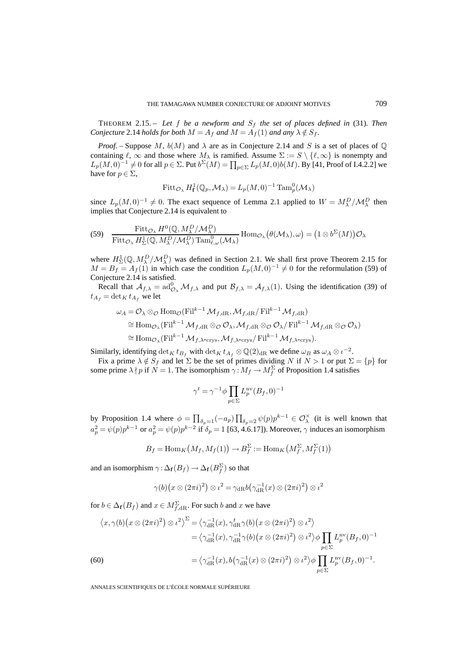THEOREM 2.15. – Let  $f$  be a newform and  $S_f$  the set of places defined in (31). Then *Conjecture* 2.14 *holds for both*  $M = A_f$  *and*  $M = A_f(1)$  *and any*  $\lambda \notin S_f$ .

*Proof.* – Suppose M,  $b(M)$  and  $\lambda$  are as in Conjecture 2.14 and S is a set of places of  $\mathbb{Q}$ containing  $\ell$ ,  $\infty$  and those where  $M_{\lambda}$  is ramified. Assume  $\Sigma := S \setminus {\ell, \infty}$  is nonempty and  $L_p(M,0)^{-1} \neq 0$  for all  $p \in \Sigma$ . Put  $b^{\Sigma}(M) = \prod_{p \in \Sigma} L_p(M,0)b(M)$ . By [41, Proof of I.4.2.2] we have for  $p \in \Sigma$ ,

$$
\mathrm{Fitt}_{\mathcal{O}_\lambda} H^1_{\mathbf{f}}(\mathbb{Q}_p, \mathcal{M}_\lambda) = L_p(M, 0)^{-1} \mathrm{Tam}_p^0(\mathcal{M}_\lambda)
$$

since  $L_p(M,0)^{-1} \neq 0$ . The exact sequence of Lemma 2.1 applied to  $W = M_\lambda^D/M_\lambda^D$  then implies that Conjecture 2.14 is equivalent to

(59) 
$$
\frac{\text{Fitt}_{\mathcal{O}_{\lambda}} H^0(\mathbb{Q}, M_{\lambda}^D/M_{\lambda}^D)}{\text{Fitt}_{\mathcal{O}_{\lambda}} H_{\Sigma}^1(\mathbb{Q}, M_{\lambda}^D/M_{\lambda}^D) \text{{Tam}_{\ell,\omega}^0(M_{\lambda})} \text{Hom}_{\mathcal{O}_{\lambda}}(\theta(\mathcal{M}_{\lambda}), \omega) = (1 \otimes b^{\Sigma}(M)) \mathcal{O}_{\lambda}
$$

where  $H_2^1(\mathbb{Q}, M_\lambda^D/M_\lambda^D)$  was defined in Section 2.1. We shall first prove Theorem 2.15 for  $M = B_f = A_f(1)$  in which case the condition  $L_p(M, 0)^{-1} \neq 0$  for the reformulation (59) of Conjecture 2.14 is satisfied.

Recall that  $A_{f,\lambda} = \text{ad}_{\mathcal{O}_{\lambda}}^0 \mathcal{M}_{f,\lambda}$  and put  $\mathcal{B}_{f,\lambda} = \mathcal{A}_{f,\lambda}(1)$ . Using the identification (39) of  $t_{A_f} = \det_K t_{A_f}$  we let

$$
\omega_A = \mathcal{O}_{\lambda} \otimes_{\mathcal{O}} \text{Hom}_{\mathcal{O}}(\text{Fil}^{k-1} \mathcal{M}_{f, \text{dR}}, \mathcal{M}_{f, \text{dR}}/\text{Fil}^{k-1} \mathcal{M}_{f, \text{dR}})
$$
  
\n
$$
\cong \text{Hom}_{\mathcal{O}_{\lambda}}(\text{Fil}^{k-1} \mathcal{M}_{f, \text{dR}} \otimes_{\mathcal{O}} \mathcal{O}_{\lambda}, \mathcal{M}_{f, \text{dR}} \otimes_{\mathcal{O}} \mathcal{O}_{\lambda}/\text{Fil}^{k-1} \mathcal{M}_{f, \text{dR}} \otimes_{\mathcal{O}} \mathcal{O}_{\lambda})
$$
  
\n
$$
\cong \text{Hom}_{\mathcal{O}_{\lambda}}(\text{Fil}^{k-1} \mathcal{M}_{f, \lambda-\text{crys}}, \mathcal{M}_{f, \lambda-\text{crys}}/\text{Fil}^{k-1} \mathcal{M}_{f, \lambda-\text{crys}}).
$$

Similarly, identifying  $\det_K t_{B_f}$  with  $\det_K t_{A_f} \otimes \mathbb{Q}(2)_{\text{dR}}$  we define  $\omega_B$  as  $\omega_A \otimes \iota^{-2}$ .

Fix a prime  $\lambda \notin S_f$  and let  $\Sigma$  be the set of primes dividing N if  $N > 1$  or put  $\Sigma = \{p\}$  for some prime  $\lambda \nmid p$  if  $N = 1$ . The isomorphism  $\gamma : M_f \to M_f^{\Sigma}$  of Proposition 1.4 satisfies

$$
\gamma^t = \gamma^{-1} \phi \prod_{p \in \Sigma} L_p^{\text{nv}}(B_f, 0)^{-1}
$$

by Proposition 1.4 where  $\phi = \prod_{\delta_p=1} (-a_p) \prod_{\delta_p=2} \psi(p) p^{k-1} \in \mathcal{O}_\lambda^\times$  (it is well known that  $a_p^2 = \psi(p)p^{k-1}$  or  $a_p^2 = \psi(p)p^{k-2}$  if  $\delta_p = 1$  [63, 4.6.17]). Moreover,  $\gamma$  induces an isomorphism

$$
B_f = \text{Hom}_K\big(M_f, M_f(1)\big) \to B_f^{\Sigma} := \text{Hom}_K\big(M_f^{\Sigma}, M_f^{\Sigma}(1)\big)
$$

and an isomorphism  $\gamma$  :  $\Delta_{\mathbf{f}}(B_f) \to \Delta_{\mathbf{f}}(B_f^\Sigma)$  so that

$$
\gamma(b)\big(x\otimes(2\pi i)^2\big)\otimes\iota^2=\gamma_{\mathrm{dR}}b\big(\gamma_{\mathrm{dR}}^{-1}(x)\otimes(2\pi i)^2\big)\otimes\iota^2
$$

for  $b \in \Delta_f(B_f)$  and  $x \in M_{f, \mathrm{dR}}^{\Sigma}$ . For such b and x we have

$$
\langle x, \gamma(b)(x \otimes (2\pi i)^2) \otimes \iota^2 \rangle^{\Sigma} = \langle \gamma_{\text{dR}}^{-1}(x), \gamma_{\text{dR}}^t \gamma(b)(x \otimes (2\pi i)^2) \otimes \iota^2 \rangle
$$
  
\n
$$
= \langle \gamma_{\text{dR}}^{-1}(x), \gamma_{\text{dR}}^{-1} \gamma(b)(x \otimes (2\pi i)^2) \otimes \iota^2 \rangle \phi \prod_{p \in \Sigma} L_p^{\text{nv}}(B_f, 0)^{-1}
$$
  
\n(60)  
\n
$$
= \langle \gamma_{\text{dR}}^{-1}(x), b(\gamma_{\text{dR}}^{-1}(x) \otimes (2\pi i)^2) \otimes \iota^2 \rangle \phi \prod_{p \in \Sigma} L_p^{\text{nv}}(B_f, 0)^{-1}.
$$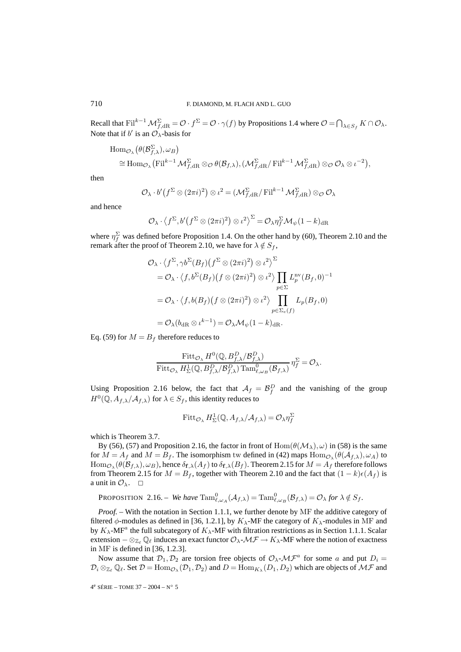Recall that  $\mathrm{Fil}^{k-1}\mathcal{M}_{f,\mathrm{dR}}^{\Sigma}=\mathcal{O}\cdot f^{\Sigma}=\mathcal{O}\cdot\gamma(f)$  by Propositions 1.4 where  $\mathcal{O}=\bigcap_{\lambda\in S_f}K\cap\mathcal{O}_\lambda$ . Note that if  $b'$  is an  $\mathcal{O}_{\lambda}$ -basis for

$$
\text{Hom}_{\mathcal{O}_\lambda}(\theta(\mathcal{B}_{f,\lambda}^{\Sigma}), \omega_B)
$$
  

$$
\cong \text{Hom}_{\mathcal{O}_\lambda}(\text{Fil}^{k-1}\mathcal{M}_{f,\text{dR}}^{\Sigma}\otimes_{\mathcal{O}}\theta(\mathcal{B}_{f,\lambda}), (\mathcal{M}_{f,\text{dR}}^{\Sigma}/\text{Fil}^{k-1}\mathcal{M}_{f,\text{dR}}^{\Sigma})\otimes_{\mathcal{O}}\mathcal{O}_\lambda\otimes\iota^{-2}),
$$

then

$$
\mathcal{O}_{\lambda} \cdot b' \big( f^{\Sigma} \otimes (2\pi i)^2 \big) \otimes \iota^2 = (\mathcal{M}_{f, \mathrm{dR}}^{\Sigma} / \mathrm{Fil}^{k-1} \mathcal{M}_{f, \mathrm{dR}}^{\Sigma}) \otimes_{\mathcal{O}} \mathcal{O}_{\lambda}
$$

and hence

$$
\mathcal{O}_{\lambda} \cdot \left\langle f^{\Sigma}, b'(f^{\Sigma} \otimes (2\pi i)^2) \otimes t^2 \right\rangle^{\Sigma} = \mathcal{O}_{\lambda} \eta_f^{\Sigma} \mathcal{M}_{\psi} (1 - k)_{\mathrm{dR}}
$$

where  $\eta_f^{\Sigma}$  was defined before Proposition 1.4. On the other hand by (60), Theorem 2.10 and the remark after the proof of Theorem 2.10, we have for  $\lambda \notin S_f$ ,

$$
\mathcal{O}_{\lambda} \cdot \left\langle f^{\Sigma}, \gamma b^{\Sigma}(B_f) \left( f^{\Sigma} \otimes (2\pi i)^2 \right) \otimes \iota^2 \right\rangle^{\Sigma}
$$
\n
$$
= \mathcal{O}_{\lambda} \cdot \left\langle f, b^{\Sigma}(B_f) \left( f \otimes (2\pi i)^2 \right) \otimes \iota^2 \right\rangle \prod_{p \in \Sigma} L_p^{\text{nv}}(B_f, 0)^{-1}
$$
\n
$$
= \mathcal{O}_{\lambda} \cdot \left\langle f, b(B_f) \left( f \otimes (2\pi i)^2 \right) \otimes \iota^2 \right\rangle \prod_{p \in \Sigma_e(f)} L_p(B_f, 0)
$$
\n
$$
= \mathcal{O}_{\lambda}(b_{\text{dR}} \otimes \iota^{k-1}) = \mathcal{O}_{\lambda} \mathcal{M}_{\psi}(1 - k)_{\text{dR}}.
$$

Eq. (59) for  $M = B_f$  therefore reduces to

$$
\frac{\text{Fitt}_{\mathcal{O}_{\lambda}} H^0(\mathbb{Q}, B_{f,\lambda}^P/B_{f,\lambda}^P)}{\text{Fitt}_{\mathcal{O}_{\lambda}} H^1_{\Sigma}(\mathbb{Q}, B_{f,\lambda}^P/B_{f,\lambda}^P) \text{ Tam}_{\ell,\omega_B}^0(\mathcal{B}_{f,\lambda})} \eta_f^{\Sigma} = \mathcal{O}_{\lambda}.
$$

Using Proposition 2.16 below, the fact that  $A_f = B_f^D$  and the vanishing of the group  $H^0(\mathbb{Q}, A_{f,\lambda}/\mathcal{A}_{f,\lambda})$  for  $\lambda \in S_f$ , this identity reduces to

$$
\text{Fitt}_{\mathcal{O}_{\lambda}} H_{\Sigma}^1(\mathbb{Q}, A_{f,\lambda}/\mathcal{A}_{f,\lambda}) = \mathcal{O}_{\lambda} \eta_f^{\Sigma}
$$

which is Theorem 3.7.

By (56), (57) and Proposition 2.16, the factor in front of  $Hom(\theta(\mathcal{M}_{\lambda}), \omega)$  in (58) is the same for  $M = A_f$  and  $M = B_f$ . The isomorphism tw defined in (42) maps  $\text{Hom}_{\mathcal{O}_\lambda}(\theta(\mathcal{A}_{f,\lambda}), \omega_A)$  to  $\text{Hom}_{\mathcal{O}_\lambda}(\theta(\mathcal{B}_{f,\lambda}), \omega_B)$ , hence  $\delta_{\mathbf{f},\lambda}(A_f)$  to  $\delta_{\mathbf{f},\lambda}(B_f)$ . Theorem 2.15 for  $M = A_f$  therefore follows from Theorem 2.15 for  $M = B_f$ , together with Theorem 2.10 and the fact that  $(1 - k)\epsilon(A_f)$  is a unit in  $\mathcal{O}_\lambda$ .  $\Box$ 

PROPOSITION 2.16. – We have 
$$
\text{Tam}_{\ell,\omega_A}^0(\mathcal{A}_{f,\lambda}) = \text{Tam}_{\ell,\omega_B}^0(\mathcal{B}_{f,\lambda}) = \mathcal{O}_{\lambda}
$$
 for  $\lambda \notin S_f$ .

*Proof.* – With the notation in Section 1.1.1, we further denote by MF the additive category of filtered  $\phi$ -modules as defined in [36, 1.2.1], by  $K_{\lambda}$ -MF the category of  $K_{\lambda}$ -modules in MF and by  $K_{\lambda}$ -MF<sup>a</sup> the full subcategory of  $K_{\lambda}$ -MF with filtration restrictions as in Section 1.1.1. Scalar extension  $-\otimes_{\mathbb{Z}_\ell} \mathbb{Q}_\ell$  induces an exact functor  $\mathcal{O}_\lambda$ - $\mathcal{MF}\to K_\lambda$ -MF where the notion of exactness in MF is defined in [36, 1.2.3].

Now assume that  $\mathcal{D}_1, \mathcal{D}_2$  are torsion free objects of  $\mathcal{O}_{\lambda}$ - $\mathcal{MF}^a$  for some a and put  $D_i =$  $\mathcal{D}_i \otimes_{\mathbb{Z}_\ell} \mathbb{Q}_\ell$ . Set  $\mathcal{D} = \text{Hom}_{\mathcal{O}_\lambda}(\mathcal{D}_1, \mathcal{D}_2)$  and  $D = \text{Hom}_{K_\lambda}(D_1, D_2)$  which are objects of  $\mathcal{MF}$  and

4e SÉRIE – TOME 37 – 2004 – N◦ 5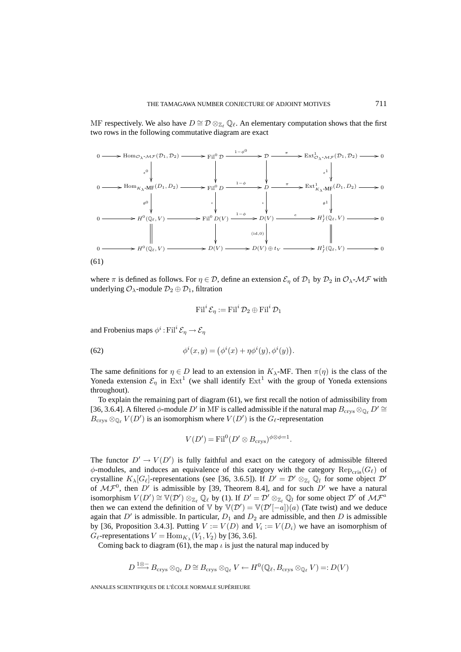MF respectively. We also have  $D \cong \mathcal{D} \otimes_{\mathbb{Z}_{\ell}} \mathbb{Q}_{\ell}$ . An elementary computation shows that the first two rows in the following commutative diagram are exact



where  $\pi$  is defined as follows. For  $\eta \in \mathcal{D}$ , define an extension  $\mathcal{E}_{\eta}$  of  $\mathcal{D}_1$  by  $\mathcal{D}_2$  in  $\mathcal{O}_{\lambda}$ - $\mathcal{MF}$  with underlying  $\mathcal{O}_{\lambda}$ -module  $\mathcal{D}_2 \oplus \mathcal{D}_1$ , filtration

$$
\operatorname{Fil}^i \mathcal{E}_{\eta} := \operatorname{Fil}^i \mathcal{D}_2 \oplus \operatorname{Fil}^i \mathcal{D}_1
$$

and Frobenius maps  $\phi^i$ : Fil<sup>i</sup>  $\mathcal{E}_n \rightarrow \mathcal{E}_n$ 

(62) 
$$
\phi^{i}(x, y) = (\phi^{i}(x) + \eta \phi^{i}(y), \phi^{i}(y)).
$$

The same definitions for  $\eta \in D$  lead to an extension in  $K_{\lambda}$ -MF. Then  $\pi(\eta)$  is the class of the Yoneda extension  $\mathcal{E}_n$  in Ext<sup>1</sup> (we shall identify Ext<sup>1</sup> with the group of Yoneda extensions throughout).

To explain the remaining part of diagram (61), we first recall the notion of admissibility from [36, 3.6.4]. A filtered  $\phi$ -module D' in MF is called admissible if the natural map  $B_{\text{crys}} \otimes_{\mathbb{Q}_\ell} D' \cong$  $B_{\text{crys}} \otimes_{\mathbb{Q}_\ell} V(D')$  is an isomorphism where  $V(D')$  is the  $G_\ell$ -representation

$$
V(D') = \text{Fil}^0(D' \otimes B_{\text{crys}})^{\phi \otimes \phi = 1}.
$$

The functor  $D' \to V(D')$  is fully faithful and exact on the category of admissible filtered  $\phi$ -modules, and induces an equivalence of this category with the category  $\text{Rep}_{\text{cris}}(G_{\ell})$  of crystalline  $K_{\lambda}[G_{\ell}]$ -representations (see [36, 3.6.5]). If  $D' = \mathcal{D}' \otimes_{\mathbb{Z}_l} \mathbb{Q}_l$  for some object  $\mathcal{D}'$ of  $\mathcal{MF}^0$ , then  $D'$  is admissible by [39, Theorem 8.4], and for such  $D'$  we have a natural isomorphism  $V(D') \cong V(D') \otimes_{\mathbb{Z}_{\ell}} \mathbb{Q}_{\ell}$  by (1). If  $D' = \mathcal{D}' \otimes_{\mathbb{Z}_{\ell}} \mathbb{Q}_{\ell}$  for some object  $\mathcal{D}'$  of  $\mathcal{MF}^a$ then we can extend the definition of  $\mathbb{V}$  by  $\mathbb{V}(\mathcal{D}') = \mathbb{V}(\mathcal{D}'[-a])(a)$  (Tate twist) and we deduce again that  $D'$  is admissible. In particular,  $D_1$  and  $D_2$  are admissible, and then  $D$  is admissible by [36, Proposition 3.4.3]. Putting  $V := V(D)$  and  $V_i := V(D_i)$  we have an isomorphism of  $G_{\ell}$ -representations  $V = \text{Hom}_{K_{\lambda}}(V_1, V_2)$  by [36, 3.6].

Coming back to diagram (61), the map  $\iota$  is just the natural map induced by

$$
D \stackrel{1\otimes -}{\longrightarrow} B_{\text{crys}} \otimes_{\mathbb{Q}_{\ell}} D \cong B_{\text{crys}} \otimes_{\mathbb{Q}_{\ell}} V \leftarrow H^0(\mathbb{Q}_{\ell}, B_{\text{crys}} \otimes_{\mathbb{Q}_{\ell}} V) =: D(V)
$$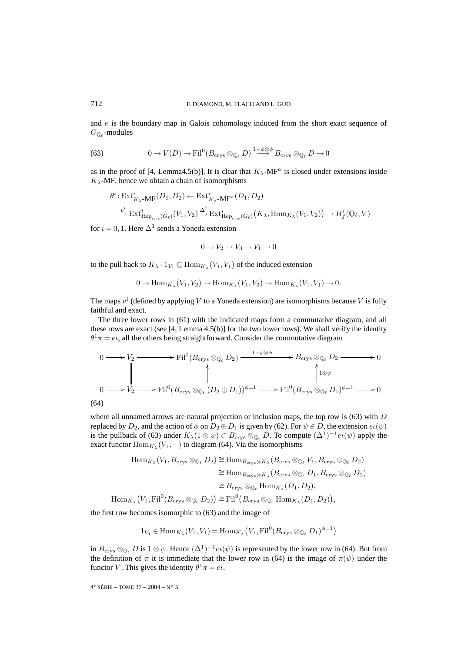and  $e$  is the boundary map in Galois cohomology induced from the short exact sequence of  $G_{\mathbb{Q}_{\ell}}$ -modules

(63) 
$$
0 \to V(D) \to \mathrm{Fil}^0(B_{\mathrm{crys}} \otimes_{\mathbb{Q}_\ell} D)^{1-\phi \otimes \phi} B_{\mathrm{crys}} \otimes_{\mathbb{Q}_\ell} D \to 0
$$

as in the proof of [4, Lemma4.5(b)]. It is clear that  $K_{\lambda}$ -MF<sup>a</sup> is closed under extensions inside  $K_{\lambda}$ -MF, hence we obtain a chain of isomorphisms

$$
\theta^i: \operatorname{Ext}^i_{K_{\lambda}} \text{-MF}(D_1, D_2) \leftarrow \operatorname{Ext}^i_{K_{\lambda}} \text{-MF}^a(D_1, D_2)
$$
\n
$$
\xrightarrow{v^i} \operatorname{Ext}^i_{\operatorname{Rep}_{\operatorname{cris}}(G_{\ell})}(V_1, V_2) \xrightarrow{\Delta^i} \operatorname{Ext}^i_{\operatorname{Rep}_{\operatorname{cris}}(G_{\ell})}(K_{\lambda}, \operatorname{Hom}_{K_{\lambda}}(V_1, V_2)) \rightarrow H^i_f(\mathbb{Q}_{\ell}, V)
$$

for  $i = 0, 1$ . Here  $\Delta^1$  sends a Yoneda extension

$$
0 \to V_2 \to V_3 \to V_1 \to 0
$$

to the pull back to  $K_{\lambda} \cdot 1_{V_1} \subseteq \text{Hom}_{K_{\lambda}}(V_1, V_1)$  of the induced extension

$$
0 \to \text{Hom}_{K_{\lambda}}(V_1, V_2) \to \text{Hom}_{K_{\lambda}}(V_1, V_3) \to \text{Hom}_{K_{\lambda}}(V_1, V_1) \to 0.
$$

The maps  $v^i$  (defined by applying V to a Yoneda extension) are isomorphisms because V is fully faithful and exact.

The three lower rows in (61) with the indicated maps form a commutative diagram, and all these rows are exact (see [4, Lemma 4.5(b)] for the two lower rows). We shall verify the identity  $\theta^1 \pi = e \iota$ , all the others being straightforward. Consider the commutative diagram

$$
0 \longrightarrow V_2 \longrightarrow \text{Fil}^0(B_{\text{crys}} \otimes_{\mathbb{Q}_\ell} D_2) \longrightarrow B_{\text{crys}} \otimes_{\mathbb{Q}_\ell} D_2 \longrightarrow 0
$$
  
\n
$$
\downarrow 0 \longrightarrow V_2 \longrightarrow \text{Fil}^0(B_{\text{crys}} \otimes_{\mathbb{Q}_\ell} (D_2 \oplus D_1))^{\phi=1} \longrightarrow \text{Fil}^0(B_{\text{crys}} \otimes_{\mathbb{Q}_\ell} D_1)^{\phi=1} \longrightarrow 0
$$
  
\n(64)

where all unnamed arrows are natural projection or inclusion maps, the top row is  $(63)$  with D replaced by  $D_2$ , and the action of  $\phi$  on  $D_2 \oplus D_1$  is given by (62). For  $\psi \in D$ , the extension  $e\iota(\psi)$ is the pullback of (63) under  $K_\lambda(1 \otimes \psi) \subset B_{\text{crys}} \otimes_{\mathbb{Q}_\ell} D$ . To compute  $(\Delta^1)^{-1}e(\psi)$  apply the exact functor  $\text{Hom}_{K_{\lambda}}(V_1,-)$  to diagram (64). Via the isomorphisms

$$
\text{Hom}_{K_{\lambda}}(V_1, B_{\text{crys}} \otimes_{\mathbb{Q}_{\ell}} D_2) \cong \text{Hom}_{B_{\text{crys}} \otimes K_{\lambda}}(B_{\text{crys}} \otimes_{\mathbb{Q}_{\ell}} V_1, B_{\text{crys}} \otimes_{\mathbb{Q}_{\ell}} D_2)
$$
  
\n
$$
\cong \text{Hom}_{B_{\text{crys}} \otimes K_{\lambda}}(B_{\text{crys}} \otimes_{\mathbb{Q}_{\ell}} D_1, B_{\text{crys}} \otimes_{\mathbb{Q}_{\ell}} D_2)
$$
  
\n
$$
\cong B_{\text{crys}} \otimes_{\mathbb{Q}_{\ell}} \text{Hom}_{K_{\lambda}}(D_1, D_2),
$$
  
\n
$$
\text{Hom}_{K_{\lambda}}(V_1, \text{Fil}^0(B_{\text{crys}} \otimes_{\mathbb{Q}_{\ell}} D_2)) \cong \text{Fil}^0(B_{\text{crys}} \otimes_{\mathbb{Q}_{\ell}} \text{Hom}_{K_{\lambda}}(D_1, D_2)),
$$

the first row becomes isomorphic to (63) and the image of

$$
1_{V_1} \in \text{Hom}_{K_{\lambda}}(V_1, V_1) = \text{Hom}_{K_{\lambda}}(V_1, \text{Fil}^0(B_{\text{crys}} \otimes_{\mathbb{Q}_\ell} D_1)^{\phi=1})
$$

in  $B_{\text{crys}} \otimes_{\mathbb{Q}_\ell} D$  is  $1 \otimes \psi$ . Hence  $(\Delta^1)^{-1}e(\psi)$  is represented by the lower row in (64). But from the definition of  $\pi$  it is immediate that the lower row in (64) is the image of  $\pi(\psi)$  under the functor V. This gives the identity  $\theta^1 \pi = e \iota$ .

4<sup>e</sup> SÉRIE – TOME 37 – 2004 – N° 5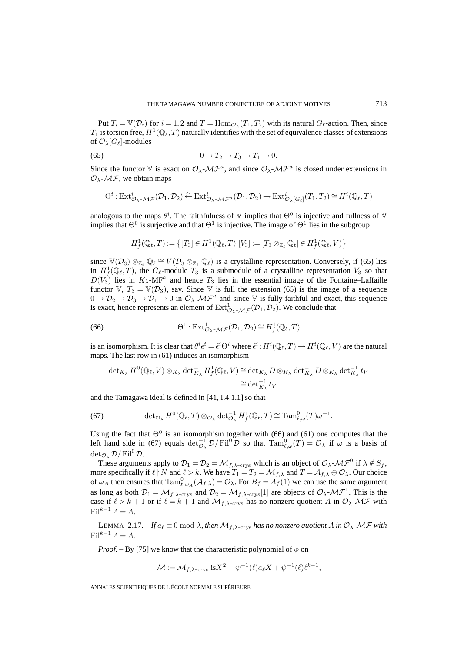Put  $T_i = \mathbb{V}(\mathcal{D}_i)$  for  $i = 1, 2$  and  $T = \text{Hom}_{\mathcal{O}_\lambda}(T_1, T_2)$  with its natural  $G_\ell$ -action. Then, since  $T_1$  is torsion free,  $H^1(\mathbb{Q}_\ell,T)$  naturally identifies with the set of equivalence classes of extensions of  $\mathcal{O}_{\lambda}[G_{\ell}]$ -modules

$$
(65) \t\t 0 \to T_2 \to T_3 \to T_1 \to 0.
$$

Since the functor V is exact on  $\mathcal{O}_{\lambda}$ - $\mathcal{MF}^a$ , and since  $\mathcal{O}_{\lambda}$ - $\mathcal{MF}^a$  is closed under extensions in  $\mathcal{O}_{\lambda}$ - $\mathcal{MF}$ , we obtain maps

$$
\Theta^i: \mathrm{Ext}^i_{\mathcal{O}_\lambda\text{-}\mathcal{MF}}(\mathcal{D}_1, \mathcal{D}_2)\xleftarrow{\sim} \mathrm{Ext}^i_{\mathcal{O}_\lambda\text{-}\mathcal{MF}^a}(\mathcal{D}_1, \mathcal{D}_2)\to \mathrm{Ext}^i_{\mathcal{O}_\lambda[G_\ell]}(T_1, T_2)\cong H^i(\mathbb{Q}_\ell, T)
$$

analogous to the maps  $\theta^i$ . The faithfulness of  $\mathbb {V}$  implies that  $\Theta^0$  is injective and fullness of  $\mathbb {V}$ implies that  $\Theta^0$  is surjective and that  $\Theta^1$  is injective. The image of  $\Theta^1$  lies in the subgroup

$$
H^1_f(\mathbb{Q}_{\ell},T):=\left\{[T_3]\in H^1(\mathbb{Q}_{\ell},T)|[V_3]:=[T_3\otimes_{\mathbb{Z}_{\ell}}\mathbb{Q}_{\ell}]\in H^1_f(\mathbb{Q}_{\ell},V)\right\}
$$

since  $\mathbb{V}(\mathcal{D}_3) \otimes_{\mathbb{Z}_{\ell}} \mathbb{Q}_{\ell} \cong V(\mathcal{D}_3 \otimes_{\mathbb{Z}_{\ell}} \mathbb{Q}_{\ell})$  is a crystalline representation. Conversely, if (65) lies in  $H^1_f(\mathbb{Q}_\ell,T)$ , the  $G_\ell$ -module  $T_3$  is a submodule of a crystalline representation  $V_3$  so that  $D(V_3)$  lies in  $K_\lambda$ -MF<sup>a</sup> and hence  $T_3$  lies in the essential image of the Fontaine–Laffaille functor V,  $T_3 = V(\mathcal{D}_3)$ , say. Since V is full the extension (65) is the image of a sequence  $0 \to \mathcal{D}_2 \to \mathcal{D}_3 \to \mathcal{D}_1 \to 0$  in  $\mathcal{O}_{\lambda}$ - $\mathcal{MF}^a$  and since V is fully faithful and exact, this sequence is exact, hence represents an element of  $\mathrm{Ext}^1_{\mathcal{O}_{\lambda}^{-}\mathcal{MF}}(\mathcal{D}_1,\mathcal{D}_2)$ . We conclude that

(66) 
$$
\Theta^1: \text{Ext}^1_{\mathcal{O}_{\lambda} \text{-}\mathcal{MF}}(\mathcal{D}_1, \mathcal{D}_2) \cong H^1_f(\mathbb{Q}_{\ell}, T)
$$

is an isomorphism. It is clear that  $\theta^i \epsilon^i = \tilde{\epsilon}^i \Theta^i$  where  $\tilde{\epsilon}^i$  :  $H^i(\mathbb{Q}_\ell,T) \to H^i(\mathbb{Q}_\ell,V)$  are the natural maps. The last row in (61) induces an isomorphism

$$
\det_{K_{\lambda}} H^{0}(\mathbb{Q}_{\ell}, V) \otimes_{K_{\lambda}} \det_{K_{\lambda}}^{-1} H^{1}_{f}(\mathbb{Q}_{\ell}, V) \cong \det_{K_{\lambda}} D \otimes_{K_{\lambda}} \det_{K_{\lambda}}^{-1} D \otimes_{K_{\lambda}} \det_{K_{\lambda}}^{-1} t_{V}
$$

$$
\cong \det_{K_{\lambda}}^{-1} t_{V}
$$

and the Tamagawa ideal is defined in [41, I.4.1.1] so that

(67) 
$$
\det_{\mathcal{O}_\lambda} H^0(\mathbb{Q}_\ell, T) \otimes_{\mathcal{O}_\lambda} \det_{\mathcal{O}_\lambda}^{-1} H^1_f(\mathbb{Q}_\ell, T) \cong \mathrm{Tam}_{\ell, \omega}^0(T) \omega^{-1}.
$$

Using the fact that  $\Theta^0$  is an isomorphism together with (66) and (61) one computes that the left hand side in (67) equals  $\det_{\mathcal{O}_\lambda}^{-1} \mathcal{D}/\mathrm{Fil}^0 \mathcal{D}$  so that  $\mathrm{Tam}_{\ell,\omega}^0(T) = \mathcal{O}_\lambda$  if  $\omega$  is a basis of  $det_{\mathcal{O}} \mathcal{D}/\mathrm{Fil}^0 \mathcal{D}.$ 

These arguments apply to  $\mathcal{D}_1 = \mathcal{D}_2 = \mathcal{M}_{f,\lambda\text{-crys}}$  which is an object of  $\mathcal{O}_{\lambda}$ - $\mathcal{M}\mathcal{F}^0$  if  $\lambda \notin S_f$ , more specifically if  $\ell \nmid N$  and  $\ell > k$ . We have  $T_1 = T_2 = \mathcal{M}_{f,\lambda}$  and  $T = \mathcal{A}_{f,\lambda} \oplus \mathcal{O}_\lambda$ . Our choice of  $\omega_A$  then ensures that  $\text{Tam}_{\ell,\omega_A}^0(\mathcal{A}_{f,\lambda}) = \mathcal{O}_\lambda$ . For  $B_f = A_f(1)$  we can use the same argument as long as both  $\mathcal{D}_1 = \mathcal{M}_{f,\lambda\text{-crys}}$  and  $\mathcal{D}_2 = \mathcal{M}_{f,\lambda\text{-crys}}[1]$  are objects of  $\mathcal{O}_{\lambda\text{-}}\mathcal{M}\mathcal{F}^1$ . This is the case if  $\ell > k + 1$  or if  $\ell = k + 1$  and  $\mathcal{M}_{\ell,\lambda\text{-crys}}$  has no nonzero quotient A in  $\mathcal{O}_{\lambda\text{-}}\mathcal{M}\mathcal{F}$  with  $\text{Fil}^{k-1} A = A.$ 

LEMMA 2.17. – If  $a_\ell \equiv 0 \bmod{\lambda}$ , then  $\mathcal{M}_{f, \lambda\text{-crys}}$  has no nonzero quotient A in  $\mathcal{O}_\lambda$ - $\mathcal{MF}$  with  $\text{Fil}^{k-1} A = A$ .

*Proof.* – By [75] we know that the characteristic polynomial of  $\phi$  on

$$
\mathcal{M} := \mathcal{M}_{f, \lambda \text{-crys}} \text{ is} X^2 - \psi^{-1}(\ell) a_{\ell} X + \psi^{-1}(\ell) \ell^{k-1},
$$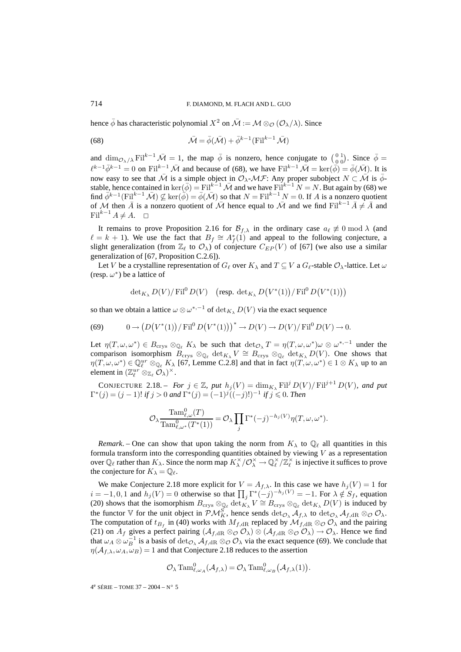hence  $\bar{\phi}$  has characteristic polynomial  $X^2$  on  $\bar{\mathcal{M}} := \mathcal{M} \otimes_{\mathcal{O}} (\mathcal{O}_{\lambda}/\lambda)$ . Since

(68) 
$$
\overline{\mathcal{M}} = \overline{\phi}(\overline{\mathcal{M}}) + \overline{\phi}^{k-1}(\mathrm{Fil}^{k-1}\overline{\mathcal{M}})
$$

and  $\dim_{\mathcal{O}_{\lambda}/\lambda} \text{Fil}^{k-1} \bar{\mathcal{M}} = 1$ , the map  $\bar{\phi}$  is nonzero, hence conjugate to  $\begin{pmatrix} 0 & 1 \\ 0 & 0 \end{pmatrix}$ . Since  $\bar{\phi} =$  $\ell^{k-1}\overline{\phi}^{k-1} = 0$  on Fil<sup>k−1</sup>  $\overline{\mathcal{M}}$  and because of (68), we have Fil<sup>k−1</sup>  $\overline{\mathcal{M}} = \ker(\overline{\phi}) = \overline{\phi}(\overline{\mathcal{M}})$ . It is now easy to see that  $\overline{M}$  is a simple object in  $\mathcal{O}_{\lambda}$ - $\mathcal{MF}$ : Any proper subobject  $N \subset \overline{M}$  is  $\overline{\phi}$ stable, hence contained in ker( $\overline{\phi}$ ) = Fil<sup>k-1</sup>  $\overline{M}$  and we have Fil<sup>k-1</sup>  $N = N$ . But again by (68) we find  $\bar{\phi}^{k-1}(\text{Fil}^{k-1}\bar{\mathcal{M}}) \not\subseteq \text{ker}(\bar{\phi}) = \bar{\phi}(\bar{\mathcal{M}})$  so that  $N = \text{Fil}^{k-1}N = 0$ . If A is a nonzero quotient of M then  $\bar{A}$  is a nonzero quotient of  $\bar{M}$  hence equal to  $\bar{M}$  and we find Filk<sup>-1</sup>  $\bar{A} \neq \bar{A}$  and  $\text{Fil}^{k-1} A \neq A$ . □

It remains to prove Proposition 2.16 for  $\mathcal{B}_{f,\lambda}$  in the ordinary case  $a_{\ell} \not\equiv 0 \bmod \lambda$  (and  $\ell = k + 1$ ). We use the fact that  $B_f \cong A_f^*(1)$  and appeal to the following conjecture, a slight generalization (from  $\mathbb{Z}_{\ell}$  to  $\mathcal{O}_{\lambda}$ ) of conjecture  $C_{EP}(V)$  of [67] (we also use a similar generalization of [67, Proposition C.2.6]).

Let V be a crystalline representation of  $G_\ell$  over  $K_\lambda$  and  $T\subseteq V$  a  $G_\ell$ -stable  $\mathcal{O}_\lambda$ -lattice. Let  $\omega$ (resp.  $\omega^*$ ) be a lattice of

$$
\operatorname{det}_{K_{\lambda}} D(V)/\operatorname{Fil}^0 D(V) \quad \left(\text{resp. } \operatorname{det}_{K_{\lambda}} D\big(V^*(1)\big)/\operatorname{Fil}^0 D\big(V^*(1)\big)\right)
$$

so than we obtain a lattice  $\omega \otimes \omega^{*,-1}$  of  $\det_{K_{\lambda}} D(V)$  via the exact sequence

(69) 
$$
0 \to (D(V^*(1))/\mathrm{Fil}^0 D(V^*(1)))^* \to D(V) \to D(V)/\mathrm{Fil}^0 D(V) \to 0.
$$

Let  $\eta(T,\omega,\omega^*)\in B_{\text{crys}}\otimes_{\mathbb{Q}_\ell}K_\lambda$  be such that  $\det_{\mathcal{O}_\lambda}T=\eta(T,\omega,\omega^*)\omega\otimes \omega^{*,-1}$  under the comparison isomorphism  $B_{\text{crys}} \otimes_{\mathbb{Q}_\ell} \det_{K_\lambda} V \cong B_{\text{crys}} \otimes_{\mathbb{Q}_\ell} \det_{K_\lambda} D(V)$ . One shows that  $\eta(T,\omega,\omega^*)\in\mathbb{Q}_\ell^{ur}\otimes_{\mathbb{Q}_\ell}K_\lambda$  [67, Lemme C.2.8] and that in fact  $\eta(T,\omega,\omega^*)\in 1\otimes K_\lambda$  up to an element in  $(\mathbb{Z}_{\ell}^{ur} \otimes_{\mathbb{Z}_{\ell}} \mathcal{O}_{\lambda})^{\times}$ .

CONJECTURE 2.18. – *For*  $j \in \mathbb{Z}$ *, put*  $h_j(V) = \dim_{K_\lambda} \mathrm{Fil}^j D(V)/\mathrm{Fil}^{j+1} D(V)$ *, and put*  $\Gamma^*(j) = (j - 1)!$  *if*  $j > 0$  and  $\Gamma^*(j) = (-1)^j ((-j)!)^{-1}$  *if*  $j \le 0$ *. Then* 

$$
\mathcal{O}_{\lambda} \frac{\mathrm{Tam}_{\ell, \omega}^{0}(T)}{\mathrm{Tam}_{\ell, \omega^*}^{0}(T^*(1))} = \mathcal{O}_{\lambda} \prod_j \Gamma^*(-j)^{-h_j(V)} \eta(T, \omega, \omega^*).
$$

*Remark*. – One can show that upon taking the norm from  $K_{\lambda}$  to  $\mathbb{Q}_{\ell}$  all quantities in this formula transform into the corresponding quantities obtained by viewing  $V$  as a representation over  $\mathbb{Q}_\ell$  rather than  $K_\lambda$ . Since the norm map  $K_\lambda^\times/\mathcal{O}_\lambda^\times \to \mathbb{Q}_\ell^\times/\mathbb{Z}_\ell^\times$  is injective it suffices to prove the conjecture for  $K_{\lambda} = \mathbb{Q}_{\ell}$ .

We make Conjecture 2.18 more explicit for  $V = A_{f,\lambda}$ . In this case we have  $h_j(V) = 1$  for  $i = -1, 0, 1$  and  $h_j(V) = 0$  otherwise so that  $\prod_j \Gamma^*(-j)^{-h_j(V)} = -1$ . For  $\lambda \notin S_f$ , equation (20) shows that the isomorphism  $B_{\text{crys}} \otimes_{\mathbb{Q}_\ell} \det_{K_\lambda} V \cong B_{\text{crys}} \otimes_{\mathbb{Q}_\ell} \det_{K_\lambda} D(V)$  is induced by the functor V for the unit object in  $\mathcal{PM}_{K}^S$ , hence sends  $\det_{\mathcal{O}_\lambda} A_{f,\lambda}$  to  $\det_{\mathcal{O}_\lambda} A_{f,dR} \otimes_{\mathcal{O}} \mathcal{O}_\lambda$ . The computation of  $t_{B_f}$  in (40) works with  $M_{f,dR}$  replaced by  $\mathcal{M}_{f,dR} \otimes_{\mathcal{O}} \mathcal{O}_{\lambda}$  and the pairing (21) on  $A_f$  gives a perfect pairing  $(\mathcal{A}_{f,dR} \otimes_{\mathcal{O}} \mathcal{O}_{\lambda}) \otimes (\mathcal{A}_{f,dR} \otimes_{\mathcal{O}} \mathcal{O}_{\lambda}) \to \mathcal{O}_{\lambda}$ . Hence we find that  $\omega_A \otimes \omega_B^{-1}$  is a basis of  $\det_{\mathcal{O}_\lambda} \mathcal{A}_{f, \mathrm{dR}} \otimes_{\mathcal{O}} \mathcal{O}_\lambda$  via the exact sequence (69). We conclude that  $\eta(A_{f,\lambda}, \omega_A, \omega_B)=1$  and that Conjecture 2.18 reduces to the assertion

$$
\mathcal{O}_{\lambda} \text{Tam}_{\ell,\omega_A}^0(\mathcal{A}_{f,\lambda}) = \mathcal{O}_{\lambda} \text{Tam}_{\ell,\omega_B}^0(\mathcal{A}_{f,\lambda}(1)).
$$

4e SÉRIE – TOME 37 – 2004 – N◦ 5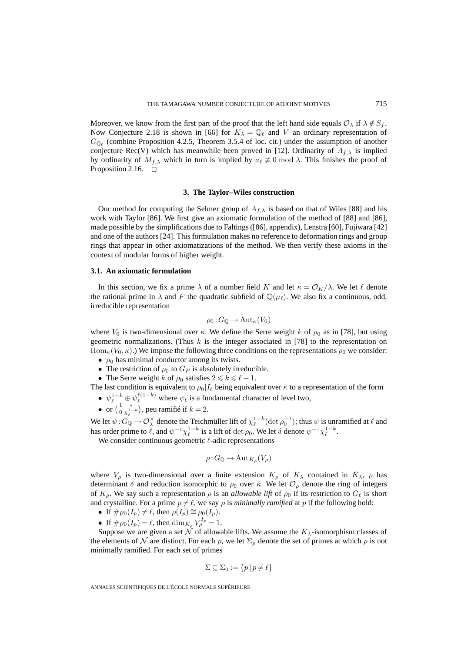Moreover, we know from the first part of the proof that the left hand side equals  $\mathcal{O}_{\lambda}$  if  $\lambda \notin S_f$ . Now Conjecture 2.18 is shown in [66] for  $K_{\lambda} = \mathbb{Q}_{\ell}$  and V an ordinary representation of  $G_{\mathbb{Q}_{\ell}}$  (combine Proposition 4.2.5, Theorem 3.5.4 of loc. cit.) under the assumption of another conjecture Rec(V) which has meanwhile been proved in [12]. Ordinarity of  $A_{f,\lambda}$  is implied by ordinarity of  $M_{f,\lambda}$  which in turn is implied by  $a_{\ell} \not\equiv 0 \mod \lambda$ . This finishes the proof of Proposition 2.16.  $\Box$ 

#### **3. The Taylor–Wiles construction**

Our method for computing the Selmer group of  $A_{f,\lambda}$  is based on that of Wiles [88] and his work with Taylor [86]. We first give an axiomatic formulation of the method of [88] and [86], made possible by the simplifications due to Faltings ([86], appendix), Lenstra [60], Fujiwara [42] and one of the authors [24]. This formulation makes no reference to deformation rings and group rings that appear in other axiomatizations of the method. We then verify these axioms in the context of modular forms of higher weight.

#### **3.1. An axiomatic formulation**

In this section, we fix a prime  $\lambda$  of a number field K and let  $\kappa = \mathcal{O}_K/\lambda$ . We let  $\ell$  denote the rational prime in  $\lambda$  and F the quadratic subfield of  $\mathbb{Q}(\mu_{\ell})$ . We also fix a continuous, odd, irreducible representation

$$
\rho_0: G_{\mathbb{Q}} \to \mathrm{Aut}_{\kappa}(V_0)
$$

where  $V_0$  is two-dimensional over  $\kappa$ . We define the Serre weight k of  $\rho_0$  as in [78], but using geometric normalizations. (Thus  $k$  is the integer associated in [78] to the representation on  $\text{Hom}_{\kappa}(V_0, \kappa)$ .) We impose the following three conditions on the representations  $\rho_0$  we consider:

- $\rho_0$  has minimal conductor among its twists.
- The restriction of  $\rho_0$  to  $G_F$  is absolutely irreducible.
- The Serre weight k of  $\rho_0$  satisfies  $2 \le k \le \ell 1$ .

The last condition is equivalent to  $\rho_0|I_\ell$  being equivalent over  $\bar{\kappa}$  to a representation of the form  $\bullet \ \psi_{\ell}^{1-k} \oplus \psi_{\ell}^{\ell(1-k)}$  $\ell^{(1-\kappa)}$  where  $\psi_{\ell}$  is a fundamental character of level two,

• or  $\left(\begin{smallmatrix} 1 & * \\ 0 & \chi_{\ell}^{1-k} \end{smallmatrix}\right)$ , peu ramifié if  $k = 2$ .

We let  $\psi$  :  $G_{\mathbb{Q}} \to \mathcal{O}_\lambda^\times$  denote the Teichmüller lift of  $\chi_\ell^{1-k}(\det \rho_0^{-1})$ ; thus  $\psi$  is unramified at  $\ell$  and has order prime to  $\ell$ , and  $\psi^{-1}\chi_{\ell}^{1-k}$  is a lift of  $\det \rho_0$ . We let  $\delta$  denote  $\psi^{-1}\chi_{\ell}^{1-k}$ .

We consider continuous geometric  $\ell$ -adic representations

$$
\rho: G_{\mathbb{Q}} \to \mathrm{Aut}_{K_{\rho}}(V_{\rho})
$$

where  $V_\rho$  is two-dimensional over a finite extension  $K_\rho$  of  $K_\lambda$  contained in  $\bar{K}_\lambda$ ,  $\rho$  has determinant  $\delta$  and reduction isomorphic to  $\rho_0$  over  $\bar{\kappa}$ . We let  $\mathcal{O}_{\rho}$  denote the ring of integers of  $K_{\rho}$ . We say such a representation  $\rho$  is an *allowable lift* of  $\rho_0$  if its restriction to  $G_{\ell}$  is short and crystalline. For a prime  $p \neq \ell$ , we say  $\rho$  is *minimally ramified* at p if the following hold:

- If  $\#\rho_0(I_p) \neq \ell$ , then  $\rho(I_p) \cong \rho_0(I_p)$ .
- If  $\#\rho_0(I_p) = \ell$ , then  $\dim_{K_p} V_p^{I_p} = 1$ .

Suppose we are given a set N of allowable lifts. We assume the  $\bar{K}_{\lambda}$ -isomorphism classes of the elements of N are distinct. For each  $\rho$ , we let  $\Sigma_{\rho}$  denote the set of primes at which  $\rho$  is not minimally ramified. For each set of primes

$$
\Sigma \subseteq \Sigma_0 := \{ p \, | \, p \neq \ell \}
$$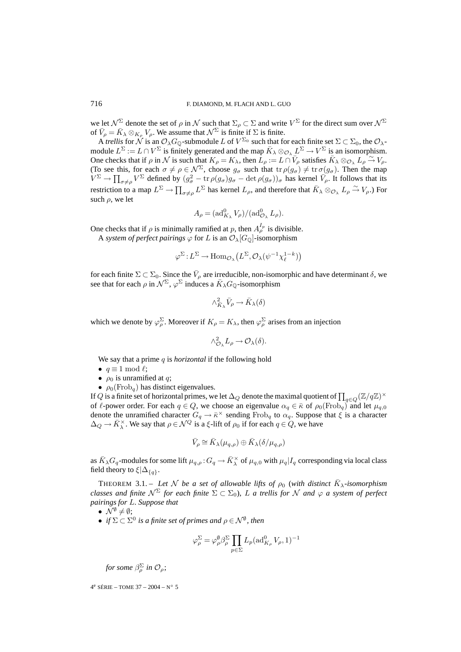we let  $\mathcal{N}^{\Sigma}$  denote the set of  $\rho$  in  $\mathcal N$  such that  $\Sigma_{\rho} \subset \Sigma$  and write  $V^{\Sigma}$  for the direct sum over  $\mathcal{N}^{\Sigma}$ of  $\bar{V}_{\rho} = \bar{K}_{\lambda} \otimes_{K_{\rho}} V_{\rho}$ . We assume that  $\mathcal{N}^{\Sigma}$  is finite if  $\Sigma$  is finite.

A *trellis* for N is an  $\mathcal{O}_\lambda G_0$ -submodule L of  $V^{\Sigma_0}$  such that for each finite set  $\Sigma \subset \Sigma_0$ , the  $\mathcal{O}_\lambda$ module  $L^{\Sigma} := L \cap V^{\Sigma}$  is finitely generated and the map  $\bar{K}_{\lambda} \otimes_{\mathcal{O}_{\lambda}} L^{\Sigma} \to V^{\Sigma}$  is an isomorphism. One checks that if  $\rho$  in  $\mathcal N$  is such that  $K_{\rho} = K_{\lambda}$ , then  $L_{\rho} := L \cap \overline{V}_{\rho}$  satisfies  $\overline{K}_{\lambda} \otimes_{\mathcal O_{\lambda}} L_{\rho} \xrightarrow{\sim} V_{\rho}$ . (To see this, for each  $\sigma \neq \rho \in \mathcal{N}^{\Sigma}$ , choose  $g_{\sigma}$  such that  $tr \rho(g_{\sigma}) \neq tr \sigma(g_{\sigma})$ . Then the map  $V^{\Sigma} \to \prod_{\sigma \neq \rho} V^{\Sigma}$  defined by  $(g_{\sigma}^2 - \text{tr} \rho(g_{\sigma})g_{\sigma} - \text{det} \rho(g_{\sigma}))_{\sigma}$  has kernel  $\overline{V_{\rho}}$ . It follows that its restriction to a map  $L^{\Sigma} \to \prod_{\sigma \neq \rho} L^{\Sigma}$  has kernel  $L_{\rho}$ , and therefore that  $\bar{K}_{\lambda} \otimes_{\mathcal{O}_{\lambda}} L_{\rho} \stackrel{\sim}{\to} V_{\rho}$ .) For such  $\rho$ , we let

$$
A_{\rho} = (\operatorname{ad}_{K_{\lambda}}^0 V_{\rho})/(\operatorname{ad}_{\mathcal{O}_{\lambda}}^0 L_{\rho}).
$$

One checks that if  $\rho$  is minimally ramified at p, then  $A_{\rho}^{I_p}$  is divisible.

A *system of perfect pairings*  $\varphi$  for L is an  $\mathcal{O}_{\lambda}[G_{\mathbb{Q}}]$ -isomorphism

$$
\varphi^{\Sigma} \! : \! L^{\Sigma} \! \to \! \text{Hom}_{\mathcal{O}_{\lambda}} \big( L^{\Sigma}, \mathcal{O}_{\lambda}(\psi^{-1}\chi_{\ell}^{1-k}) \big)
$$

for each finite  $\Sigma \subset \Sigma_0$ . Since the  $\bar{V}_{\rho}$  are irreducible, non-isomorphic and have determinant  $\delta$ , we see that for each  $\rho$  in  $\mathcal{N}^{\Sigma}$ ,  $\varphi^{\Sigma}$  induces a  $\bar{K}_{\lambda}G_{\mathbb{Q}}$ -isomorphism

$$
\wedge^2_{\bar K_{\lambda}} \bar V_{\rho} \to \bar K_{\lambda}(\delta)
$$

which we denote by  $\varphi_{\rho}^{\Sigma}$ . Moreover if  $K_{\rho} = K_{\lambda}$ , then  $\varphi_{\rho}^{\Sigma}$  arises from an injection

$$
\wedge^2_{\mathcal{O}_{\lambda}} L_{\rho} \to \mathcal{O}_{\lambda}(\delta).
$$

We say that a prime q is *horizontal* if the following hold

- $q \equiv 1 \mod l$ ;
- $\rho_0$  is unramified at q;
- $\rho_0(\text{Frob}_q)$  has distinct eigenvalues.

If  $Q$  is a finite set of horizontal primes, we let  $\Delta_Q$  denote the maximal quotient of  $\prod_{q\in Q}(\Z/q\Z)^\times$ of  $\ell$ -power order. For each  $q \in Q$ , we choose an eigenvalue  $\alpha_q \in \bar{\kappa}$  of  $\rho_0(\text{Frob}_q)$  and let  $\mu_{q,0}$ denote the unramified character  $G_q \to \bar{\kappa}^\times$  sending  $Frob_q$  to  $\alpha_q$ . Suppose that  $\xi$  is a character  $\Delta_Q \to \bar{K}_{\lambda}^{\times}$ . We say that  $\rho \in \mathcal{N}^Q$  is a  $\xi$ -lift of  $\rho_0$  if for each  $q \in Q$ , we have

$$
\bar{V}_{\rho} \cong \bar{K}_{\lambda}(\mu_{q,\rho}) \oplus \bar{K}_{\lambda}(\delta/\mu_{q,\rho})
$$

as  $\bar K_\lambda G_q$ -modules for some lift  $\mu_{q,\rho}: G_q\to \bar K^\times_\lambda$  of  $\mu_{q,0}$  with  $\mu_q|I_q$  corresponding via local class field theory to  $\xi|\Delta_{\{q\}}$ .

THEOREM 3.1. – Let N be a set of allowable lifts of  $\rho_0$  (with distinct  $\bar{K}_{\lambda}$ -isomorphism *classes and finite*  $N^{\Sigma}$  *for each finite*  $\Sigma \subset \Sigma_0$ *), L a trellis for* N *and*  $\varphi$  *a system of perfect pairings for* L*. Suppose that*

•  $\mathcal{N}^{\emptyset} \neq \emptyset$ ;

• *if*  $\Sigma \subset \Sigma^0$  *is a finite set of primes and*  $\rho \in \mathcal{N}^{\emptyset}$ , then

$$
\varphi_{\rho}^{\Sigma} = \varphi_{\rho}^{\emptyset} \beta_{\rho}^{\Sigma} \prod_{p \in \Sigma} L_p(\text{ad}_{K_{\rho}}^0 V_{\rho}, 1)^{-1}
$$

*for some* β<sup>Σ</sup> <sup>ρ</sup> *in* Oρ;

4<sup>e</sup> SÉRIE – TOME 37 – 2004 – N° 5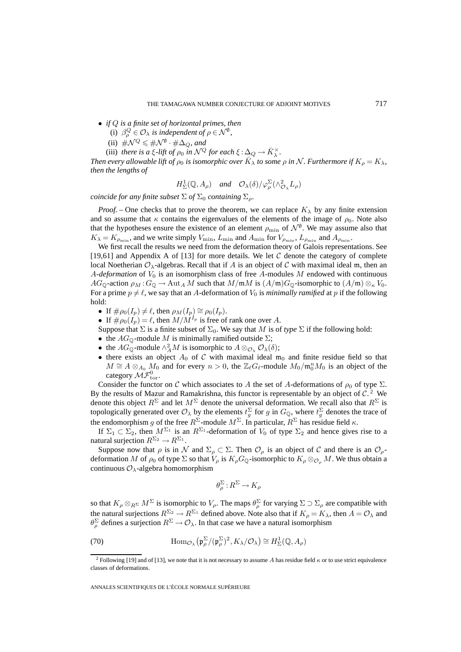- *if* Q *is a finite set of horizontal primes, then*
	- (i)  $\beta_{\rho}^Q \in \mathcal{O}_{\lambda}$  *is independent of*  $\rho \in \mathcal{N}^{\emptyset}$ ,
	- (ii)  $\#\mathcal{N}^{Q}\leqslant\#\mathcal{N}^{\emptyset}\cdot\#\Delta_{Q}$ , and
	- (iii) *there is a*  $\xi$ -lift of  $\rho_0$  *in*  $\mathcal{N}^Q$  for each  $\xi : \Delta_Q \to \overline{K}_\lambda^\times$ .

*Then every allowable lift of*  $\rho_0$  *is isomorphic over*  $\bar{K}_{\lambda}$  *to some*  $\rho$  *in* N. *Furthermore if*  $K_{\rho} = K_{\lambda}$ *, then the lengths of*

 $H^1_{\Sigma}(\mathbb{Q}, A_{\rho})$  and  $\mathcal{O}_{\lambda}(\delta)/\varphi_{\rho}^{\Sigma}(\wedge_{\mathcal{O}_{\lambda}}^2 L_{\rho})$ 

*coincide for any finite subset*  $\Sigma$  *of*  $\Sigma_0$  *containing*  $\Sigma_o$ *.* 

*Proof.* – One checks that to prove the theorem, we can replace  $K_{\lambda}$  by any finite extension and so assume that  $\kappa$  contains the eigenvalues of the elements of the image of  $\rho_0$ . Note also that the hypotheses ensure the existence of an element  $\rho_{\min}$  of  $\mathcal{N}^{\emptyset}$ . We may assume also that  $K_{\lambda} = K_{\rho_{\min}}$ , and we write simply  $V_{\min}$ ,  $L_{\min}$  and  $A_{\min}$  for  $V_{\rho_{\min}}$ ,  $L_{\rho_{\min}}$  and  $A_{\rho_{\min}}$ .

We first recall the results we need from the deformation theory of Galois representations. See [19,61] and Appendix A of [13] for more details. We let  $C$  denote the category of complete local Noetherian  $\mathcal{O}_{\lambda}$ -algebras. Recall that if A is an object of C with maximal ideal m, then an A-*deformation* of  $V_0$  is an isomorphism class of free A-modules M endowed with continuous  $AG_{\mathbb{Q}}$ -action  $\rho_M$ :  $G_{\mathbb{Q}} \to \text{Aut}_A M$  such that  $M/\mathfrak{m}M$  is  $(A/\mathfrak{m})G_{\mathbb{Q}}$ -isomorphic to  $(A/\mathfrak{m}) \otimes_{\kappa} V_0$ . For a prime  $p \neq \ell$ , we say that an A-deformation of  $V_0$  is *minimally ramified* at p if the following hold:

- If  $\#\rho_0(I_p) \neq \ell$ , then  $\rho_M(I_p) \cong \rho_0(I_p)$ .
- If  $\# \rho_0(I_p) = \ell$ , then  $M/M^{I_p}$  is free of rank one over A.
- Suppose that  $\Sigma$  is a finite subset of  $\Sigma_0$ . We say that M is of *type*  $\Sigma$  if the following hold:
- the  $AG_{\mathbb{Q}}$ -module M is minimally ramified outside  $\Sigma$ ;
- the  $AG_{\mathbb{Q}}$ -module  $\wedge^2_A M$  is isomorphic to  $A \otimes_{\mathcal{O}_\lambda} \mathcal{O}_\lambda(\delta)$ ;
- there exists an object  $A_0$  of C with maximal ideal  $m_0$  and finite residue field so that  $M \cong A \otimes_{A_0} M_0$  and for every  $n > 0$ , the  $\mathbb{Z}_\ell G_\ell$ -module  $M_0 / \mathfrak{m}_0^n M_0$  is an object of the category  $\mathcal{MF}^0_{\text{tor}}$ .

Consider the functor on C which associates to A the set of A-deformations of  $\rho_0$  of type  $\Sigma$ . By the results of Mazur and Ramakrishna, this functor is representable by an object of  $C<sup>2</sup>$  We denote this object  $R^{\Sigma}$  and let  $M^{\Sigma}$  denote the universal deformation. We recall also that  $R^{\Sigma}$  is topologically generated over  $\mathcal{O}_\lambda$  by the elements  $t_g^{\Sigma}$  for g in  $G_{\mathbb{Q}}$ , where  $t_g^{\Sigma}$  denotes the trace of the endomorphism g of the free  $R^{\Sigma}$ -module  $M^{\Sigma}$ . In particular,  $R^{\Sigma}$  has residue field  $\kappa$ .

If  $\Sigma_1 \subset \Sigma_2$ , then  $M^{\Sigma_1}$  is an  $R^{\Sigma_1}$ -deformation of  $V_0$  of type  $\Sigma_2$  and hence gives rise to a natural surjection  $R^{\Sigma_2} \to R^{\Sigma_1}$ .

Suppose now that  $\rho$  is in  $\mathcal N$  and  $\Sigma_\rho \subset \Sigma$ . Then  $\mathcal O_\rho$  is an object of C and there is an  $\mathcal O_\rho$ deformation M of  $\rho_0$  of type  $\Sigma$  so that  $V_\rho$  is  $K_\rho G_\mathbb{Q}$ -isomorphic to  $K_\rho \otimes_{\mathcal{O}_\rho} M$ . We thus obtain a continuous  $\mathcal{O}_{\lambda}$ -algebra homomorphism

$$
\theta_{\rho}^{\Sigma}: R^{\Sigma} \to K_{\rho}
$$

so that  $K_{\rho}\otimes_{R^{\Sigma}} M^{\Sigma}$  is isomorphic to  $V_{\rho}$ . The maps  $\theta_{\rho}^{\Sigma}$  for varying  $\Sigma \supset \Sigma_{\rho}$  are compatible with the natural surjections  $R^{\Sigma_2} \to R^{\Sigma_1}$  defined above. Note also that if  $K_\rho = K_\lambda$ , then  $A = \mathcal{O}_\lambda$  and  $\theta_\rho^{\Sigma}$  defines a surjection  $R^{\Sigma} \to \mathcal{O}_\lambda$ . In that case we have a natural isomorphism

(70) 
$$
\text{Hom}_{\mathcal{O}_{\lambda}}(\mathfrak{p}_{\rho}^{\Sigma}/(\mathfrak{p}_{\rho}^{\Sigma})^2, K_{\lambda}/\mathcal{O}_{\lambda}) \cong H_{\Sigma}^1(\mathbb{Q}, A_{\rho})
$$

<sup>&</sup>lt;sup>2</sup> Following [19] and of [13], we note that it is not necessary to assume A has residue field  $\kappa$  or to use strict equivalence classes of deformations.

ANNALES SCIENTIFIQUES DE L'ÉCOLE NORMALE SUPÉRIEURE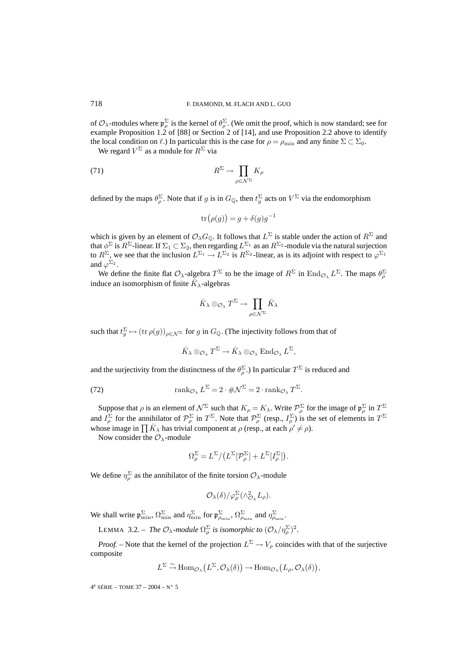of  $\mathcal{O}_\lambda$ -modules where  $\mathfrak{p}_\rho^{\Sigma}$  is the kernel of  $\theta_\rho^{\Sigma}$ . (We omit the proof, which is now standard; see for example Proposition 1.2 of [88] or Section 2 of [14], and use Proposition 2.2 above to identify the local condition on  $\ell$ .) In particular this is the case for  $\rho = \rho_{\min}$  and any finite  $\Sigma \subset \Sigma_0$ .

We regard  $V^{\Sigma}$  as a module for  $R^{\Sigma}$  via

(71) 
$$
R^{\Sigma} \to \prod_{\rho \in \mathcal{N}^{\Sigma}} K_{\rho}
$$

defined by the maps  $\theta_p^{\Sigma}$ . Note that if g is in  $G_{\mathbb{Q}}$ , then  $t_g^{\Sigma}$  acts on  $V^{\Sigma}$  via the endomorphism

$$
\operatorname{tr}(\rho(g)) = g + \delta(g)g^{-1}
$$

which is given by an element of  $\mathcal{O}_\lambda G_{\mathbb{Q}}$ . It follows that  $L^{\Sigma}$  is stable under the action of  $R^{\Sigma}$  and that  $\phi^{\Sigma}$  is  $R^{\Sigma}$ -linear. If  $\Sigma_1\subset \Sigma_2$ , then regarding  $L^{\Sigma_1}$  as an  $R^{\Sigma_2}$ -module via the natural surjection to  $R^{\Sigma}$ , we see that the inclusion  $L^{\Sigma_1} \to L^{\Sigma_2}$  is  $R^{\Sigma_2}$ -linear, as is its adjoint with respect to  $\varphi^{\Sigma_1}$ and  $\varphi^{\Sigma_2}$ .

We define the finite flat  $\mathcal{O}_{\lambda}$ -algebra  $T^{\Sigma}$  to be the image of  $R^{\Sigma}$  in  $\text{End}_{\mathcal{O}_{\lambda}} L^{\Sigma}$ . The maps  $\theta_{\rho}^{\Sigma}$ induce an isomorphism of finite  $\bar{K}_{\lambda}$ -algebras

$$
\bar{K}_{\lambda} \otimes_{\mathcal{O}_{\lambda}} T^{\Sigma} \to \prod_{\rho \in \mathcal{N}^{\Sigma}} \bar{K}_{\lambda}
$$

such that  $t_g^{\Sigma} \mapsto (\text{tr}\,\rho(g))_{\rho \in \mathcal{N}^{\Sigma}}$  for g in  $G_{\mathbb{Q}}$ . (The injectivity follows from that of

 $\bar{K}_{\lambda} \otimes_{\mathcal{O}_{\lambda}} T^{\Sigma} \to \bar{K}_{\lambda} \otimes_{\mathcal{O}_{\lambda}} \text{End}_{\mathcal{O}_{\lambda}} L^{\Sigma},$ 

and the surjectivity from the distinctness of the  $\theta_{\rho}^{\Sigma}$ .) In particular  $T^{\Sigma}$  is reduced and

(72) 
$$
\operatorname{rank}_{\mathcal{O}_{\lambda}} L^{\Sigma} = 2 \cdot \# \mathcal{N}^{\Sigma} = 2 \cdot \operatorname{rank}_{\mathcal{O}_{\lambda}} T^{\Sigma}.
$$

Suppose that  $\rho$  is an element of  $\mathcal{N}^{\Sigma}$  such that  $K_{\rho} = K_{\lambda}$ . Write  $\mathcal{P}_{\rho}^{\Sigma}$  for the image of  $\mathfrak{p}_{\rho}^{\Sigma}$  in  $T^{\Sigma}$ and  $I_\rho^{\Sigma}$  for the annihilator of  $\mathcal{P}_\rho^{\Sigma}$  in  $T^{\Sigma}$ . Note that  $\mathcal{P}_\rho^{\Sigma}$  (resp.,  $I_\rho^{\Sigma}$ ) is the set of elements in  $T^{\Sigma}$ whose image in  $\prod \bar{K}_{\lambda}$  has trivial component at  $\rho$  (resp., at each  $\rho' \neq \rho$ ).

Now consider the  $\mathcal{O}_{\lambda}$ -module

$$
\Omega_{\rho}^{\Sigma} = L^{\Sigma} / \left( L^{\Sigma} [\mathcal{P}_{\rho}^{\Sigma}] + L^{\Sigma} [I_{\rho}^{\Sigma}] \right).
$$

We define  $\eta_{\rho}^{\Sigma}$  as the annihilator of the finite torsion  $\mathcal{O}_{\lambda}$ -module

$$
\mathcal{O}_{\lambda}(\delta)/\varphi^{\Sigma}_{\rho}(\wedge^2_{\mathcal{O}_{\lambda}}L_{\rho}).
$$

We shall write  $\varphi_{\min}^{\Sigma}$ ,  $\Omega_{\min}^{\Sigma}$  and  $\eta_{\min}^{\Sigma}$ , for  $\varphi_{\min}^{\Sigma}$ ,  $\Omega_{\rho_{\min}}^{\Sigma}$  and  $\eta_{\rho_{\min}}^{\Sigma}$ .

LEMMA 3.2. – *The*  $\mathcal{O}_{\lambda}$ -module  $\Omega_{\rho}^{\Sigma}$  is isomorphic to  $(\mathcal{O}_{\lambda}/\eta_{\rho}^{\Sigma})^2$ .

*Proof.* – Note that the kernel of the projection  $L^{\Sigma} \to V_{\rho}$  coincides with that of the surjective composite

$$
L^{\Sigma} \xrightarrow{\sim} \text{Hom}_{\mathcal{O}_{\lambda}}(L^{\Sigma}, \mathcal{O}_{\lambda}(\delta)) \longrightarrow \text{Hom}_{\mathcal{O}_{\lambda}}(L_{\rho}, \mathcal{O}_{\lambda}(\delta)),
$$

 $4^e$  SÉRIE – TOME 37 – 2004 – N° 5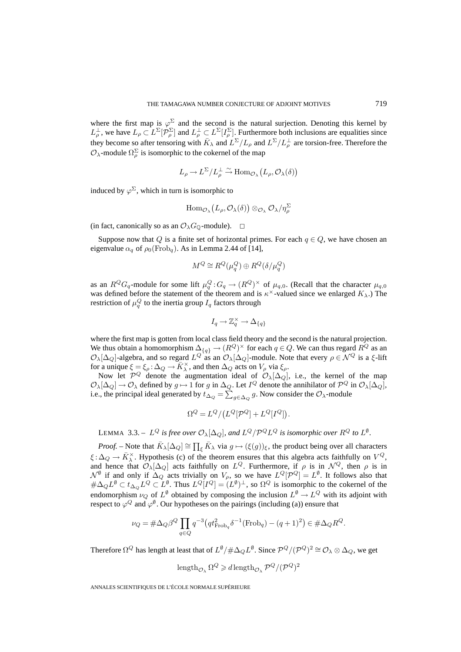where the first map is  $\varphi^{\Sigma}$  and the second is the natural surjection. Denoting this kernel by  $L_{\rho}^{\perp}$ , we have  $L_{\rho} \subset L^{\Sigma}[\mathcal{P}^{\Sigma}_{\rho}]$  and  $L_{\rho}^{\perp} \subset L^{\Sigma}[I_{\rho}^{\Sigma}]$ . Furthermore both inclusions are equalities since they become so after tensoring with  $\bar{K}_{\lambda}$  and  $L^{\Sigma}/L_{\rho}$  and  $L^{\Sigma}/L_{\rho}^{\perp}$  are torsion-free. Therefore the  $\mathcal{O}_{\lambda}$ -module  $\Omega_{\rho}^{\Sigma}$  is isomorphic to the cokernel of the map

$$
L_{\rho} \to L^{\Sigma}/L_{\rho}^{\perp} \xrightarrow{\sim} \text{Hom}_{\mathcal{O}_{\lambda}}(L_{\rho}, \mathcal{O}_{\lambda}(\delta))
$$

induced by  $\varphi^{\Sigma}$ , which in turn is isomorphic to

$$
\operatorname{Hom}_{\mathcal{O}_\lambda}\big(L_\rho,\mathcal{O}_\lambda(\delta)\big) \otimes_{\mathcal{O}_\lambda} \mathcal{O}_\lambda/\eta_\rho^\Sigma
$$

(in fact, canonically so as an  $\mathcal{O}_{\lambda}G_{\mathbb{Q}}$ -module).  $\Box$ 

Suppose now that Q is a finite set of horizontal primes. For each  $q \in Q$ , we have chosen an eigenvalue  $\alpha_q$  of  $\rho_0(Frob_q)$ . As in Lemma 2.44 of [14],

$$
M^Q \cong R^Q(\mu_q^Q) \oplus R^Q(\delta/\mu_q^Q)
$$

as an  $R^Q G_q$ -module for some lift  $\mu_q^Q$ :  $G_q \to (R^Q)^{\times}$  of  $\mu_{q,0}$ . (Recall that the character  $\mu_{q,0}$ was defined before the statement of the theorem and is  $\kappa^{\times}$ -valued since we enlarged  $K_{\lambda}$ .) The restriction of  $\mu_q^Q$  to the inertia group  $I_q$  factors through

$$
I_q \to \mathbb{Z}_q^\times \to \Delta_{\{q\}}
$$

where the first map is gotten from local class field theory and the second is the natural projection. We thus obtain a homomorphism  $\Delta_{\{q\}} \to (R^Q)^\times$  for each  $q \in Q$ . We can thus regard  $R^Q$  as an  $\mathcal{O}_\lambda[\Delta_Q]$ -algebra, and so regard  $L^Q$  as an  $\mathcal{O}_\lambda[\Delta_Q]$ -module. Note that every  $\rho \in \mathcal{N}^Q$  is a  $\xi$ -lift for a unique  $\xi = \xi_\rho : \Delta_Q \to \overline{K}_\lambda^\times$ , and then  $\Delta_Q$  acts on  $V_\rho$  via  $\xi_\rho$ .

Now let  $\mathcal{P}^Q$  denote the augmentation ideal of  $\mathcal{O}_{\lambda}[\Delta_Q]$ , i.e., the kernel of the map  $\mathcal{O}_{\lambda}[\Delta_Q] \to \mathcal{O}_{\lambda}$  defined by  $g \mapsto 1$  for g in  $\Delta_Q$ . Let  $I^Q$  denote the annihilator of  $\mathcal{P}^Q$  in  $\mathcal{O}_{\lambda}[\Delta_Q]$ , i.e., the principal ideal generated by  $t_{\Delta_Q} = \sum_{g \in \Delta_Q} g$ . Now consider the  $\mathcal{O}_{\lambda}$ -module

$$
\Omega^Q=L^Q/\big(L^Q[{\cal P}^Q]+L^Q[I^Q]\big).
$$

LEMMA 3.3. –  $L^Q$  *is free over*  $\mathcal{O}_\lambda[\Delta_Q]$ *, and*  $L^Q/\mathcal{P}^Q L^Q$  *is isomorphic over*  $R^Q$  *to*  $L^{\emptyset}$ *.* 

*Proof.* – Note that  $\bar{K}_{\lambda}[\Delta_Q] \cong \prod_{\xi} \bar{K}_{\lambda}$  via  $g \mapsto (\xi(g))_{\xi}$ , the product being over all characters  $\xi : \Delta_Q \to \overline{K}_\lambda^\times$ . Hypothesis (c) of the theorem ensures that this algebra acts faithfully on  $V^Q$ , and hence that  $\mathcal{O}_{\lambda}[\Delta_Q]$  acts faithfully on  $L^Q$ . Furthermore, if  $\rho$  is in  $\mathcal{N}^Q$ , then  $\rho$  is in  $\mathcal{N}^{\emptyset}$  if and only if  $\Delta_Q$  acts trivially on  $V_\rho$ , so we have  $L^Q[\mathcal{P}^Q]=L^{\emptyset}$ . It follows also that  $\#\Delta_Q L^\emptyset \subset t_{\Delta_Q} L^Q \subset L^\emptyset$ . Thus  $L^Q[I^Q] = (L^\emptyset)^\perp$ , so  $\Omega^Q$  is isomorphic to the cokernel of the endomorphism  $\nu_Q$  of  $L^\emptyset$  obtained by composing the inclusion  $L^\emptyset \to L^Q$  with its adjoint with respect to  $\varphi^Q$  and  $\varphi^{\emptyset}$ . Our hypotheses on the pairings (including (a)) ensure that

$$
\nu_Q = \# \Delta_Q \beta^Q \prod_{q \in Q} q^{-3} \left( q t_{\text{Frob}_q}^2 \delta^{-1} (\text{Frob}_q) - (q+1)^2 \right) \in \# \Delta_Q R^Q.
$$

Therefore  $\Omega^Q$  has length at least that of  $L^{\emptyset}/\#\Delta_Q L^{\emptyset}$ . Since  $\mathcal{P}^Q/(\mathcal{P}^Q)^2 \cong \mathcal{O}_{\lambda} \otimes \Delta_Q$ , we get

$$
\mathrm{length}_{\mathcal{O}_\lambda}\,\Omega^Q\geqslant d\,\mathrm{length}_{\mathcal{O}_\lambda}\,\mathcal{P}^Q/(\mathcal{P}^Q)^2
$$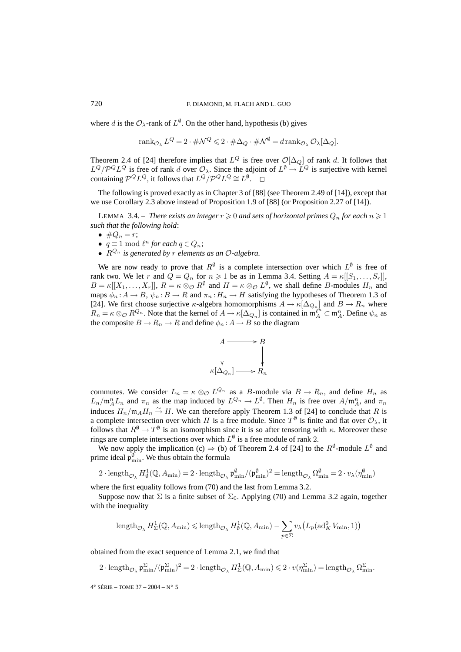where d is the  $\mathcal{O}_{\lambda}$ -rank of  $L^{\emptyset}$ . On the other hand, hypothesis (b) gives

$$
\operatorname{rank}_{\mathcal{O}_\lambda} L^Q = 2 \cdot \# \mathcal{N}^Q \leqslant 2 \cdot \# \Delta_Q \cdot \# \mathcal{N}^\emptyset = d \operatorname{rank}_{\mathcal{O}_\lambda} \mathcal{O}_\lambda[\Delta_Q].
$$

Theorem 2.4 of [24] therefore implies that  $L^Q$  is free over  $\mathcal{O}[\Delta_Q]$  of rank d. It follows that  $L^Q/\mathcal{P}^Q L^Q$  is free of rank d over  $\mathcal{O}_\lambda$ . Since the adjoint of  $L^{\emptyset} \to L^Q$  is surjective with kernel containing  $\mathcal{P}^Q L^Q$ , it follows that  $L^Q/\mathcal{P}^Q L^Q \cong L^{\emptyset}$ .  $\Box$ 

The following is proved exactly as in Chapter 3 of [88] (see Theorem 2.49 of [14]), except that we use Corollary 2.3 above instead of Proposition 1.9 of [88] (or Proposition 2.27 of [14]).

LEMMA 3.4. – *There exists an integer*  $r \geq 0$  *and sets of horizontal primes*  $Q_n$  *for each*  $n \geq 1$ *such that the following hold*:

- $\#Q_n = r;$
- $q \equiv 1 \mod l^n$  for each  $q \in Q_n$ ;
- $R^{Q_n}$  *is generated by r elements as an O-algebra.*

We are now ready to prove that  $R^{\emptyset}$  is a complete intersection over which  $L^{\emptyset}$  is free of rank two. We let r and  $Q = Q_n$  for  $n \ge 1$  be as in Lemma 3.4. Setting  $A = \kappa[[S_1, \ldots, S_r]],$  $B = \kappa[[X_1,\ldots,X_r]], R = \kappa \otimes_{\mathcal{O}} R^{\emptyset}$  and  $H = \kappa \otimes_{\mathcal{O}} L^{\emptyset}$ , we shall define B-modules  $H_n$  and maps  $\phi_n : A \to B$ ,  $\psi_n : B \to R$  and  $\pi_n : H_n \to H$  satisfying the hypotheses of Theorem 1.3 of [24]. We first choose surjective  $\kappa$ -algebra homomorphisms  $A \to \kappa[\Delta_{Q_n}]$  and  $B \to R_n$  where  $R_n = \kappa \otimes_{\mathcal{O}} R^{Q_n}$ . Note that the kernel of  $A \to \kappa[\Delta_{Q_n}]$  is contained in  $\mathfrak{m}_A^{\ell^n} \subset \mathfrak{m}_A^n$ . Define  $\psi_n$  as the composite  $B \to R_n \to R$  and define  $\phi_n : A \to B$  so the diagram



commutes. We consider  $L_n = \kappa \otimes_{\mathcal{O}} L^{Q_n}$  as a B-module via  $B \to R_n$ , and define  $H_n$  as  $L_n/\mathfrak{m}_A^n L_n$  and  $\pi_n$  as the map induced by  $L^{Q_n} \to L^{\emptyset}$ . Then  $H_n$  is free over  $A/\mathfrak{m}_A^n$ , and  $\pi_n$ induces  $H_n/\mathfrak{m}_A H_n \stackrel{\sim}{\rightarrow} H$ . We can therefore apply Theorem 1.3 of [24] to conclude that R is a complete intersection over which H is a free module. Since  $T^{\emptyset}$  is finite and flat over  $\mathcal{O}_{\lambda}$ , it follows that  $R^{\emptyset} \to T^{\emptyset}$  is an isomorphism since it is so after tensoring with  $\kappa$ . Moreover these rings are complete intersections over which  $L^{\emptyset}$  is a free module of rank 2.

We now apply the implication (c)  $\Rightarrow$  (b) of Theorem 2.4 of [24] to the  $R^{\emptyset}$ -module  $L^{\emptyset}$  and prime ideal  $\mathfrak{p}_{\min}^{\emptyset}$ . We thus obtain the formula

$$
2 \cdot \text{length}_{\mathcal{O}_{\lambda}} H_{\emptyset}^1(\mathbb{Q}, A_{\min}) = 2 \cdot \text{length}_{\mathcal{O}_{\lambda}} \mathfrak{p}_{\min}^{\emptyset} / (\mathfrak{p}_{\min}^{\emptyset})^2 = \text{length}_{\mathcal{O}_{\lambda}} \Omega_{\min}^{\emptyset} = 2 \cdot v_{\lambda}(\eta_{\min}^{\emptyset})
$$

where the first equality follows from (70) and the last from Lemma 3.2.

Suppose now that  $\Sigma$  is a finite subset of  $\Sigma_0$ . Applying (70) and Lemma 3.2 again, together with the inequality

$$
\operatorname{length}_{\mathcal{O}_\lambda}H^1_\Sigma(\mathbb{Q},A_{\min})\leqslant \operatorname{length}_{\mathcal{O}_\lambda}H^1_\emptyset(\mathbb{Q},A_{\min})-\sum_{p\in\Sigma}v_\lambda\big(L_p(\operatorname{ad}_K^0V_{\min},1)\big)
$$

obtained from the exact sequence of Lemma 2.1, we find that

- $2\cdot \mathrm{length}_{\mathcal{O}_\lambda} \mathfrak{p}_{\min}^\Sigma/(\mathfrak{p}_{\min}^\Sigma)^2 = 2\cdot \mathrm{length}_{\mathcal{O}_\lambda} H^1_\Sigma(\mathbb{Q},A_{\min}) \leqslant 2\cdot v(\eta_{\min}^\Sigma) = \mathrm{length}_{\mathcal{O}_\lambda} \, \Omega_{\min}^\Sigma.$
- 4<sup>e</sup> SÉRIE TOME 37 2004 N° 5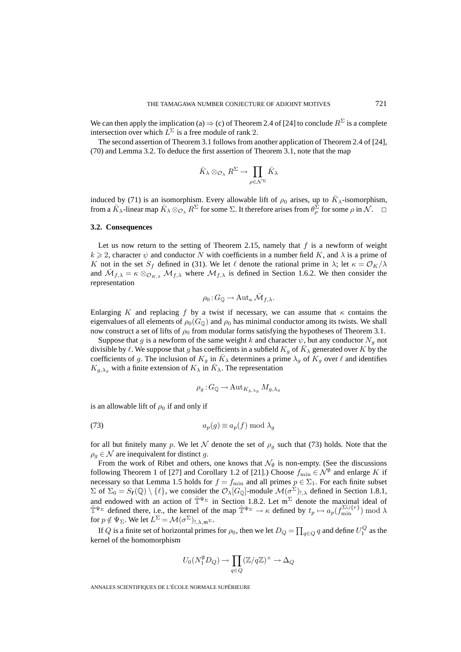We can then apply the implication (a)  $\Rightarrow$  (c) of Theorem 2.4 of [24] to conclude  $R^{\Sigma}$  is a complete intersection over which  $L^{\Sigma}$  is a free module of rank 2.

The second assertion of Theorem 3.1 follows from another application of Theorem 2.4 of [24], (70) and Lemma 3.2. To deduce the first assertion of Theorem 3.1, note that the map

$$
\bar K_\lambda\otimes_{\mathcal O_\lambda} R^\Sigma\to \prod_{\rho\in \mathcal N^\Sigma} \bar K_\lambda
$$

induced by (71) is an isomorphism. Every allowable lift of  $\rho_0$  arises, up to  $K_\lambda$ -isomorphism, from a  $\bar{K}_{\lambda}$ -linear map  $\bar{K}_{\lambda} \otimes_{\mathcal{O}_{\lambda}} R^{\Sigma}$  for some  $\Sigma$ . It therefore arises from  $\theta_{\rho}^{\Sigma}$  for some  $\rho$  in  $\mathcal{N}$ .  $\square$ 

#### **3.2. Consequences**

Let us now return to the setting of Theorem 2.15, namely that  $f$  is a newform of weight  $k \geq 2$ , character  $\psi$  and conductor N with coefficients in a number field K, and  $\lambda$  is a prime of K not in the set  $S_f$  defined in (31). We let  $\ell$  denote the rational prime in  $\lambda$ ; let  $\kappa = \mathcal{O}_K/\lambda$ and  $\overline{\mathcal{M}}_{f,\lambda} = \kappa \otimes_{\mathcal{O}_{K,\lambda}} \mathcal{M}_{f,\lambda}$  where  $\mathcal{M}_{f,\lambda}$  is defined in Section 1.6.2. We then consider the representation

$$
\rho_0: G_{\mathbb{Q}} \to \mathrm{Aut}_{\kappa} \bar{\mathcal{M}}_{f,\lambda}.
$$

Enlarging K and replacing f by a twist if necessary, we can assume that  $\kappa$  contains the eigenvalues of all elements of  $\rho_0(G_0)$  and  $\rho_0$  has minimal conductor among its twists. We shall now construct a set of lifts of  $\rho_0$  from modular forms satisfying the hypotheses of Theorem 3.1.

Suppose that g is a newform of the same weight k and character  $\psi$ , but any conductor  $N_q$  not divisible by  $\ell$ . We suppose that g has coefficients in a subfield  $K_q$  of  $K_\lambda$  generated over K by the coefficients of g. The inclusion of  $K_g$  in  $K_\lambda$  determines a prime  $\lambda_g$  of  $K_g$  over  $\ell$  and identifies  $K_{g,\lambda_q}$  with a finite extension of  $K_\lambda$  in  $K_\lambda$ . The representation

$$
\rho_g: G_\mathbb{Q} \to \mathrm{Aut}_{K_{g,\lambda_g}} M_{g,\lambda_g}
$$

is an allowable lift of  $\rho_0$  if and only if

$$
(73) \t\t\t a_p(g) \equiv a_p(f) \bmod \lambda_g
$$

for all but finitely many p. We let N denote the set of  $\rho_q$  such that (73) holds. Note that the  $\rho_q \in \mathcal{N}$  are inequivalent for distinct g.

From the work of Ribet and others, one knows that  $\mathcal{N}_{\emptyset}$  is non-empty. (See the discussions following Theorem 1 of [27] and Corollary 1.2 of [21].) Choose  $f_{\text{min}} \in \mathcal{N}^{\emptyset}$  and enlarge K if necessary so that Lemma 1.5 holds for  $f = f_{\text{min}}$  and all primes  $p \in \Sigma_1$ . For each finite subset  $\Sigma$  of  $\Sigma_0 = S_f(\mathbb{Q}) \setminus \{ \ell \}$ , we consider the  $\mathcal{O}_{\lambda}[G_{\mathbb{Q}}]$ -module  $\mathcal{M}(\sigma^{\Sigma})_{!,\lambda}$  defined in Section 1.8.1, and endowed with an action of  $\tilde{\mathbb{T}}^{\Psi_{\Sigma}}$  in Section 1.8.2. Let  $\mathfrak{m}^{\Sigma}$  denote the maximal ideal of  $\tilde{\mathbb{T}}^{\Psi_{\Sigma}}$  defined there, i.e., the kernel of the map  $\tilde{\mathbb{T}}^{\Psi_{\Sigma}} \to \kappa$  defined by  $t_p \mapsto a_p(f_{\min}^{\Sigma \cup \{r\}}) \bmod \lambda$ for  $p \notin \Psi_{\Sigma}$ . We let  $L^{\Sigma} = \mathcal{M}(\sigma^{\Sigma})_{!,\lambda,\mathfrak{m}^{\Sigma}}$ .

If  $Q$  is a finite set of horizontal primes for  $\rho_0$ , then we let  $D_Q = \prod_{q \in Q} q$  and define  $U_1^Q$  as the kernel of the homomorphism

$$
U_0(N_1^{\emptyset}D_Q) \to \prod_{q \in Q} (\mathbb{Z}/q\mathbb{Z})^{\times} \to \Delta_Q
$$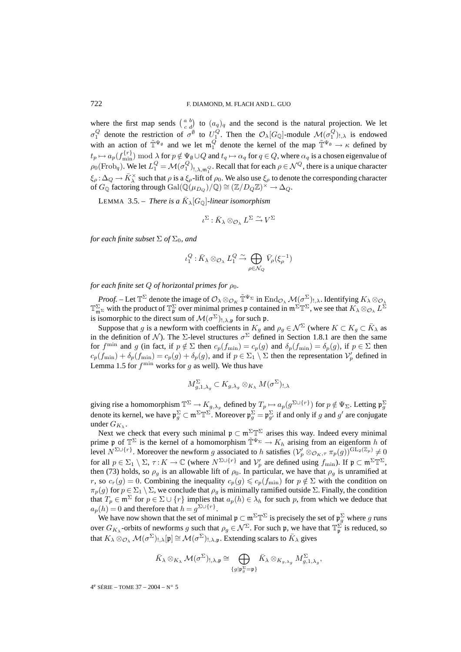where the first map sends  $\begin{pmatrix} a & b \\ c & d \end{pmatrix}$  to  $(a_q)_q$  and the second is the natural projection. We let  $\sigma_1^Q$  denote the restriction of  $\sigma^{\emptyset}$  to  $U_1^Q$ . Then the  $\mathcal{O}_{\lambda}[G_{\mathbb{Q}}]$ -module  $\mathcal{M}(\sigma_1^Q)_{!,\lambda}$  is endowed with an action of  $\tilde{T}^{\Psi_{\emptyset}}$  and we let  $\mathfrak{m}_1^Q$  denote the kernel of the map  $\tilde{T}^{\Psi_{\emptyset}} \to \kappa$  defined by  $t_p \mapsto a_p(f_{\min}^{\{r\}}) \bmod \lambda$  for  $p \notin \Psi_\emptyset \cup Q$  and  $t_q \mapsto \alpha_q$  for  $q \in Q$ , where  $\alpha_q$  is a chosen eigenvalue of  $\rho_0(\text{Frob}_q)$ . We let  $L_1^Q = \mathcal{M}(\sigma_1^Q)_{!,\lambda,\mathfrak{m}_1^Q}$ . Recall that for each  $\rho \in \mathcal{N}^Q$ , there is a unique character  $\xi_{\rho}$ :  $\Delta_Q \rightarrow \overline{K}_{\lambda}^{\times}$  such that  $\rho$  is a  $\xi_{\rho}$ -lift of  $\rho_0$ . We also use  $\xi_{\rho}$  to denote the corresponding character of  $G_{\mathbb{Q}}$  factoring through  $Gal(\mathbb{Q}(\mu_{D_Q})/\mathbb{Q}) \cong (\mathbb{Z}/D_Q\mathbb{Z})^{\times} \to \Delta_Q$ .

LEMMA 3.5. – *There is a*  $\bar{K}_{\lambda}[G_{\mathbb{Q}}]$ -linear isomorphism

$$
\iota^\Sigma:\bar K_\lambda\otimes_{\mathcal O_\lambda} L^\Sigma\stackrel{\sim}{\to} V^\Sigma
$$

*for each finite subset*  $\Sigma$  *of*  $\Sigma_0$ *, and* 

$$
\iota_1^Q: \bar{K}_{\lambda} \otimes_{\mathcal{O}_{\lambda}} L_1^Q \xrightarrow{\sim} \bigoplus_{\rho \in \mathcal{N}_Q} \bar{V}_{\rho}(\xi_{\rho}^{-1})
$$

*for each finite set*  $Q$  *of horizontal primes for*  $\rho_0$ *.* 

*Proof.* – Let  $\mathbb{T}^{\Sigma}$  denote the image of  $\mathcal{O}_{\lambda} \otimes_{\mathcal{O}_K} \tilde{\mathbb{T}}^{\Psi_{\Sigma}}$  in  $\mathrm{End}_{\mathcal{O}_{\lambda}}\mathcal{M}(\sigma^{\Sigma})_{!,\lambda}$ . Identifying  $K_{\lambda} \otimes_{\mathcal{O}_{\lambda}}$  $\mathbb{T}^{\Sigma}_{\mathfrak{m}^{\Sigma}}$  with the product of  $\mathbb{T}^{\Sigma}_{\mathfrak{p}}$  over minimal primes  $\mathfrak{p}$  contained in  $\mathfrak{m}^{\Sigma} \mathbb{T}^{\Sigma}$ , we see that  $K_{\lambda} \otimes_{\mathcal{O}_{\lambda}} L^{\Sigma}$ is isomorphic to the direct sum of  $\mathcal{M}(\sigma^{\Sigma})_{!,\lambda,\mathfrak{p}}$  for such p.

Suppose that g is a newform with coefficients in  $K_g$  and  $\rho_g \in \mathcal{N}^{\Sigma}$  (where  $K \subset K_g \subset \overline{K}_{\lambda}$  as in the definition of N). The  $\Sigma$ -level structures  $\sigma^{\Sigma}$  defined in Section 1.8.1 are then the same for f<sup>min</sup> and g (in fact, if  $p \notin \Sigma$  then  $c_p(f_{\min}) = c_p(g)$  and  $\delta_p(f_{\min}) = \delta_p(g)$ , if  $p \in \Sigma$  then  $c_p(f_{\min}) + \delta_p(f_{\min}) = c_p(g) + \delta_p(g)$ , and if  $p \in \Sigma_1 \setminus \Sigma$  then the representation  $\mathcal{V}'_p$  defined in Lemma 1.5 for  $f<sup>min</sup>$  works for g as well). We thus have

$$
M_{g,1,\lambda_g}^{\Sigma} \subset K_{g,\lambda_g} \otimes_{K_{\lambda}} M(\sigma^{\Sigma})_{!,\lambda}
$$

giving rise a homomorphism  $\mathbb{T}^{\Sigma}\to K_{g,\lambda_g}$  defined by  $T_p \mapsto a_p(g^{\Sigma\cup\{r\}})$  for  $p \notin \Psi_{\Sigma}$ . Letting  $\mathfrak{p}_g^{\Sigma}$ denote its kernel, we have  $\mathfrak{p}_{g}^{\Sigma} \subset \mathfrak{m}^{\Sigma} \mathbb{T}^{\Sigma}$ . Moreover  $\mathfrak{p}_{g}^{\Sigma} = \mathfrak{p}_{g'}^{\Sigma}$  if and only if g and g' are conjugate under  $G_{K_{\lambda}}$ .

Next we check that every such minimal  $\mathfrak{p} \subset \mathfrak{m}^{\Sigma} \mathbb{T}^{\Sigma}$  arises this way. Indeed every minimal prime p of  $\mathbb{T}^{\Sigma}$  is the kernel of a homomorphism  $\tilde{\mathbb{T}}^{\Psi_{\Sigma}} \to K_h$  arising from an eigenform h of level  $N^{\Sigma \cup \{r\}}$ . Moreover the newform g associated to h satisfies  $(\mathcal{V}'_p \otimes_{\mathcal{O}_K, \tau} \pi_p(g))^{\operatorname{GL}_2(\mathbb{Z}_p)} \neq 0$ for all  $p \in \Sigma_1 \setminus \Sigma$ ,  $\tau: K \to \mathbb{C}$  (where  $N^{\Sigma \cup \{r\}}$  and  $\mathcal{V}'_p$  are defined using  $f_{\min}$ ). If  $\mathfrak{p} \subset \mathfrak{m}^{\Sigma} \mathbb{T}^{\Sigma}$ , then (73) holds, so  $\rho_g$  is an allowable lift of  $\rho_0$ . In particular, we have that  $\rho_g$  is unramified at r, so  $c_r(g) = 0$ . Combining the inequality  $c_p(g) \leq c_p(f_{\min})$  for  $p \notin \Sigma$  with the condition on  $\pi_p(g)$  for  $p \in \Sigma_1 \setminus \Sigma$ , we conclude that  $\rho_g$  is minimally ramified outside  $\Sigma$ . Finally, the condition that  $T_p \in \mathfrak{m}^{\Sigma}$  for  $p \in \Sigma \cup \{r\}$  implies that  $a_p(h) \in \lambda_h$  for such p, from which we deduce that  $a_n(h)=0$  and therefore that  $h = g^{\Sigma \cup \{r\}}$ .

We have now shown that the set of minimal  $\mathfrak{p} \subset \mathfrak{m}^{\Sigma} \mathbb{T}^{\Sigma}$  is precisely the set of  $\mathfrak{p}^{\Sigma}_g$  where g runs over  $G_{K_{\lambda}}$ -orbits of newforms g such that  $\rho_g \in \mathcal{N}^{\Sigma}$ . For such p, we have that  $\mathbb{T}_{\mathfrak{p}}^{\Sigma}$  is reduced, so that  $K_{\lambda} \otimes_{\mathcal{O}_{\lambda}} \mathcal{M}(\sigma^{\Sigma})_{!,\lambda}[\mathfrak{p}] \cong \mathcal{M}(\sigma^{\Sigma})_{!,\lambda,\mathfrak{p}}$ . Extending scalars to  $\bar{K}_{\lambda}$  gives

$$
\bar{K}_{\lambda} \otimes_{K_{\lambda}} \mathcal{M}(\sigma^{\Sigma})_{!,\lambda,\mathfrak{p}} \cong \bigoplus_{\{g \mid \mathfrak{p}_{g}^{\Sigma} = \mathfrak{p}\}} \bar{K}_{\lambda} \otimes_{K_{g,\lambda_{g}}} M^{\Sigma}_{g,1,\lambda_{g}},
$$

4e SÉRIE – TOME 37 – 2004 – N◦ 5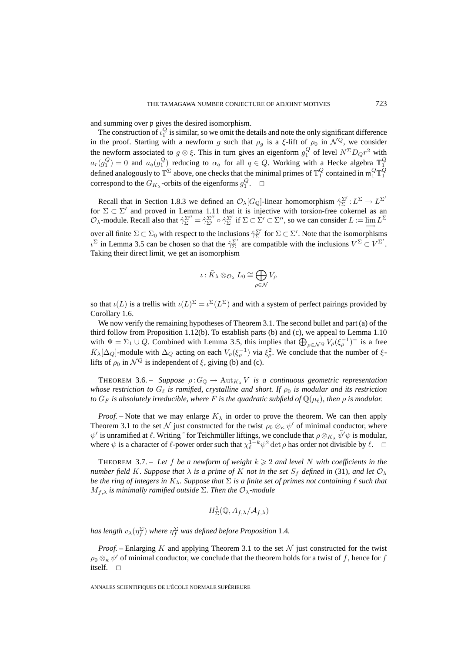and summing over p gives the desired isomorphism.

The construction of  $\iota_1^Q$  is similar, so we omit the details and note the only significant difference in the proof. Starting with a newform g such that  $\rho_g$  is a  $\xi$ -lift of  $\rho_0$  in  $\mathcal{N}^Q$ , we consider the newform associated to  $g \otimes \xi$ . This in turn gives an eigenform  $g_1^Q$  of level  $N^{\Sigma}D_Qr^2$  with  $a_r(g_1^Q) = 0$  and  $a_q(g_1^Q)$  reducing to  $\alpha_q$  for all  $q \in Q$ . Working with a Hecke algebra  $\mathbb{T}_1^Q$  defined analogously to  $\mathbb{T}^{\Sigma}$  above, one checks that the minimal primes of  $\mathbb{T}_1^Q$  contained in  $\mathfrak{m}_1^Q \mathbb$ correspond to the  $G_{K_{\lambda}}$ -orbits of the eigenforms  $g_1^Q$ .  $\Box$ 

Recall that in Section 1.8.3 we defined an  $\mathcal{O}_{\lambda}[G_{\mathbb{Q}}]$ -linear homomorphism  $\hat{\gamma}_{\Sigma}^{\Sigma'}: L^{\Sigma} \to L^{\Sigma'}$ for  $\Sigma \subset \Sigma'$  and proved in Lemma 1.11 that it is injective with torsion-free cokernel as an  $\mathcal{O}_{\lambda}$ -module. Recall also that  $\hat{\gamma}_{\Sigma}^{\Sigma''} = \hat{\gamma}_{\Sigma'}^{\Sigma''} \circ \hat{\gamma}_{\Sigma}^{\Sigma'}$  if  $\Sigma \subset \Sigma' \subset \Sigma''$ , so we can consider  $L := \lim_{\longrightarrow} L^{\Sigma}$ over all finite  $\Sigma \subset \Sigma_0$  with respect to the inclusions  $\hat{\gamma}_{\Sigma}^{\Sigma'}$  for  $\Sigma \subset \Sigma'$ . Note that the isomorphisms  $\iota^{\Sigma}$  in Lemma 3.5 can be chosen so that the  $\hat{\gamma}_{\Sigma}^{\Sigma'}$  are compatible with the inclusions  $V^{\Sigma} \subset V^{\Sigma'}$ . Taking their direct limit, we get an isomorphism

$$
\iota: \bar K_\lambda \otimes_{\mathcal O_\lambda} L_0 \cong \bigoplus_{\rho \in \mathcal N} V_\rho
$$

so that  $\iota(L)$  is a trellis with  $\iota(L)^{\Sigma} = \iota^{\Sigma}(L^{\Sigma})$  and with a system of perfect pairings provided by Corollary 1.6.

We now verify the remaining hypotheses of Theorem 3.1. The second bullet and part (a) of the third follow from Proposition 1.12(b). To establish parts (b) and (c), we appeal to Lemma 1.10 with  $\Psi = \Sigma_1 \cup Q$ . Combined with Lemma 3.5, this implies that  $\bigoplus_{\rho \in \mathcal{N}^Q} V_{\rho}(\xi_{\rho}^{-1})$  is a free  $\bar{K}_{\lambda}[\Delta_Q]$ -module with  $\Delta_Q$  acting on each  $V_{\rho}(\xi_{\rho}^{-1})$  via  $\xi_{\rho}^2$ . We conclude that the number of  $\xi$ lifts of  $\rho_0$  in  $\mathcal{N}^Q$  is independent of  $\xi$ , giving (b) and (c).

THEOREM 3.6. – *Suppose*  $\rho: G_{\mathbb{Q}} \to \text{Aut}_{K_{\lambda}} V$  *is a continuous geometric representation whose restriction to*  $G_{\ell}$  *is ramified, crystalline and short. If*  $\rho_0$  *is modular and its restriction* to  $G_F$  is absolutely irreducible, where  $F$  is the quadratic subfield of  $\mathbb{Q}(\mu_\ell)$ , then  $\rho$  is modular.

*Proof.* – Note that we may enlarge  $K_{\lambda}$  in order to prove the theorem. We can then apply Theorem 3.1 to the set  $\mathcal N$  just constructed for the twist  $\rho_0 \otimes_\kappa \psi'$  of minimal conductor, where  $\psi'$  is unramified at  $\ell$ . Writing  $\tilde{\ }$  for Teichmüller liftings, we conclude that  $\rho \otimes_{K_\lambda} \tilde{\psi}' \psi$  is modular, where  $\psi$  is a character of  $\ell$ -power order such that  $\chi_{\ell}^{1-k} \psi^2 \det \rho$  has order not divisible by  $\ell$ .  $\Box$ 

THEOREM 3.7. – Let f be a newform of weight  $k \geq 2$  and level N with coefficients in the *number field* K. Suppose that  $\lambda$  *is a prime of* K *not in the set*  $S_f$  *defined in* (31)*, and let*  $\mathcal{O}_{\lambda}$ *be the ring of integers in*  $K_{\lambda}$ *. Suppose that*  $\Sigma$  *is a finite set of primes not containing*  $\ell$  *such that*  $M_{f,\lambda}$  *is minimally ramified outside*  $\Sigma$ *. Then the*  $\mathcal{O}_{\lambda}$ *-module* 

$$
H^1_\Sigma(\mathbb{Q},A_{f,\lambda}/\mathcal{A}_{f,\lambda})
$$

has length  $v_\lambda(\eta_f^\Sigma)$  where  $\eta_f^\Sigma$  was defined before Proposition 1.4.

*Proof.* – Enlarging K and applying Theorem 3.1 to the set  $N$  just constructed for the twist  $\rho_0 \otimes_\kappa \psi'$  of minimal conductor, we conclude that the theorem holds for a twist of f, hence for f itself.  $\square$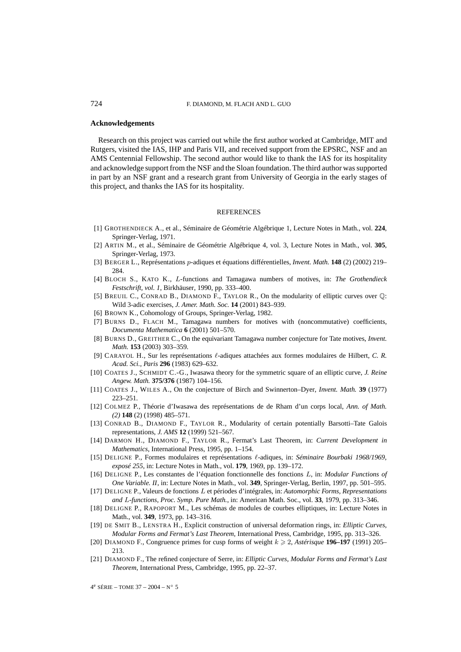## **Acknowledgements**

Research on this project was carried out while the first author worked at Cambridge, MIT and Rutgers, visited the IAS, IHP and Paris VII, and received support from the EPSRC, NSF and an AMS Centennial Fellowship. The second author would like to thank the IAS for its hospitality and acknowledge support from the NSF and the Sloan foundation. The third author was supported in part by an NSF grant and a research grant from University of Georgia in the early stages of this project, and thanks the IAS for its hospitality.

## **REFERENCES**

- [1] GROTHENDIECK A., et al., Séminaire de Géométrie Algébrique 1, Lecture Notes in Math., vol. **224**, Springer-Verlag, 1971.
- [2] ARTIN M., et al., Séminaire de Géométrie Algébrique 4, vol. 3, Lecture Notes in Math., vol. **305**, Springer-Verlag, 1973.
- [3] BERGER L., Représentations p-adiques et équations différentielles, *Invent. Math.* **148** (2) (2002) 219– 284.
- [4] BLOCH S., KATO K., L-functions and Tamagawa numbers of motives, in: *The Grothendieck Festschrift, vol. 1*, Birkhäuser, 1990, pp. 333–400.
- [5] BREUIL C., CONRAD B., DIAMOND F., TAYLOR R., On the modularity of elliptic curves over Q: Wild 3-adic exercises, *J. Amer. Math. Soc.* **14** (2001) 843–939.
- [6] BROWN K., Cohomology of Groups, Springer-Verlag, 1982.
- [7] BURNS D., FLACH M., Tamagawa numbers for motives with (noncommutative) coefficients, *Documenta Mathematica* **6** (2001) 501–570.
- [8] BURNS D., GREITHER C., On the equivariant Tamagawa number conjecture for Tate motives, *Invent. Math.* **153** (2003) 303–359.
- [9] CARAYOL H., Sur les représentations  $\ell$ -adiques attachées aux formes modulaires de Hilbert, *C. R. Acad. Sci., Paris* **296** (1983) 629–632.
- [10] COATES J., SCHMIDT C.-G., Iwasawa theory for the symmetric square of an elliptic curve, *J. Reine Angew. Math.* **375/376** (1987) 104–156.
- [11] COATES J., WILES A., On the conjecture of Birch and Swinnerton–Dyer, *Invent. Math.* **39** (1977) 223–251.
- [12] COLMEZ P., Théorie d'Iwasawa des représentations de de Rham d'un corps local, *Ann. of Math. (2)* **148** (2) (1998) 485–571.
- [13] CONRAD B., DIAMOND F., TAYLOR R., Modularity of certain potentially Barsotti–Tate Galois representations, *J. AMS* **12** (1999) 521–567.
- [14] DARMON H., DIAMOND F., TAYLOR R., Fermat's Last Theorem, in: *Current Development in Mathematics*, International Press, 1995, pp. 1–154.
- [15] DELIGNE P., Formes modulaires et représentations  $\ell$ -adiques, in: *Séminaire Bourbaki 1968/1969*, *exposé 255*, in: Lecture Notes in Math., vol. **179**, 1969, pp. 139–172.
- [16] DELIGNE P., Les constantes de l'équation fonctionnelle des fonctions L, in: *Modular Functions of One Variable. II*, in: Lecture Notes in Math., vol. **349**, Springer-Verlag, Berlin, 1997, pp. 501–595.
- [17] DELIGNE P., Valeurs de fonctions L et périodes d'intégrales, in: *Automorphic Forms, Representations and* L*-functions, Proc. Symp. Pure Math.*, in: American Math. Soc., vol. **33**, 1979, pp. 313–346.
- [18] DELIGNE P., RAPOPORT M., Les schémas de modules de courbes elliptiques, in: Lecture Notes in Math., vol. **349**, 1973, pp. 143–316.
- [19] DE SMIT B., LENSTRA H., Explicit construction of universal deformation rings, in: *Elliptic Curves, Modular Forms and Fermat's Last Theorem*, International Press, Cambridge, 1995, pp. 313–326.
- [20] DIAMOND F., Congruence primes for cusp forms of weight  $k \ge 2$ , *Astérisque* **196–197** (1991) 205– 213.
- [21] DIAMOND F., The refined conjecture of Serre, in: *Elliptic Curves, Modular Forms and Fermat's Last Theorem*, International Press, Cambridge, 1995, pp. 22–37.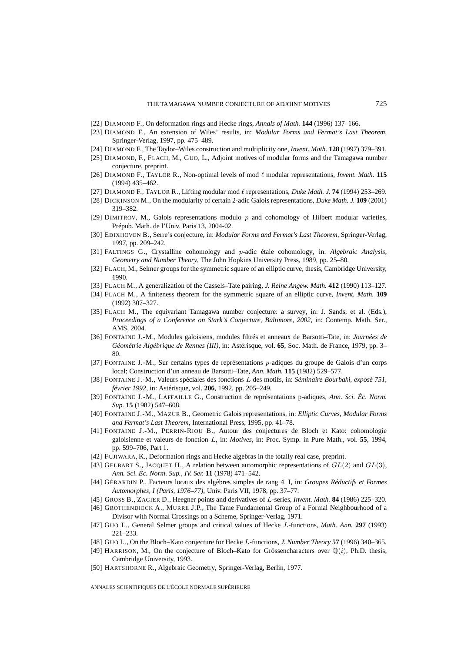- [22] DIAMOND F., On deformation rings and Hecke rings, *Annals of Math.* **144** (1996) 137–166.
- [23] DIAMOND F., An extension of Wiles' results, in: *Modular Forms and Fermat's Last Theorem*, Springer-Verlag, 1997, pp. 475–489.
- [24] DIAMOND F., The Taylor–Wiles construction and multiplicity one, *Invent. Math.* **128** (1997) 379–391.
- [25] DIAMOND, F., FLACH, M., GUO, L., Adjoint motives of modular forms and the Tamagawa number conjecture, preprint.
- [26] DIAMOND F., TAYLOR R., Non-optimal levels of mod  $\ell$  modular representations, *Invent. Math.* 115 (1994) 435–462.
- [27] DIAMOND F., TAYLOR R., Lifting modular mod  $\ell$  representations, *Duke Math. J.* **74** (1994) 253–269.
- [28] DICKINSON M., On the modularity of certain 2-adic Galois representations, *Duke Math. J.* **109** (2001) 319–382.
- [29] DIMITROV, M., Galois representations modulo  $p$  and cohomology of Hilbert modular varieties, Prépub. Math. de l'Univ. Paris 13, 2004-02.
- [30] EDIXHOVEN B., Serre's conjecture, in: *Modular Forms and Fermat's Last Theorem*, Springer-Verlag, 1997, pp. 209–242.
- [31] FALTINGS G., Crystalline cohomology and p-adic étale cohomology, in: *Algebraic Analysis, Geometry and Number Theory*, The John Hopkins University Press, 1989, pp. 25–80.
- [32] FLACH, M., Selmer groups for the symmetric square of an elliptic curve, thesis, Cambridge University, 1990.
- [33] FLACH M., A generalization of the Cassels–Tate pairing, *J. Reine Angew. Math.* **412** (1990) 113–127.
- [34] FLACH M., A finiteness theorem for the symmetric square of an elliptic curve, *Invent. Math.* **109** (1992) 307–327.
- [35] FLACH M., The equivariant Tamagawa number conjecture: a survey, in: J. Sands, et al. (Eds.), *Proceedings of a Conference on Stark's Conjecture, Baltimore, 2002*, in: Contemp. Math. Ser., AMS, 2004.
- [36] FONTAINE J.-M., Modules galoisiens, modules filtrés et anneaux de Barsotti–Tate, in: *Journées de Géométrie Algébrique de Rennes (III)*, in: Astérisque, vol. **65**, Soc. Math. de France, 1979, pp. 3– 80.
- [37] FONTAINE J.-M., Sur certains types de représentations p-adiques du groupe de Galois d'un corps local; Construction d'un anneau de Barsotti–Tate, *Ann. Math.* **115** (1982) 529–577.
- [38] FONTAINE J.-M., Valeurs spéciales des fonctions L des motifs, in: *Séminaire Bourbaki, exposé 751, février 1992*, in: Astérisque, vol. **206**, 1992, pp. 205–249.
- [39] FONTAINE J.-M., LAFFAILLE G., Construction de représentations p-adiques, *Ann. Sci. Éc. Norm. Sup.* **15** (1982) 547–608.
- [40] FONTAINE J.-M., MAZUR B., Geometric Galois representations, in: *Elliptic Curves, Modular Forms and Fermat's Last Theorem*, International Press, 1995, pp. 41–78.
- [41] FONTAINE J.-M., PERRIN-RIOU B., Autour des conjectures de Bloch et Kato: cohomologie galoisienne et valeurs de fonction L, in: *Motives*, in: Proc. Symp. in Pure Math., vol. **55**, 1994, pp. 599–706, Part 1.
- [42] FUJIWARA, K., Deformation rings and Hecke algebras in the totally real case, preprint.
- [43] GELBART S., JACQUET H., A relation between automorphic representations of  $GL(2)$  and  $GL(3)$ , *Ann. Sci. Éc. Norm. Sup., IV. Ser.* **11** (1978) 471–542.
- [44] GÉRARDIN P., Facteurs locaux des algèbres simples de rang 4. I, in: *Groupes Réductifs et Formes Automorphes, I (Paris, 1976–77)*, Univ. Paris VII, 1978, pp. 37–77.
- [45] GROSS B., ZAGIER D., Heegner points and derivatives of L-series, *Invent. Math.* **84** (1986) 225–320.
- [46] GROTHENDIECK A., MURRE J.P., The Tame Fundamental Group of a Formal Neighbourhood of a Divisor with Normal Crossings on a Scheme, Springer-Verlag, 1971.
- [47] GUO L., General Selmer groups and critical values of Hecke L-functions, *Math. Ann.* **297** (1993) 221–233.
- [48] GUO L., On the Bloch–Kato conjecture for Hecke L-functions, *J. Number Theory* **57** (1996) 340–365.
- [49] HARRISON, M., On the conjecture of Bloch–Kato for Grössencharacters over  $\mathbb{O}(i)$ , Ph.D. thesis, Cambridge University, 1993.
- [50] HARTSHORNE R., Algebraic Geometry, Springer-Verlag, Berlin, 1977.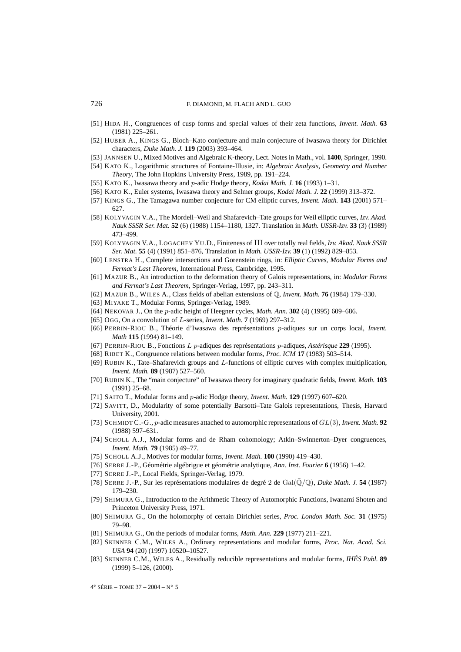- [51] HIDA H., Congruences of cusp forms and special values of their zeta functions, *Invent. Math.* **63** (1981) 225–261.
- [52] HUBER A., KINGS G., Bloch–Kato conjecture and main conjecture of Iwasawa theory for Dirichlet characters, *Duke Math. J.* **119** (2003) 393–464.
- [53] JANNSEN U., Mixed Motives and Algebraic K-theory, Lect. Notes in Math., vol. **1400**, Springer, 1990.
- [54] KATO K., Logarithmic structures of Fontaine-Illusie, in: *Algebraic Analysis, Geometry and Number Theory*, The John Hopkins University Press, 1989, pp. 191–224.
- [55] KATO K., Iwasawa theory and p-adic Hodge theory, *Kodai Math. J.* **16** (1993) 1–31.
- [56] KATO K., Euler systems, Iwasawa theory and Selmer groups, *Kodai Math. J.* **22** (1999) 313–372.
- [57] KINGS G., The Tamagawa number conjecture for CM elliptic curves, *Invent. Math.* **143** (2001) 571– 627.
- [58] KOLYVAGIN V.A., The Mordell–Weil and Shafarevich–Tate groups for Weil elliptic curves, *Izv. Akad. Nauk SSSR Ser. Mat.* **52** (6) (1988) 1154–1180, 1327. Translation in *Math. USSR-Izv.* **33** (3) (1989) 473–499.
- [59] KOLYVAGIN V.A., LOGACHEV YU.D., Finiteness of III over totally real fields, *Izv. Akad. Nauk SSSR Ser. Mat.* **55** (4) (1991) 851–876, Translation in *Math. USSR-Izv.* **39** (1) (1992) 829–853.
- [60] LENSTRA H., Complete intersections and Gorenstein rings, in: *Elliptic Curves, Modular Forms and Fermat's Last Theorem*, International Press, Cambridge, 1995.
- [61] MAZUR B., An introduction to the deformation theory of Galois representations, in: *Modular Forms and Fermat's Last Theorem*, Springer-Verlag, 1997, pp. 243–311.
- [62] MAZUR B., WILES A., Class fields of abelian extensions of Q, *Invent. Math.* **76** (1984) 179–330.
- [63] MIYAKE T., Modular Forms, Springer-Verlag, 1989.
- [64] NEKOVAR J., On the p-adic height of Heegner cycles, *Math. Ann.* **302** (4) (1995) 609–686.
- [65] OGG, On a convolution of L-series, *Invent. Math.* **7** (1969) 297–312.
- [66] PERRIN-RIOU B., Théorie d'Iwasawa des représentations p-adiques sur un corps local, *Invent. Math* **115** (1994) 81–149.
- [67] PERRIN-RIOU B., Fonctions L p-adiques des représentations p-adiques, *Astérisque* **229** (1995).
- [68] RIBET K., Congruence relations between modular forms, *Proc. ICM* **17** (1983) 503–514.
- [69] RUBIN K., Tate–Shafarevich groups and L-functions of elliptic curves with complex multiplication, *Invent. Math.* **89** (1987) 527–560.
- [70] RUBIN K., The "main conjecture" of Iwasawa theory for imaginary quadratic fields, *Invent. Math.* **103** (1991) 25–68.
- [71] SAITO T., Modular forms and p-adic Hodge theory, *Invent. Math.* **129** (1997) 607–620.
- [72] SAVITT, D., Modularity of some potentially Barsotti–Tate Galois representations, Thesis, Harvard University, 2001.
- [73] SCHMIDT C.-G., p-adic measures attached to automorphic representations of GL(3), *Invent. Math.* **92** (1988) 597–631.
- [74] SCHOLL A.J., Modular forms and de Rham cohomology; Atkin–Swinnerton–Dyer congruences, *Invent. Math.* **79** (1985) 49–77.
- [75] SCHOLL A.J., Motives for modular forms, *Invent. Math.* **100** (1990) 419–430.
- [76] SERRE J.-P., Géométrie algébrigue et géométrie analytique, *Ann. Inst. Fourier* **6** (1956) 1–42.
- [77] SERRE J.-P., Local Fields, Springer-Verlag, 1979.
- [78] SERRE J.-P., Sur les représentations modulaires de degré 2 de Gal $(\overline{Q}/Q)$ , *Duke Math. J.* **54** (1987) 179–230.
- [79] SHIMURA G., Introduction to the Arithmetic Theory of Automorphic Functions, Iwanami Shoten and Princeton University Press, 1971.
- [80] SHIMURA G., On the holomorphy of certain Dirichlet series, *Proc. London Math. Soc.* **31** (1975) 79–98.
- [81] SHIMURA G., On the periods of modular forms, *Math. Ann.* **229** (1977) 211–221.
- [82] SKINNER C.M., WILES A., Ordinary representations and modular forms, *Proc. Nat. Acad. Sci. USA* **94** (20) (1997) 10520–10527.
- [83] SKINNER C.M., WILES A., Residually reducible representations and modular forms, *IHÉS Publ.* **89** (1999) 5–126, (2000).

 $4^e$  SÉRIE – TOME 37 – 2004 – N° 5